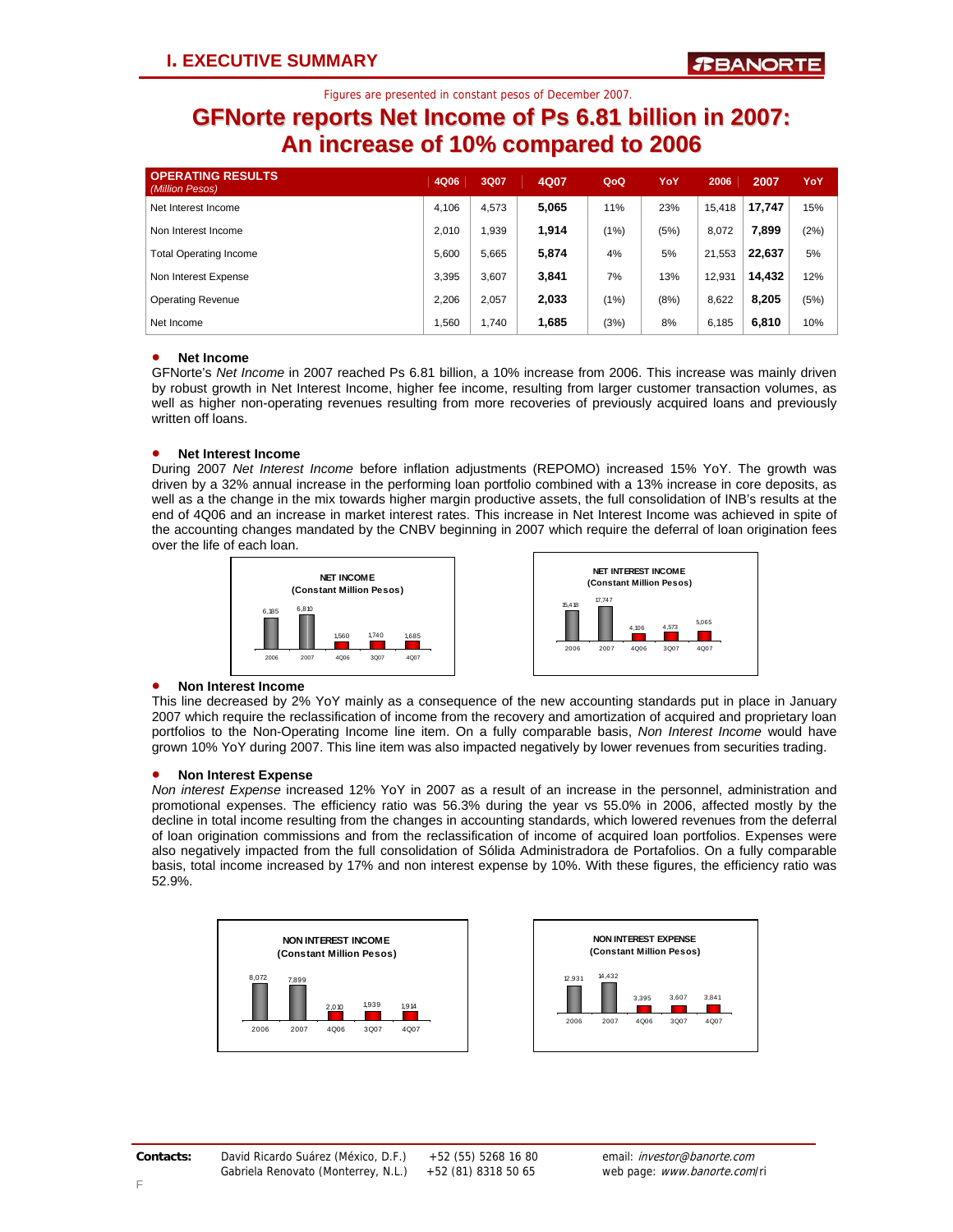## **GFNorte reports Net Income of Ps 6.81 billion in 2007: An increase of 10% compared to 2006**

| <b>OPERATING RESULTS</b><br>(Million Pesos) | 4Q06  | 3Q07  | 4Q07  | QoQ  | YoY  | 2006   | 2007   | YoY  |
|---------------------------------------------|-------|-------|-------|------|------|--------|--------|------|
| Net Interest Income                         | 4.106 | 4,573 | 5,065 | 11%  | 23%  | 15,418 | 17.747 | 15%  |
| Non Interest Income                         | 2.010 | .939  | 1,914 | (1%) | (5%) | 8.072  | 7.899  | (2%) |
| <b>Total Operating Income</b>               | 5.600 | 5.665 | 5,874 | 4%   | 5%   | 21,553 | 22.637 | 5%   |
| Non Interest Expense                        | 3.395 | 3.607 | 3,841 | 7%   | 13%  | 12,931 | 14.432 | 12%  |
| <b>Operating Revenue</b>                    | 2.206 | 2.057 | 2,033 | (1%) | (8%) | 8.622  | 8.205  | (5%) |
| Net Income                                  | 1,560 | 1.740 | 1,685 | (3%) | 8%   | 6.185  | 6,810  | 10%  |

## • **Net Income**

GFNorte's *Net Income* in 2007 reached Ps 6.81 billion, a 10% increase from 2006. This increase was mainly driven by robust growth in Net Interest Income, higher fee income, resulting from larger customer transaction volumes, as well as higher non-operating revenues resulting from more recoveries of previously acquired loans and previously written off loans.

## • **Net Interest Income**

During 2007 *Net Interest Income* before inflation adjustments (REPOMO) increased 15% YoY. The growth was driven by a 32% annual increase in the performing loan portfolio combined with a 13% increase in core deposits, as well as a the change in the mix towards higher margin productive assets, the full consolidation of INB's results at the end of 4Q06 and an increase in market interest rates. This increase in Net Interest Income was achieved in spite of the accounting changes mandated by the CNBV beginning in 2007 which require the deferral of loan origination fees over the life of each loan.





## • **Non Interest Income**

This line decreased by 2% YoY mainly as a consequence of the new accounting standards put in place in January 2007 which require the reclassification of income from the recovery and amortization of acquired and proprietary loan portfolios to the Non-Operating Income line item. On a fully comparable basis, *Non Interest Income* would have grown 10% YoY during 2007. This line item was also impacted negatively by lower revenues from securities trading.

## • **Non Interest Expense**

*Non interest Expense* increased 12% YoY in 2007 as a result of an increase in the personnel, administration and promotional expenses. The efficiency ratio was 56.3% during the year vs 55.0% in 2006, affected mostly by the decline in total income resulting from the changes in accounting standards, which lowered revenues from the deferral of loan origination commissions and from the reclassification of income of acquired loan portfolios. Expenses were also negatively impacted from the full consolidation of Sólida Administradora de Portafolios. On a fully comparable basis, total income increased by 17% and non interest expense by 10%. With these figures, the efficiency ratio was 52.9%.



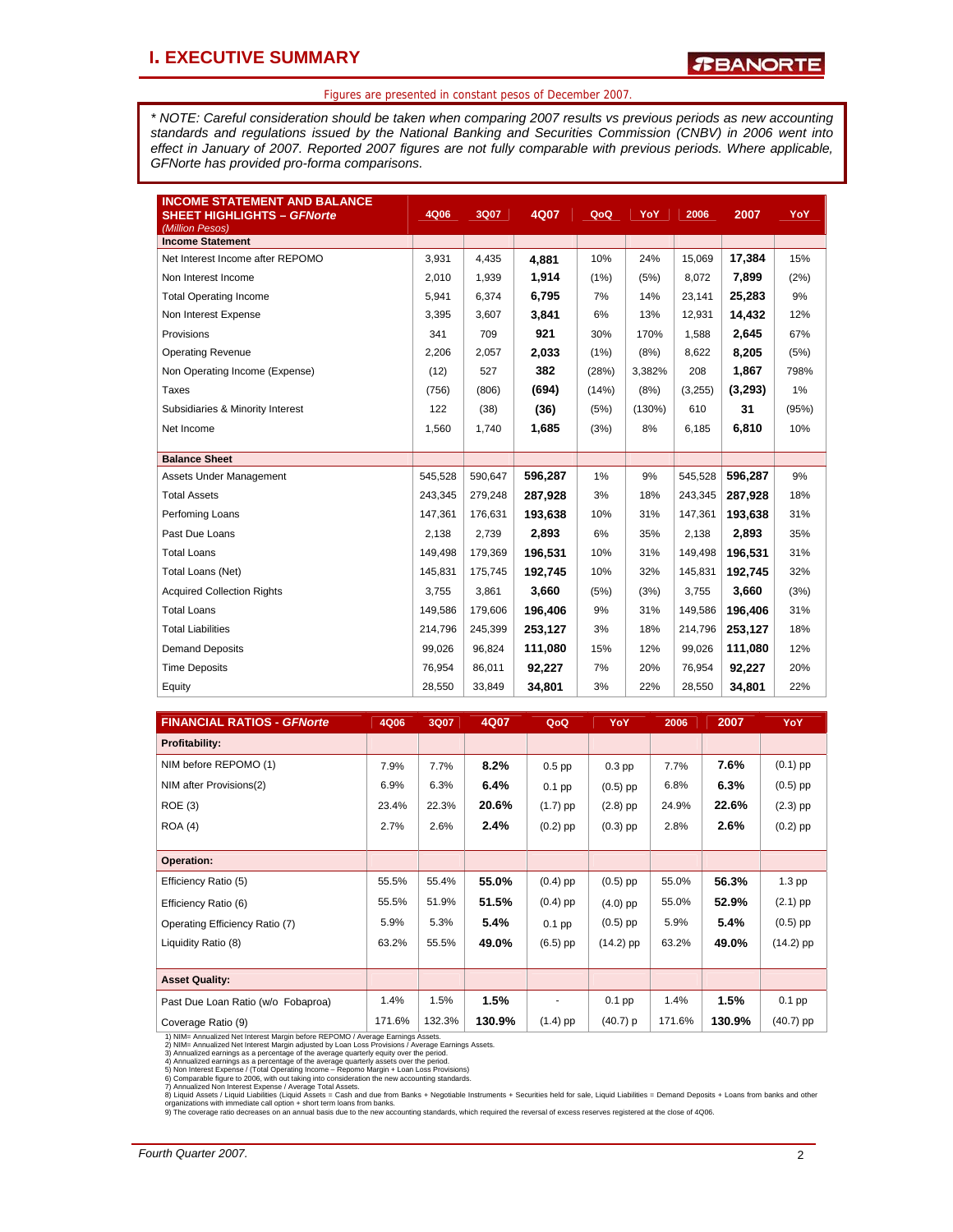*\* NOTE: Careful consideration should be taken when comparing 2007 results vs previous periods as new accounting standards and regulations issued by the National Banking and Securities Commission (CNBV) in 2006 went into effect in January of 2007. Reported 2007 figures are not fully comparable with previous periods. Where applicable, GFNorte has provided pro-forma comparisons.* 

| <b>INCOME STATEMENT AND BALANCE</b><br><b>SHEET HIGHLIGHTS - GFNorte</b><br>(Million Pesos) | 4Q06    | 3Q07    | 4Q07    | QoQ   | YoY    | 2006    | 2007    | <b>YoY</b> |
|---------------------------------------------------------------------------------------------|---------|---------|---------|-------|--------|---------|---------|------------|
| <b>Income Statement</b>                                                                     |         |         |         |       |        |         |         |            |
| Net Interest Income after REPOMO                                                            | 3,931   | 4,435   | 4,881   | 10%   | 24%    | 15,069  | 17,384  | 15%        |
| Non Interest Income                                                                         | 2,010   | 1,939   | 1,914   | (1%)  | (5%)   | 8,072   | 7,899   | (2%)       |
| <b>Total Operating Income</b>                                                               | 5,941   | 6,374   | 6,795   | 7%    | 14%    | 23,141  | 25,283  | 9%         |
| Non Interest Expense                                                                        | 3,395   | 3,607   | 3,841   | 6%    | 13%    | 12,931  | 14,432  | 12%        |
| Provisions                                                                                  | 341     | 709     | 921     | 30%   | 170%   | 1,588   | 2,645   | 67%        |
| <b>Operating Revenue</b>                                                                    | 2,206   | 2,057   | 2,033   | (1%)  | (8%)   | 8,622   | 8,205   | (5%)       |
| Non Operating Income (Expense)                                                              | (12)    | 527     | 382     | (28%) | 3,382% | 208     | 1,867   | 798%       |
| Taxes                                                                                       | (756)   | (806)   | (694)   | (14%) | (8%)   | (3,255) | (3,293) | 1%         |
| Subsidiaries & Minority Interest                                                            | 122     | (38)    | (36)    | (5%)  | (130%) | 610     | 31      | (95%)      |
| Net Income                                                                                  | 1,560   | 1,740   | 1,685   | (3%)  | 8%     | 6,185   | 6.810   | 10%        |
|                                                                                             |         |         |         |       |        |         |         |            |
| <b>Balance Sheet</b>                                                                        |         |         |         |       |        |         |         |            |
| Assets Under Management                                                                     | 545,528 | 590,647 | 596,287 | 1%    | 9%     | 545,528 | 596,287 | 9%         |
| <b>Total Assets</b>                                                                         | 243,345 | 279,248 | 287,928 | 3%    | 18%    | 243,345 | 287,928 | 18%        |
| Perfoming Loans                                                                             | 147.361 | 176,631 | 193,638 | 10%   | 31%    | 147,361 | 193,638 | 31%        |
| Past Due Loans                                                                              | 2,138   | 2,739   | 2,893   | 6%    | 35%    | 2,138   | 2,893   | 35%        |
| <b>Total Loans</b>                                                                          | 149,498 | 179,369 | 196,531 | 10%   | 31%    | 149,498 | 196.531 | 31%        |
| Total Loans (Net)                                                                           | 145,831 | 175,745 | 192,745 | 10%   | 32%    | 145,831 | 192,745 | 32%        |
| <b>Acquired Collection Rights</b>                                                           | 3,755   | 3,861   | 3,660   | (5%)  | (3%)   | 3,755   | 3,660   | (3%)       |
| <b>Total Loans</b>                                                                          | 149,586 | 179,606 | 196.406 | 9%    | 31%    | 149,586 | 196,406 | 31%        |
| <b>Total Liabilities</b>                                                                    | 214.796 | 245,399 | 253,127 | 3%    | 18%    | 214,796 | 253,127 | 18%        |
| <b>Demand Deposits</b>                                                                      | 99,026  | 96,824  | 111.080 | 15%   | 12%    | 99,026  | 111.080 | 12%        |
| <b>Time Deposits</b>                                                                        | 76.954  | 86,011  | 92,227  | 7%    | 20%    | 76,954  | 92,227  | 20%        |
| Equity                                                                                      | 28,550  | 33,849  | 34,801  | 3%    | 22%    | 28,550  | 34,801  | 22%        |

| <b>FINANCIAL RATIOS - GFNorte</b>                                                                                                                                                                                                                                                                                                                                                                                                                                                                                                                                                                                                                                                                                                                                                                                                                                                                                                                                                                                                                                                                       | 4Q06   | 3Q07   | 4Q07   | QoQ        | <b>YoY</b>  | 2006   | 2007   | <b>YoY</b>  |  |
|---------------------------------------------------------------------------------------------------------------------------------------------------------------------------------------------------------------------------------------------------------------------------------------------------------------------------------------------------------------------------------------------------------------------------------------------------------------------------------------------------------------------------------------------------------------------------------------------------------------------------------------------------------------------------------------------------------------------------------------------------------------------------------------------------------------------------------------------------------------------------------------------------------------------------------------------------------------------------------------------------------------------------------------------------------------------------------------------------------|--------|--------|--------|------------|-------------|--------|--------|-------------|--|
| <b>Profitability:</b>                                                                                                                                                                                                                                                                                                                                                                                                                                                                                                                                                                                                                                                                                                                                                                                                                                                                                                                                                                                                                                                                                   |        |        |        |            |             |        |        |             |  |
| NIM before REPOMO (1)                                                                                                                                                                                                                                                                                                                                                                                                                                                                                                                                                                                                                                                                                                                                                                                                                                                                                                                                                                                                                                                                                   | 7.9%   | 7.7%   | 8.2%   | $0.5$ pp   | $0.3$ pp    | 7.7%   | 7.6%   | $(0.1)$ pp  |  |
| NIM after Provisions(2)                                                                                                                                                                                                                                                                                                                                                                                                                                                                                                                                                                                                                                                                                                                                                                                                                                                                                                                                                                                                                                                                                 | 6.9%   | 6.3%   | 6.4%   | $0.1$ pp   | $(0.5)$ pp  | 6.8%   | 6.3%   | $(0.5)$ pp  |  |
| <b>ROE</b> (3)                                                                                                                                                                                                                                                                                                                                                                                                                                                                                                                                                                                                                                                                                                                                                                                                                                                                                                                                                                                                                                                                                          | 23.4%  | 22.3%  | 20.6%  | $(1.7)$ pp | $(2.8)$ pp  | 24.9%  | 22.6%  | $(2.3)$ pp  |  |
| <b>ROA (4)</b>                                                                                                                                                                                                                                                                                                                                                                                                                                                                                                                                                                                                                                                                                                                                                                                                                                                                                                                                                                                                                                                                                          | 2.7%   | 2.6%   | 2.4%   | $(0.2)$ pp | $(0.3)$ pp  | 2.8%   | 2.6%   | $(0.2)$ pp  |  |
|                                                                                                                                                                                                                                                                                                                                                                                                                                                                                                                                                                                                                                                                                                                                                                                                                                                                                                                                                                                                                                                                                                         |        |        |        |            |             |        |        |             |  |
| <b>Operation:</b>                                                                                                                                                                                                                                                                                                                                                                                                                                                                                                                                                                                                                                                                                                                                                                                                                                                                                                                                                                                                                                                                                       |        |        |        |            |             |        |        |             |  |
| Efficiency Ratio (5)                                                                                                                                                                                                                                                                                                                                                                                                                                                                                                                                                                                                                                                                                                                                                                                                                                                                                                                                                                                                                                                                                    | 55.5%  | 55.4%  | 55.0%  | $(0.4)$ pp | $(0.5)$ pp  | 55.0%  | 56.3%  | $1.3$ pp    |  |
| Efficiency Ratio (6)                                                                                                                                                                                                                                                                                                                                                                                                                                                                                                                                                                                                                                                                                                                                                                                                                                                                                                                                                                                                                                                                                    | 55.5%  | 51.9%  | 51.5%  | $(0.4)$ pp | $(4.0)$ pp  | 55.0%  | 52.9%  | $(2.1)$ pp  |  |
| Operating Efficiency Ratio (7)                                                                                                                                                                                                                                                                                                                                                                                                                                                                                                                                                                                                                                                                                                                                                                                                                                                                                                                                                                                                                                                                          | 5.9%   | 5.3%   | 5.4%   | $0.1$ pp   | $(0.5)$ pp  | 5.9%   | 5.4%   | $(0.5)$ pp  |  |
| Liquidity Ratio (8)                                                                                                                                                                                                                                                                                                                                                                                                                                                                                                                                                                                                                                                                                                                                                                                                                                                                                                                                                                                                                                                                                     | 63.2%  | 55.5%  | 49.0%  | $(6.5)$ pp | $(14.2)$ pp | 63.2%  | 49.0%  | $(14.2)$ pp |  |
|                                                                                                                                                                                                                                                                                                                                                                                                                                                                                                                                                                                                                                                                                                                                                                                                                                                                                                                                                                                                                                                                                                         |        |        |        |            |             |        |        |             |  |
| <b>Asset Quality:</b>                                                                                                                                                                                                                                                                                                                                                                                                                                                                                                                                                                                                                                                                                                                                                                                                                                                                                                                                                                                                                                                                                   |        |        |        |            |             |        |        |             |  |
| Past Due Loan Ratio (w/o Fobaproa)                                                                                                                                                                                                                                                                                                                                                                                                                                                                                                                                                                                                                                                                                                                                                                                                                                                                                                                                                                                                                                                                      | 1.4%   | 1.5%   | 1.5%   |            | $0.1$ pp    | 1.4%   | 1.5%   | $0.1$ pp    |  |
| Coverage Ratio (9)                                                                                                                                                                                                                                                                                                                                                                                                                                                                                                                                                                                                                                                                                                                                                                                                                                                                                                                                                                                                                                                                                      | 171.6% | 132.3% | 130.9% | $(1.4)$ pp | (40.7) p    | 171.6% | 130.9% | $(40.7)$ pp |  |
| 1) NIM= Annualized Net Interest Margin before REPOMO / Average Earnings Assets.<br>2) NIM= Annualized Net Interest Margin adjusted by Loan Loss Provisions / Average Earnings Assets.<br>3) Annualized earnings as a percentage of the average quarterly equity over the period.<br>4) Annualized earnings as a percentage of the average quarterly assets over the period.<br>5) Non Interest Expense / (Total Operating Income - Repomo Margin + Loan Loss Provisions)<br>6) Comparable figure to 2006, with out taking into consideration the new accounting standards.<br>7) Annualized Non Interest Expense / Average Total Assets.<br>8) Liquid Assets / Liquid Liabilities (Liquid Assets = Cash and due from Banks + Negotiable Instruments + Securities held for sale, Liquid Liabilities = Demand Deposits + Loans from banks and other<br>organizations with immediate call option + short term loans from banks.<br>9) The coverage ratio decreases on an annual basis due to the new accounting standards, which required the reversal of excess reserves registered at the close of 4Q06. |        |        |        |            |             |        |        |             |  |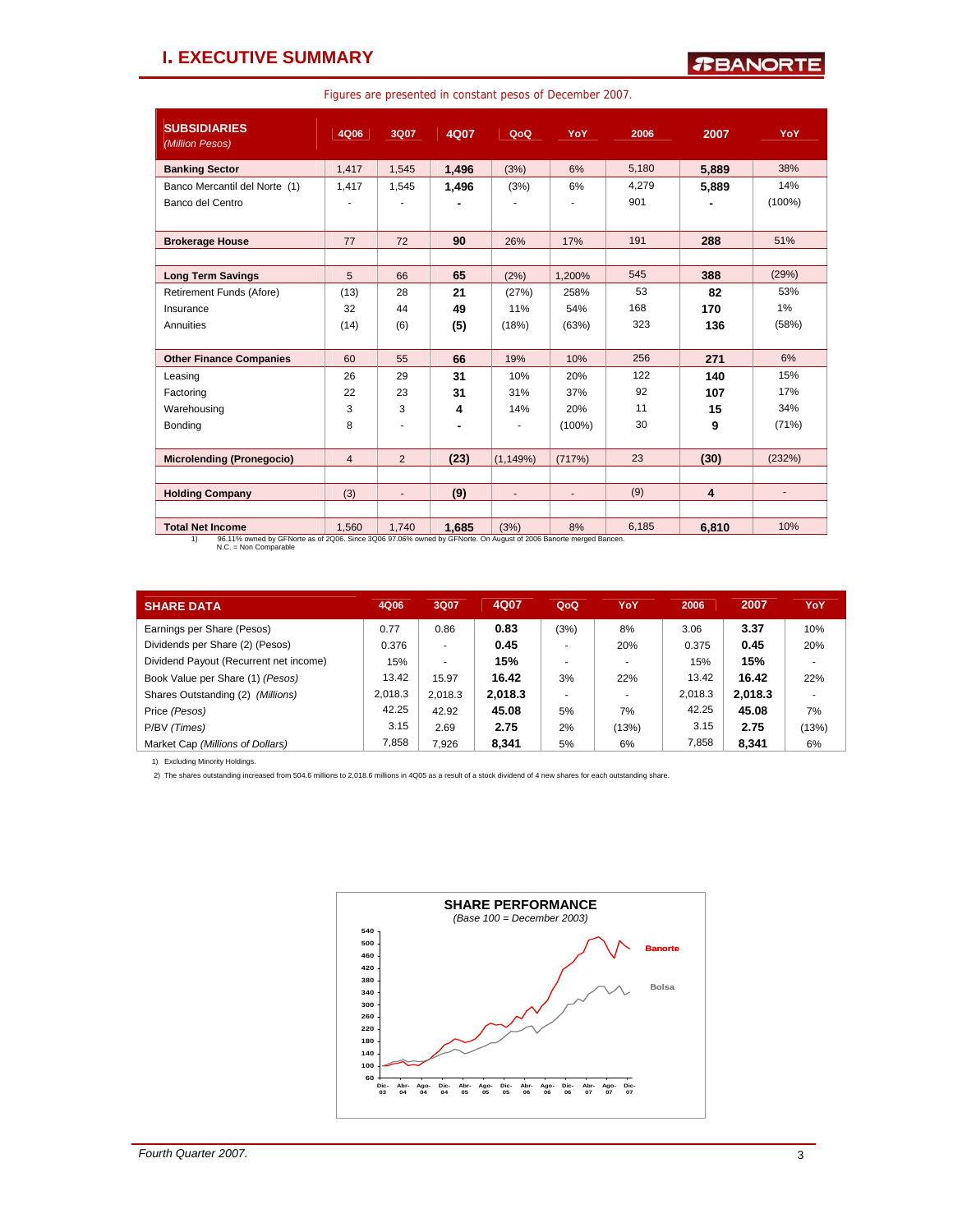## **I. EXECUTIVE SUMMARY**

Figures are presented in constant pesos of December 2007.

| <b>SUBSIDIARIES</b><br>(Million Pesos)                                                                                                            | 4Q06           | 3Q07                     | 4Q07  | QoQ            | YoY            | 2006  | 2007                    | YoY                      |
|---------------------------------------------------------------------------------------------------------------------------------------------------|----------------|--------------------------|-------|----------------|----------------|-------|-------------------------|--------------------------|
| <b>Banking Sector</b>                                                                                                                             | 1.417          | 1.545                    | 1,496 | (3%)           | 6%             | 5.180 | 5,889                   | 38%                      |
| Banco Mercantil del Norte (1)                                                                                                                     | 1,417          | 1,545                    | 1,496 | (3%)           | 6%             | 4.279 | 5,889                   | 14%                      |
| Banco del Centro                                                                                                                                  |                |                          |       |                |                | 901   |                         | $(100\%)$                |
|                                                                                                                                                   |                |                          |       |                |                |       |                         |                          |
| <b>Brokerage House</b>                                                                                                                            | 77             | 72                       | 90    | 26%            | 17%            | 191   | 288                     | 51%                      |
|                                                                                                                                                   |                |                          |       |                |                |       |                         |                          |
| <b>Long Term Savings</b>                                                                                                                          | 5              | 66                       | 65    | (2%)           | 1.200%         | 545   | 388                     | (29%)                    |
| Retirement Funds (Afore)                                                                                                                          | (13)           | 28                       | 21    | (27%)          | 258%           | 53    | 82                      | 53%                      |
| Insurance                                                                                                                                         | 32             | 44                       | 49    | 11%            | 54%            | 168   | 170                     | $1\%$                    |
| Annuities                                                                                                                                         | (14)           | (6)                      | (5)   | (18%)          | (63%)          | 323   | 136                     | (58%)                    |
|                                                                                                                                                   |                |                          |       |                |                |       |                         |                          |
| <b>Other Finance Companies</b>                                                                                                                    | 60             | 55                       | 66    | 19%            | 10%            | 256   | 271                     | 6%                       |
| Leasing                                                                                                                                           | 26             | 29                       | 31    | 10%            | 20%            | 122   | 140                     | 15%                      |
| Factoring                                                                                                                                         | 22             | 23                       | 31    | 31%            | 37%            | 92    | 107                     | 17%                      |
| Warehousing                                                                                                                                       | 3              | 3                        | 4     | 14%            | 20%            | 11    | 15                      | 34%                      |
| Bonding                                                                                                                                           | 8              |                          | ۰     | $\overline{a}$ | $(100\%)$      | 30    | 9                       | (71%)                    |
|                                                                                                                                                   |                |                          |       |                |                |       |                         |                          |
| <b>Microlending (Pronegocio)</b>                                                                                                                  | $\overline{4}$ | $\overline{2}$           | (23)  | (1, 149%)      | (717%)         | 23    | (30)                    | (232%)                   |
|                                                                                                                                                   |                |                          |       |                |                |       |                         |                          |
| <b>Holding Company</b>                                                                                                                            | (3)            | $\overline{\phantom{a}}$ | (9)   | $\overline{a}$ | $\blacksquare$ | (9)   | $\overline{\mathbf{4}}$ | $\overline{\phantom{a}}$ |
|                                                                                                                                                   |                |                          |       |                |                |       |                         |                          |
| <b>Total Net Income</b>                                                                                                                           | 1,560          | 1.740                    | 1.685 | (3%)           | 8%             | 6.185 | 6.810                   | 10%                      |
| 96.11% owned by GFNorte as of 2Q06. Since 3Q06 97.06% owned by GFNorte. On August of 2006 Banorte merged Bancen.<br>1)<br>$N.C. = Non Comparable$ |                |                          |       |                |                |       |                         |                          |

| <b>SHARE DATA</b>                      | 4Q06    | 3Q07    | 4Q07    | QoQ  | YoY   | 2006    | 2007    | YoY   |
|----------------------------------------|---------|---------|---------|------|-------|---------|---------|-------|
| Earnings per Share (Pesos)             | 0.77    | 0.86    | 0.83    | (3%) | 8%    | 3.06    | 3.37    | 10%   |
| Dividends per Share (2) (Pesos)        | 0.376   |         | 0.45    |      | 20%   | 0.375   | 0.45    | 20%   |
| Dividend Payout (Recurrent net income) | 15%     |         | 15%     |      |       | 15%     | 15%     |       |
| Book Value per Share (1) (Pesos)       | 13.42   | 15.97   | 16.42   | 3%   | 22%   | 13.42   | 16.42   | 22%   |
| Shares Outstanding (2) (Millions)      | 2.018.3 | 2.018.3 | 2.018.3 |      |       | 2,018.3 | 2.018.3 |       |
| Price (Pesos)                          | 42.25   | 42.92   | 45.08   | 5%   | 7%    | 42.25   | 45.08   | 7%    |
| P/BV (Times)                           | 3.15    | 2.69    | 2.75    | 2%   | (13%) | 3.15    | 2.75    | (13%) |
| Market Cap (Millions of Dollars)       | 7.858   | 7.926   | 8.341   | 5%   | 6%    | 7.858   | 8.341   | 6%    |

1) Excluding Minority Holdings.

2) The shares outstanding increased from 504.6 millions to 2,018.6 millions in 4Q05 as a result of a stock dividend of 4 new shares for each outstanding share.

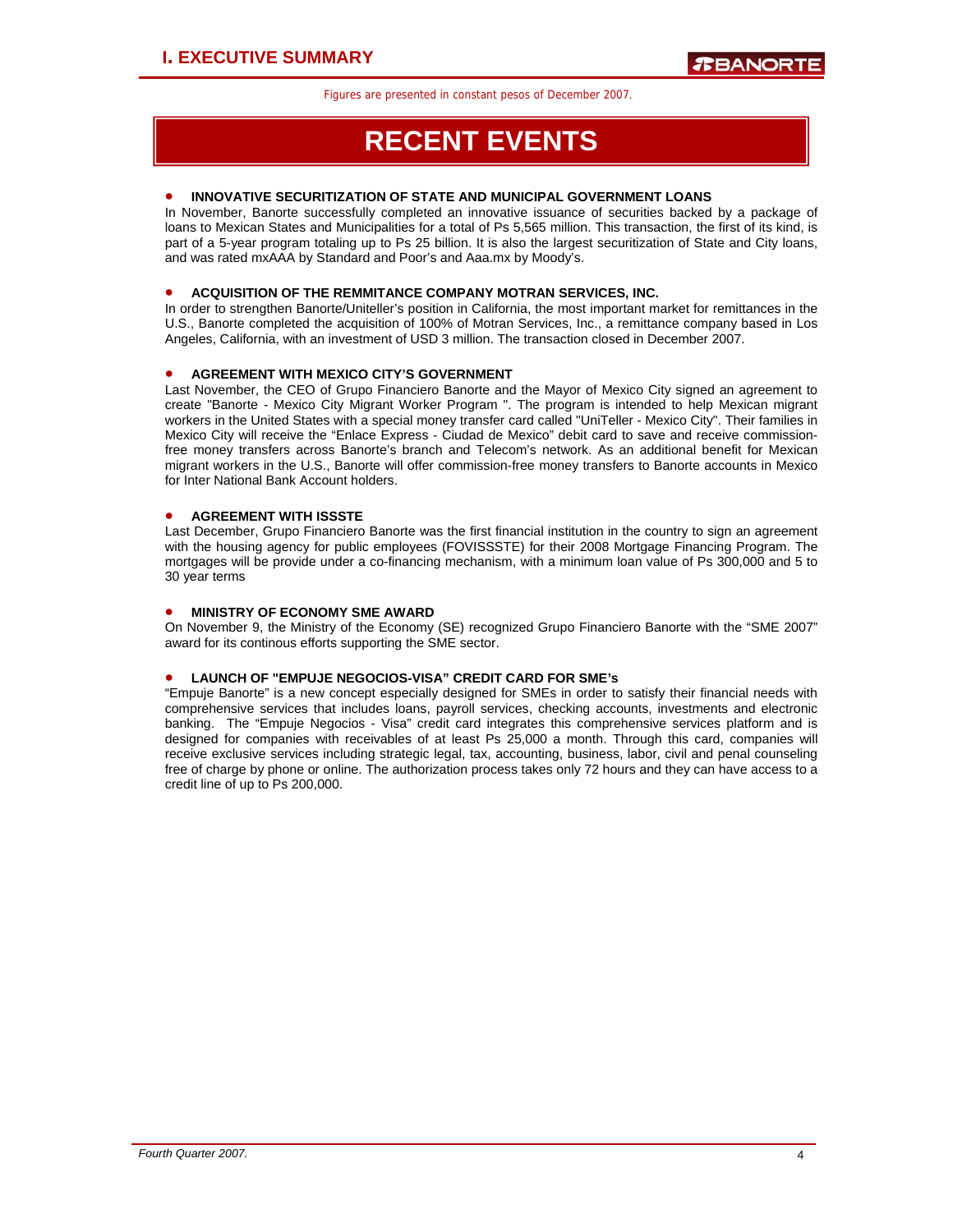## **RECENT EVENTS**

## • **INNOVATIVE SECURITIZATION OF STATE AND MUNICIPAL GOVERNMENT LOANS**

In November, Banorte successfully completed an innovative issuance of securities backed by a package of loans to Mexican States and Municipalities for a total of Ps 5,565 million. This transaction, the first of its kind, is part of a 5-year program totaling up to Ps 25 billion. It is also the largest securitization of State and City loans, and was rated mxAAA by Standard and Poor's and Aaa.mx by Moody's.

## • **ACQUISITION OF THE REMMITANCE COMPANY MOTRAN SERVICES, INC.**

In order to strengthen Banorte/Uniteller's position in California, the most important market for remittances in the U.S., Banorte completed the acquisition of 100% of Motran Services, Inc., a remittance company based in Los Angeles, California, with an investment of USD 3 million. The transaction closed in December 2007.

## • **AGREEMENT WITH MEXICO CITY'S GOVERNMENT**

Last November, the CEO of Grupo Financiero Banorte and the Mayor of Mexico City signed an agreement to create "Banorte - Mexico City Migrant Worker Program ". The program is intended to help Mexican migrant workers in the United States with a special money transfer card called "UniTeller - Mexico City". Their families in Mexico City will receive the "Enlace Express - Ciudad de Mexico" debit card to save and receive commissionfree money transfers across Banorte's branch and Telecom's network. As an additional benefit for Mexican migrant workers in the U.S., Banorte will offer commission-free money transfers to Banorte accounts in Mexico for Inter National Bank Account holders.

## • **AGREEMENT WITH ISSSTE**

Last December, Grupo Financiero Banorte was the first financial institution in the country to sign an agreement with the housing agency for public employees (FOVISSSTE) for their 2008 Mortgage Financing Program. The mortgages will be provide under a co-financing mechanism, with a minimum loan value of Ps 300,000 and 5 to 30 year terms

### • **MINISTRY OF ECONOMY SME AWARD**

On November 9, the Ministry of the Economy (SE) recognized Grupo Financiero Banorte with the "SME 2007" award for its continous efforts supporting the SME sector.

## • **LAUNCH OF "EMPUJE NEGOCIOS-VISA" CREDIT CARD FOR SME's**

"Empuje Banorte" is a new concept especially designed for SMEs in order to satisfy their financial needs with comprehensive services that includes loans, payroll services, checking accounts, investments and electronic banking. The "Empuje Negocios - Visa" credit card integrates this comprehensive services platform and is designed for companies with receivables of at least Ps 25,000 a month. Through this card, companies will receive exclusive services including strategic legal, tax, accounting, business, labor, civil and penal counseling free of charge by phone or online. The authorization process takes only 72 hours and they can have access to a credit line of up to Ps 200,000.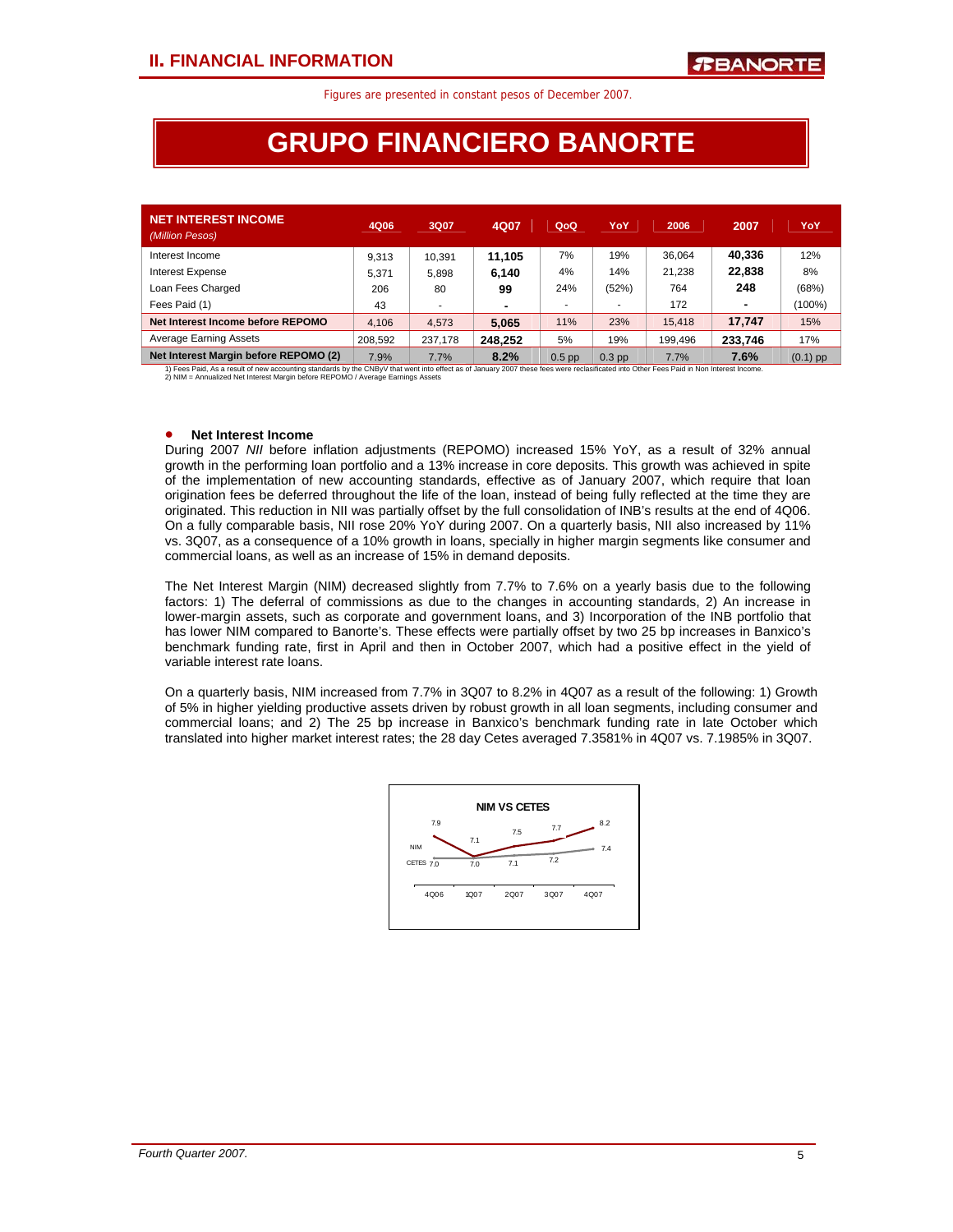## **GRUPO FINANCIERO BANORTE**

| <b>NET INTEREST INCOME</b><br>(Million Pesos) | 4Q06    | 3Q07    | 4Q07    | QoQ      | YoY      | 2006    | 2007    | YoY        |
|-----------------------------------------------|---------|---------|---------|----------|----------|---------|---------|------------|
| Interest Income                               | 9.313   | 10.391  | 11.105  | 7%       | 19%      | 36.064  | 40,336  | 12%        |
| Interest Expense                              | 5.371   | 5.898   | 6.140   | 4%       | 14%      | 21.238  | 22,838  | 8%         |
| Loan Fees Charged                             | 206     | 80      | 99      | 24%      | (52%)    | 764     | 248     | (68%)      |
| Fees Paid (1)                                 | 43      |         |         |          |          | 172     | ٠       | $(100\%)$  |
| Net Interest Income before REPOMO             | 4.106   | 4.573   | 5.065   | 11%      | 23%      | 15,418  | 17.747  | 15%        |
| <b>Average Earning Assets</b>                 | 208.592 | 237.178 | 248.252 | 5%       | 19%      | 199,496 | 233.746 | 17%        |
| Net Interest Margin before REPOMO (2)         | 7.9%    | 7.7%    | 8.2%    | $0.5$ pp | $0.3$ pp | 7.7%    | 7.6%    | $(0.1)$ pp |

1) Fees Paid, As a result of new accounting standards by the CNBy∨ that went into effect as of January 2007 these fees were reclasificated into Other Fees Paid in Non Interest Income.<br>2) NIM = Annualized Net Interest Marg

## • **Net Interest Income**

During 2007 *NII* before inflation adjustments (REPOMO) increased 15% YoY, as a result of 32% annual growth in the performing loan portfolio and a 13% increase in core deposits. This growth was achieved in spite of the implementation of new accounting standards, effective as of January 2007, which require that loan origination fees be deferred throughout the life of the loan, instead of being fully reflected at the time they are originated. This reduction in NII was partially offset by the full consolidation of INB's results at the end of 4Q06. On a fully comparable basis, NII rose 20% YoY during 2007. On a quarterly basis, NII also increased by 11% vs. 3Q07, as a consequence of a 10% growth in loans, specially in higher margin segments like consumer and commercial loans, as well as an increase of 15% in demand deposits.

The Net Interest Margin (NIM) decreased slightly from 7.7% to 7.6% on a yearly basis due to the following factors: 1) The deferral of commissions as due to the changes in accounting standards, 2) An increase in lower-margin assets, such as corporate and government loans, and 3) Incorporation of the INB portfolio that has lower NIM compared to Banorte's. These effects were partially offset by two 25 bp increases in Banxico's benchmark funding rate, first in April and then in October 2007, which had a positive effect in the yield of variable interest rate loans.

On a quarterly basis, NIM increased from 7.7% in 3Q07 to 8.2% in 4Q07 as a result of the following: 1) Growth of 5% in higher yielding productive assets driven by robust growth in all loan segments, including consumer and commercial loans; and 2) The 25 bp increase in Banxico's benchmark funding rate in late October which translated into higher market interest rates; the 28 day Cetes averaged 7.3581% in 4Q07 vs. 7.1985% in 3Q07.

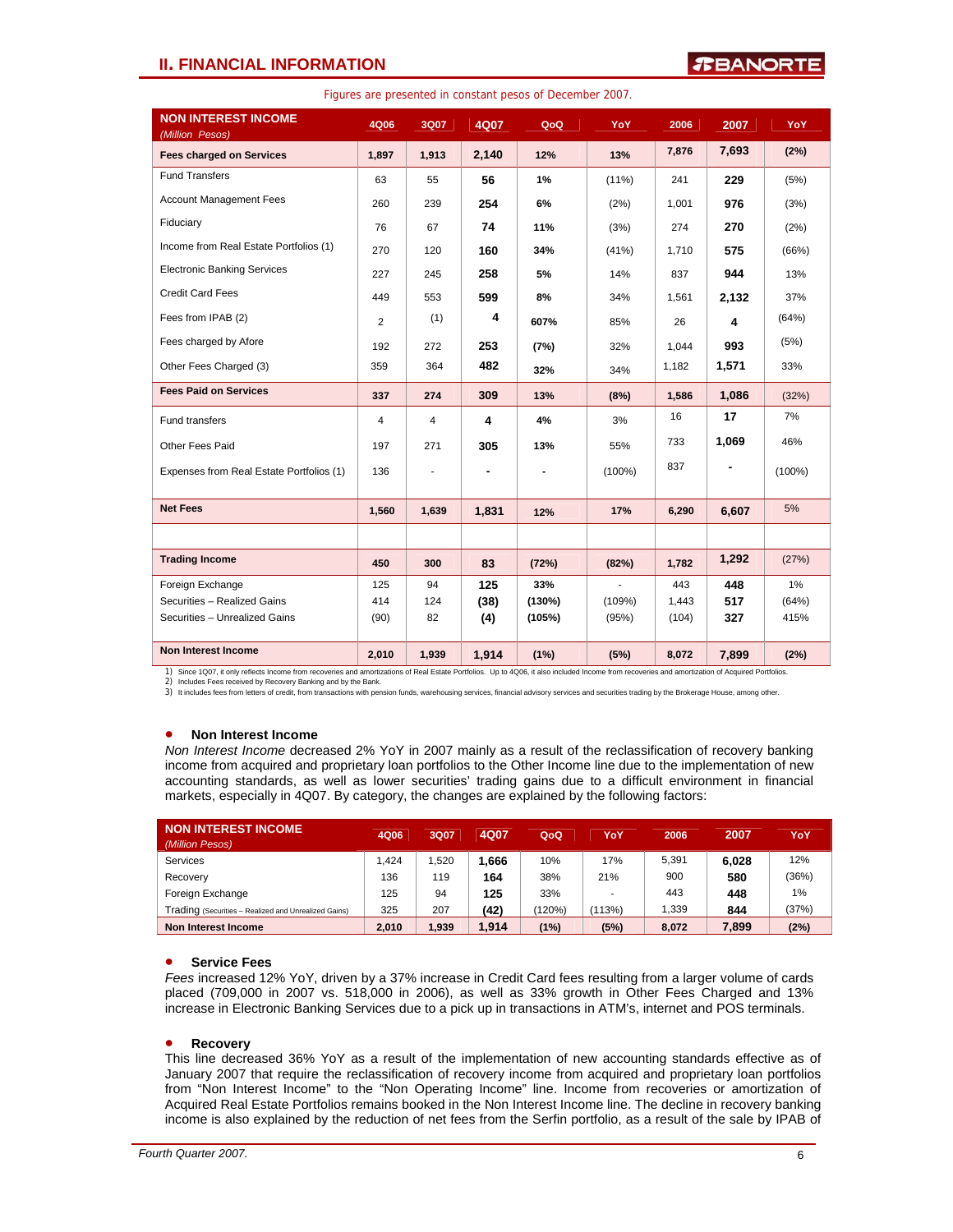## **II. FINANCIAL INFORMATION**

## **TEANORT**

| <b>NON INTEREST INCOME</b><br>(Million Pesos) | <b>4Q06</b>    | 3Q07           | 4Q07  | QoQ    | YoY       | 2006  | 2007  | <b>YoY</b> |
|-----------------------------------------------|----------------|----------------|-------|--------|-----------|-------|-------|------------|
| <b>Fees charged on Services</b>               | 1,897          | 1,913          | 2,140 | 12%    | 13%       | 7,876 | 7,693 | (2%)       |
| <b>Fund Transfers</b>                         | 63             | 55             | 56    | 1%     | $(11\%)$  | 241   | 229   | (5%)       |
| <b>Account Management Fees</b>                | 260            | 239            | 254   | 6%     | (2%)      | 1,001 | 976   | (3%)       |
| Fiduciary                                     | 76             | 67             | 74    | 11%    | (3%)      | 274   | 270   | (2%)       |
| Income from Real Estate Portfolios (1)        | 270            | 120            | 160   | 34%    | (41%)     | 1,710 | 575   | (66%)      |
| <b>Electronic Banking Services</b>            | 227            | 245            | 258   | 5%     | 14%       | 837   | 944   | 13%        |
| <b>Credit Card Fees</b>                       | 449            | 553            | 599   | 8%     | 34%       | 1,561 | 2,132 | 37%        |
| Fees from IPAB (2)                            | 2              | (1)            | 4     | 607%   | 85%       | 26    | 4     | (64%)      |
| Fees charged by Afore                         | 192            | 272            | 253   | (7%)   | 32%       | 1,044 | 993   | (5%)       |
| Other Fees Charged (3)                        | 359            | 364            | 482   | 32%    | 34%       | 1,182 | 1,571 | 33%        |
| <b>Fees Paid on Services</b>                  | 337            | 274            | 309   | 13%    | (8%)      | 1,586 | 1,086 | (32%)      |
| Fund transfers                                | $\overline{4}$ | $\overline{4}$ | 4     | 4%     | 3%        | 16    | 17    | 7%         |
| Other Fees Paid                               | 197            | 271            | 305   | 13%    | 55%       | 733   | 1,069 | 46%        |
| Expenses from Real Estate Portfolios (1)      | 136            |                |       |        | $(100\%)$ | 837   |       | $(100\%)$  |
| <b>Net Fees</b>                               | 1,560          | 1,639          | 1,831 |        | 17%       | 6,290 | 6,607 | 5%         |
|                                               |                |                |       | 12%    |           |       |       |            |
|                                               |                |                |       |        |           |       |       |            |
| <b>Trading Income</b>                         | 450            | 300            | 83    | (72%)  | (82%)     | 1,782 | 1,292 | (27%)      |
| Foreign Exchange                              | 125            | 94             | 125   | 33%    | ÷         | 443   | 448   | $1\%$      |
| Securities - Realized Gains                   | 414            | 124            | (38)  | (130%) | (109%)    | 1,443 | 517   | (64%)      |
| Securities - Unrealized Gains                 | (90)           | 82             | (4)   | (105%) | (95%)     | (104) | 327   | 415%       |
| <b>Non Interest Income</b>                    | 2,010          | 1,939          | 1,914 | (1%)   | (5%)      | 8,072 | 7,899 | (2%)       |

Figures are presented in constant pesos of December 2007.

1) Since 1Q07, it only reflects Income from recoveries and amortizations of Real Estate Portfolios. Up to 4Q06, it also included Income from recoveries and amortization of Acquired Portfolios.

2) Includes Fees received by Recovery Banking and by the Bank.

3) It includes fees from letters of credit, from transactions with pension funds, warehousing services, financial advisory services and securities trading by the Brokerage House, among other.

#### • **Non Interest Income**

*Non Interest Income* decreased 2% YoY in 2007 mainly as a result of the reclassification of recovery banking income from acquired and proprietary loan portfolios to the Other Income line due to the implementation of new accounting standards, as well as lower securities' trading gains due to a difficult environment in financial markets, especially in 4Q07. By category, the changes are explained by the following factors:

| NON INTEREST INCOME<br>(Million Pesos)               | 4Q06  | 3Q07  | 4Q07  | QoQ    | YoY    | 2006  | 2007  | YoY   |
|------------------------------------------------------|-------|-------|-------|--------|--------|-------|-------|-------|
| Services                                             | .424  | .520  | 1.666 | 10%    | 17%    | 5.391 | 6.028 | 12%   |
| Recovery                                             | 136   | 119   | 164   | 38%    | 21%    | 900   | 580   | (36%) |
| Foreign Exchange                                     | 125   | 94    | 125   | 33%    |        | 443   | 448   | $1\%$ |
| Trading (Securities - Realized and Unrealized Gains) | 325   | 207   | (42)  | (120%) | (113%) | 1.339 | 844   | (37%) |
| Non Interest Income                                  | 2.010 | 1.939 | 1.914 | (1%)   | (5%)   | 8,072 | 7,899 | (2%)  |

## • **Service Fees**

*Fees* increased 12% YoY, driven by a 37% increase in Credit Card fees resulting from a larger volume of cards placed (709,000 in 2007 vs. 518,000 in 2006), as well as 33% growth in Other Fees Charged and 13% increase in Electronic Banking Services due to a pick up in transactions in ATM's, internet and POS terminals.

#### • **Recovery**

This line decreased 36% YoY as a result of the implementation of new accounting standards effective as of January 2007 that require the reclassification of recovery income from acquired and proprietary loan portfolios from "Non Interest Income" to the "Non Operating Income" line. Income from recoveries or amortization of Acquired Real Estate Portfolios remains booked in the Non Interest Income line. The decline in recovery banking income is also explained by the reduction of net fees from the Serfin portfolio, as a result of the sale by IPAB of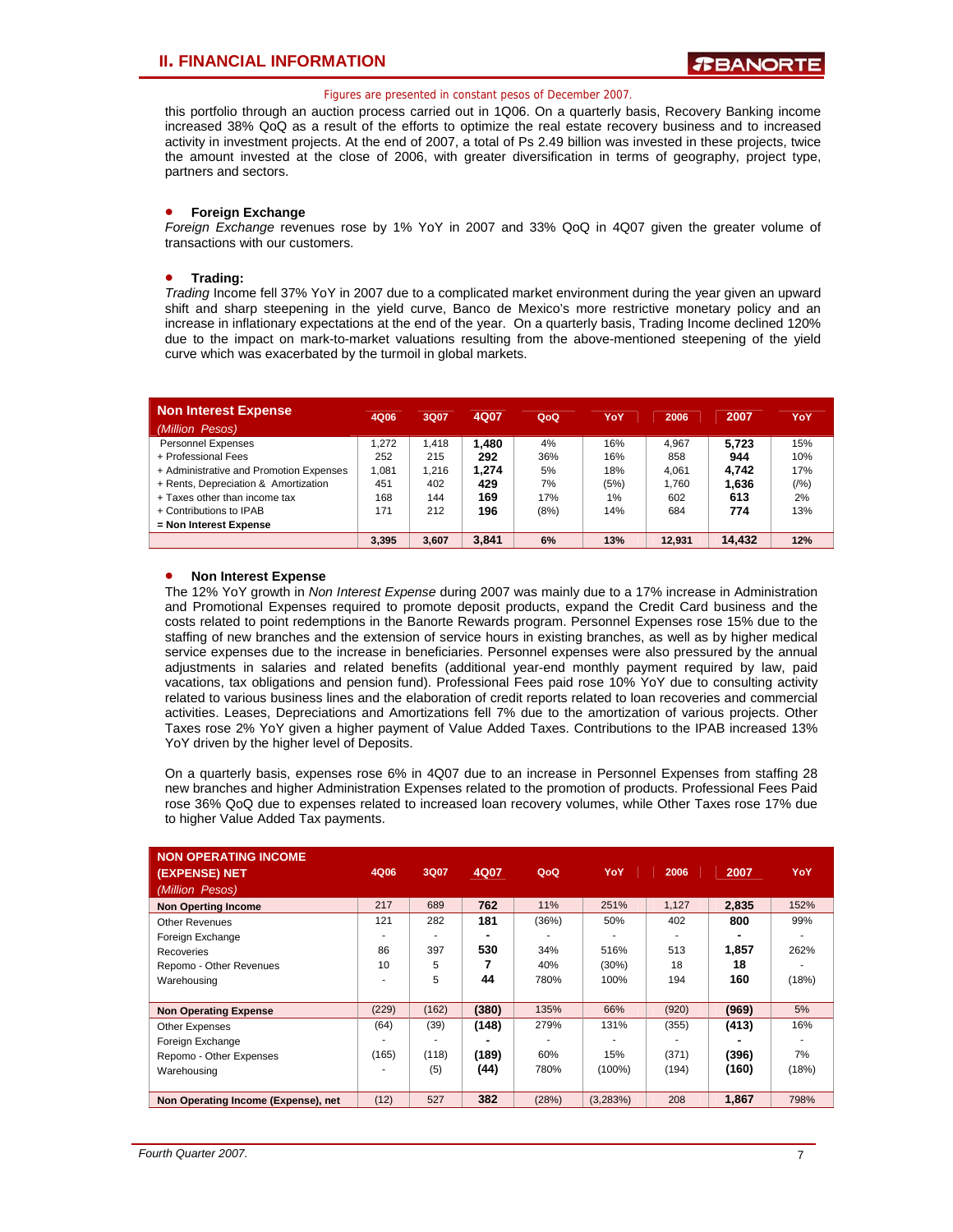this portfolio through an auction process carried out in 1Q06. On a quarterly basis, Recovery Banking income increased 38% QoQ as a result of the efforts to optimize the real estate recovery business and to increased activity in investment projects. At the end of 2007, a total of Ps 2.49 billion was invested in these projects, twice the amount invested at the close of 2006, with greater diversification in terms of geography, project type, partners and sectors.

## • **Foreign Exchange**

*Foreign Exchange* revenues rose by 1% YoY in 2007 and 33% QoQ in 4Q07 given the greater volume of transactions with our customers.

### • **Trading:**

*Trading* Income fell 37% YoY in 2007 due to a complicated market environment during the year given an upward shift and sharp steepening in the yield curve, Banco de Mexico's more restrictive monetary policy and an increase in inflationary expectations at the end of the year. On a quarterly basis, Trading Income declined 120% due to the impact on mark-to-market valuations resulting from the above-mentioned steepening of the yield curve which was exacerbated by the turmoil in global markets.

| <b>Non Interest Expense</b>             | 4Q06  | 3Q07  | 4Q07  | QoQ  | YoY  | 2006   | 2007   | YoY     |
|-----------------------------------------|-------|-------|-------|------|------|--------|--------|---------|
| (Million Pesos)                         |       |       |       |      |      |        |        |         |
| Personnel Expenses                      | 1.272 | 1.418 | 1.480 | 4%   | 16%  | 4.967  | 5.723  | 15%     |
| + Professional Fees                     | 252   | 215   | 292   | 36%  | 16%  | 858    | 944    | 10%     |
| + Administrative and Promotion Expenses | 1.081 | 1.216 | 1.274 | 5%   | 18%  | 4.061  | 4.742  | 17%     |
| + Rents, Depreciation & Amortization    | 451   | 402   | 429   | 7%   | (5%) | 1.760  | 1.636  | $(1\%)$ |
| + Taxes other than income tax           | 168   | 144   | 169   | 17%  | 1%   | 602    | 613    | 2%      |
| + Contributions to IPAB                 | 171   | 212   | 196   | (8%) | 14%  | 684    | 774    | 13%     |
| = Non Interest Expense                  |       |       |       |      |      |        |        |         |
|                                         | 3.395 | 3.607 | 3.841 | 6%   | 13%  | 12.931 | 14.432 | 12%     |

### • **Non Interest Expense**

The 12% YoY growth in *Non Interest Expense* during 2007 was mainly due to a 17% increase in Administration and Promotional Expenses required to promote deposit products, expand the Credit Card business and the costs related to point redemptions in the Banorte Rewards program. Personnel Expenses rose 15% due to the staffing of new branches and the extension of service hours in existing branches, as well as by higher medical service expenses due to the increase in beneficiaries. Personnel expenses were also pressured by the annual adjustments in salaries and related benefits (additional year-end monthly payment required by law, paid vacations, tax obligations and pension fund). Professional Fees paid rose 10% YoY due to consulting activity related to various business lines and the elaboration of credit reports related to loan recoveries and commercial activities. Leases, Depreciations and Amortizations fell 7% due to the amortization of various projects. Other Taxes rose 2% YoY given a higher payment of Value Added Taxes. Contributions to the IPAB increased 13% YoY driven by the higher level of Deposits.

On a quarterly basis, expenses rose 6% in 4Q07 due to an increase in Personnel Expenses from staffing 28 new branches and higher Administration Expenses related to the promotion of products. Professional Fees Paid rose 36% QoQ due to expenses related to increased loan recovery volumes, while Other Taxes rose 17% due to higher Value Added Tax payments.

| <b>NON OPERATING INCOME</b><br>(EXPENSE) NET<br>(Million Pesos) | 4Q06  | 3Q07  | 4Q07  | QoQ   | YoY       | 2006  | 2007  | YoY   |
|-----------------------------------------------------------------|-------|-------|-------|-------|-----------|-------|-------|-------|
| <b>Non Operting Income</b>                                      | 217   | 689   | 762   | 11%   | 251%      | 1,127 | 2.835 | 152%  |
| <b>Other Revenues</b>                                           | 121   | 282   | 181   | (36%) | 50%       | 402   | 800   | 99%   |
| Foreign Exchange                                                |       |       |       |       |           |       |       |       |
| Recoveries                                                      | 86    | 397   | 530   | 34%   | 516%      | 513   | 1.857 | 262%  |
| Repomo - Other Revenues                                         | 10    | 5     |       | 40%   | (30%)     | 18    | 18    |       |
| Warehousing                                                     |       | 5     | 44    | 780%  | 100%      | 194   | 160   | (18%) |
|                                                                 |       |       |       |       |           |       |       |       |
| <b>Non Operating Expense</b>                                    | (229) | (162) | (380) | 135%  | 66%       | (920) | (969) | 5%    |
| Other Expenses                                                  | (64)  | (39)  | (148) | 279%  | 131%      | (355) | (413) | 16%   |
| Foreign Exchange                                                |       |       |       |       |           |       |       |       |
| Repomo - Other Expenses                                         | (165) | (118) | (189) | 60%   | 15%       | (371) | (396) | 7%    |
| Warehousing                                                     |       | (5)   | (44)  | 780%  | $(100\%)$ | (194) | (160) | (18%) |
|                                                                 |       |       |       |       |           |       |       |       |
| Non Operating Income (Expense), net                             | (12)  | 527   | 382   | (28%) | (3,283%)  | 208   | 1,867 | 798%  |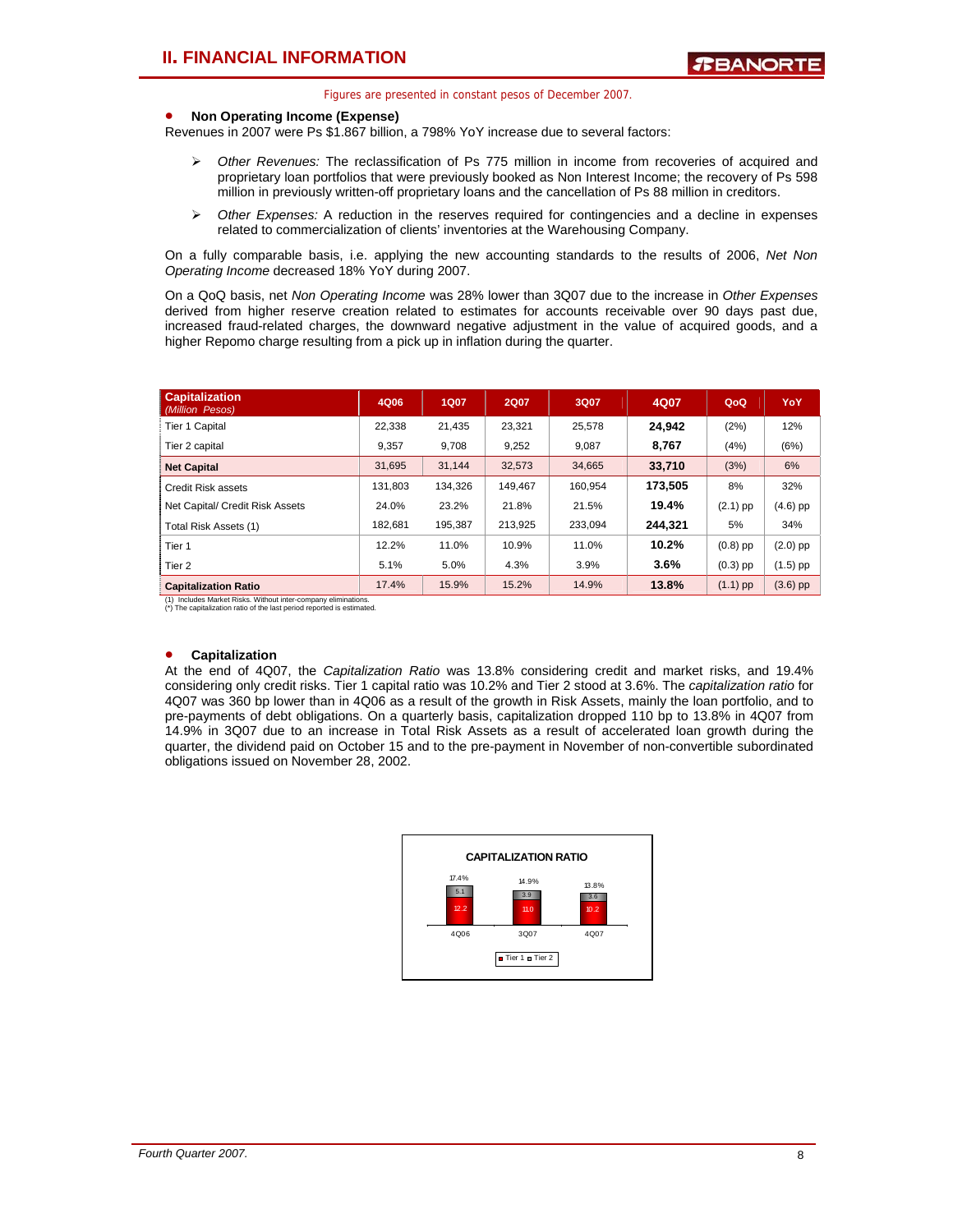#### • **Non Operating Income (Expense)**

Revenues in 2007 were Ps \$1.867 billion, a 798% YoY increase due to several factors:

- ¾ *Other Revenues:* The reclassification of Ps 775 million in income from recoveries of acquired and proprietary loan portfolios that were previously booked as Non Interest Income; the recovery of Ps 598 million in previously written-off proprietary loans and the cancellation of Ps 88 million in creditors.
- ¾ *Other Expenses:* A reduction in the reserves required for contingencies and a decline in expenses related to commercialization of clients' inventories at the Warehousing Company.

On a fully comparable basis, i.e. applying the new accounting standards to the results of 2006, *Net Non Operating Income* decreased 18% YoY during 2007.

On a QoQ basis, net *Non Operating Income* was 28% lower than 3Q07 due to the increase in *Other Expenses* derived from higher reserve creation related to estimates for accounts receivable over 90 days past due, increased fraud-related charges, the downward negative adjustment in the value of acquired goods, and a higher Repomo charge resulting from a pick up in inflation during the quarter.

| <b>Capitalization</b><br>(Million Pesos) | 4Q06    | <b>1Q07</b> | <b>2Q07</b> | 3Q07    | 4Q07    | QoQ        | YoY        |
|------------------------------------------|---------|-------------|-------------|---------|---------|------------|------------|
| Tier 1 Capital                           | 22.338  | 21.435      | 23.321      | 25.578  | 24.942  | (2%)       | 12%        |
| Tier 2 capital                           | 9.357   | 9.708       | 9,252       | 9.087   | 8.767   | (4%)       | (6%)       |
| <b>Net Capital</b>                       | 31.695  | 31.144      | 32.573      | 34.665  | 33.710  | (3%)       | 6%         |
| Credit Risk assets                       | 131.803 | 134.326     | 149.467     | 160.954 | 173.505 | 8%         | 32%        |
| Net Capital/ Credit Risk Assets          | 24.0%   | 23.2%       | 21.8%       | 21.5%   | 19.4%   | $(2.1)$ pp | $(4.6)$ pp |
| Total Risk Assets (1)                    | 182.681 | 195.387     | 213.925     | 233.094 | 244.321 | 5%         | 34%        |
| Tier <sub>1</sub>                        | 12.2%   | 11.0%       | 10.9%       | 11.0%   | 10.2%   | $(0.8)$ pp | $(2.0)$ pp |
| Tier <sub>2</sub>                        | 5.1%    | 5.0%        | 4.3%        | 3.9%    | 3.6%    | $(0.3)$ pp | (1.5) pp   |
| <b>Capitalization Ratio</b>              | 17.4%   | 15.9%       | 15.2%       | 14.9%   | 13.8%   | $(1.1)$ pp | $(3.6)$ pp |

(1) Includes Market Risks. Without inter-company eliminations. (\*) The capitalization ratio of the last period reported is estimated.

#### • **Capitalization**

At the end of 4Q07, the *Capitalization Ratio* was 13.8% considering credit and market risks, and 19.4% considering only credit risks. Tier 1 capital ratio was 10.2% and Tier 2 stood at 3.6%. The *capitalization ratio* for 4Q07 was 360 bp lower than in 4Q06 as a result of the growth in Risk Assets, mainly the loan portfolio, and to pre-payments of debt obligations. On a quarterly basis, capitalization dropped 110 bp to 13.8% in 4Q07 from 14.9% in 3Q07 due to an increase in Total Risk Assets as a result of accelerated loan growth during the quarter, the dividend paid on October 15 and to the pre-payment in November of non-convertible subordinated obligations issued on November 28, 2002.

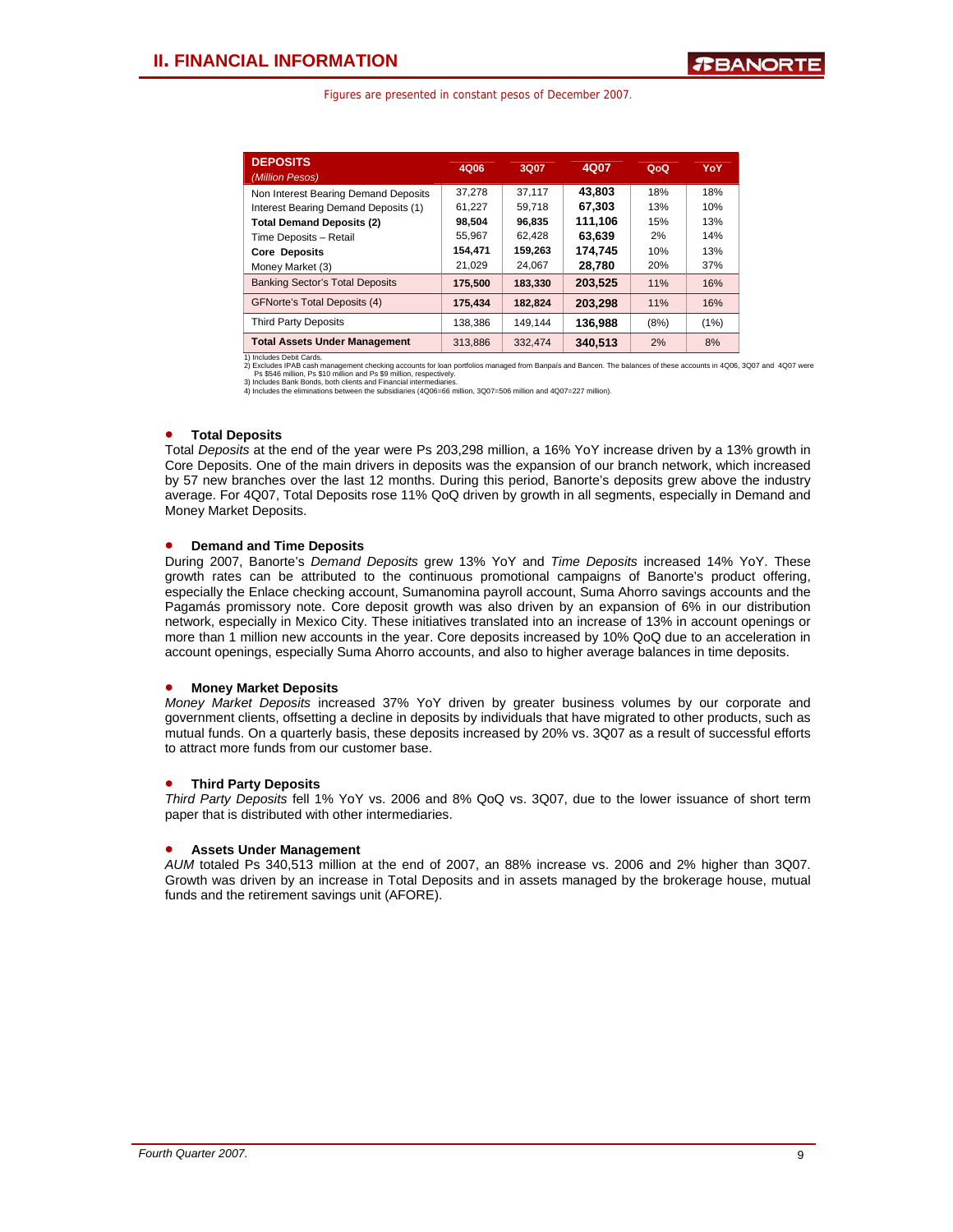| <b>DEPOSITS</b><br>(Million Pesos)     | 4Q06    | 3Q07    | 4Q07    | QoQ  | YoY  |
|----------------------------------------|---------|---------|---------|------|------|
| Non Interest Bearing Demand Deposits   | 37.278  | 37.117  | 43.803  | 18%  | 18%  |
| Interest Bearing Demand Deposits (1)   | 61.227  | 59.718  | 67.303  | 13%  | 10%  |
| <b>Total Demand Deposits (2)</b>       | 98.504  | 96.835  | 111.106 | 15%  | 13%  |
| Time Deposits - Retail                 | 55,967  | 62.428  | 63.639  | 2%   | 14%  |
| <b>Core Deposits</b>                   | 154,471 | 159,263 | 174.745 | 10%  | 13%  |
| Money Market (3)                       | 21,029  | 24.067  | 28,780  | 20%  | 37%  |
| <b>Banking Sector's Total Deposits</b> | 175.500 | 183.330 | 203.525 | 11%  | 16%  |
| <b>GFNorte's Total Deposits (4)</b>    | 175.434 | 182.824 | 203.298 | 11%  | 16%  |
| <b>Third Party Deposits</b>            | 138,386 | 149.144 | 136,988 | (8%) | (1%) |
| <b>Total Assets Under Management</b>   | 313.886 | 332.474 | 340.513 | 2%   | 8%   |

Total Assets Under Management<br>
1) Includes Debit Cards.<br>
2) Excludes PD-B cash management checking accounts for loan portfolios managed from Banpais and Bancen. The balances of these accounts in 4006, 3007 and 4007 were<br>
2

## • **Total Deposits**

Total *Deposits* at the end of the year were Ps 203,298 million, a 16% YoY increase driven by a 13% growth in Core Deposits. One of the main drivers in deposits was the expansion of our branch network, which increased by 57 new branches over the last 12 months. During this period, Banorte's deposits grew above the industry average. For 4Q07, Total Deposits rose 11% QoQ driven by growth in all segments, especially in Demand and Money Market Deposits.

## • **Demand and Time Deposits**

During 2007, Banorte's *Demand Deposits* grew 13% YoY and *Time Deposits* increased 14% YoY. These growth rates can be attributed to the continuous promotional campaigns of Banorte's product offering, especially the Enlace checking account, Sumanomina payroll account, Suma Ahorro savings accounts and the Pagamás promissory note. Core deposit growth was also driven by an expansion of 6% in our distribution network, especially in Mexico City. These initiatives translated into an increase of 13% in account openings or more than 1 million new accounts in the year. Core deposits increased by 10% QoQ due to an acceleration in account openings, especially Suma Ahorro accounts, and also to higher average balances in time deposits.

## • **Money Market Deposits**

*Money Market Deposits* increased 37% YoY driven by greater business volumes by our corporate and government clients, offsetting a decline in deposits by individuals that have migrated to other products, such as mutual funds. On a quarterly basis, these deposits increased by 20% vs. 3Q07 as a result of successful efforts to attract more funds from our customer base.

## • **Third Party Deposits**

*Third Party Deposits* fell 1% YoY vs. 2006 and 8% QoQ vs. 3Q07, due to the lower issuance of short term paper that is distributed with other intermediaries.

## • **Assets Under Management**

*AUM* totaled Ps 340,513 million at the end of 2007, an 88% increase vs. 2006 and 2% higher than 3Q07. Growth was driven by an increase in Total Deposits and in assets managed by the brokerage house, mutual funds and the retirement savings unit (AFORE).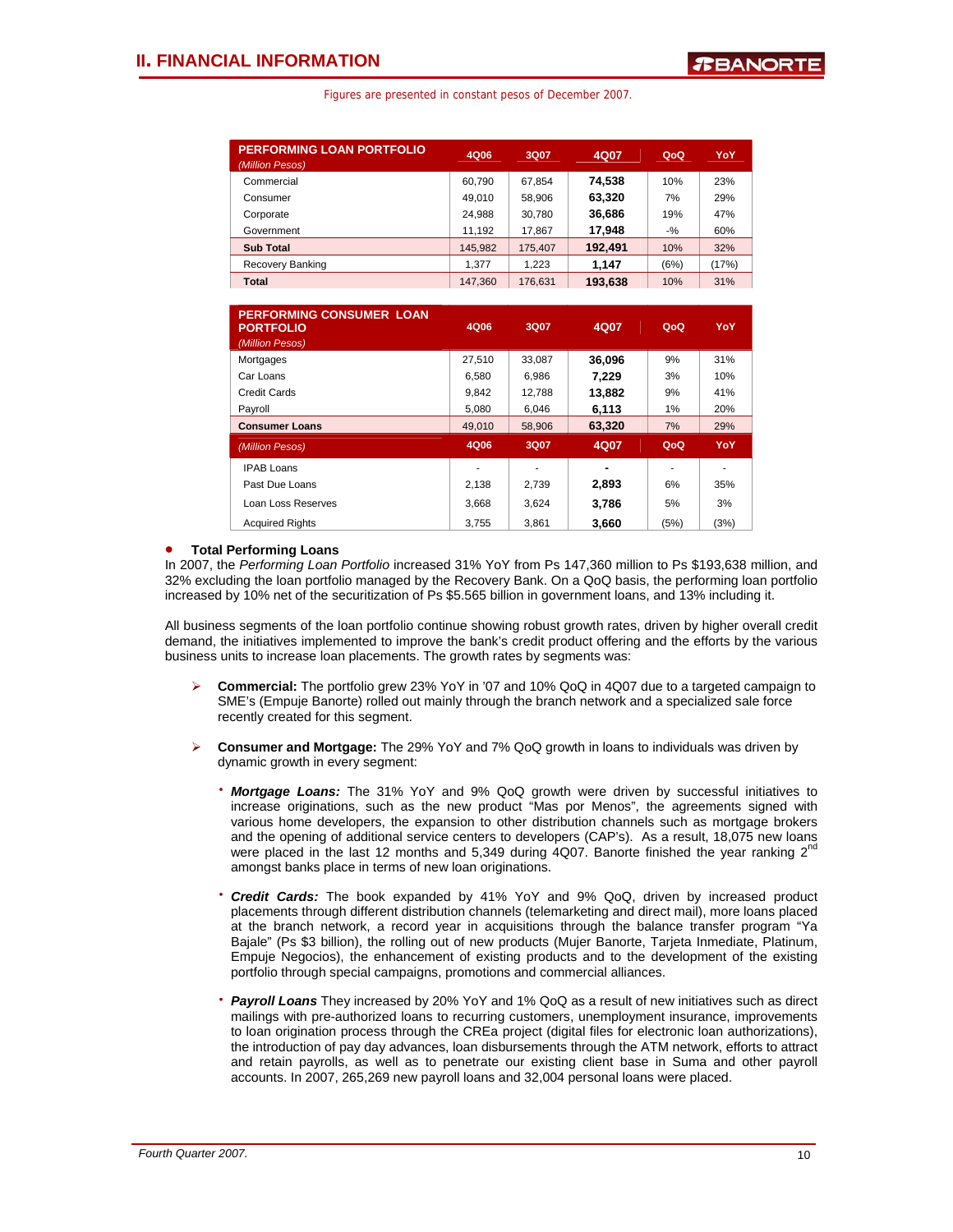| <b>PERFORMING LOAN PORTFOLIO</b><br>(Million Pesos) | 4Q06    | 3Q07    | 4Q07    | QoQ   | YoY   |
|-----------------------------------------------------|---------|---------|---------|-------|-------|
| Commercial                                          | 60.790  | 67.854  | 74.538  | 10%   | 23%   |
| Consumer                                            | 49.010  | 58.906  | 63.320  | 7%    | 29%   |
| Corporate                                           | 24,988  | 30,780  | 36,686  | 19%   | 47%   |
| Government                                          | 11.192  | 17.867  | 17.948  | $-$ % | 60%   |
| <b>Sub Total</b>                                    | 145,982 | 175,407 | 192.491 | 10%   | 32%   |
| Recovery Banking                                    | 1.377   | 1.223   | 1.147   | (6%)  | (17%) |
| Total                                               | 147.360 | 176.631 | 193.638 | 10%   | 31%   |

| <b>PERFORMING CONSUMER LOAN</b><br><b>PORTFOLIO</b> | 4Q06   | 3Q07   | 4Q07   | QoQ  | YoY  |
|-----------------------------------------------------|--------|--------|--------|------|------|
| (Million Pesos)                                     |        |        |        |      |      |
| Mortgages                                           | 27.510 | 33,087 | 36.096 | 9%   | 31%  |
| Car Loans                                           | 6,580  | 6.986  | 7.229  | 3%   | 10%  |
| Credit Cards                                        | 9.842  | 12.788 | 13.882 | 9%   | 41%  |
| Payroll                                             | 5,080  | 6.046  | 6,113  | 1%   | 20%  |
| <b>Consumer Loans</b>                               | 49,010 | 58,906 | 63,320 | 7%   | 29%  |
| (Million Pesos)                                     | 4Q06   | 3Q07   | 4Q07   | QoQ  | YoY  |
| <b>IPAB Loans</b>                                   |        | ۰      | -      |      |      |
| Past Due Loans                                      | 2,138  | 2,739  | 2,893  | 6%   | 35%  |
| Loan Loss Reserves                                  | 3.668  | 3.624  | 3.786  | 5%   | 3%   |
| <b>Acquired Rights</b>                              | 3.755  | 3.861  | 3.660  | (5%) | (3%) |

### • **Total Performing Loans**

In 2007, the *Performing Loan Portfolio* increased 31% YoY from Ps 147,360 million to Ps \$193,638 million, and 32% excluding the loan portfolio managed by the Recovery Bank. On a QoQ basis, the performing loan portfolio increased by 10% net of the securitization of Ps \$5.565 billion in government loans, and 13% including it.

All business segments of the loan portfolio continue showing robust growth rates, driven by higher overall credit demand, the initiatives implemented to improve the bank's credit product offering and the efforts by the various business units to increase loan placements. The growth rates by segments was:

- ¾ **Commercial:** The portfolio grew 23% YoY in '07 and 10% QoQ in 4Q07 due to a targeted campaign to SME's (Empuje Banorte) rolled out mainly through the branch network and a specialized sale force recently created for this segment.
- ¾ **Consumer and Mortgage:** The 29% YoY and 7% QoQ growth in loans to individuals was driven by dynamic growth in every segment:
	- ⋅ *Mortgage Loans:* The 31% YoY and 9% QoQ growth were driven by successful initiatives to increase originations, such as the new product "Mas por Menos", the agreements signed with various home developers, the expansion to other distribution channels such as mortgage brokers and the opening of additional service centers to developers (CAP's). As a result, 18,075 new loans were placed in the last 12 months and 5,349 during  $4Q07$ . Banorte finished the year ranking  $2^{nd}$ amongst banks place in terms of new loan originations.
	- **Credit Cards:** The book expanded by 41% YoY and 9% QoQ, driven by increased product placements through different distribution channels (telemarketing and direct mail), more loans placed at the branch network, a record year in acquisitions through the balance transfer program "Ya Bajale" (Ps \$3 billion), the rolling out of new products (Mujer Banorte, Tarjeta Inmediate, Platinum, Empuje Negocios), the enhancement of existing products and to the development of the existing portfolio through special campaigns, promotions and commercial alliances.
	- ⋅ *Payroll Loans* They increased by 20% YoY and 1% QoQ as a result of new initiatives such as direct mailings with pre-authorized loans to recurring customers, unemployment insurance, improvements to loan origination process through the CREa project (digital files for electronic loan authorizations), the introduction of pay day advances, loan disbursements through the ATM network, efforts to attract and retain payrolls, as well as to penetrate our existing client base in Suma and other payroll accounts. In 2007, 265,269 new payroll loans and 32,004 personal loans were placed.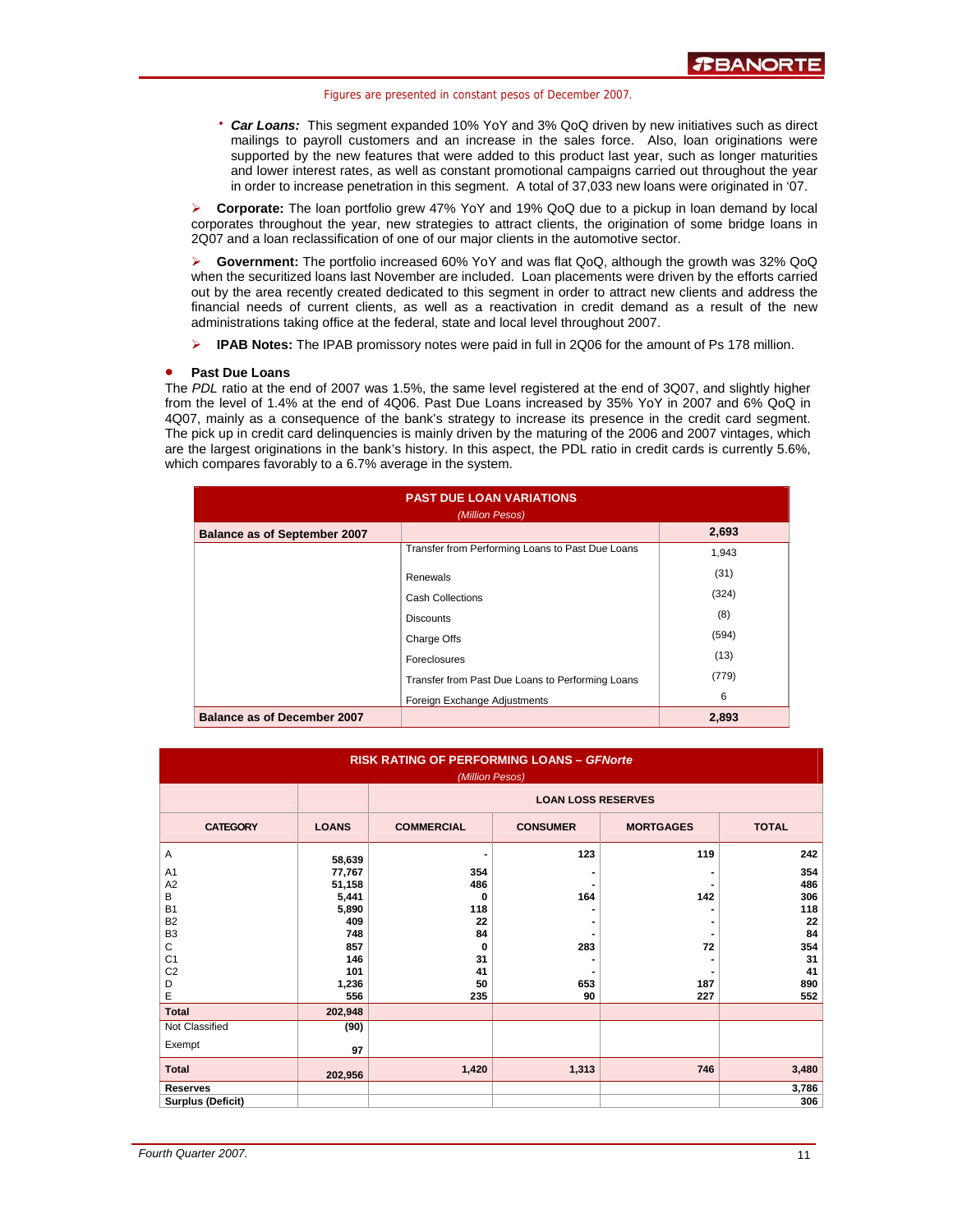• **Car Loans:** This segment expanded 10% YoY and 3% QoQ driven by new initiatives such as direct mailings to payroll customers and an increase in the sales force. Also, loan originations were supported by the new features that were added to this product last year, such as longer maturities and lower interest rates, as well as constant promotional campaigns carried out throughout the year in order to increase penetration in this segment. A total of 37,033 new loans were originated in '07.

¾ **Corporate:** The loan portfolio grew 47% YoY and 19% QoQ due to a pickup in loan demand by local corporates throughout the year, new strategies to attract clients, the origination of some bridge loans in 2Q07 and a loan reclassification of one of our major clients in the automotive sector.

¾ **Government:** The portfolio increased 60% YoY and was flat QoQ, although the growth was 32% QoQ when the securitized loans last November are included. Loan placements were driven by the efforts carried out by the area recently created dedicated to this segment in order to attract new clients and address the financial needs of current clients, as well as a reactivation in credit demand as a result of the new administrations taking office at the federal, state and local level throughout 2007.

¾ **IPAB Notes:** The IPAB promissory notes were paid in full in 2Q06 for the amount of Ps 178 million.

### • **Past Due Loans**

The *PDL* ratio at the end of 2007 was 1.5%, the same level registered at the end of 3Q07, and slightly higher from the level of 1.4% at the end of 4Q06. Past Due Loans increased by 35% YoY in 2007 and 6% QoQ in 4Q07, mainly as a consequence of the bank's strategy to increase its presence in the credit card segment. The pick up in credit card delinquencies is mainly driven by the maturing of the 2006 and 2007 vintages, which are the largest originations in the bank's history. In this aspect, the PDL ratio in credit cards is currently 5.6%, which compares favorably to a 6.7% average in the system.

| <b>PAST DUE LOAN VARIATIONS</b><br>(Million Pesos) |                                                  |       |  |  |  |  |  |
|----------------------------------------------------|--------------------------------------------------|-------|--|--|--|--|--|
| <b>Balance as of September 2007</b>                |                                                  | 2,693 |  |  |  |  |  |
|                                                    | Transfer from Performing Loans to Past Due Loans | 1,943 |  |  |  |  |  |
|                                                    | Renewals                                         | (31)  |  |  |  |  |  |
|                                                    | <b>Cash Collections</b>                          | (324) |  |  |  |  |  |
|                                                    | <b>Discounts</b>                                 | (8)   |  |  |  |  |  |
|                                                    | Charge Offs                                      | (594) |  |  |  |  |  |
|                                                    | Foreclosures                                     | (13)  |  |  |  |  |  |
|                                                    | Transfer from Past Due Loans to Performing Loans | (779) |  |  |  |  |  |
|                                                    | Foreign Exchange Adjustments                     | 6     |  |  |  |  |  |
| <b>Balance as of December 2007</b>                 |                                                  | 2,893 |  |  |  |  |  |

| <b>RISK RATING OF PERFORMING LOANS - GFNorte</b><br>(Million Pesos) |              |                           |                 |                  |              |  |  |  |  |  |  |  |  |
|---------------------------------------------------------------------|--------------|---------------------------|-----------------|------------------|--------------|--|--|--|--|--|--|--|--|
|                                                                     |              | <b>LOAN LOSS RESERVES</b> |                 |                  |              |  |  |  |  |  |  |  |  |
| <b>CATEGORY</b>                                                     | <b>LOANS</b> | <b>COMMERCIAL</b>         | <b>CONSUMER</b> | <b>MORTGAGES</b> | <b>TOTAL</b> |  |  |  |  |  |  |  |  |
| Α                                                                   | 58,639       | ٠                         | 123             | 119              | 242          |  |  |  |  |  |  |  |  |
| A <sub>1</sub>                                                      | 77,767       | 354                       |                 |                  | 354          |  |  |  |  |  |  |  |  |
| A <sub>2</sub>                                                      | 51,158       | 486                       |                 |                  | 486          |  |  |  |  |  |  |  |  |
| B                                                                   | 5,441        | 0                         | 164             | 142              | 306          |  |  |  |  |  |  |  |  |
| <b>B1</b>                                                           | 5,890        | 118                       |                 |                  | 118          |  |  |  |  |  |  |  |  |
| B <sub>2</sub>                                                      | 409          | 22                        |                 |                  | 22           |  |  |  |  |  |  |  |  |
| B <sub>3</sub>                                                      | 748          | 84                        |                 |                  | 84           |  |  |  |  |  |  |  |  |
| C                                                                   | 857          | 0                         | 283             | 72               | 354          |  |  |  |  |  |  |  |  |
| C <sub>1</sub>                                                      | 146          | 31                        |                 |                  | 31           |  |  |  |  |  |  |  |  |
| C <sub>2</sub>                                                      | 101          | 41                        |                 |                  | 41           |  |  |  |  |  |  |  |  |
| D<br>E                                                              | 1,236<br>556 | 50                        | 653<br>90       | 187<br>227       | 890<br>552   |  |  |  |  |  |  |  |  |
|                                                                     |              | 235                       |                 |                  |              |  |  |  |  |  |  |  |  |
| <b>Total</b>                                                        | 202,948      |                           |                 |                  |              |  |  |  |  |  |  |  |  |
| Not Classified                                                      | (90)         |                           |                 |                  |              |  |  |  |  |  |  |  |  |
| Exempt                                                              | 97           |                           |                 |                  |              |  |  |  |  |  |  |  |  |
| <b>Total</b>                                                        | 202,956      | 1,420                     | 1,313           | 746              | 3,480        |  |  |  |  |  |  |  |  |
| <b>Reserves</b>                                                     |              |                           |                 |                  | 3,786        |  |  |  |  |  |  |  |  |
| <b>Surplus (Deficit)</b>                                            |              |                           |                 |                  | 306          |  |  |  |  |  |  |  |  |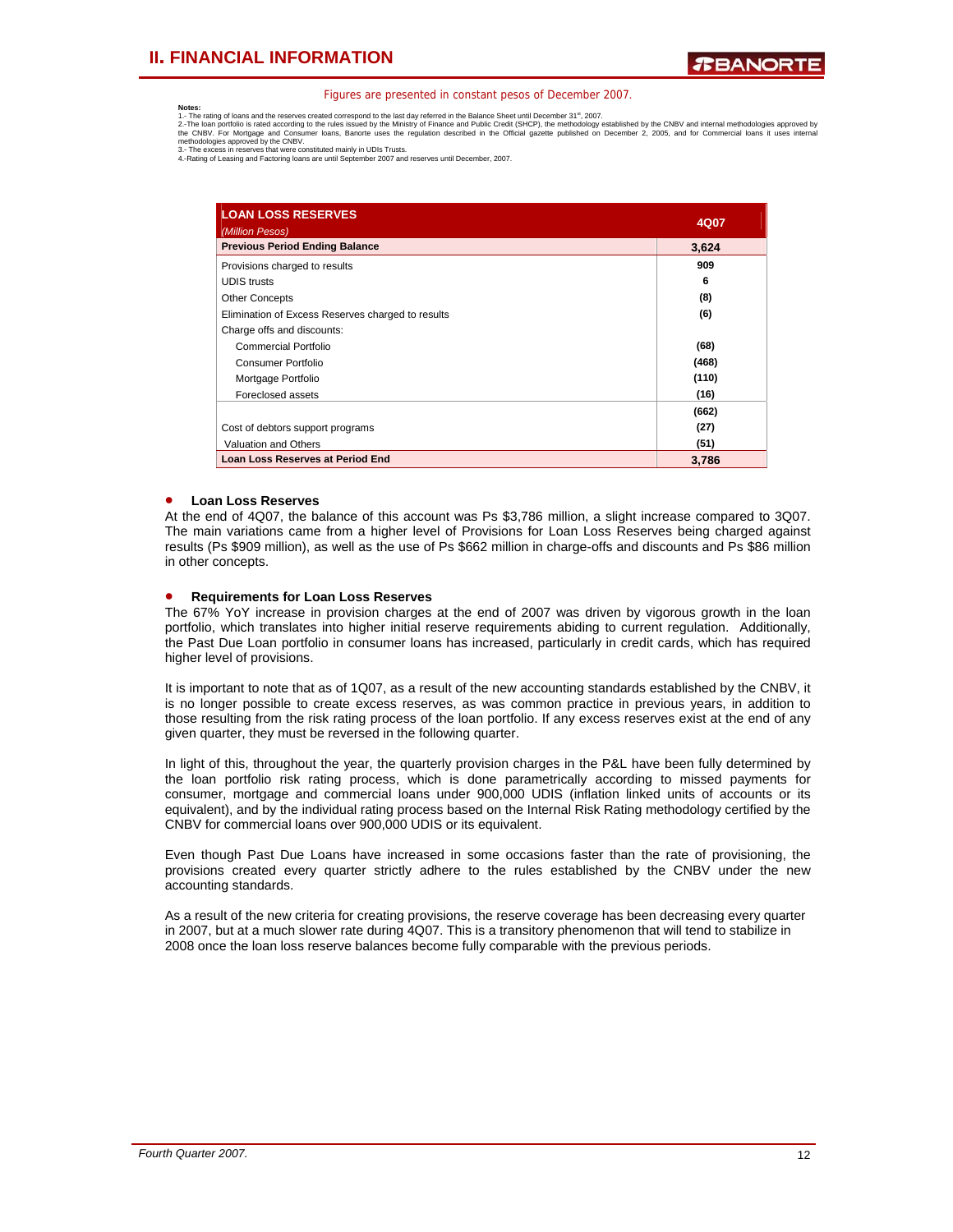**Notes:**<br>1.- The rating of loans and the reserves created correspond to the last day referred in the Balance Sheet until December 31<sup>\*1</sup>, 2007.<br>2.-The loan portfolio is rated according to the rules issued by the Ministry o

| <b>LOAN LOSS RESERVES</b><br>(Million Pesos)      | 4Q07  |
|---------------------------------------------------|-------|
| <b>Previous Period Ending Balance</b>             | 3,624 |
| Provisions charged to results                     | 909   |
| <b>UDIS</b> trusts                                | 6     |
| <b>Other Concepts</b>                             | (8)   |
| Elimination of Excess Reserves charged to results | (6)   |
| Charge offs and discounts:                        |       |
| Commercial Portfolio                              | (68)  |
| Consumer Portfolio                                | (468) |
| Mortgage Portfolio                                | (110) |
| Foreclosed assets                                 | (16)  |
|                                                   | (662) |
| Cost of debtors support programs                  | (27)  |
| Valuation and Others                              | (51)  |
| <b>Loan Loss Reserves at Period End</b>           | 3,786 |

## • **Loan Loss Reserves**

At the end of 4Q07, the balance of this account was Ps \$3,786 million, a slight increase compared to 3Q07. The main variations came from a higher level of Provisions for Loan Loss Reserves being charged against results (Ps \$909 million), as well as the use of Ps \$662 million in charge-offs and discounts and Ps \$86 million in other concepts.

### • **Requirements for Loan Loss Reserves**

The 67% YoY increase in provision charges at the end of 2007 was driven by vigorous growth in the loan portfolio, which translates into higher initial reserve requirements abiding to current regulation. Additionally, the Past Due Loan portfolio in consumer loans has increased, particularly in credit cards, which has required higher level of provisions.

It is important to note that as of 1Q07, as a result of the new accounting standards established by the CNBV, it is no longer possible to create excess reserves, as was common practice in previous years, in addition to those resulting from the risk rating process of the loan portfolio. If any excess reserves exist at the end of any given quarter, they must be reversed in the following quarter.

In light of this, throughout the year, the quarterly provision charges in the P&L have been fully determined by the loan portfolio risk rating process, which is done parametrically according to missed payments for consumer, mortgage and commercial loans under 900,000 UDIS (inflation linked units of accounts or its equivalent), and by the individual rating process based on the Internal Risk Rating methodology certified by the CNBV for commercial loans over 900,000 UDIS or its equivalent.

Even though Past Due Loans have increased in some occasions faster than the rate of provisioning, the provisions created every quarter strictly adhere to the rules established by the CNBV under the new accounting standards.

As a result of the new criteria for creating provisions, the reserve coverage has been decreasing every quarter in 2007, but at a much slower rate during 4Q07. This is a transitory phenomenon that will tend to stabilize in 2008 once the loan loss reserve balances become fully comparable with the previous periods.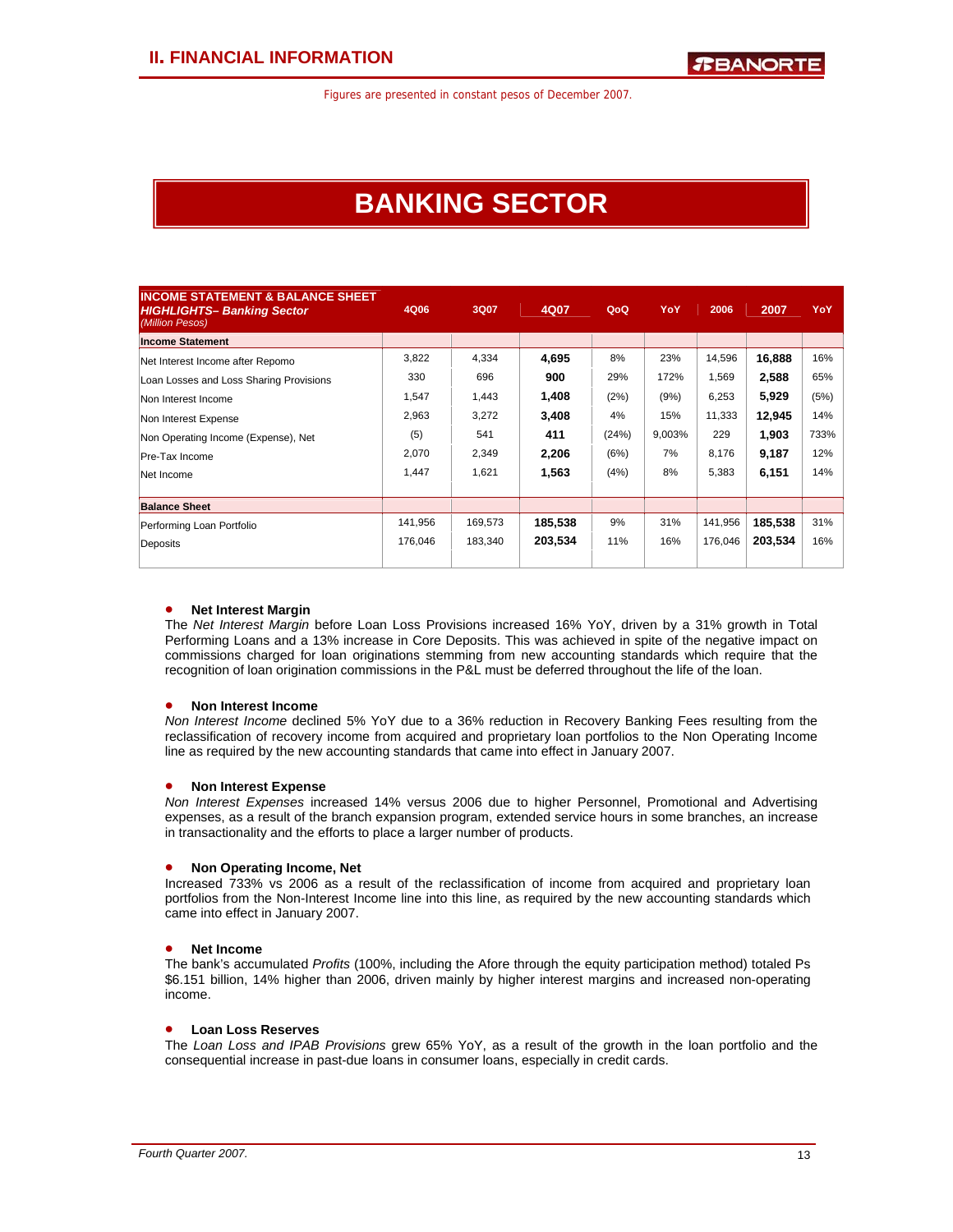## **BANKING SECTOR**

| <b>INCOME STATEMENT &amp; BALANCE SHEET</b><br><b>HIGHLIGHTS- Banking Sector</b><br>(Million Pesos) | 4Q06    | 3Q07    | 4Q07    | QoQ   | YoY    | 2006    | 2007    | YoY  |
|-----------------------------------------------------------------------------------------------------|---------|---------|---------|-------|--------|---------|---------|------|
| <b>Income Statement</b>                                                                             |         |         |         |       |        |         |         |      |
| Net Interest Income after Repomo                                                                    | 3,822   | 4,334   | 4,695   | 8%    | 23%    | 14,596  | 16,888  | 16%  |
| Loan Losses and Loss Sharing Provisions                                                             | 330     | 696     | 900     | 29%   | 172%   | 1,569   | 2,588   | 65%  |
| Non Interest Income                                                                                 | 1,547   | 1,443   | 1,408   | (2%)  | (9%)   | 6,253   | 5,929   | (5%) |
| Non Interest Expense                                                                                | 2,963   | 3,272   | 3,408   | 4%    | 15%    | 11,333  | 12,945  | 14%  |
| Non Operating Income (Expense), Net                                                                 | (5)     | 541     | 411     | (24%) | 9,003% | 229     | 1,903   | 733% |
| Pre-Tax Income                                                                                      | 2,070   | 2,349   | 2,206   | (6%)  | 7%     | 8,176   | 9,187   | 12%  |
| Net Income                                                                                          | 1,447   | 1,621   | 1,563   | (4%)  | 8%     | 5,383   | 6,151   | 14%  |
|                                                                                                     |         |         |         |       |        |         |         |      |
| <b>Balance Sheet</b>                                                                                |         |         |         |       |        |         |         |      |
| Performing Loan Portfolio                                                                           | 141,956 | 169,573 | 185,538 | 9%    | 31%    | 141,956 | 185,538 | 31%  |
| Deposits                                                                                            | 176,046 | 183,340 | 203,534 | 11%   | 16%    | 176,046 | 203,534 | 16%  |
|                                                                                                     |         |         |         |       |        |         |         |      |

### • **Net Interest Margin**

The *Net Interest Margin* before Loan Loss Provisions increased 16% YoY, driven by a 31% growth in Total Performing Loans and a 13% increase in Core Deposits. This was achieved in spite of the negative impact on commissions charged for loan originations stemming from new accounting standards which require that the recognition of loan origination commissions in the P&L must be deferred throughout the life of the loan.

## • **Non Interest Income**

*Non Interest Income* declined 5% YoY due to a 36% reduction in Recovery Banking Fees resulting from the reclassification of recovery income from acquired and proprietary loan portfolios to the Non Operating Income line as required by the new accounting standards that came into effect in January 2007.

## • **Non Interest Expense**

*Non Interest Expenses* increased 14% versus 2006 due to higher Personnel, Promotional and Advertising expenses, as a result of the branch expansion program, extended service hours in some branches, an increase in transactionality and the efforts to place a larger number of products.

## • **Non Operating Income, Net**

Increased 733% vs 2006 as a result of the reclassification of income from acquired and proprietary loan portfolios from the Non-Interest Income line into this line, as required by the new accounting standards which came into effect in January 2007.

## • **Net Income**

The bank's accumulated *Profits* (100%, including the Afore through the equity participation method) totaled Ps \$6.151 billion, 14% higher than 2006, driven mainly by higher interest margins and increased non-operating income.

## • **Loan Loss Reserves**

The *Loan Loss and IPAB Provisions* grew 65% YoY, as a result of the growth in the loan portfolio and the consequential increase in past-due loans in consumer loans, especially in credit cards.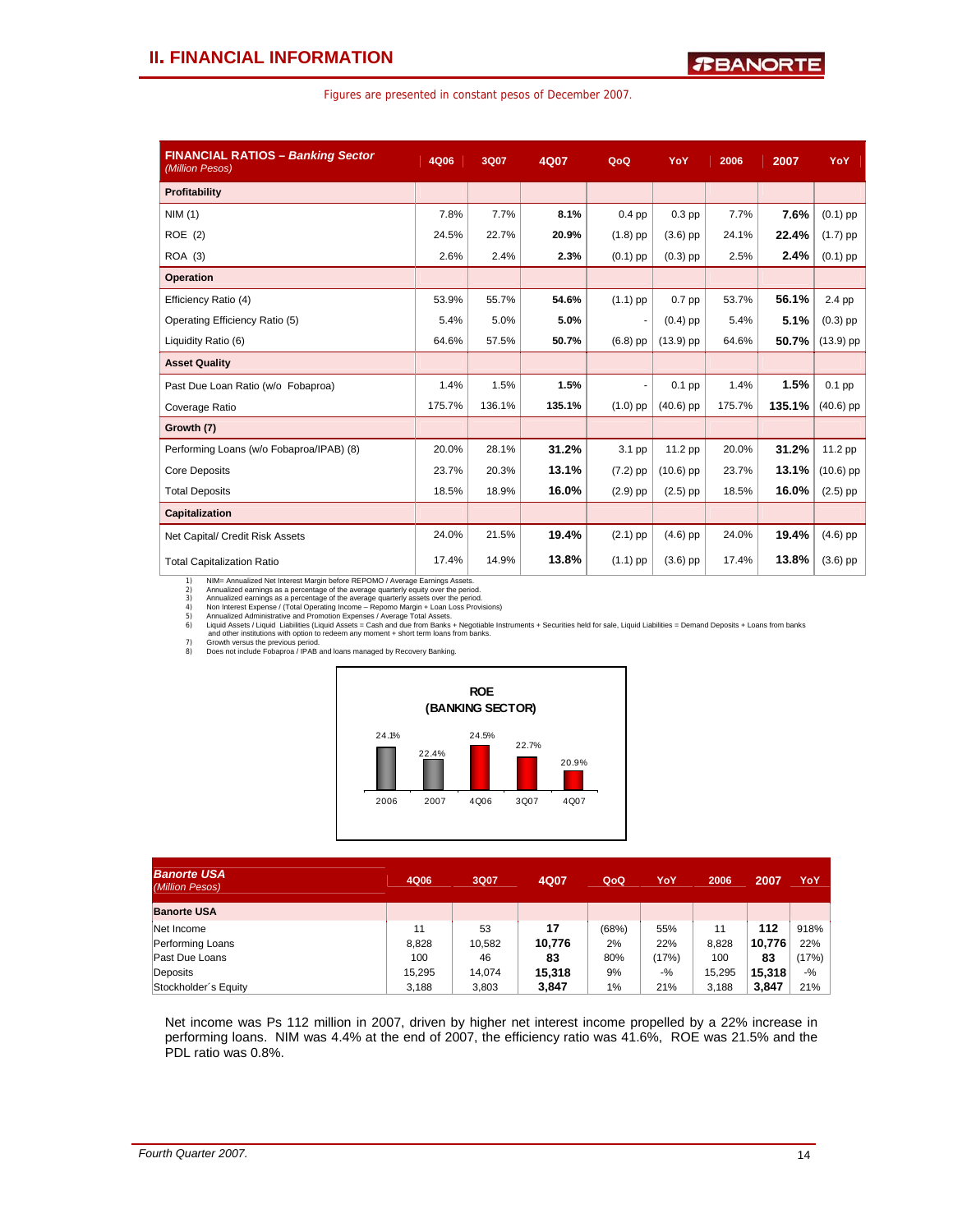| Figures are presented in constant pesos of December 2007. |  |  |  |  |  |  |  |
|-----------------------------------------------------------|--|--|--|--|--|--|--|
|-----------------------------------------------------------|--|--|--|--|--|--|--|

| <b>FINANCIAL RATIOS - Banking Sector</b><br>(Million Pesos) | 4Q06   | 3Q07   | 4Q07   | QoQ        | YoY         | 2006   | 2007   | YoY         |
|-------------------------------------------------------------|--------|--------|--------|------------|-------------|--------|--------|-------------|
| Profitability                                               |        |        |        |            |             |        |        |             |
| NIM(1)                                                      | 7.8%   | 7.7%   | 8.1%   | $0.4$ pp   | $0.3$ pp    | 7.7%   | 7.6%   | $(0.1)$ pp  |
| ROE(2)                                                      | 24.5%  | 22.7%  | 20.9%  | $(1.8)$ pp | $(3.6)$ pp  | 24.1%  | 22.4%  | $(1.7)$ pp  |
| ROA (3)                                                     | 2.6%   | 2.4%   | 2.3%   | $(0.1)$ pp | $(0.3)$ pp  | 2.5%   | 2.4%   | $(0.1)$ pp  |
| <b>Operation</b>                                            |        |        |        |            |             |        |        |             |
| Efficiency Ratio (4)                                        | 53.9%  | 55.7%  | 54.6%  | $(1.1)$ pp | $0.7$ pp    | 53.7%  | 56.1%  | 2.4 pp      |
| Operating Efficiency Ratio (5)                              | 5.4%   | 5.0%   | 5.0%   | ٠          | $(0.4)$ pp  | 5.4%   | 5.1%   | $(0.3)$ pp  |
| Liquidity Ratio (6)                                         | 64.6%  | 57.5%  | 50.7%  | $(6.8)$ pp | $(13.9)$ pp | 64.6%  | 50.7%  | $(13.9)$ pp |
| <b>Asset Quality</b>                                        |        |        |        |            |             |        |        |             |
| Past Due Loan Ratio (w/o Fobaproa)                          | 1.4%   | 1.5%   | 1.5%   | ٠          | $0.1$ pp    | 1.4%   | 1.5%   | $0.1$ pp    |
| Coverage Ratio                                              | 175.7% | 136.1% | 135.1% | $(1.0)$ pp | $(40.6)$ pp | 175.7% | 135.1% | $(40.6)$ pp |
| Growth (7)                                                  |        |        |        |            |             |        |        |             |
| Performing Loans (w/o Fobaproa/IPAB) (8)                    | 20.0%  | 28.1%  | 31.2%  | 3.1 pp     | 11.2 pp     | 20.0%  | 31.2%  | 11.2 pp     |
| <b>Core Deposits</b>                                        | 23.7%  | 20.3%  | 13.1%  | $(7.2)$ pp | $(10.6)$ pp | 23.7%  | 13.1%  | $(10.6)$ pp |
| <b>Total Deposits</b>                                       | 18.5%  | 18.9%  | 16.0%  | $(2.9)$ pp | $(2.5)$ pp  | 18.5%  | 16.0%  | $(2.5)$ pp  |
| Capitalization                                              |        |        |        |            |             |        |        |             |
| Net Capital/ Credit Risk Assets                             | 24.0%  | 21.5%  | 19.4%  | $(2.1)$ pp | $(4.6)$ pp  | 24.0%  | 19.4%  | $(4.6)$ pp  |
| <b>Total Capitalization Ratio</b>                           | 17.4%  | 14.9%  | 13.8%  | $(1.1)$ pp | $(3.6)$ pp  | 17.4%  | 13.8%  | $(3.6)$ pp  |

1) NIM= Annualized Ret interest Margin before REPOMO / Average Earnings Assets.<br>2) Annualized earnings as a percentage of the average quarterly equity over the period.<br>3) Annualized earnings as a percentage of the average



| <b>Banorte USA</b><br>(Million Pesos) | 4Q06   | 3Q07   | 4Q07   | QoQ   | YoY   | 2006   | 2007   | YoY   |
|---------------------------------------|--------|--------|--------|-------|-------|--------|--------|-------|
| <b>Banorte USA</b>                    |        |        |        |       |       |        |        |       |
| Net Income                            | 11     | 53     | 17     | (68%) | 55%   | 11     | 112    | 918%  |
| Performing Loans                      | 8.828  | 10.582 | 10.776 | 2%    | 22%   | 8.828  | 10.776 | 22%   |
| Past Due Loans                        | 100    | 46     | 83     | 80%   | (17%) | 100    | 83     | (17%) |
| Deposits                              | 15.295 | 14.074 | 15,318 | 9%    | $-$ % | 15.295 | 15,318 | $-$ % |
| Stockholder's Equity                  | 3.188  | 3,803  | 3,847  | $1\%$ | 21%   | 3.188  | 3,847  | 21%   |

Net income was Ps 112 million in 2007, driven by higher net interest income propelled by a 22% increase in performing loans. NIM was 4.4% at the end of 2007, the efficiency ratio was 41.6%, ROE was 21.5% and the PDL ratio was 0.8%.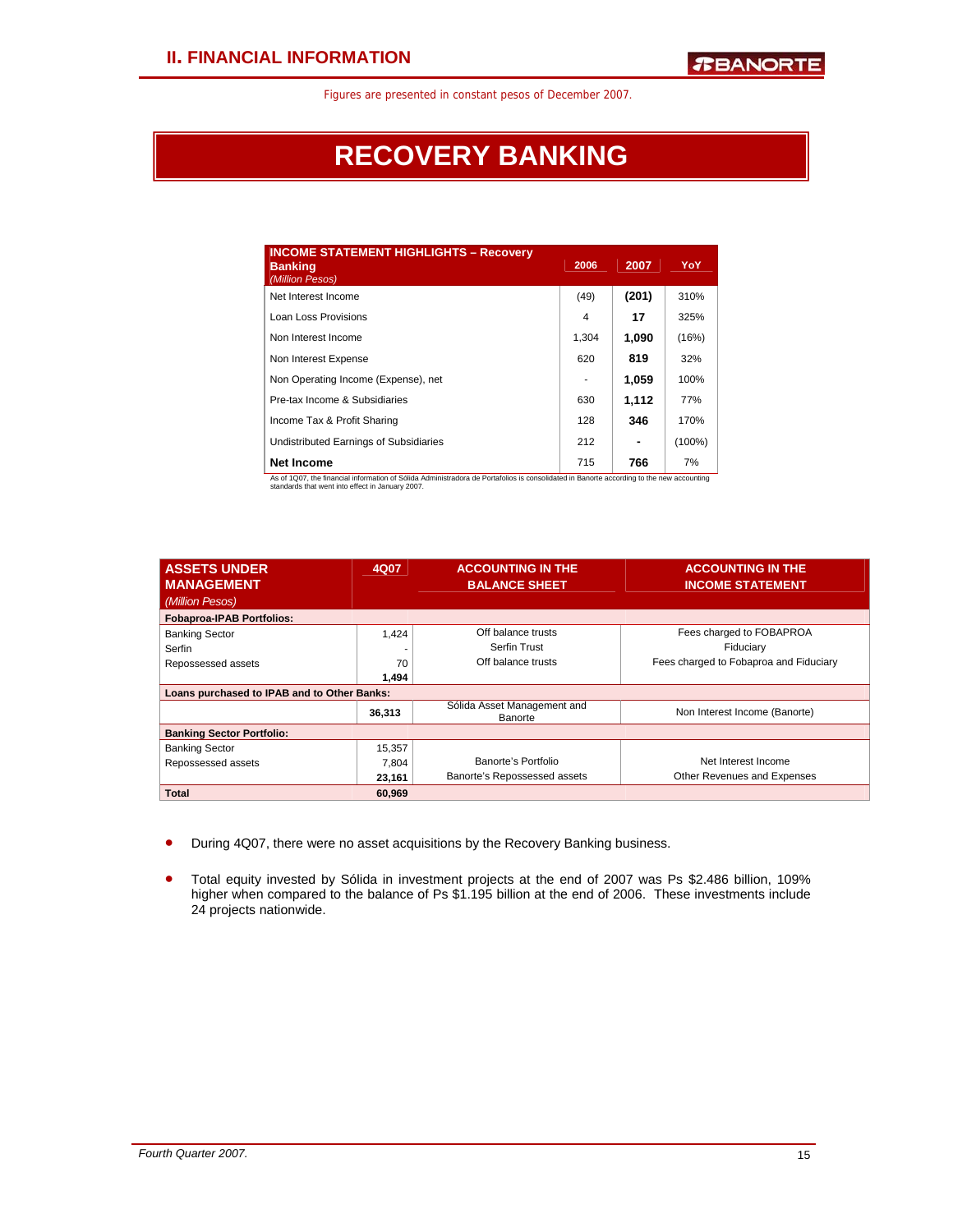## **RECOVERY BANKING**

| <b>INCOME STATEMENT HIGHLIGHTS - Recovery</b><br><b>Banking</b><br>(Million Pesos) | 2006  | 2007  | YoY       |
|------------------------------------------------------------------------------------|-------|-------|-----------|
| Net Interest Income                                                                | (49)  | (201) | 310%      |
| Loan Loss Provisions                                                               | 4     | 17    | 325%      |
| Non Interest Income                                                                | 1.304 | 1,090 | (16%)     |
| Non Interest Expense                                                               | 620   | 819   | 32%       |
| Non Operating Income (Expense), net                                                |       | 1,059 | 100%      |
| Pre-tax Income & Subsidiaries                                                      | 630   | 1.112 | 77%       |
| Income Tax & Profit Sharing                                                        | 128   | 346   | 170%      |
| Undistributed Earnings of Subsidiaries                                             | 212   | ۰     | $(100\%)$ |
| <b>Net Income</b>                                                                  | 715   | 766   | 7%        |

As of 1Q07, the financial information of Sólida Administradora de Portafolios is consolidated in Banorte according to the new accounting standards that went into effect in January 2007.

| <b>ASSETS UNDER</b><br><b>MANAGEMENT</b>    | 4Q07   | <b>ACCOUNTING IN THE</b><br><b>BALANCE SHEET</b> | <b>ACCOUNTING IN THE</b><br><b>INCOME STATEMENT</b> |
|---------------------------------------------|--------|--------------------------------------------------|-----------------------------------------------------|
| (Million Pesos)                             |        |                                                  |                                                     |
| <b>Fobaproa-IPAB Portfolios:</b>            |        |                                                  |                                                     |
| <b>Banking Sector</b>                       | 1,424  | Off balance trusts                               | Fees charged to FOBAPROA                            |
| Serfin                                      |        | <b>Serfin Trust</b>                              | Fiduciary                                           |
| Repossessed assets                          | 70     | Off balance trusts                               | Fees charged to Fobaproa and Fiduciary              |
|                                             | 1.494  |                                                  |                                                     |
| Loans purchased to IPAB and to Other Banks: |        |                                                  |                                                     |
|                                             | 36,313 | Sólida Asset Management and<br>Banorte           | Non Interest Income (Banorte)                       |
| <b>Banking Sector Portfolio:</b>            |        |                                                  |                                                     |
| <b>Banking Sector</b>                       | 15,357 |                                                  |                                                     |
| Repossessed assets                          | 7,804  | Banorte's Portfolio                              | Net Interest Income                                 |
|                                             | 23,161 | Banorte's Repossessed assets                     | Other Revenues and Expenses                         |
| <b>Total</b>                                | 60.969 |                                                  |                                                     |

- During 4Q07, there were no asset acquisitions by the Recovery Banking business.
- Total equity invested by Sólida in investment projects at the end of 2007 was Ps \$2.486 billion, 109% higher when compared to the balance of Ps \$1.195 billion at the end of 2006. These investments include 24 projects nationwide.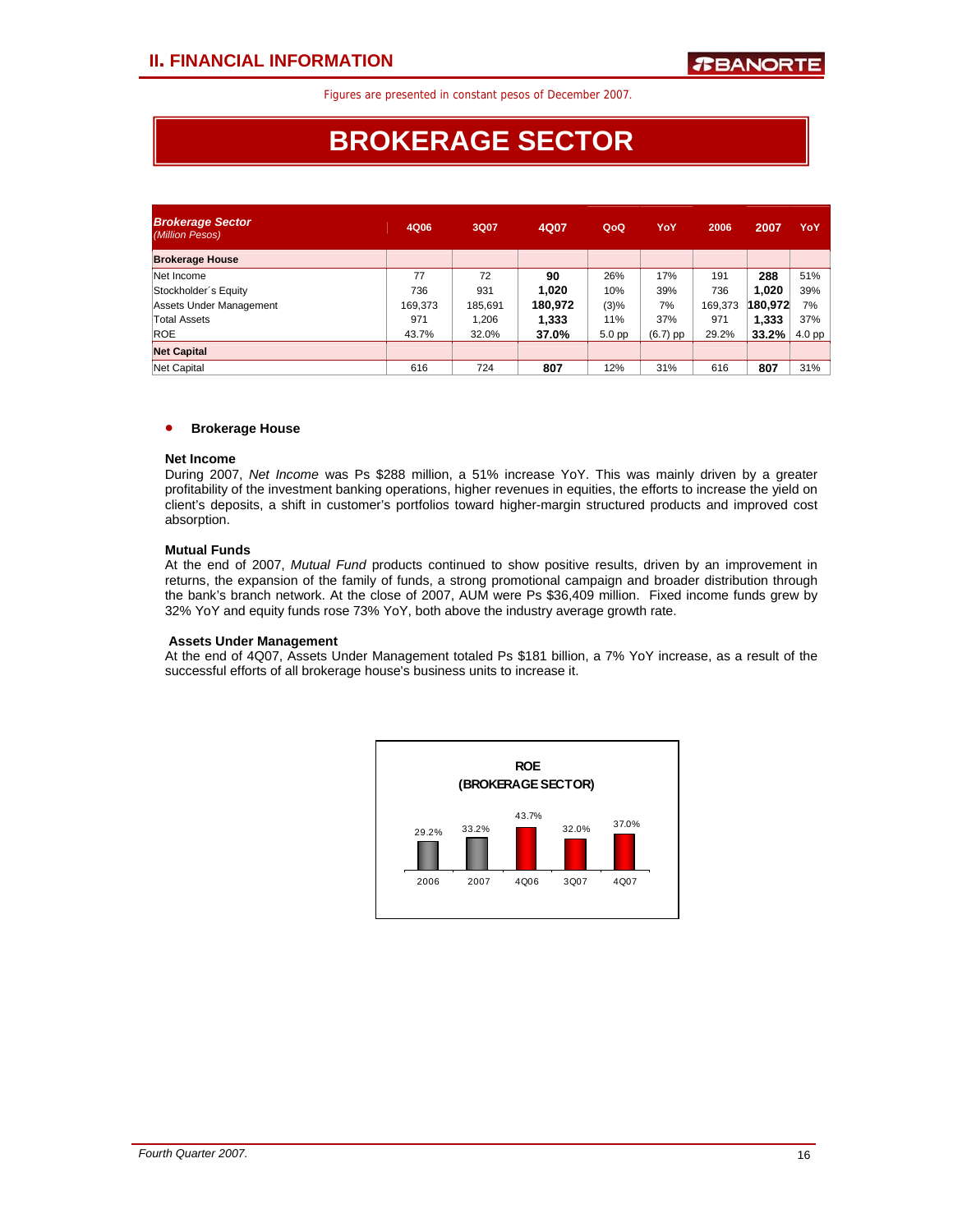## **BROKERAGE SECTOR**

| <b>Brokerage Sector</b><br>(Million Pesos) | 4Q06    | 3Q07    | 4Q07    | QoQ               | YoY      | 2006    | 2007    | YoY               |
|--------------------------------------------|---------|---------|---------|-------------------|----------|---------|---------|-------------------|
| <b>Brokerage House</b>                     |         |         |         |                   |          |         |         |                   |
| Net Income                                 | 77      | 72      | 90      | 26%               | 17%      | 191     | 288     | 51%               |
| Stockholder's Equity                       | 736     | 931     | 1,020   | 10%               | 39%      | 736     | 1,020   | 39%               |
| Assets Under Management                    | 169,373 | 185,691 | 180.972 | (3)%              | 7%       | 169,373 | 180,972 | 7%                |
| Total Assets                               | 971     | 1.206   | 1.333   | 11%               | 37%      | 971     | 1,333   | 37%               |
| <b>ROE</b>                                 | 43.7%   | 32.0%   | 37.0%   | 5.0 <sub>pp</sub> | (6.7) pp | 29.2%   | 33.2%   | 4.0 <sub>pp</sub> |
| <b>Net Capital</b>                         |         |         |         |                   |          |         |         |                   |
| Net Capital                                | 616     | 724     | 807     | 12%               | 31%      | 616     | 807     | 31%               |

## • **Brokerage House**

## **Net Income**

During 2007, *Net Income* was Ps \$288 million, a 51% increase YoY. This was mainly driven by a greater profitability of the investment banking operations, higher revenues in equities, the efforts to increase the yield on client's deposits, a shift in customer's portfolios toward higher-margin structured products and improved cost absorption.

## **Mutual Funds**

At the end of 2007, *Mutual Fund* products continued to show positive results, driven by an improvement in returns, the expansion of the family of funds, a strong promotional campaign and broader distribution through the bank's branch network. At the close of 2007, AUM were Ps \$36,409 million. Fixed income funds grew by 32% YoY and equity funds rose 73% YoY, both above the industry average growth rate.

## **Assets Under Management**

At the end of 4Q07, Assets Under Management totaled Ps \$181 billion, a 7% YoY increase, as a result of the successful efforts of all brokerage house's business units to increase it.

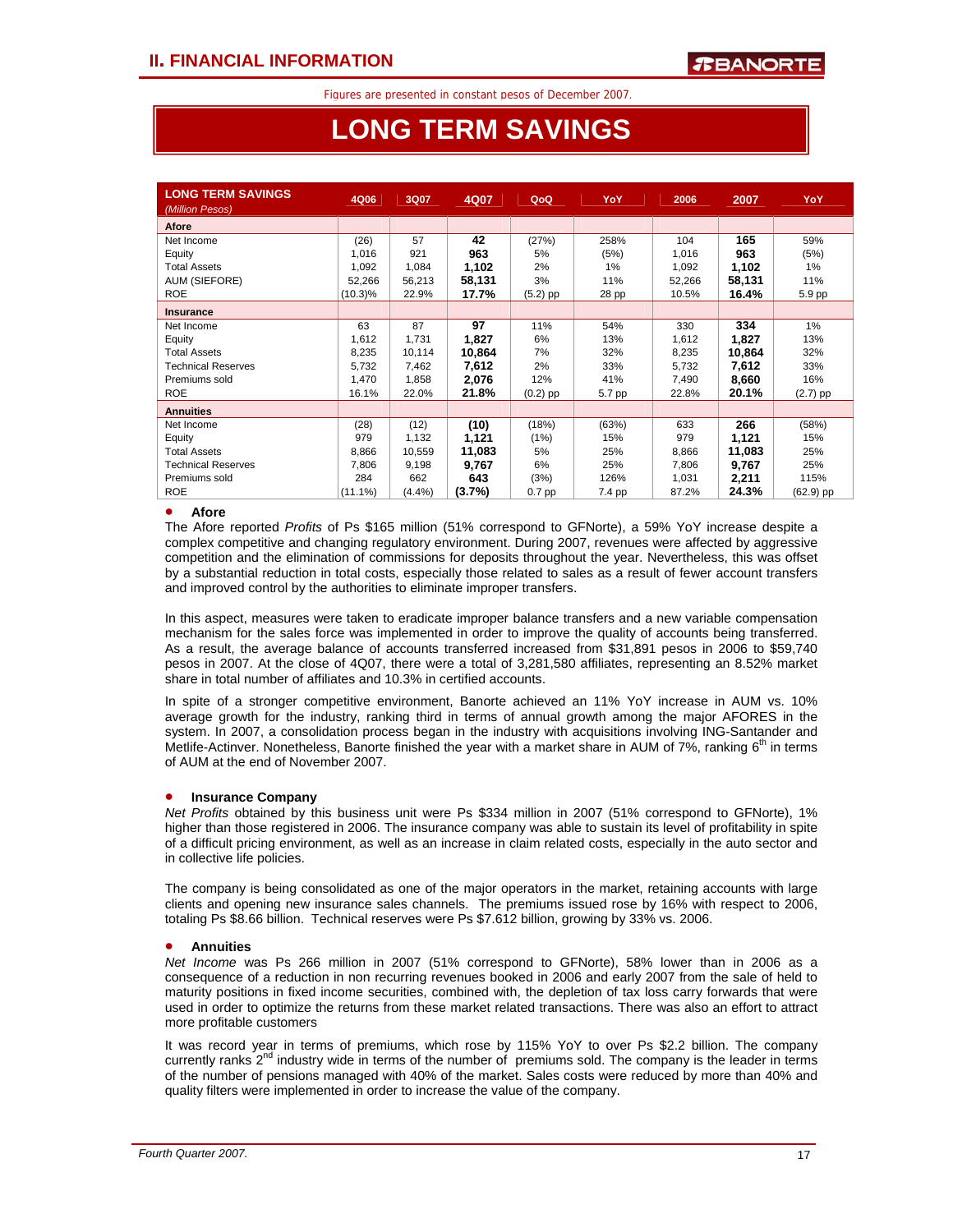## **LONG TERM SAVINGS**

| <b>LONG TERM SAVINGS</b><br>(Million Pesos) | 4Q06       | 3Q07   | 4Q07   | QoQ        | YoY    | 2006   | 2007   | YoY        |
|---------------------------------------------|------------|--------|--------|------------|--------|--------|--------|------------|
| <b>Afore</b>                                |            |        |        |            |        |        |        |            |
| Net Income                                  | (26)       | 57     | 42     | (27%)      | 258%   | 104    | 165    | 59%        |
| Equity                                      | 1,016      | 921    | 963    | 5%         | (5%)   | 1,016  | 963    | (5%)       |
| <b>Total Assets</b>                         | 1,092      | 1,084  | 1,102  | 2%         | 1%     | 1,092  | 1,102  | 1%         |
| <b>AUM (SIEFORE)</b>                        | 52,266     | 56,213 | 58,131 | 3%         | 11%    | 52,266 | 58,131 | 11%        |
| <b>ROE</b>                                  | $(10.3)\%$ | 22.9%  | 17.7%  | $(5.2)$ pp | 28 pp  | 10.5%  | 16.4%  | 5.9 pp     |
| <b>Insurance</b>                            |            |        |        |            |        |        |        |            |
| Net Income                                  | 63         | 87     | 97     | 11%        | 54%    | 330    | 334    | 1%         |
| Equity                                      | 1,612      | 1,731  | 1,827  | 6%         | 13%    | 1,612  | 1,827  | 13%        |
| Total Assets                                | 8,235      | 10,114 | 10,864 | 7%         | 32%    | 8,235  | 10,864 | 32%        |
| <b>Technical Reserves</b>                   | 5,732      | 7,462  | 7,612  | 2%         | 33%    | 5,732  | 7,612  | 33%        |
| Premiums sold                               | 1,470      | 1,858  | 2,076  | 12%        | 41%    | 7,490  | 8,660  | 16%        |
| <b>ROE</b>                                  | 16.1%      | 22.0%  | 21.8%  | $(0.2)$ pp | 5.7 pp | 22.8%  | 20.1%  | $(2.7)$ pp |
| <b>Annuities</b>                            |            |        |        |            |        |        |        |            |
| Net Income                                  | (28)       | (12)   | (10)   | (18%)      | (63%)  | 633    | 266    | (58%)      |
| Equity                                      | 979        | 1,132  | 1,121  | (1%)       | 15%    | 979    | 1,121  | 15%        |
| <b>Total Assets</b>                         | 8,866      | 10,559 | 11,083 | 5%         | 25%    | 8,866  | 11,083 | 25%        |
| <b>Technical Reserves</b>                   | 7,806      | 9,198  | 9,767  | 6%         | 25%    | 7,806  | 9,767  | 25%        |
| Premiums sold                               | 284        | 662    | 643    | (3%)       | 126%   | 1,031  | 2,211  | 115%       |
| <b>ROE</b>                                  | $(11.1\%)$ | (4.4%) | (3.7%) | $0.7$ pp   | 7.4 pp | 87.2%  | 24.3%  | (62.9) pp  |

## • **Afore**

l

The Afore reported *Profits* of Ps \$165 million (51% correspond to GFNorte), a 59% YoY increase despite a complex competitive and changing regulatory environment. During 2007, revenues were affected by aggressive competition and the elimination of commissions for deposits throughout the year. Nevertheless, this was offset by a substantial reduction in total costs, especially those related to sales as a result of fewer account transfers and improved control by the authorities to eliminate improper transfers.

In this aspect, measures were taken to eradicate improper balance transfers and a new variable compensation mechanism for the sales force was implemented in order to improve the quality of accounts being transferred. As a result, the average balance of accounts transferred increased from \$31,891 pesos in 2006 to \$59,740 pesos in 2007. At the close of 4Q07, there were a total of 3,281,580 affiliates, representing an 8.52% market share in total number of affiliates and 10.3% in certified accounts.

In spite of a stronger competitive environment, Banorte achieved an 11% YoY increase in AUM vs. 10% average growth for the industry, ranking third in terms of annual growth among the major AFORES in the system. In 2007, a consolidation process began in the industry with acquisitions involving ING-Santander and Metlife-Actinver. Nonetheless, Banorte finished the year with a market share in AUM of 7%, ranking 6<sup>th</sup> in terms of AUM at the end of November 2007.

## • **Insurance Company**

*Net Profits* obtained by this business unit were Ps \$334 million in 2007 (51% correspond to GFNorte), 1% higher than those registered in 2006. The insurance company was able to sustain its level of profitability in spite of a difficult pricing environment, as well as an increase in claim related costs, especially in the auto sector and in collective life policies.

The company is being consolidated as one of the major operators in the market, retaining accounts with large clients and opening new insurance sales channels. The premiums issued rose by 16% with respect to 2006, totaling Ps \$8.66 billion. Technical reserves were Ps \$7.612 billion, growing by 33% vs. 2006.

## • **Annuities**

*Net Income* was Ps 266 million in 2007 (51% correspond to GFNorte), 58% lower than in 2006 as a consequence of a reduction in non recurring revenues booked in 2006 and early 2007 from the sale of held to maturity positions in fixed income securities, combined with, the depletion of tax loss carry forwards that were used in order to optimize the returns from these market related transactions. There was also an effort to attract more profitable customers

It was record year in terms of premiums, which rose by 115% YoY to over Ps \$2.2 billion. The company currently ranks 2<sup>nd</sup> industry wide in terms of the number of premiums sold. The company is the leader in terms of the number of pensions managed with 40% of the market. Sales costs were reduced by more than 40% and quality filters were implemented in order to increase the value of the company.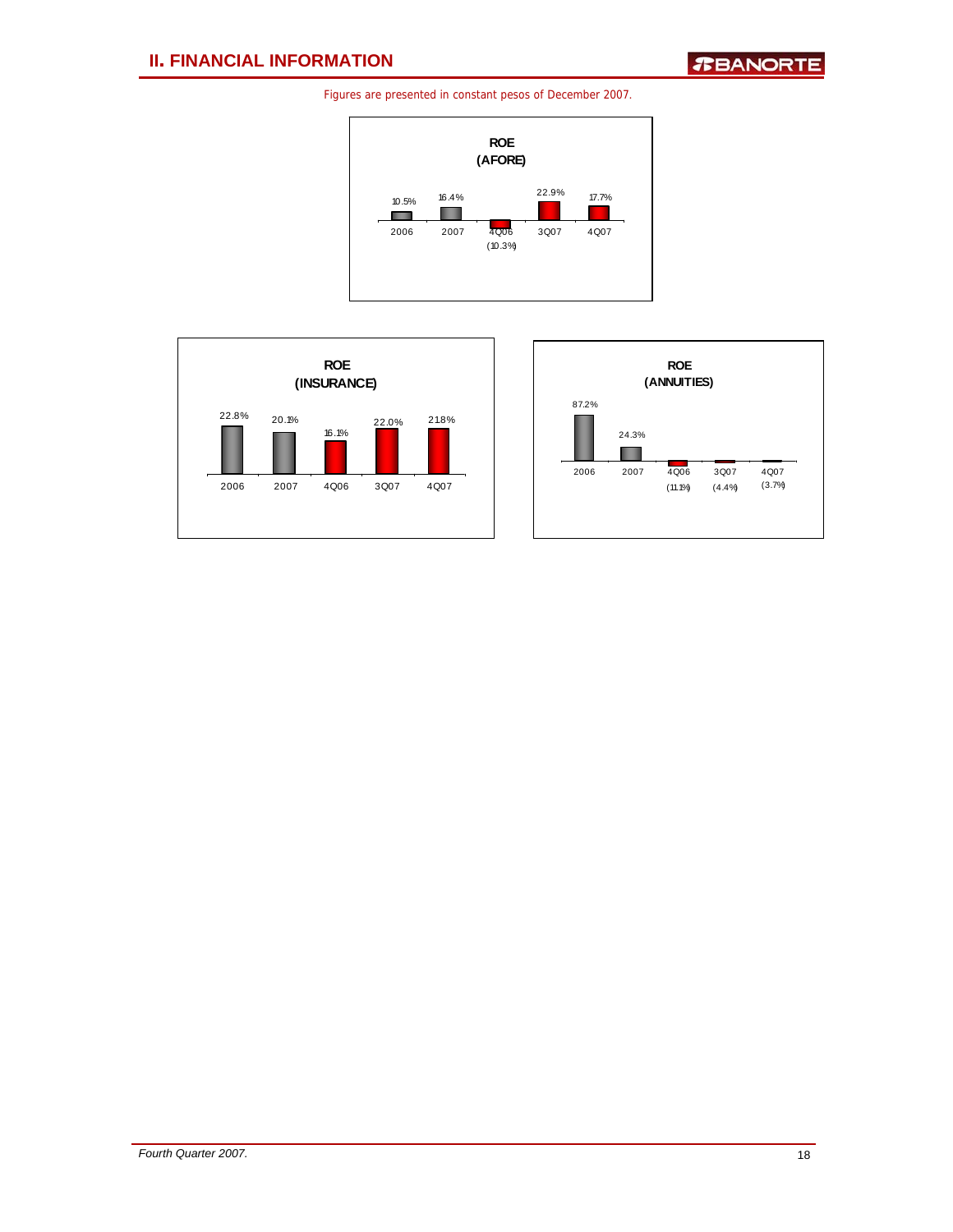



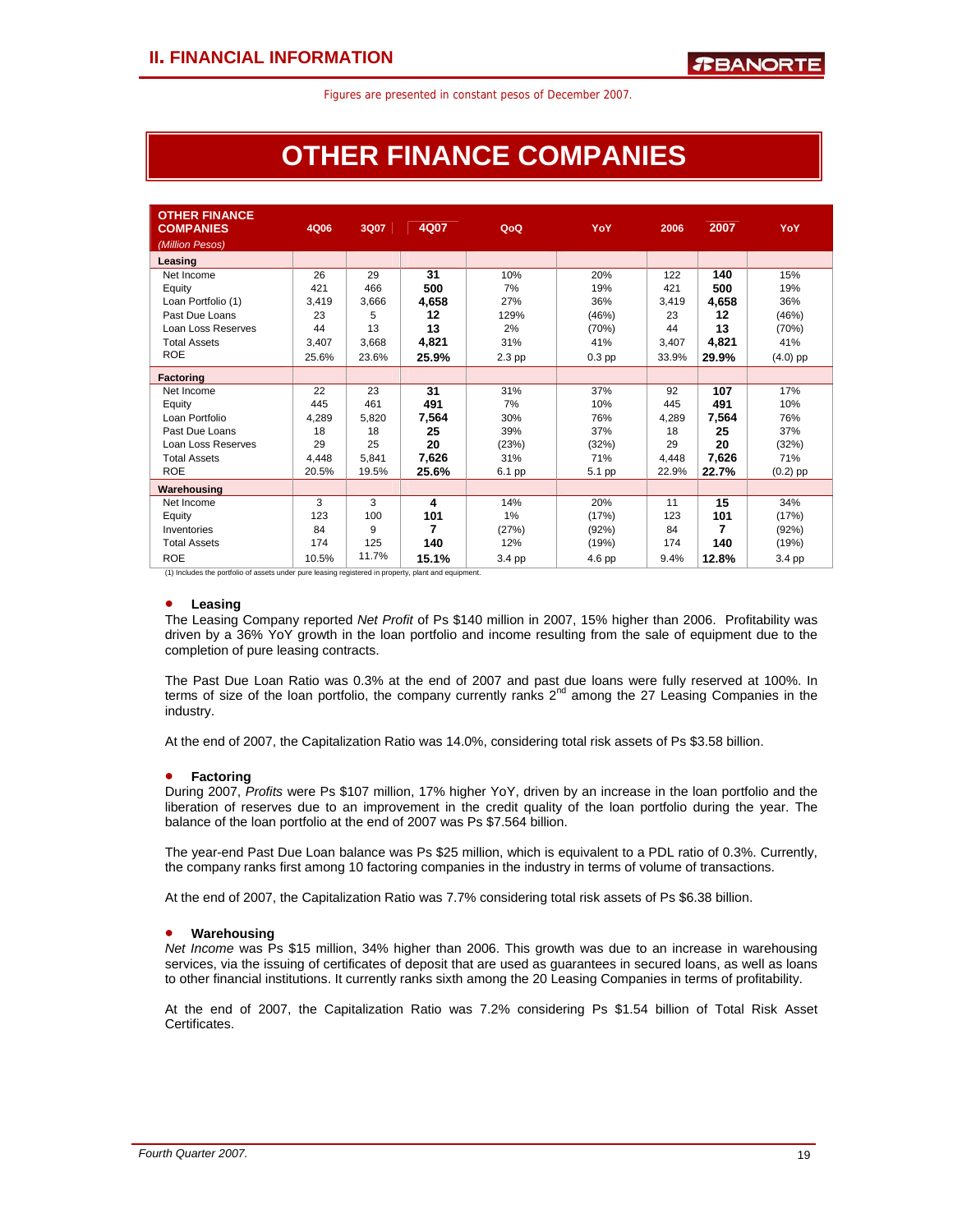## **OTHER FINANCE COMPANIES**

| <b>OTHER FINANCE</b><br><b>COMPANIES</b> | 4Q06  | 3Q07  | 4Q07  | QoQ      | YoY      | 2006  | 2007  | YoY        |
|------------------------------------------|-------|-------|-------|----------|----------|-------|-------|------------|
| (Million Pesos)<br>Leasing               |       |       |       |          |          |       |       |            |
| Net Income                               | 26    | 29    | 31    | 10%      | 20%      | 122   | 140   | 15%        |
| Equity                                   | 421   | 466   | 500   | 7%       | 19%      | 421   | 500   | 19%        |
| Loan Portfolio (1)                       | 3,419 | 3,666 | 4,658 | 27%      | 36%      | 3.419 | 4,658 | 36%        |
| Past Due Loans                           | 23    | 5     | 12    | 129%     | (46%)    | 23    | 12    | (46%)      |
| Loan Loss Reserves                       | 44    | 13    | 13    | 2%       | (70%)    | 44    | 13    | (70%)      |
| <b>Total Assets</b>                      | 3,407 | 3,668 | 4,821 | 31%      | 41%      | 3,407 | 4,821 | 41%        |
| <b>ROE</b>                               | 25.6% | 23.6% | 25.9% | $2.3$ pp | $0.3$ pp | 33.9% | 29.9% | $(4.0)$ pp |
| <b>Factoring</b>                         |       |       |       |          |          |       |       |            |
| Net Income                               | 22    | 23    | 31    | 31%      | 37%      | 92    | 107   | 17%        |
| Equity                                   | 445   | 461   | 491   | 7%       | 10%      | 445   | 491   | 10%        |
| Loan Portfolio                           | 4.289 | 5,820 | 7,564 | 30%      | 76%      | 4,289 | 7,564 | 76%        |
| Past Due Loans                           | 18    | 18    | 25    | 39%      | 37%      | 18    | 25    | 37%        |
| Loan Loss Reserves                       | 29    | 25    | 20    | (23%)    | (32%)    | 29    | 20    | (32%)      |
| <b>Total Assets</b>                      | 4.448 | 5,841 | 7,626 | 31%      | 71%      | 4,448 | 7,626 | 71%        |
| <b>ROE</b>                               | 20.5% | 19.5% | 25.6% | 6.1 pp   | 5.1 pp   | 22.9% | 22.7% | $(0.2)$ pp |
| Warehousing                              |       |       |       |          |          |       |       |            |
| Net Income                               | 3     | 3     | 4     | 14%      | 20%      | 11    | 15    | 34%        |
| Equity                                   | 123   | 100   | 101   | 1%       | (17%)    | 123   | 101   | (17%)      |
| Inventories                              | 84    | 9     | 7     | (27%)    | (92%)    | 84    | 7     | (92%)      |
| <b>Total Assets</b>                      | 174   | 125   | 140   | 12%      | (19%)    | 174   | 140   | (19%)      |
| <b>ROE</b>                               | 10.5% | 11.7% | 15.1% | 3.4 pp   | 4.6 pp   | 9.4%  | 12.8% | 3.4 pp     |

 $(1)$  Includes the portfolio of assets under pure leasing registered in property, plant and equipment.

## • **Leasing**

The Leasing Company reported *Net Profit* of Ps \$140 million in 2007, 15% higher than 2006. Profitability was driven by a 36% YoY growth in the loan portfolio and income resulting from the sale of equipment due to the completion of pure leasing contracts.

The Past Due Loan Ratio was 0.3% at the end of 2007 and past due loans were fully reserved at 100%. In terms of size of the loan portfolio, the company currently ranks  $2<sup>nd</sup>$  among the 27 Leasing Companies in the industry.

At the end of 2007, the Capitalization Ratio was 14.0%, considering total risk assets of Ps \$3.58 billion.

## • **Factoring**

During 2007, *Profits* were Ps \$107 million, 17% higher YoY, driven by an increase in the loan portfolio and the liberation of reserves due to an improvement in the credit quality of the loan portfolio during the year. The balance of the loan portfolio at the end of 2007 was Ps \$7.564 billion.

The year-end Past Due Loan balance was Ps \$25 million, which is equivalent to a PDL ratio of 0.3%. Currently, the company ranks first among 10 factoring companies in the industry in terms of volume of transactions.

At the end of 2007, the Capitalization Ratio was 7.7% considering total risk assets of Ps \$6.38 billion.

## • **Warehousing**

*Net Income* was Ps \$15 million, 34% higher than 2006. This growth was due to an increase in warehousing services, via the issuing of certificates of deposit that are used as guarantees in secured loans, as well as loans to other financial institutions. It currently ranks sixth among the 20 Leasing Companies in terms of profitability.

At the end of 2007, the Capitalization Ratio was 7.2% considering Ps \$1.54 billion of Total Risk Asset Certificates.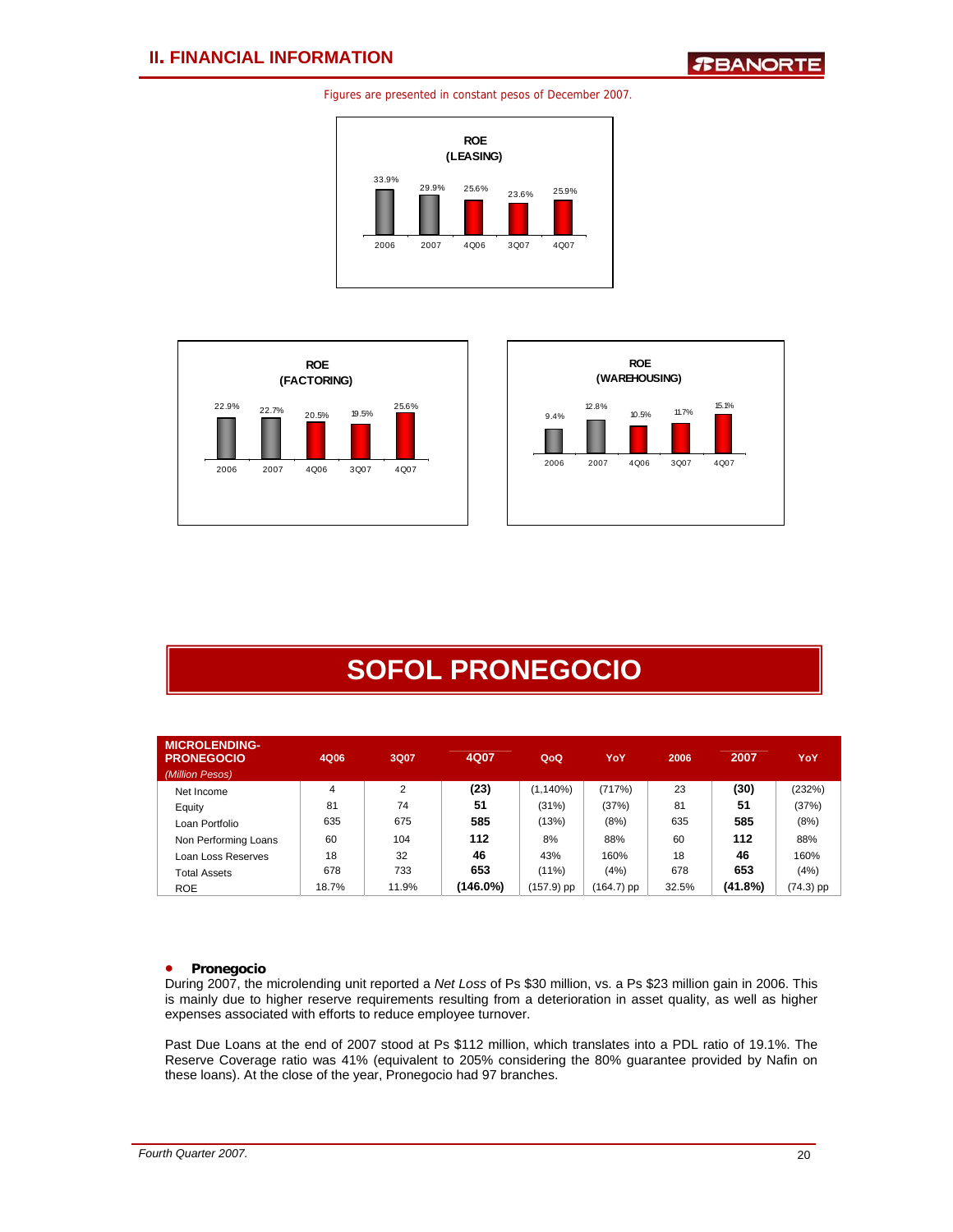





## **SOFOL PRONEGOCIO**

| <b>MICROLENDING-</b><br><b>PRONEGOCIO</b><br>(Million Pesos) | 4Q06  | 3Q07  | 4Q07     | QoQ          | YoY        | 2006  | 2007    | YoY         |
|--------------------------------------------------------------|-------|-------|----------|--------------|------------|-------|---------|-------------|
| Net Income                                                   | 4     | 2     | (23)     | $(1, 140\%)$ | (717%)     | 23    | (30)    | (232%)      |
| Equity                                                       | 81    | 74    | 51       | (31%)        | (37%)      | 81    | 51      | (37%)       |
| Loan Portfolio                                               | 635   | 675   | 585      | (13%)        | (8%)       | 635   | 585     | (8%)        |
| Non Performing Loans                                         | 60    | 104   | 112      | 8%           | 88%        | 60    | 112     | 88%         |
| Loan Loss Reserves                                           | 18    | 32    | 46       | 43%          | 160%       | 18    | 46      | 160%        |
| Total Assets                                                 | 678   | 733   | 653      | $(11\%)$     | (4%)       | 678   | 653     | (4%)        |
| <b>ROE</b>                                                   | 18.7% | 11.9% | (146.0%) | (157.9) pp   | (164.7) pp | 32.5% | (41.8%) | $(74.3)$ pp |

## • **Pronegocio**

During 2007, the microlending unit reported a *Net Loss* of Ps \$30 million, vs. a Ps \$23 million gain in 2006. This is mainly due to higher reserve requirements resulting from a deterioration in asset quality, as well as higher expenses associated with efforts to reduce employee turnover.

Past Due Loans at the end of 2007 stood at Ps \$112 million, which translates into a PDL ratio of 19.1%. The Reserve Coverage ratio was 41% (equivalent to 205% considering the 80% guarantee provided by Nafin on these loans). At the close of the year, Pronegocio had 97 branches.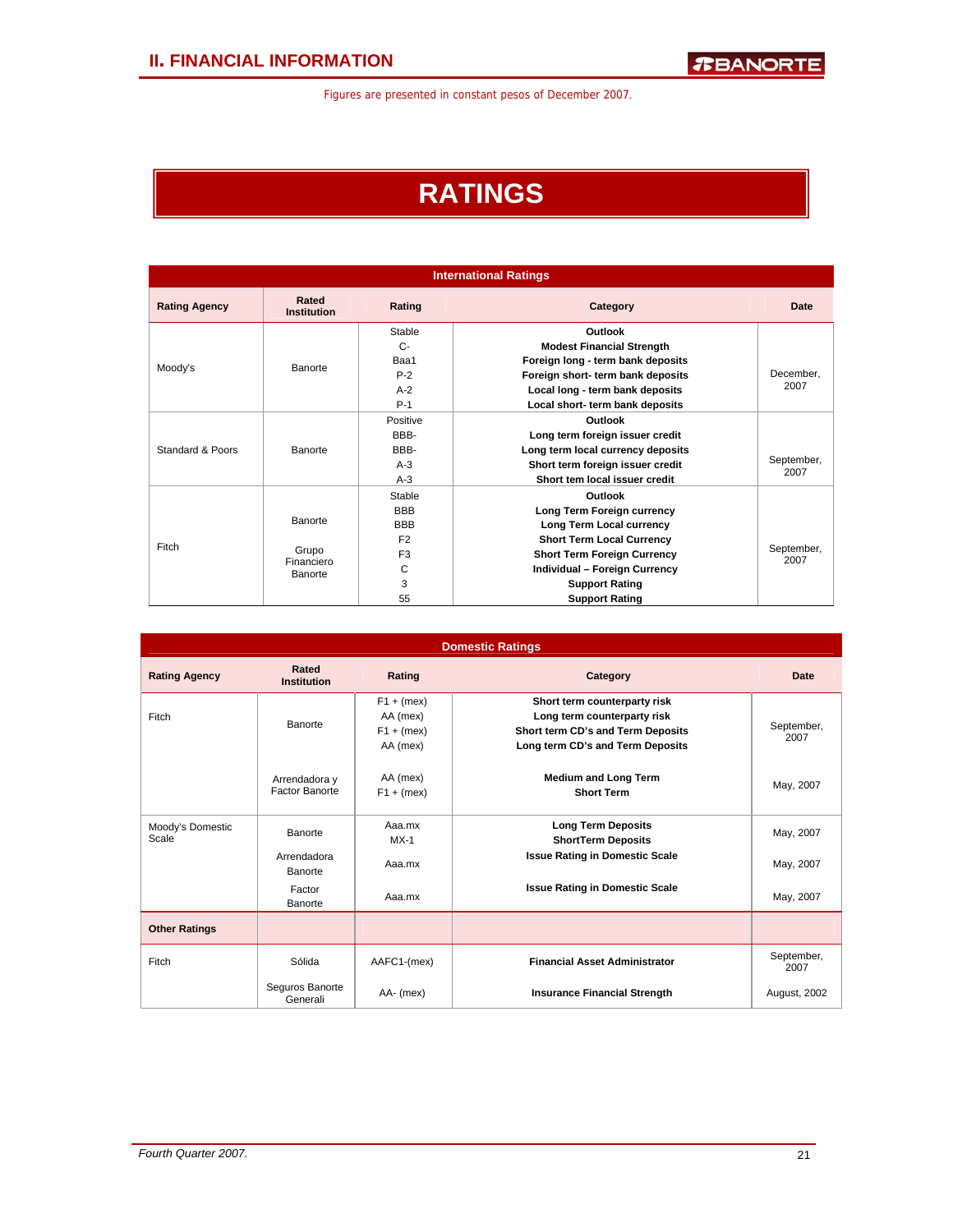## **RATINGS**

|                      |                             |                | <b>International Ratings</b>       |                    |
|----------------------|-----------------------------|----------------|------------------------------------|--------------------|
| <b>Rating Agency</b> | Rated<br><b>Institution</b> | Rating         | Category                           | Date               |
|                      |                             | Stable         | Outlook                            |                    |
|                      |                             | $C-$           | <b>Modest Financial Strength</b>   |                    |
|                      | Banorte                     | Baa1           | Foreign long - term bank deposits  |                    |
| Moody's              |                             | $P-2$          | Foreign short- term bank deposits  | December.          |
|                      |                             | $A-2$          | Local long - term bank deposits    | 2007               |
|                      |                             | $P-1$          | Local short- term bank deposits    |                    |
|                      |                             | Positive       | Outlook                            |                    |
|                      |                             | BBB-           | Long term foreign issuer credit    |                    |
| Standard & Poors     | Banorte                     | BBB-           | Long term local currency deposits  |                    |
|                      |                             | $A-3$          | Short term foreign issuer credit   | September,         |
|                      |                             | $A-3$          | Short tem local issuer credit      | 2007               |
|                      |                             | Stable         | Outlook                            |                    |
|                      |                             | <b>BBB</b>     | Long Term Foreign currency         |                    |
|                      | Banorte                     | <b>BBB</b>     | Long Term Local currency           |                    |
|                      |                             | F <sub>2</sub> | <b>Short Term Local Currency</b>   |                    |
| Fitch                | Grupo                       | F <sub>3</sub> | <b>Short Term Foreign Currency</b> | September,<br>2007 |
|                      | Financiero<br>Banorte       | С              | Individual - Foreign Currency      |                    |
|                      |                             | 3              | <b>Support Rating</b>              |                    |
|                      |                             | 55             | <b>Support Rating</b>              |                    |

|                           |                                 |                                                      | <b>Domestic Ratings</b>                                                                                                              |                    |
|---------------------------|---------------------------------|------------------------------------------------------|--------------------------------------------------------------------------------------------------------------------------------------|--------------------|
| <b>Rating Agency</b>      | Rated<br><b>Institution</b>     | Rating                                               | Category                                                                                                                             | Date               |
| Fitch                     | <b>Banorte</b>                  | $F1 + (mex)$<br>AA (mex)<br>$F1 + (mex)$<br>AA (mex) | Short term counterparty risk<br>Long term counterparty risk<br>Short term CD's and Term Deposits<br>Long term CD's and Term Deposits | September,<br>2007 |
|                           | Arrendadora y<br>Factor Banorte | AA (mex)<br>$F1 + (mex)$                             | <b>Medium and Long Term</b><br><b>Short Term</b>                                                                                     | May, 2007          |
| Moody's Domestic<br>Scale | Banorte                         | Aaa.mx<br>$MX-1$                                     | <b>Long Term Deposits</b><br><b>ShortTerm Deposits</b>                                                                               | May, 2007          |
|                           | Arrendadora<br>Banorte          | Aaa.mx                                               | <b>Issue Rating in Domestic Scale</b>                                                                                                | May, 2007          |
|                           | Factor<br>Banorte               | Aaa.mx                                               | <b>Issue Rating in Domestic Scale</b>                                                                                                | May, 2007          |
| <b>Other Ratings</b>      |                                 |                                                      |                                                                                                                                      |                    |
| Fitch                     | Sólida                          | AAFC1-(mex)                                          | <b>Financial Asset Administrator</b>                                                                                                 | September,<br>2007 |
|                           | Seguros Banorte<br>Generali     | AA- (mex)                                            | <b>Insurance Financial Strength</b>                                                                                                  | August, 2002       |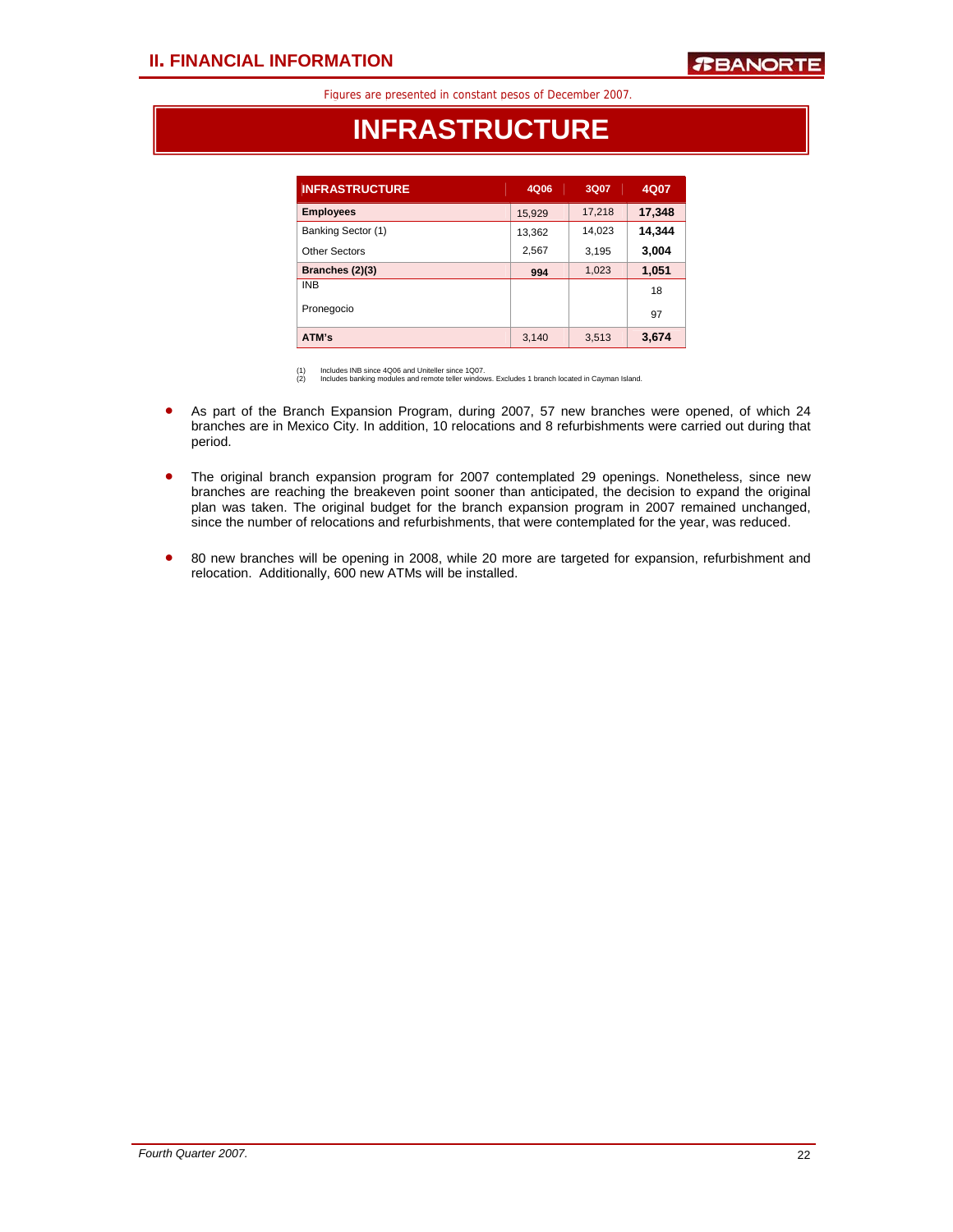## **INFRASTRUCTURE**

| <b>INFRASTRUCTURE</b> | 4Q06   | 3Q07   | 4Q07   |
|-----------------------|--------|--------|--------|
| <b>Employees</b>      | 15,929 | 17,218 | 17,348 |
| Banking Sector (1)    | 13,362 | 14,023 | 14,344 |
| Other Sectors         | 2,567  | 3,195  | 3,004  |
| Branches (2)(3)       | 994    | 1,023  | 1,051  |
| <b>INB</b>            |        |        | 18     |
| Pronegocio            |        |        | 97     |
| ATM's                 | 3,140  | 3,513  | 3,674  |

(1) Includes INB since 4Q06 and Uniteller since 1Q07. (2) Includes banking modules and remote teller windows. Excludes 1 branch located in Cayman Island.

- As part of the Branch Expansion Program, during 2007, 57 new branches were opened, of which 24 branches are in Mexico City. In addition, 10 relocations and 8 refurbishments were carried out during that period.
- The original branch expansion program for 2007 contemplated 29 openings. Nonetheless, since new branches are reaching the breakeven point sooner than anticipated, the decision to expand the original plan was taken. The original budget for the branch expansion program in 2007 remained unchanged, since the number of relocations and refurbishments, that were contemplated for the year, was reduced.
- 80 new branches will be opening in 2008, while 20 more are targeted for expansion, refurbishment and relocation. Additionally, 600 new ATMs will be installed.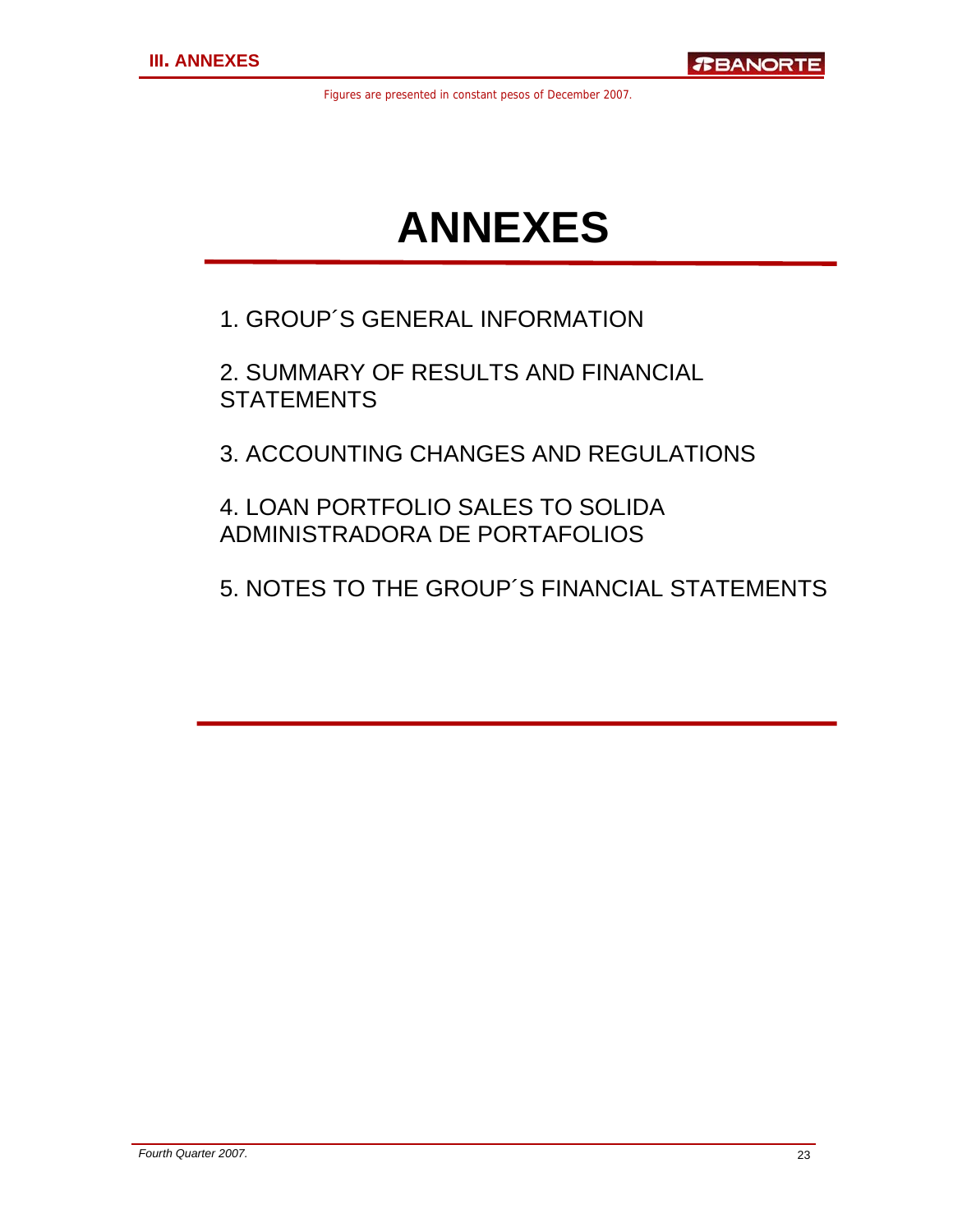# **ANNEXES**

1. GROUP´S GENERAL INFORMATION

2. SUMMARY OF RESULTS AND FINANCIAL **STATEMENTS** 

3. ACCOUNTING CHANGES AND REGULATIONS

4. LOAN PORTFOLIO SALES TO SOLIDA ADMINISTRADORA DE PORTAFOLIOS

5. NOTES TO THE GROUP´S FINANCIAL STATEMENTS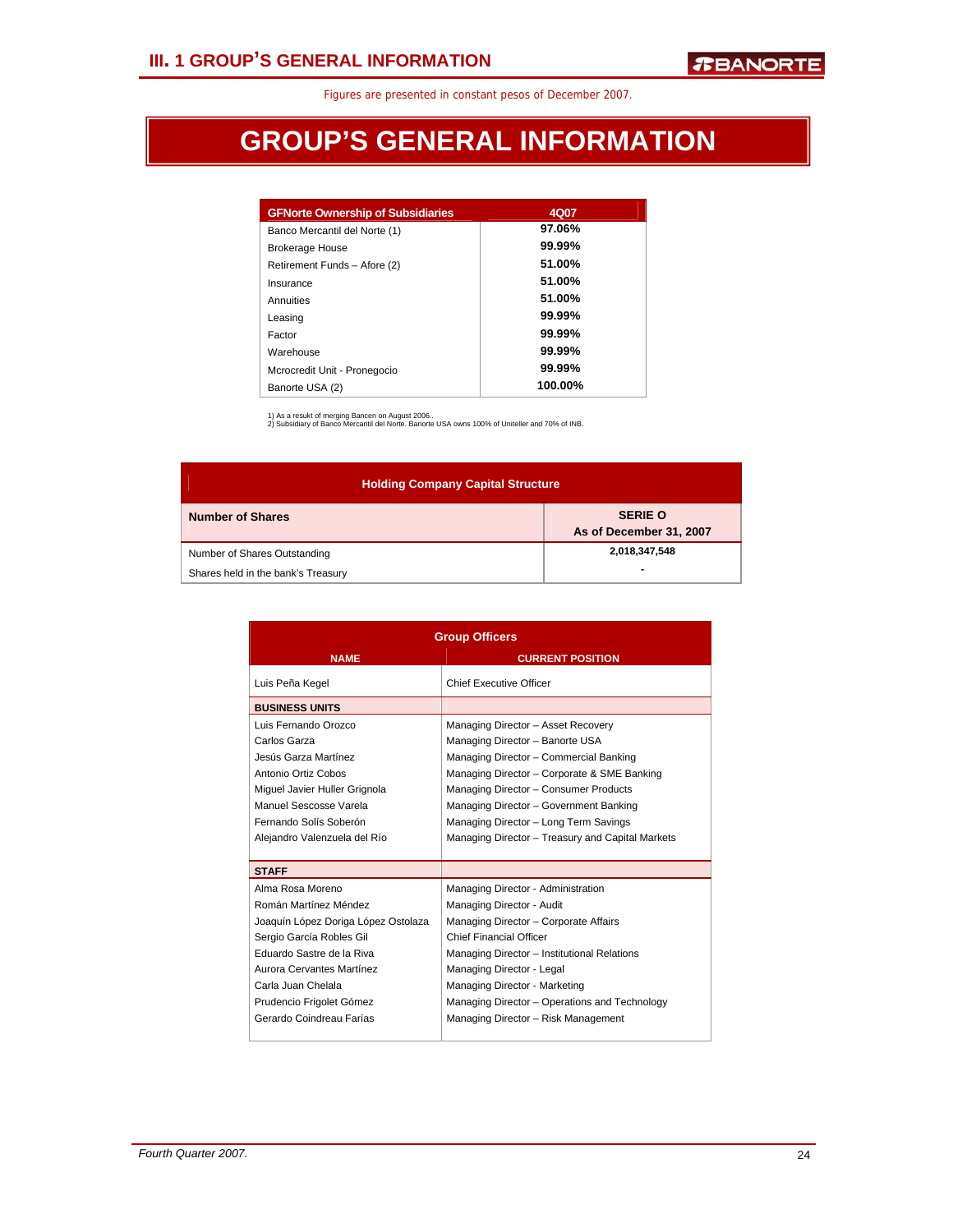## **GROUP'S GENERAL INFORMATION**

| <b>GFNorte Ownership of Subsidiaries</b> | 4Q07    |
|------------------------------------------|---------|
| Banco Mercantil del Norte (1)            | 97.06%  |
| <b>Brokerage House</b>                   | 99.99%  |
| Retirement Funds - Afore (2)             | 51.00%  |
| Insurance                                | 51.00%  |
| Annuities                                | 51.00%  |
| Leasing                                  | 99.99%  |
| Factor                                   | 99.99%  |
| Warehouse                                | 99.99%  |
| Mcrocredit Unit - Pronegocio             | 99.99%  |
| Banorte USA (2)                          | 100.00% |

1) As a resukt of merging Bancen on August 2006.. 2) Subsidiary of Banco Mercantil del Norte. Banorte USA owns 100% of Uniteller and 70% of INB.

| <b>Holding Company Capital Structure</b> |                                           |  |  |  |  |  |  |
|------------------------------------------|-------------------------------------------|--|--|--|--|--|--|
| <b>Number of Shares</b>                  | <b>SERIE O</b><br>As of December 31, 2007 |  |  |  |  |  |  |
| Number of Shares Outstanding             | 2,018,347,548                             |  |  |  |  |  |  |
| Shares held in the bank's Treasury       | $\blacksquare$                            |  |  |  |  |  |  |

|                                     | <b>Group Officers</b>                            |
|-------------------------------------|--------------------------------------------------|
| <b>NAME</b>                         | <b>CURRENT POSITION</b>                          |
| Luis Peña Kegel                     | <b>Chief Executive Officer</b>                   |
| <b>BUSINESS UNITS</b>               |                                                  |
| Luis Fernando Orozco                | Managing Director - Asset Recovery               |
| Carlos Garza                        | Managing Director - Banorte USA                  |
| Jesús Garza Martínez                | Managing Director - Commercial Banking           |
| Antonio Ortiz Cobos                 | Managing Director - Corporate & SME Banking      |
| Miquel Javier Huller Grignola       | Managing Director - Consumer Products            |
| Manuel Sescosse Varela              | Managing Director - Government Banking           |
| Fernando Solís Soberón              | Managing Director - Long Term Savings            |
| Alejandro Valenzuela del Río        | Managing Director - Treasury and Capital Markets |
|                                     |                                                  |
| <b>STAFF</b>                        |                                                  |
| Alma Rosa Moreno                    | Managing Director - Administration               |
| Román Martínez Méndez               | Managing Director - Audit                        |
| Joaquín López Doriga López Ostolaza | Managing Director - Corporate Affairs            |
| Sergio García Robles Gil            | <b>Chief Financial Officer</b>                   |
| Eduardo Sastre de la Riva           | Managing Director - Institutional Relations      |
| Aurora Cervantes Martínez           | Managing Director - Legal                        |
| Carla Juan Chelala                  | Managing Director - Marketing                    |
| Prudencio Frigolet Gómez            | Managing Director - Operations and Technology    |
| Gerardo Coindreau Farías            | Managing Director - Risk Management              |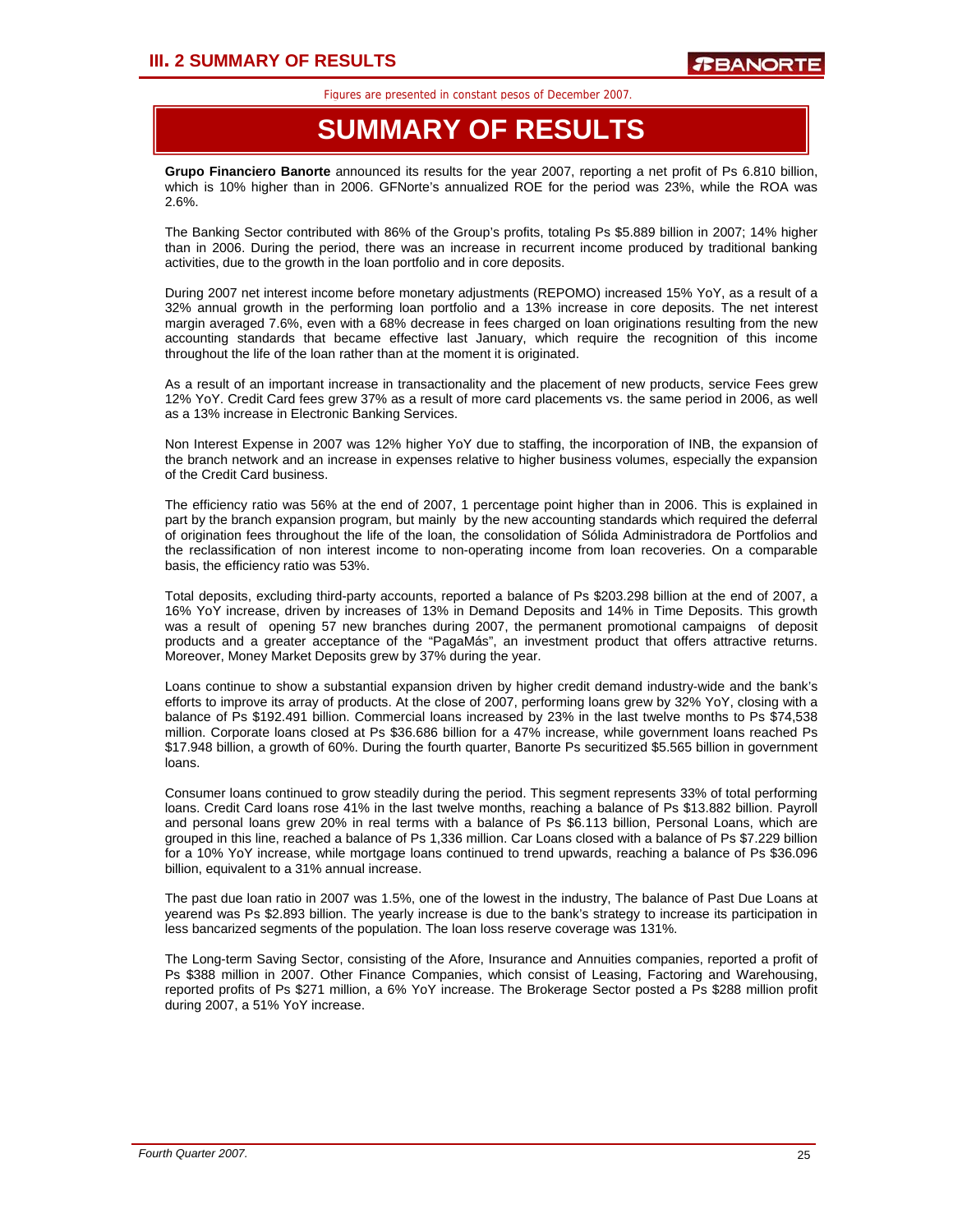## **SUMMARY OF RESULTS**

**Grupo Financiero Banorte** announced its results for the year 2007, reporting a net profit of Ps 6.810 billion, which is 10% higher than in 2006. GFNorte's annualized ROE for the period was 23%, while the ROA was 2.6%.

The Banking Sector contributed with 86% of the Group's profits, totaling Ps \$5.889 billion in 2007; 14% higher than in 2006. During the period, there was an increase in recurrent income produced by traditional banking activities, due to the growth in the loan portfolio and in core deposits.

During 2007 net interest income before monetary adjustments (REPOMO) increased 15% YoY, as a result of a 32% annual growth in the performing loan portfolio and a 13% increase in core deposits. The net interest margin averaged 7.6%, even with a 68% decrease in fees charged on loan originations resulting from the new accounting standards that became effective last January, which require the recognition of this income throughout the life of the loan rather than at the moment it is originated.

As a result of an important increase in transactionality and the placement of new products, service Fees grew 12% YoY. Credit Card fees grew 37% as a result of more card placements vs. the same period in 2006, as well as a 13% increase in Electronic Banking Services.

Non Interest Expense in 2007 was 12% higher YoY due to staffing, the incorporation of INB, the expansion of the branch network and an increase in expenses relative to higher business volumes, especially the expansion of the Credit Card business.

The efficiency ratio was 56% at the end of 2007, 1 percentage point higher than in 2006. This is explained in part by the branch expansion program, but mainly by the new accounting standards which required the deferral of origination fees throughout the life of the loan, the consolidation of Sólida Administradora de Portfolios and the reclassification of non interest income to non-operating income from loan recoveries. On a comparable basis, the efficiency ratio was 53%.

Total deposits, excluding third-party accounts, reported a balance of Ps \$203.298 billion at the end of 2007, a 16% YoY increase, driven by increases of 13% in Demand Deposits and 14% in Time Deposits. This growth was a result of opening 57 new branches during 2007, the permanent promotional campaigns of deposit products and a greater acceptance of the "PagaMás", an investment product that offers attractive returns. Moreover, Money Market Deposits grew by 37% during the year.

Loans continue to show a substantial expansion driven by higher credit demand industry-wide and the bank's efforts to improve its array of products. At the close of 2007, performing loans grew by 32% YoY, closing with a balance of Ps \$192.491 billion. Commercial loans increased by 23% in the last twelve months to Ps \$74,538 million. Corporate loans closed at Ps \$36.686 billion for a 47% increase, while government loans reached Ps \$17.948 billion, a growth of 60%. During the fourth quarter, Banorte Ps securitized \$5.565 billion in government loans.

Consumer loans continued to grow steadily during the period. This segment represents 33% of total performing loans. Credit Card loans rose 41% in the last twelve months, reaching a balance of Ps \$13.882 billion. Payroll and personal loans grew 20% in real terms with a balance of Ps \$6.113 billion, Personal Loans, which are grouped in this line, reached a balance of Ps 1,336 million. Car Loans closed with a balance of Ps \$7.229 billion for a 10% YoY increase, while mortgage loans continued to trend upwards, reaching a balance of Ps \$36.096 billion, equivalent to a 31% annual increase.

The past due loan ratio in 2007 was 1.5%, one of the lowest in the industry, The balance of Past Due Loans at yearend was Ps \$2.893 billion. The yearly increase is due to the bank's strategy to increase its participation in less bancarized segments of the population. The loan loss reserve coverage was 131%.

The Long-term Saving Sector, consisting of the Afore, Insurance and Annuities companies, reported a profit of Ps \$388 million in 2007. Other Finance Companies, which consist of Leasing, Factoring and Warehousing, reported profits of Ps \$271 million, a 6% YoY increase. The Brokerage Sector posted a Ps \$288 million profit during 2007, a 51% YoY increase.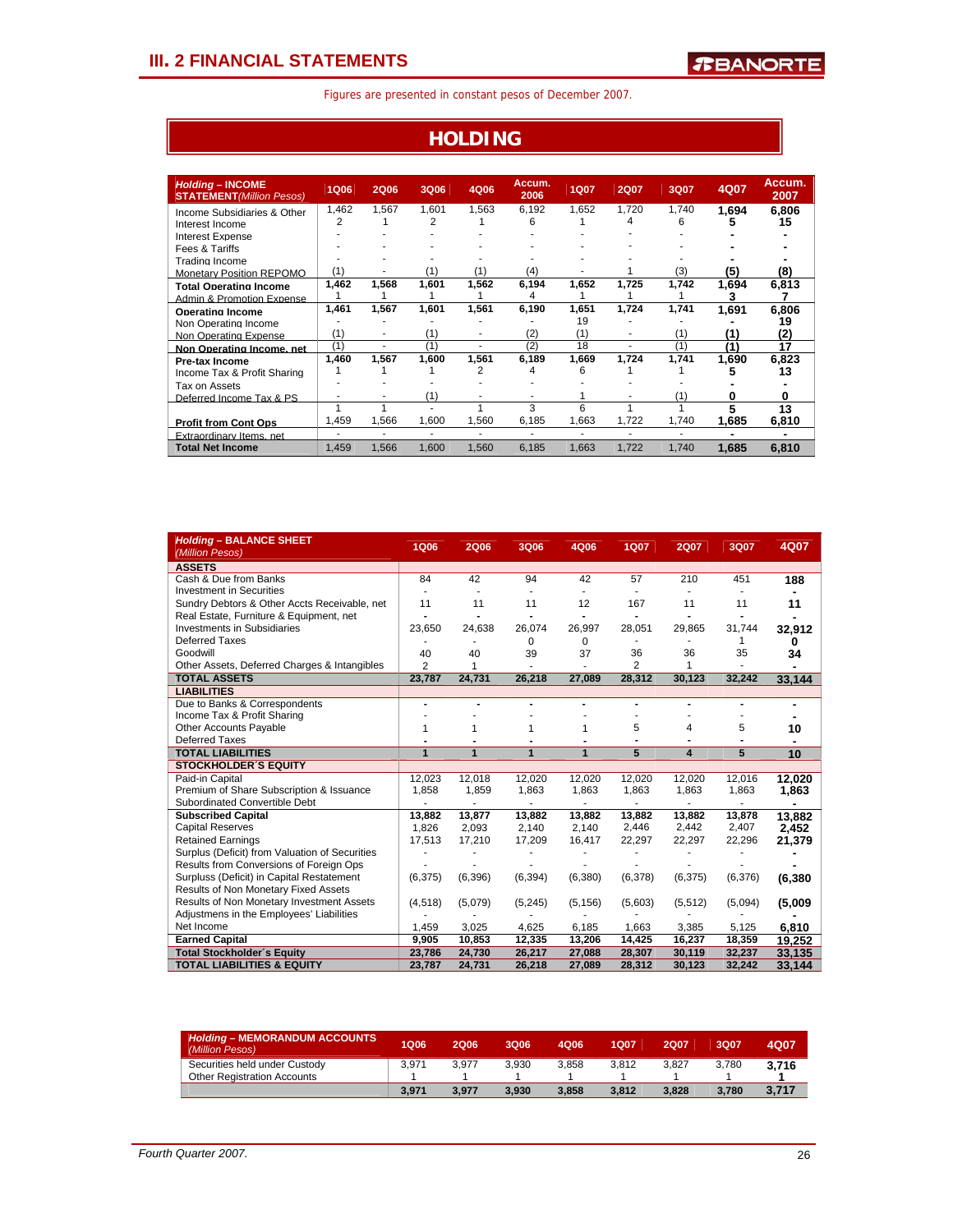## **HOLDING**

| <b>Holding - INCOME</b><br><b>STATEMENT</b> (Million Pesos) | <b>1Q06</b> | <b>2Q06</b> | <b>3Q06</b> | 4Q06  | Accum.<br>2006 | <b>1Q07</b> | <b>2Q07</b> | 3Q07  | 4Q07  | Accum.<br>2007 |
|-------------------------------------------------------------|-------------|-------------|-------------|-------|----------------|-------------|-------------|-------|-------|----------------|
| Income Subsidiaries & Other                                 | 1.462       | 1.567       | 1.601       | 1.563 | 6.192          | 1.652       | 1.720       | 1.740 | 1.694 | 6.806          |
| Interest Income                                             | 2           |             | 2           |       | Ⴌ              |             | 4           | 6     |       | 15             |
| Interest Expense                                            |             |             |             |       |                |             |             |       |       |                |
| Fees & Tariffs                                              |             |             |             |       |                |             |             |       |       |                |
| Trading Income                                              |             |             |             |       |                |             |             |       |       |                |
| <b>Monetary Position REPOMO</b>                             | (1)         |             | (1)         | (1)   | (4)            |             |             | (3)   | (5)   | (8)            |
| <b>Total Operating Income</b>                               | 1,462       | 1,568       | 1.601       | 1.562 | 6.194          | 1.652       | 1.725       | 1,742 | 1.694 | 6.813          |
| Admin & Promotion Expense                                   |             |             |             |       |                |             |             |       |       |                |
| Operating Income                                            | 1,461       | 1,567       | 1,601       | 1.561 | 6,190          | 1.651       | 1.724       | 1,741 | 1.691 | 6.806          |
| Non Operating Income                                        |             |             |             |       |                | 19          |             |       |       | 19             |
| Non Operating Expense                                       | (1)         | ۰           | (1)         | ٠     | (2)            | (1)         | ٠           | (1)   | (1)   | (2)            |
| Non Operating Income, net                                   | (1)         |             | (1)         | ٠     | (2)            | 18          |             | (1)   | (1)   | 17             |
| <b>Pre-tax Income</b>                                       | 1,460       | 1,567       | 1.600       | 1.561 | 6,189          | 1.669       | 1,724       | 1,741 | 1,690 | 6.823          |
| Income Tax & Profit Sharing                                 |             |             |             | 2     |                | Ⴌ           |             |       |       | 13             |
| Tax on Assets                                               |             |             |             |       |                |             |             |       |       |                |
| Deferred Income Tax & PS                                    |             |             | (1)         |       |                |             |             | (1)   |       |                |
|                                                             |             |             |             |       | 3              | 6           |             |       |       | 13             |
| <b>Profit from Cont Ops</b>                                 | .459        | 1,566       | 1.600       | 1.560 | 6,185          | 1,663       | 1,722       | 1.740 | 1.685 | 6.810          |
| Extraordinary Items, net                                    |             | ۰           | ٠           | ٠     | ٠              |             | ٠           | ٠     |       |                |
| <b>Total Net Income</b>                                     | 1.459       | 1.566       | 1.600       | 1.560 | 6.185          | 1.663       | 1,722       | 1.740 | 1.685 | 6.810          |

| <b>Holding - BALANCE SHEET</b><br>(Million Pesos)                          | <b>1Q06</b>      | <b>2Q06</b>      | 3Q06                     | 4Q06             | <b>1Q07</b>      | <b>2Q07</b>      | 3Q07             | 4Q07     |
|----------------------------------------------------------------------------|------------------|------------------|--------------------------|------------------|------------------|------------------|------------------|----------|
| <b>ASSETS</b>                                                              |                  |                  |                          |                  |                  |                  |                  |          |
| Cash & Due from Banks                                                      | 84               | 42               | 94                       | 42               | 57               | 210              | 451              | 188      |
| <b>Investment in Securities</b>                                            |                  |                  |                          |                  |                  |                  |                  |          |
| Sundry Debtors & Other Accts Receivable, net                               | 11               | 11               | 11                       | 12               | 167              | 11               | 11               | 11       |
| Real Estate, Furniture & Equipment, net                                    |                  |                  |                          |                  |                  |                  |                  |          |
| <b>Investments in Subsidiaries</b>                                         | 23,650           | 24,638           | 26,074                   | 26,997           | 28,051           | 29,865           | 31,744           | 32,912   |
| <b>Deferred Taxes</b>                                                      |                  |                  | $\Omega$                 | 0                |                  |                  | 1                | 0        |
| Goodwill                                                                   | 40               | 40               | 39                       | 37               | 36               | 36               | 35               | 34       |
| Other Assets, Deferred Charges & Intangibles                               | $\overline{2}$   | 1                | ä,                       |                  | $\overline{2}$   | 1                |                  | ٠        |
| <b>TOTAL ASSETS</b>                                                        | 23,787           | 24,731           | 26,218                   | 27,089           | 28,312           | 30,123           | 32,242           | 33.144   |
| <b>LIABILITIES</b>                                                         |                  |                  |                          |                  |                  |                  |                  |          |
| Due to Banks & Correspondents                                              | ۰                |                  |                          |                  | ٠                |                  |                  |          |
| Income Tax & Profit Sharing                                                |                  |                  |                          |                  |                  |                  |                  |          |
| Other Accounts Payable                                                     | 1                | 1                | 1                        | 1                | 5                | 4                | 5                | 10       |
| <b>Deferred Taxes</b>                                                      |                  | $\blacksquare$   |                          |                  |                  |                  |                  |          |
| <b>TOTAL LIABILITIES</b>                                                   | 1                | 1                | $\overline{1}$           | $\overline{1}$   | 5                | 4                | 5                | 10       |
| <b>STOCKHOLDER'S EQUITY</b>                                                |                  |                  |                          |                  |                  |                  |                  |          |
| Paid-in Capital                                                            | 12,023           | 12,018           | 12,020                   | 12,020           | 12,020           | 12,020           | 12,016           | 12.020   |
| Premium of Share Subscription & Issuance                                   | 1,858            | 1,859            | 1,863                    | 1,863            | 1,863            | 1,863            | 1,863            | 1,863    |
| Subordinated Convertible Debt                                              |                  | ٠                | $\overline{\phantom{a}}$ |                  |                  |                  |                  |          |
| <b>Subscribed Capital</b>                                                  | 13,882           | 13,877           | 13,882                   | 13,882           | 13,882           | 13,882           | 13,878           | 13.882   |
| <b>Capital Reserves</b>                                                    | 1,826            | 2,093            | 2,140                    | 2,140            | 2,446            | 2,442            | 2,407            | 2,452    |
| <b>Retained Earnings</b>                                                   | 17,513           | 17,210           | 17,209                   | 16,417           | 22,297           | 22,297           | 22,296           | 21,379   |
| Surplus (Deficit) from Valuation of Securities                             |                  |                  |                          |                  |                  |                  |                  |          |
| Results from Conversions of Foreign Ops                                    |                  |                  |                          |                  |                  |                  |                  |          |
| Surpluss (Deficit) in Capital Restatement                                  | (6, 375)         | (6,396)          | (6, 394)                 | (6,380)          | (6,378)          | (6,375)          | (6,376)          | (6, 380) |
| Results of Non Monetary Fixed Assets                                       |                  |                  |                          |                  |                  |                  |                  |          |
| Results of Non Monetary Investment Assets                                  | (4, 518)         | (5,079)          | (5, 245)                 | (5, 156)         | (5,603)          | (5,512)          | (5,094)          | (5,009)  |
| Adjustmens in the Employees' Liabilities                                   |                  |                  |                          |                  |                  |                  |                  |          |
| Net Income                                                                 | 1,459            | 3,025            | 4,625                    | 6,185            | 1,663            | 3,385            | 5,125            | 6,810    |
|                                                                            |                  |                  |                          |                  |                  |                  |                  |          |
| <b>Earned Capital</b>                                                      | 9.905            | 10,853           | 12,335                   | 13,206           | 14,425           | 16,237           | 18,359           | 19.252   |
| <b>Total Stockholder's Equity</b><br><b>TOTAL LIABILITIES &amp; EQUITY</b> | 23,786<br>23,787 | 24,730<br>24,731 | 26,217<br>26,218         | 27,088<br>27,089 | 28,307<br>28,312 | 30,119<br>30,123 | 32,237<br>32,242 | 33,135   |

| <b>Holding - MEMORANDUM ACCOUNTS</b><br>(Million Pesos) | 1Q06  | 2006  | 3006  | 4006  | 1007  | 2007  | 3Q07  | 4Q07  |
|---------------------------------------------------------|-------|-------|-------|-------|-------|-------|-------|-------|
| Securities held under Custody                           | 3.971 | 3.977 | 3.930 | 3.858 | 3.812 | 3.827 | 3.780 | 3.716 |
| <b>Other Registration Accounts</b>                      |       |       |       |       |       |       |       |       |
|                                                         | 3.971 | 3.977 | 3.930 | 3.858 | 3.812 | 3.828 | 3.780 | 3,717 |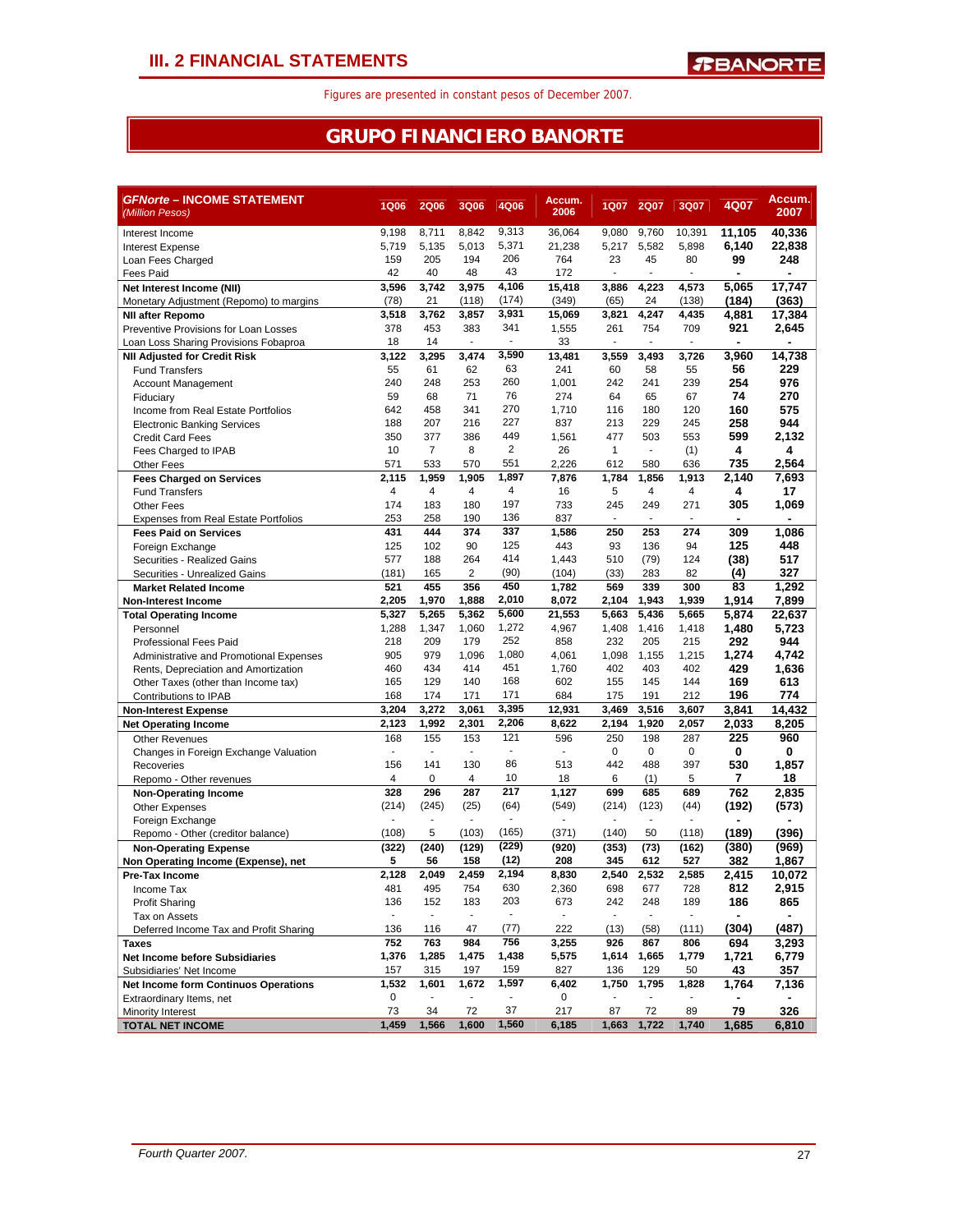## **GRUPO FINANCIERO BANORTE**

| <b>GFNorte - INCOME STATEMENT</b><br>(Million Pesos)                | <b>1Q06</b>           | <b>2Q06</b>                     | 3Q06                     | 4Q06                     | Accum.<br>2006 | 1Q07                     | <b>2Q07</b>    | 3Q07                     | 4Q07         | Accum.<br>2007 |
|---------------------------------------------------------------------|-----------------------|---------------------------------|--------------------------|--------------------------|----------------|--------------------------|----------------|--------------------------|--------------|----------------|
| Interest Income                                                     | 9,198                 | 8,711                           | 8.842                    | 9,313                    | 36,064         | 9,080                    | 9,760          | 10,391                   | 11,105       | 40,336         |
| Interest Expense                                                    | 5,719                 | 5,135                           | 5,013                    | 5,371                    | 21,238         | 5,217                    | 5,582          | 5,898                    | 6,140        | 22,838         |
| Loan Fees Charged                                                   | 159                   | 205                             | 194                      | 206                      | 764            | 23                       | 45             | 80                       | 99           | 248            |
| <b>Fees Paid</b>                                                    | 42                    | 40                              | 48                       | 43                       | 172            | $\overline{\phantom{a}}$ | $\blacksquare$ | $\blacksquare$           |              |                |
| Net Interest Income (NII)                                           | 3,596                 | 3,742                           | 3.975                    | 4,106                    | 15,418         | 3,886                    | 4,223          | 4,573                    | 5,065        | 17,747         |
| Monetary Adjustment (Repomo) to margins                             | (78)                  | 21                              | (118)                    | (174)                    | (349)          | (65)                     | 24             | (138)                    | (184)        | (363)          |
| <b>NII after Repomo</b>                                             | 3,518                 | 3,762                           | 3,857                    | 3,931                    | 15,069         | 3,821                    | 4,247          | 4,435                    | 4,881        | 17,384         |
| Preventive Provisions for Loan Losses                               | 378                   | 453                             | 383                      | 341                      | 1,555          | 261                      | 754            | 709                      | 921          | 2,645          |
| Loan Loss Sharing Provisions Fobaproa                               | 18                    | 14                              |                          |                          | 33             | ä,                       |                |                          |              |                |
| <b>NII Adjusted for Credit Risk</b>                                 | 3,122                 | 3,295                           | 3,474                    | 3,590                    | 13,481         | 3,559                    | 3,493          | 3,726                    | 3,960        | 14,738         |
| <b>Fund Transfers</b>                                               | 55                    | 61                              | 62                       | 63                       | 241            | 60                       | 58             | 55                       | 56           | 229            |
| <b>Account Management</b>                                           | 240                   | 248                             | 253                      | 260                      | 1,001          | 242                      | 241            | 239                      | 254          | 976            |
| Fiduciary                                                           | 59                    | 68                              | 71                       | 76                       | 274            | 64                       | 65             | 67                       | 74           | 270            |
| Income from Real Estate Portfolios                                  | 642                   | 458                             | 341                      | 270                      | 1,710          | 116                      | 180            | 120                      | 160          | 575            |
| <b>Electronic Banking Services</b>                                  | 188                   | 207                             | 216                      | 227                      | 837            | 213                      | 229            | 245                      | 258          | 944            |
| <b>Credit Card Fees</b>                                             | 350                   | 377                             | 386                      | 449                      | 1,561          | 477                      | 503            | 553                      | 599          | 2,132          |
| Fees Charged to IPAB                                                | 10                    | $\overline{7}$                  | 8                        | $\overline{2}$           | 26             | $\mathbf{1}$             | $\blacksquare$ | (1)                      | 4            | 4              |
| Other Fees                                                          | 571                   | 533                             | 570                      | 551                      | 2,226          | 612                      | 580            | 636                      | 735          | 2,564          |
| <b>Fees Charged on Services</b>                                     | 2,115                 | 1,959                           | 1,905                    | 1,897                    | 7,876          | 1,784                    | 1,856          | 1,913                    | 2,140        | 7,693          |
| <b>Fund Transfers</b>                                               | $\overline{4}$        | $\overline{4}$                  | 4                        | 4                        | 16             | 5                        | 4              | 4                        | 4            | 17             |
| <b>Other Fees</b>                                                   | 174                   | 183                             | 180                      | 197                      | 733            | 245                      | 249            | 271                      | 305          | 1,069          |
| <b>Expenses from Real Estate Portfolios</b>                         | 253                   | 258                             | 190                      | 136                      | 837            | ä,                       | ÷              | ÷.                       |              |                |
| <b>Fees Paid on Services</b>                                        | 431                   | 444                             | 374                      | 337                      | 1,586          | 250                      | 253            | 274                      | 309          | 1,086          |
| Foreign Exchange                                                    | 125                   | 102                             | 90                       | 125                      | 443            | 93                       | 136            | 94                       | 125          | 448            |
| Securities - Realized Gains                                         | 577                   | 188                             | 264                      | 414                      | 1,443          | 510                      | (79)           | 124                      | (38)         | 517            |
| Securities - Unrealized Gains                                       | (181)                 | 165                             | 2                        | (90)                     | (104)          | (33)                     | 283            | 82                       | (4)          | 327            |
| <b>Market Related Income</b>                                        | 521                   | 455                             | 356                      | 450                      | 1,782          | 569                      | 339            | 300                      | 83           | 1,292          |
| <b>Non-Interest Income</b>                                          | 2,205                 | 1,970                           | 1,888                    | 2,010                    | 8,072          | 2,104                    | 1,943          | 1,939                    | 1,914        | 7,899          |
| <b>Total Operating Income</b>                                       | 5,327                 | 5,265                           | 5,362                    | 5,600                    | 21,553         | 5.663                    | 5,436          | 5,665                    | 5,874        | 22,637         |
| Personnel                                                           | 1,288                 | 1,347                           | 1,060                    | 1,272<br>252             | 4,967          | 1,408                    | 1,416          | 1,418                    | 1,480        | 5,723          |
| <b>Professional Fees Paid</b>                                       | 218                   | 209<br>979                      | 179                      |                          | 858            | 232                      | 205            | 215                      | 292          | 944            |
| Administrative and Promotional Expenses                             | 905<br>460            | 434                             | 1,096<br>414             | 1,080<br>451             | 4,061          | 1,098<br>402             | 1,155<br>403   | 1,215<br>402             | 1,274        | 4,742          |
| Rents, Depreciation and Amortization                                |                       |                                 |                          | 168                      | 1,760          |                          |                |                          | 429          | 1,636          |
| Other Taxes (other than Income tax)                                 | 165<br>168            | 129<br>174                      | 140                      | 171                      | 602<br>684     | 155                      | 145            | 144<br>212               | 169          | 613            |
| Contributions to IPAB                                               | 3,204                 | 3,272                           | 171<br>3,061             | 3,395                    | 12,931         | 175<br>3,469             | 191<br>3,516   | 3,607                    | 196<br>3,841 | 774<br>14,432  |
| <b>Non-Interest Expense</b>                                         | 2,123                 | 1,992                           | 2,301                    | 2,206                    | 8,622          | 2,194                    | 1,920          | 2,057                    | 2,033        | 8,205          |
| <b>Net Operating Income</b>                                         |                       |                                 |                          | 121                      |                |                          |                |                          | 225          | 960            |
| <b>Other Revenues</b>                                               | 168<br>$\overline{a}$ | 155<br>$\overline{\phantom{a}}$ | 153<br>÷.                | $\blacksquare$           | 596<br>÷.      | 250<br>0                 | 198<br>0       | 287<br>$\pmb{0}$         | 0            |                |
| Changes in Foreign Exchange Valuation                               | 156                   | 141                             | 130                      | 86                       | 513            | 442                      | 488            | 397                      |              | 0<br>1,857     |
| Recoveries                                                          | $\overline{4}$        | 0                               | 4                        | 10                       | 18             | 6                        | (1)            | 5                        | 530          | 18             |
| Repomo - Other revenues                                             | 328                   | 296                             | 287                      | 217                      | 1,127          | 699                      | 685            | 689                      | 7<br>762     | 2,835          |
| <b>Non-Operating Income</b>                                         | (214)                 | (245)                           | (25)                     | (64)                     | (549)          | (214)                    | (123)          | (44)                     | (192)        | (573)          |
| <b>Other Expenses</b>                                               | ٠                     | $\sim$                          |                          |                          |                | ٠                        | ٠              | $\blacksquare$           |              |                |
| Foreign Exchange                                                    | (108)                 | 5                               | (103)                    | (165)                    | (371)          | (140)                    | 50             | (118)                    | (189)        | (396)          |
| Repomo - Other (creditor balance)                                   | (322)                 | (240)                           | (129)                    | (229)                    | (920)          | (353)                    | (73)           | (162)                    | (380)        | (969)          |
| <b>Non-Operating Expense</b><br>Non Operating Income (Expense), net | 5                     | 56                              | 158                      | (12)                     | 208            | 345                      | 612            | 527                      | 382          | 1,867          |
|                                                                     | 2,128                 | 2,049                           | 2,459                    | 2,194                    | 8,830          | 2,540                    | 2,532          | 2,585                    | 2.415        | 10,072         |
| Pre-Tax Income<br>Income Tax                                        | 481                   | 495                             | 754                      | 630                      | 2,360          | 698                      | 677            | 728                      | 812          | 2,915          |
| <b>Profit Sharing</b>                                               | 136                   | 152                             | 183                      | 203                      | 673            | 242                      | 248            | 189                      | 186          | 865            |
| Tax on Assets                                                       | $\blacksquare$        | $\sim$                          | $\overline{\phantom{a}}$ | $\overline{\phantom{a}}$ | $\blacksquare$ | $\blacksquare$           | $\blacksquare$ | $\overline{\phantom{a}}$ |              |                |
| Deferred Income Tax and Profit Sharing                              | 136                   | 116                             | 47                       | (77)                     | 222            | (13)                     | (58)           | (111)                    | (304)        | (487)          |
| Taxes                                                               | 752                   | 763                             | 984                      | 756                      | 3,255          | 926                      | 867            | 806                      | 694          | 3,293          |
| <b>Net Income before Subsidiaries</b>                               | 1,376                 | 1,285                           | 1,475                    | 1,438                    | 5,575          | 1,614                    | 1,665          | 1,779                    | 1,721        | 6,779          |
| Subsidiaries' Net Income                                            | 157                   | 315                             | 197                      | 159                      | 827            | 136                      | 129            | 50                       | 43           | 357            |
| Net Income form Continuos Operations                                | 1,532                 | 1,601                           | 1,672                    | 1,597                    | 6,402          | 1,750                    | 1,795          | 1,828                    | 1,764        | 7,136          |
| Extraordinary Items, net                                            | 0                     |                                 |                          |                          | 0              |                          |                | $\overline{\phantom{a}}$ |              |                |
| Minority Interest                                                   | 73                    | 34                              | 72                       | 37                       | 217            | 87                       | 72             | 89                       | 79           | 326            |
| <b>TOTAL NET INCOME</b>                                             | 1,459                 | 1,566                           | 1,600                    | 1,560                    | 6,185          | 1,663                    | 1,722          | 1,740                    | 1,685        | 6,810          |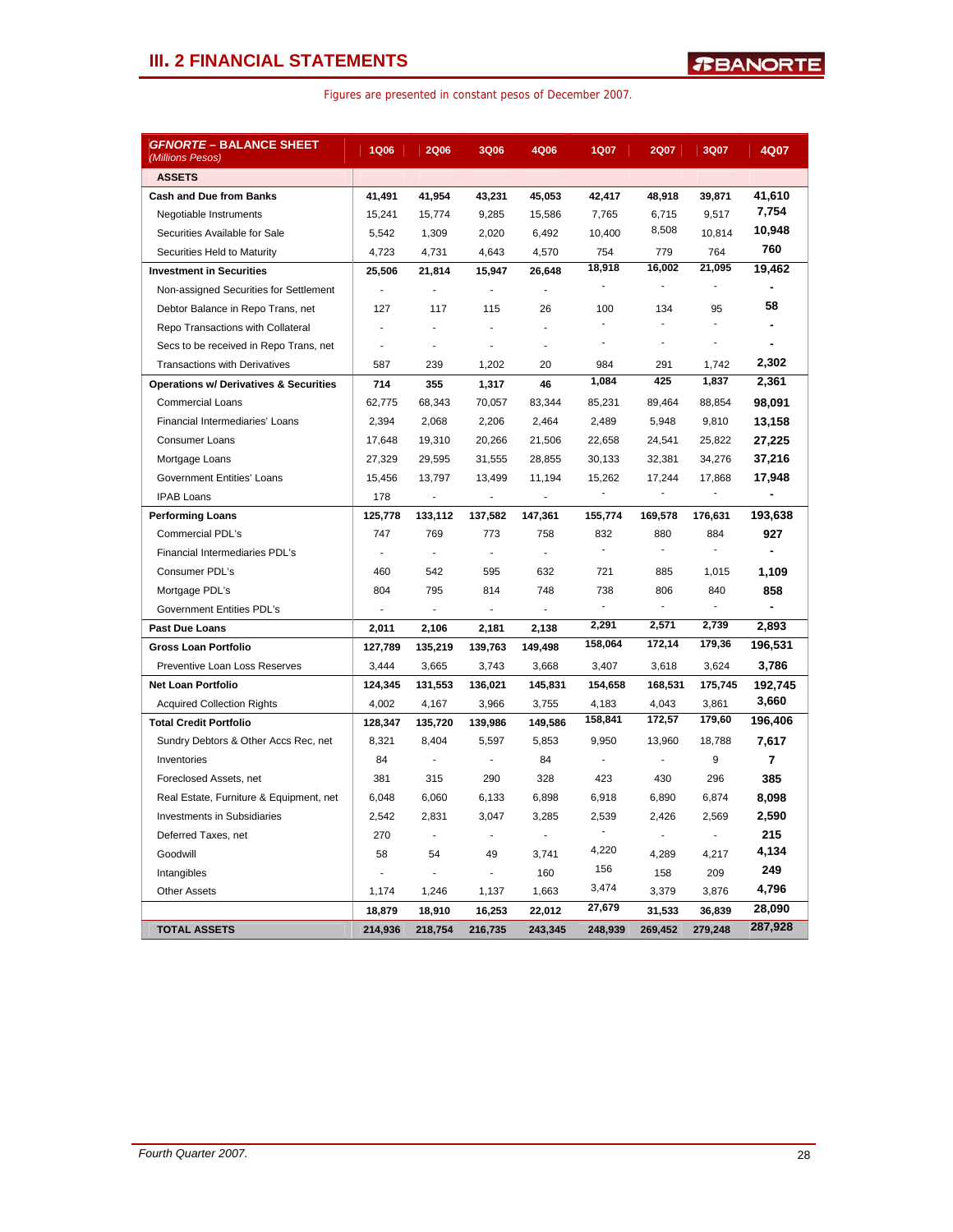## **III. 2 FINANCIAL STATEMENTS**

| <i>GFNORTE</i> – BALANCE SHEET<br>(Millions Pesos) | <b>1Q06</b>    | <b>2Q06</b>    | 3Q06           | 4Q06                     | <b>1Q07</b> | <b>2Q07</b>              | 3Q07           | 4Q07           |
|----------------------------------------------------|----------------|----------------|----------------|--------------------------|-------------|--------------------------|----------------|----------------|
| <b>ASSETS</b>                                      |                |                |                |                          |             |                          |                |                |
| <b>Cash and Due from Banks</b>                     | 41,491         | 41,954         | 43,231         | 45,053                   | 42,417      | 48,918                   | 39,871         | 41,610         |
| Negotiable Instruments                             | 15,241         | 15,774         | 9,285          | 15,586                   | 7,765       | 6,715                    | 9.517          | 7,754          |
| Securities Available for Sale                      | 5,542          | 1,309          | 2,020          | 6,492                    | 10,400      | 8,508                    | 10,814         | 10,948         |
| Securities Held to Maturity                        | 4,723          | 4,731          | 4,643          | 4,570                    | 754         | 779                      | 764            | 760            |
| <b>Investment in Securities</b>                    | 25,506         | 21,814         | 15,947         | 26,648                   | 18,918      | 16,002                   | 21,095         | 19,462         |
| Non-assigned Securities for Settlement             | $\blacksquare$ | L,             | $\blacksquare$ | $\blacksquare$           | ä,          | $\overline{\phantom{a}}$ | $\overline{a}$ | $\blacksquare$ |
| Debtor Balance in Repo Trans, net                  | 127            | 117            | 115            | 26                       | 100         | 134                      | 95             | 58             |
| Repo Transactions with Collateral                  | ÷,             | ÷,             | $\overline{a}$ | ÷,                       |             |                          |                |                |
| Secs to be received in Repo Trans, net             | Ĭ.             | ä,             | ä,             | ä,                       | ä,          | ä,                       | ä,             |                |
| <b>Transactions with Derivatives</b>               | 587            | 239            | 1,202          | 20                       | 984         | 291                      | 1.742          | 2,302          |
| <b>Operations w/ Derivatives &amp; Securities</b>  | 714            | 355            | 1,317          | 46                       | 1,084       | 425                      | 1,837          | 2,361          |
| <b>Commercial Loans</b>                            | 62,775         | 68,343         | 70,057         | 83,344                   | 85,231      | 89,464                   | 88,854         | 98,091         |
| Financial Intermediaries' Loans                    | 2,394          | 2,068          | 2,206          | 2,464                    | 2,489       | 5,948                    | 9,810          | 13,158         |
| <b>Consumer Loans</b>                              | 17,648         | 19,310         | 20,266         | 21,506                   | 22,658      | 24,541                   | 25,822         | 27,225         |
| Mortgage Loans                                     | 27,329         | 29,595         | 31,555         | 28,855                   | 30,133      | 32,381                   | 34,276         | 37,216         |
| <b>Government Entities' Loans</b>                  | 15,456         | 13,797         | 13,499         | 11,194                   | 15,262      | 17,244                   | 17,868         | 17,948         |
| <b>IPAB Loans</b>                                  | 178            | ä,             | $\sim$         | $\overline{\phantom{a}}$ | $\Box$      | $\overline{\phantom{a}}$ | ÷,             | $\blacksquare$ |
| <b>Performing Loans</b>                            | 125,778        | 133,112        | 137,582        | 147,361                  | 155,774     | 169,578                  | 176,631        | 193,638        |
| <b>Commercial PDL's</b>                            | 747            | 769            | 773            | 758                      | 832         | 880                      | 884            | 927            |
| Financial Intermediaries PDL's                     | ÷,             | ÷,             | $\sim$         | $\mathbf{r}$             |             | $\overline{\phantom{a}}$ | ٠              |                |
| Consumer PDL's                                     | 460            | 542            | 595            | 632                      | 721         | 885                      | 1,015          | 1,109          |
| Mortgage PDL's                                     | 804            | 795            | 814            | 748                      | 738         | 806                      | 840            | 858            |
| Government Entities PDL's                          | $\blacksquare$ | $\blacksquare$ | $\blacksquare$ | $\blacksquare$           |             | $\overline{\phantom{a}}$ | ÷,             | $\overline{a}$ |
| Past Due Loans                                     | 2,011          | 2,106          | 2,181          | 2,138                    | 2,291       | 2,571                    | 2,739          | 2,893          |
| <b>Gross Loan Portfolio</b>                        | 127,789        | 135,219        | 139,763        | 149,498                  | 158,064     | 172,14                   | 179,36         | 196,531        |
| Preventive Loan Loss Reserves                      | 3,444          | 3,665          | 3,743          | 3,668                    | 3,407       | 3,618                    | 3,624          | 3,786          |
| <b>Net Loan Portfolio</b>                          | 124,345        | 131,553        | 136,021        | 145,831                  | 154,658     | 168,531                  | 175,745        | 192,745        |
| <b>Acquired Collection Rights</b>                  | 4,002          | 4,167          | 3,966          | 3,755                    | 4,183       | 4,043                    | 3,861          | 3,660          |
| <b>Total Credit Portfolio</b>                      | 128,347        | 135,720        | 139,986        | 149,586                  | 158,841     | 172,57                   | 179,60         | 196,406        |
| Sundry Debtors & Other Accs Rec, net               | 8,321          | 8,404          | 5,597          | 5,853                    | 9,950       | 13,960                   | 18,788         | 7,617          |
| Inventories                                        | 84             | $\blacksquare$ | $\blacksquare$ | 84                       |             | $\overline{a}$           | 9              | 7              |
| Foreclosed Assets, net                             | 381            | 315            | 290            | 328                      | 423         | 430                      | 296            | 385            |
| Real Estate, Furniture & Equipment, net            | 6,048          | 6,060          | 6,133          | 6,898                    | 6,918       | 6,890                    | 6,874          | 8,098          |
| <b>Investments in Subsidiaries</b>                 | 2,542          | 2,831          | 3,047          | 3,285                    | 2,539       | 2,426                    | 2,569          | 2,590          |
| Deferred Taxes, net                                | 270            | ÷,             | ÷,             |                          | ÷           | $\blacksquare$           | $\overline{a}$ | 215            |
| Goodwill                                           | 58             | 54             | 49             | 3,741                    | 4,220       | 4,289                    | 4,217          | 4,134          |
| Intangibles                                        |                |                |                | 160                      | 156         | 158                      | 209            | 249            |
| <b>Other Assets</b>                                | 1,174          | 1,246          | 1,137          | 1,663                    | 3,474       | 3,379                    | 3,876          | 4,796          |
|                                                    | 18,879         | 18,910         | 16,253         | 22,012                   | 27,679      | 31,533                   | 36,839         | 28,090         |
| <b>TOTAL ASSETS</b>                                | 214,936        | 218,754        | 216,735        | 243,345                  | 248,939     | 269,452                  | 279,248        | 287,928        |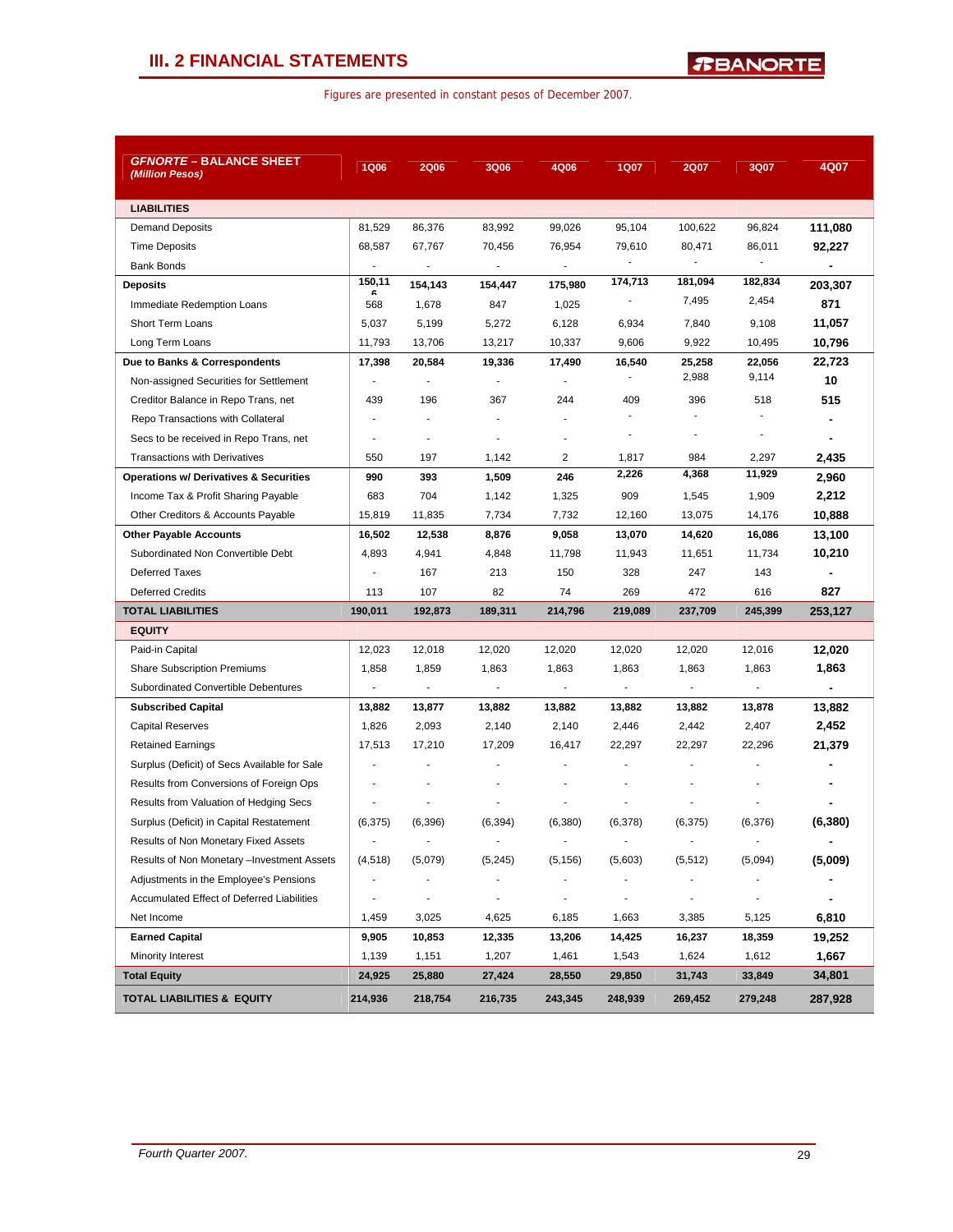| <b>GFNORTE - BALANCE SHEET</b><br>(Million Pesos) | <b>1Q06</b>              | <b>2Q06</b>              | <b>3Q06</b>              | 4Q06                     | <b>1Q07</b>              | <b>2Q07</b>              | 3Q07                     | 4Q07           |
|---------------------------------------------------|--------------------------|--------------------------|--------------------------|--------------------------|--------------------------|--------------------------|--------------------------|----------------|
| <b>LIABILITIES</b>                                |                          |                          |                          |                          |                          |                          |                          |                |
| <b>Demand Deposits</b>                            | 81,529                   | 86,376                   | 83,992                   | 99,026                   | 95,104                   | 100,622                  | 96,824                   | 111,080        |
| <b>Time Deposits</b>                              | 68,587                   | 67,767                   | 70,456                   | 76,954                   | 79,610                   | 80,471                   | 86,011                   | 92,227         |
| <b>Bank Bonds</b>                                 |                          | $\overline{\phantom{a}}$ | $\blacksquare$           | $\overline{\phantom{a}}$ | $\blacksquare$           | ÷,                       |                          |                |
| <b>Deposits</b>                                   | 150,11<br>ĥ              | 154,143                  | 154,447                  | 175,980                  | 174,713                  | 181,094                  | 182,834                  | 203,307        |
| Immediate Redemption Loans                        | 568                      | 1,678                    | 847                      | 1,025                    | ٠                        | 7,495                    | 2,454                    | 871            |
| <b>Short Term Loans</b>                           | 5,037                    | 5,199                    | 5,272                    | 6,128                    | 6,934                    | 7,840                    | 9,108                    | 11,057         |
| Long Term Loans                                   | 11,793                   | 13,706                   | 13,217                   | 10,337                   | 9,606                    | 9,922                    | 10,495                   | 10,796         |
| Due to Banks & Correspondents                     | 17,398                   | 20,584                   | 19,336                   | 17,490                   | 16,540                   | 25,258                   | 22,056                   | 22,723         |
| Non-assigned Securities for Settlement            | $\blacksquare$           | $\blacksquare$           | $\blacksquare$           | $\overline{a}$           | $\blacksquare$           | 2,988                    | 9,114                    | 10             |
| Creditor Balance in Repo Trans, net               | 439                      | 196                      | 367                      | 244                      | 409                      | 396                      | 518                      | 515            |
| Repo Transactions with Collateral                 |                          |                          |                          |                          |                          | $\blacksquare$           |                          |                |
| Secs to be received in Repo Trans, net            |                          | ٠                        |                          |                          | $\blacksquare$           | $\overline{\phantom{a}}$ |                          | $\blacksquare$ |
| <b>Transactions with Derivatives</b>              | 550                      | 197                      | 1,142                    | 2                        | 1,817                    | 984                      | 2,297                    | 2,435          |
| <b>Operations w/ Derivatives &amp; Securities</b> | 990                      | 393                      | 1,509                    | 246                      | 2,226                    | 4,368                    | 11,929                   | 2,960          |
| Income Tax & Profit Sharing Payable               | 683                      | 704                      | 1,142                    | 1,325                    | 909                      | 1,545                    | 1,909                    | 2,212          |
| Other Creditors & Accounts Payable                | 15,819                   | 11,835                   | 7,734                    | 7,732                    | 12,160                   | 13,075                   | 14,176                   | 10,888         |
| <b>Other Payable Accounts</b>                     | 16,502                   | 12,538                   | 8,876                    | 9,058                    | 13,070                   | 14,620                   | 16,086                   | 13,100         |
| Subordinated Non Convertible Debt                 | 4,893                    | 4,941                    | 4,848                    | 11,798                   | 11,943                   | 11,651                   | 11,734                   | 10,210         |
| Deferred Taxes                                    | $\overline{a}$           | 167                      | 213                      | 150                      | 328                      | 247                      | 143                      |                |
| <b>Deferred Credits</b>                           | 113                      | 107                      | 82                       | 74                       | 269                      | 472                      | 616                      | 827            |
| <b>TOTAL LIABILITIES</b>                          | 190,011                  | 192,873                  | 189,311                  | 214,796                  | 219,089                  | 237,709                  | 245,399                  | 253,127        |
| <b>EQUITY</b>                                     |                          |                          |                          |                          |                          |                          |                          |                |
| Paid-in Capital                                   | 12,023                   | 12,018                   | 12,020                   | 12,020                   | 12,020                   | 12,020                   | 12,016                   | 12,020         |
| <b>Share Subscription Premiums</b>                | 1,858                    | 1,859                    | 1,863                    | 1,863                    | 1,863                    | 1,863                    | 1,863                    | 1,863          |
| Subordinated Convertible Debentures               | $\overline{\phantom{a}}$ | $\overline{\phantom{a}}$ | $\blacksquare$           | $\overline{\phantom{a}}$ | $\overline{\phantom{a}}$ | $\blacksquare$           | $\overline{\phantom{a}}$ |                |
| <b>Subscribed Capital</b>                         | 13,882                   | 13,877                   | 13,882                   | 13,882                   | 13,882                   | 13,882                   | 13,878                   | 13,882         |
| Capital Reserves                                  | 1,826                    | 2,093                    | 2,140                    | 2,140                    | 2,446                    | 2,442                    | 2,407                    | 2,452          |
| <b>Retained Earnings</b>                          | 17,513                   | 17,210                   | 17,209                   | 16,417                   | 22,297                   | 22,297                   | 22,296                   | 21,379         |
| Surplus (Deficit) of Secs Available for Sale      |                          |                          |                          |                          |                          |                          |                          |                |
| Results from Conversions of Foreign Ops           |                          | ٠                        |                          |                          |                          |                          |                          |                |
| Results from Valuation of Hedging Secs            |                          |                          |                          |                          |                          |                          |                          |                |
| Surplus (Deficit) in Capital Restatement          | (6, 375)                 | (6,396)                  | (6, 394)                 | (6, 380)                 | (6,378)                  | (6, 375)                 | (6,376)                  | (6, 380)       |
| Results of Non Monetary Fixed Assets              | $\overline{\phantom{a}}$ | ٠                        |                          | $\overline{\phantom{a}}$ |                          | $\blacksquare$           | ٠                        | ٠              |
| Results of Non Monetary - Investment Assets       | (4, 518)                 | (5,079)                  | (5, 245)                 | (5, 156)                 | (5,603)                  | (5, 512)                 | (5,094)                  | (5,009)        |
| Adjustments in the Employee's Pensions            | $\overline{\phantom{a}}$ | $\overline{\phantom{a}}$ | $\overline{\phantom{a}}$ |                          |                          | ٠                        | ٠                        |                |
| Accumulated Effect of Deferred Liabilities        | $\overline{\phantom{a}}$ | ٠                        | $\blacksquare$           | $\overline{\phantom{a}}$ |                          | $\overline{\phantom{a}}$ | $\overline{\phantom{a}}$ |                |
| Net Income                                        | 1,459                    | 3,025                    | 4,625                    | 6,185                    | 1,663                    | 3,385                    | 5,125                    | 6,810          |
| <b>Earned Capital</b>                             | 9,905                    | 10,853                   | 12,335                   | 13,206                   | 14,425                   | 16,237                   | 18,359                   | 19,252         |
| Minority Interest                                 | 1,139                    | 1,151                    | 1,207                    | 1,461                    | 1,543                    | 1,624                    | 1,612                    | 1,667          |
| <b>Total Equity</b>                               | 24,925                   | 25,880                   | 27,424                   | 28,550                   | 29,850                   | 31,743                   | 33,849                   | 34,801         |
| <b>TOTAL LIABILITIES &amp; EQUITY</b>             | 214,936                  | 218,754                  | 216,735                  | 243,345                  | 248,939                  | 269,452                  | 279,248                  | 287,928        |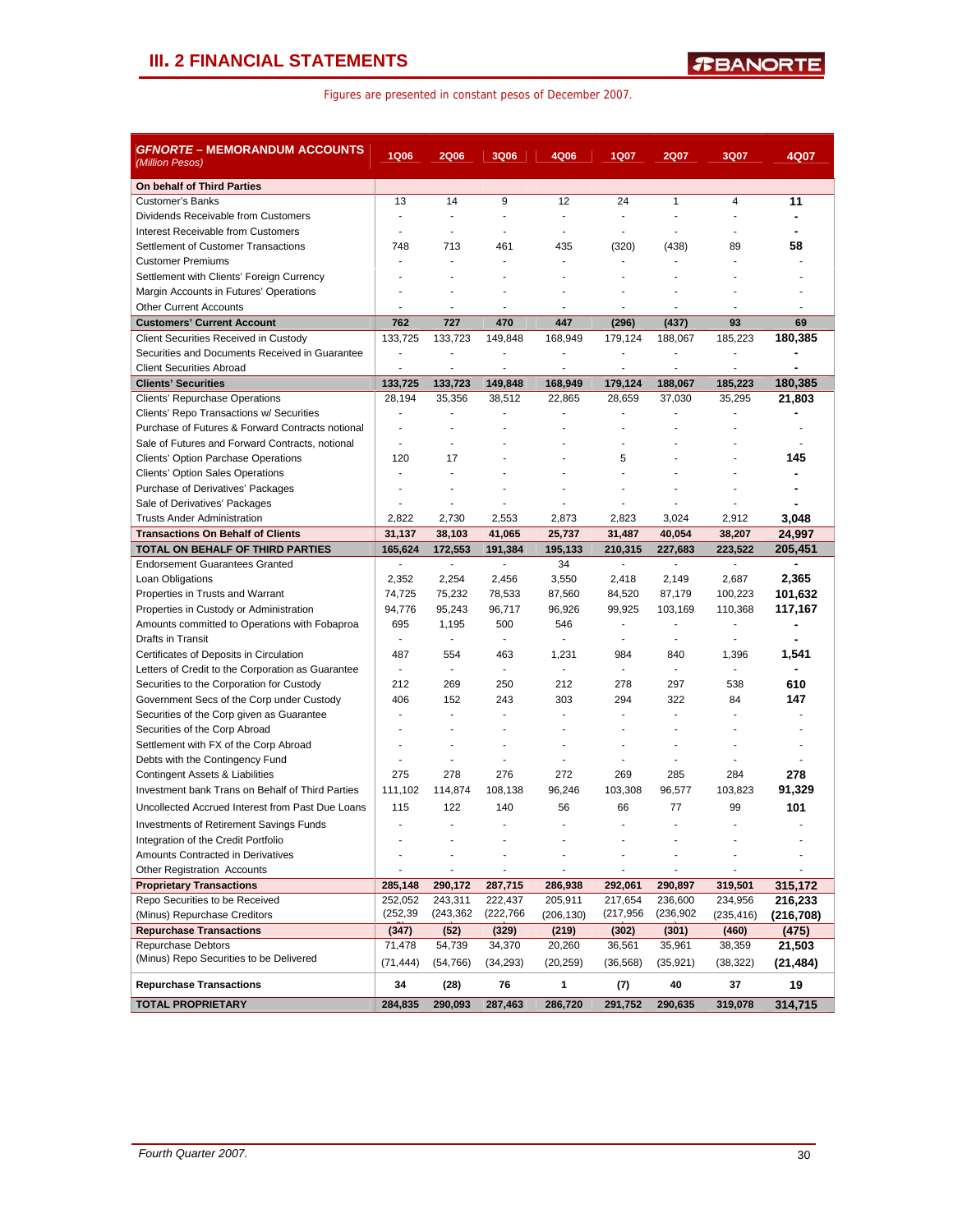## **III. 2 FINANCIAL STATEMENTS**

|  | Figures are presented in constant pesos of December 2007. |  |  |  |  |
|--|-----------------------------------------------------------|--|--|--|--|
|--|-----------------------------------------------------------|--|--|--|--|

| <b>GFNORTE – MEMORANDUM ACCOUNTS</b><br>(Million Pesos)             | <b>1Q06</b>              | <b>2Q06</b>              | 3Q06           | 4Q06                     | 1Q07           | <b>2Q07</b>  | 3Q07                     | 4Q07           |
|---------------------------------------------------------------------|--------------------------|--------------------------|----------------|--------------------------|----------------|--------------|--------------------------|----------------|
| On behalf of Third Parties                                          |                          |                          |                |                          |                |              |                          |                |
| <b>Customer's Banks</b>                                             | 13                       | 14                       | 9              | 12                       | 24             | $\mathbf{1}$ | 4                        | 11             |
| Dividends Receivable from Customers                                 | ÷,                       | ÷                        |                | $\blacksquare$           |                |              |                          |                |
| Interest Receivable from Customers                                  | ÷                        | ٠                        | ÷              | $\blacksquare$           | ÷.             | ÷            | ٠                        |                |
| Settlement of Customer Transactions                                 | 748                      | 713                      | 461            | 435                      | (320)          | (438)        | 89                       | 58             |
| <b>Customer Premiums</b>                                            |                          |                          |                |                          |                |              |                          |                |
| Settlement with Clients' Foreign Currency                           | ä,                       |                          |                |                          |                |              |                          |                |
| Margin Accounts in Futures' Operations                              |                          |                          |                |                          |                |              |                          |                |
| <b>Other Current Accounts</b>                                       | J.                       | ÷                        |                | ÷                        |                | ÷,           | ä,                       | ä,             |
| <b>Customers' Current Account</b>                                   | 762                      | 727                      | 470            | 447                      | (296)          | (437)        | 93                       | 69             |
| <b>Client Securities Received in Custody</b>                        | 133,725                  | 133,723                  | 149,848        | 168,949                  | 179,124        | 188,067      | 185,223                  | 180,385        |
| Securities and Documents Received in Guarantee                      | ÷,                       | ä,                       | ٠              |                          |                |              |                          |                |
| <b>Client Securities Abroad</b>                                     | ÷,                       | $\blacksquare$           |                | ÷,                       | ÷,             | ÷.           | $\overline{a}$           |                |
| <b>Clients' Securities</b>                                          | 133,725                  | 133,723                  | 149,848        | 168,949                  | 179,124        | 188,067      | 185,223                  | 180,385        |
| Clients' Repurchase Operations                                      | 28,194                   | 35,356                   | 38,512         | 22,865                   | 28,659         | 37,030       | 35,295                   | 21,803         |
| Clients' Repo Transactions w/ Securities                            | ä,                       | ä,                       |                |                          |                |              | L,                       |                |
| Purchase of Futures & Forward Contracts notional                    | $\blacksquare$           | ٠                        |                |                          | ÷.             |              | ä,                       | ÷              |
| Sale of Futures and Forward Contracts, notional                     | $\overline{\phantom{a}}$ |                          |                |                          |                |              |                          |                |
| <b>Clients' Option Parchase Operations</b>                          | 120                      | 17                       |                |                          | 5              |              |                          | 145            |
| <b>Clients' Option Sales Operations</b>                             | ä,                       |                          |                |                          |                |              |                          |                |
| Purchase of Derivatives' Packages                                   | ÷                        |                          |                |                          |                |              |                          |                |
| Sale of Derivatives' Packages<br><b>Trusts Ander Administration</b> | 2,822                    | ÷,<br>2,730              | 2,553          | 2,873                    | 2,823          | 3,024        | 2,912                    | 3,048          |
| <b>Transactions On Behalf of Clients</b>                            | 31,137                   | 38,103                   | 41,065         | 25,737                   | 31,487         | 40,054       | 38,207                   | 24,997         |
| TOTAL ON BEHALF OF THIRD PARTIES                                    | 165,624                  | 172.553                  | 191,384        | 195,133                  | 210.315        | 227,683      | 223,522                  | 205,451        |
| <b>Endorsement Guarantees Granted</b>                               | $\overline{\phantom{a}}$ | $\blacksquare$           | $\blacksquare$ | 34                       | $\blacksquare$ | ÷.           | $\overline{\phantom{a}}$ | ٠              |
| Loan Obligations                                                    | 2,352                    | 2,254                    | 2,456          | 3,550                    | 2,418          | 2,149        | 2,687                    | 2,365          |
| Properties in Trusts and Warrant                                    | 74,725                   | 75,232                   | 78,533         | 87,560                   | 84,520         | 87,179       | 100,223                  | 101,632        |
| Properties in Custody or Administration                             | 94,776                   | 95,243                   | 96,717         | 96,926                   | 99,925         | 103,169      | 110,368                  | 117,167        |
| Amounts committed to Operations with Fobaproa                       | 695                      | 1,195                    | 500            | 546                      | $\blacksquare$ | ÷,           | $\overline{a}$           |                |
| Drafts in Transit                                                   | ÷,                       | ä,                       |                | ä,                       |                |              |                          |                |
| Certificates of Deposits in Circulation                             | 487                      | 554                      | 463            | 1,231                    | 984            | 840          | 1,396                    | 1,541          |
| Letters of Credit to the Corporation as Guarantee                   | $\overline{\phantom{a}}$ | $\overline{\phantom{a}}$ | $\sim$         | $\overline{\phantom{a}}$ | $\overline{a}$ | ÷,           |                          | $\blacksquare$ |
| Securities to the Corporation for Custody                           | 212                      | 269                      | 250            | 212                      | 278            | 297          | 538                      | 610            |
| Government Secs of the Corp under Custody                           | 406                      | 152                      | 243            | 303                      | 294            | 322          | 84                       | 147            |
| Securities of the Corp given as Guarantee                           | ÷                        | ÷.                       |                |                          |                |              | ٠                        |                |
| Securities of the Corp Abroad                                       |                          |                          |                |                          |                |              |                          |                |
| Settlement with FX of the Corp Abroad                               | ٠                        | $\overline{\phantom{a}}$ | ٠              | ٠                        |                | ٠            |                          | $\blacksquare$ |
| Debts with the Contingency Fund                                     | ä,                       | $\overline{a}$           |                |                          |                |              |                          |                |
| Contingent Assets & Liabilities                                     | 275                      | 278                      | 276            | 272                      | 269            | 285          | 284                      | 278            |
| Investment bank Trans on Behalf of Third Parties                    | 111,102                  | 114,874                  | 108,138        | 96,246                   | 103,308        | 96,577       | 103,823                  | 91,329         |
| Uncollected Accrued Interest from Past Due Loans                    | 115                      | 122                      | 140            | 56                       | 66             | 77           | 99                       | 101            |
| <b>Investments of Retirement Savings Funds</b>                      | $\overline{a}$           | ÷                        | ٠              |                          | ÷              |              | ٠                        |                |
| Integration of the Credit Portfolio                                 |                          |                          |                |                          |                |              |                          |                |
| Amounts Contracted in Derivatives                                   |                          |                          |                |                          |                |              |                          |                |
| <b>Other Registration Accounts</b>                                  |                          | $\overline{\phantom{a}}$ |                | $\overline{\phantom{a}}$ | ÷,             |              | $\overline{\phantom{a}}$ |                |
| <b>Proprietary Transactions</b>                                     | 285,148                  | 290,172                  | 287,715        | 286,938                  | 292,061        | 290,897      | 319,501                  | 315,172        |
| Repo Securities to be Received                                      | 252,052                  | 243,311                  | 222,437        | 205,911                  | 217,654        | 236,600      | 234,956                  | 216,233        |
| (Minus) Repurchase Creditors                                        | (252, 39)                | (243,362                 | (222, 766)     | (206, 130)               | (217,956       | (236, 902)   | (235, 416)               | (216,708)      |
| <b>Repurchase Transactions</b>                                      | (347)                    | (52)                     | (329)          | (219)                    | (302)          | (301)        | (460)                    | (475)          |
| Repurchase Debtors                                                  | 71,478                   | 54,739                   | 34,370         | 20,260                   | 36,561         | 35,961       | 38,359                   | 21,503         |
| (Minus) Repo Securities to be Delivered                             | (71, 444)                | (54, 766)                | (34, 293)      | (20, 259)                | (36, 568)      | (35, 921)    | (38, 322)                | (21, 484)      |
| <b>Repurchase Transactions</b>                                      | 34                       | (28)                     | 76             | 1                        | (7)            | 40           | 37                       | 19             |
| <b>TOTAL PROPRIETARY</b>                                            | 284,835                  | 290,093                  | 287,463        | 286,720                  | 291,752        | 290,635      | 319,078                  | 314,715        |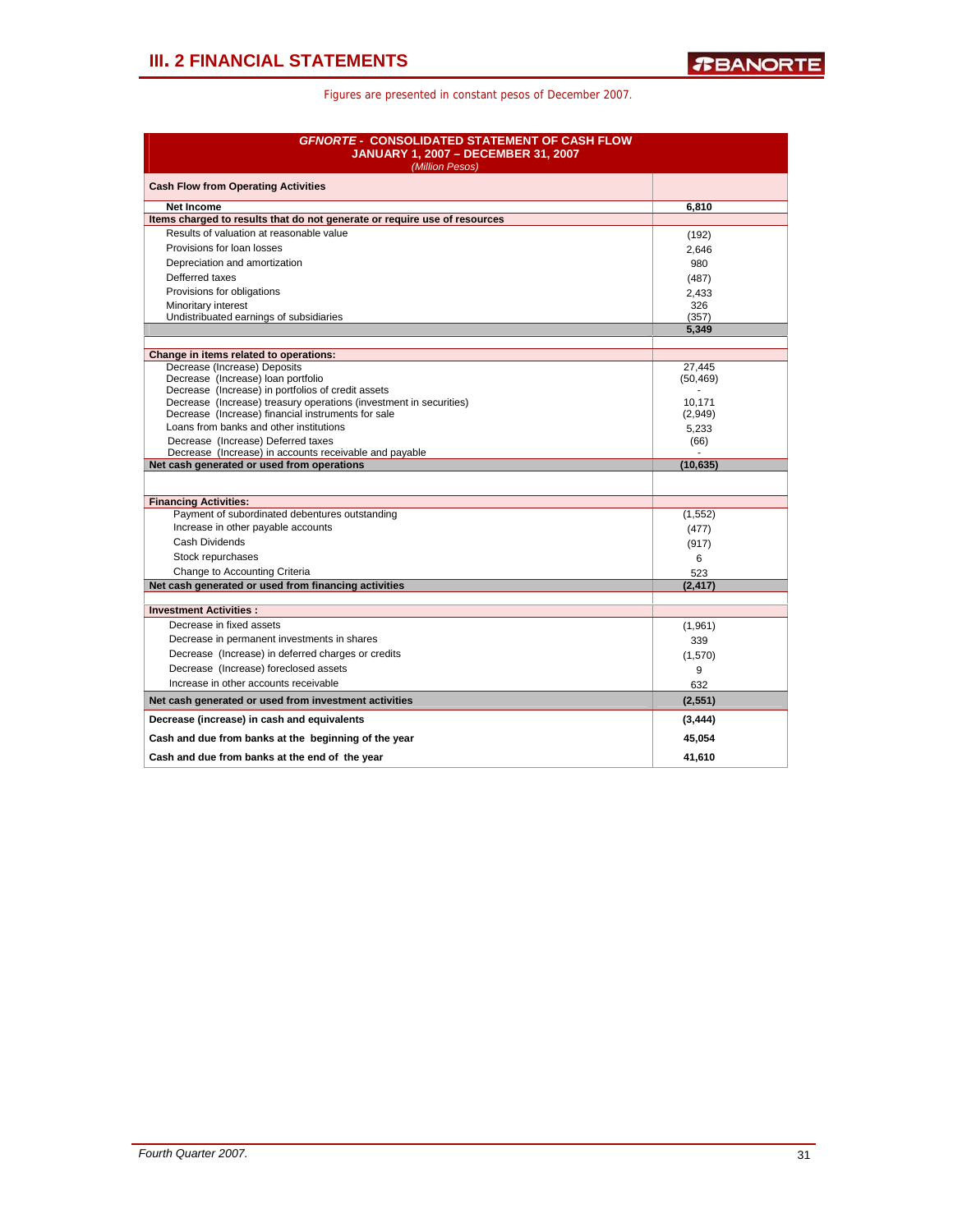| <b>GFNORTE - CONSOLIDATED STATEMENT OF CASH FLOW</b><br><b>JANUARY 1, 2007 - DECEMBER 31, 2007</b><br>(Million Pesos) |                     |
|-----------------------------------------------------------------------------------------------------------------------|---------------------|
| <b>Cash Flow from Operating Activities</b>                                                                            |                     |
| <b>Net Income</b>                                                                                                     | 6.810               |
| Items charged to results that do not generate or require use of resources                                             |                     |
| Results of valuation at reasonable value                                                                              | (192)               |
| Provisions for loan losses                                                                                            | 2,646               |
| Depreciation and amortization                                                                                         | 980                 |
| Defferred taxes                                                                                                       | (487)               |
| Provisions for obligations                                                                                            | 2,433               |
| Minoritary interest                                                                                                   | 326                 |
| Undistribuated earnings of subsidiaries                                                                               | (357)               |
|                                                                                                                       | 5,349               |
|                                                                                                                       |                     |
| Change in items related to operations:                                                                                |                     |
| Decrease (Increase) Deposits<br>Decrease (Increase) loan portfolio                                                    | 27,445<br>(50, 469) |
| Decrease (Increase) in portfolios of credit assets                                                                    |                     |
| Decrease (Increase) treasury operations (investment in securities)                                                    | 10.171              |
| Decrease (Increase) financial instruments for sale                                                                    | (2,949)             |
| Loans from banks and other institutions                                                                               | 5.233               |
| Decrease (Increase) Deferred taxes                                                                                    | (66)                |
| Decrease (Increase) in accounts receivable and payable                                                                |                     |
| Net cash generated or used from operations                                                                            | (10, 635)           |
|                                                                                                                       |                     |
| <b>Financing Activities:</b>                                                                                          |                     |
| Payment of subordinated debentures outstanding                                                                        | (1, 552)            |
| Increase in other payable accounts                                                                                    | (477)               |
| <b>Cash Dividends</b>                                                                                                 | (917)               |
| Stock repurchases                                                                                                     | 6                   |
| Change to Accounting Criteria                                                                                         | 523                 |
| Net cash generated or used from financing activities                                                                  | (2, 417)            |
|                                                                                                                       |                     |
| <b>Investment Activities:</b>                                                                                         |                     |
| Decrease in fixed assets                                                                                              | (1,961)             |
| Decrease in permanent investments in shares                                                                           | 339                 |
| Decrease (Increase) in deferred charges or credits                                                                    | (1,570)             |
| Decrease (Increase) foreclosed assets                                                                                 | 9                   |
| Increase in other accounts receivable                                                                                 | 632                 |
| Net cash generated or used from investment activities                                                                 | (2, 551)            |
| Decrease (increase) in cash and equivalents                                                                           | (3, 444)            |
| Cash and due from banks at the beginning of the year                                                                  | 45,054              |
| Cash and due from banks at the end of the year                                                                        | 41.610              |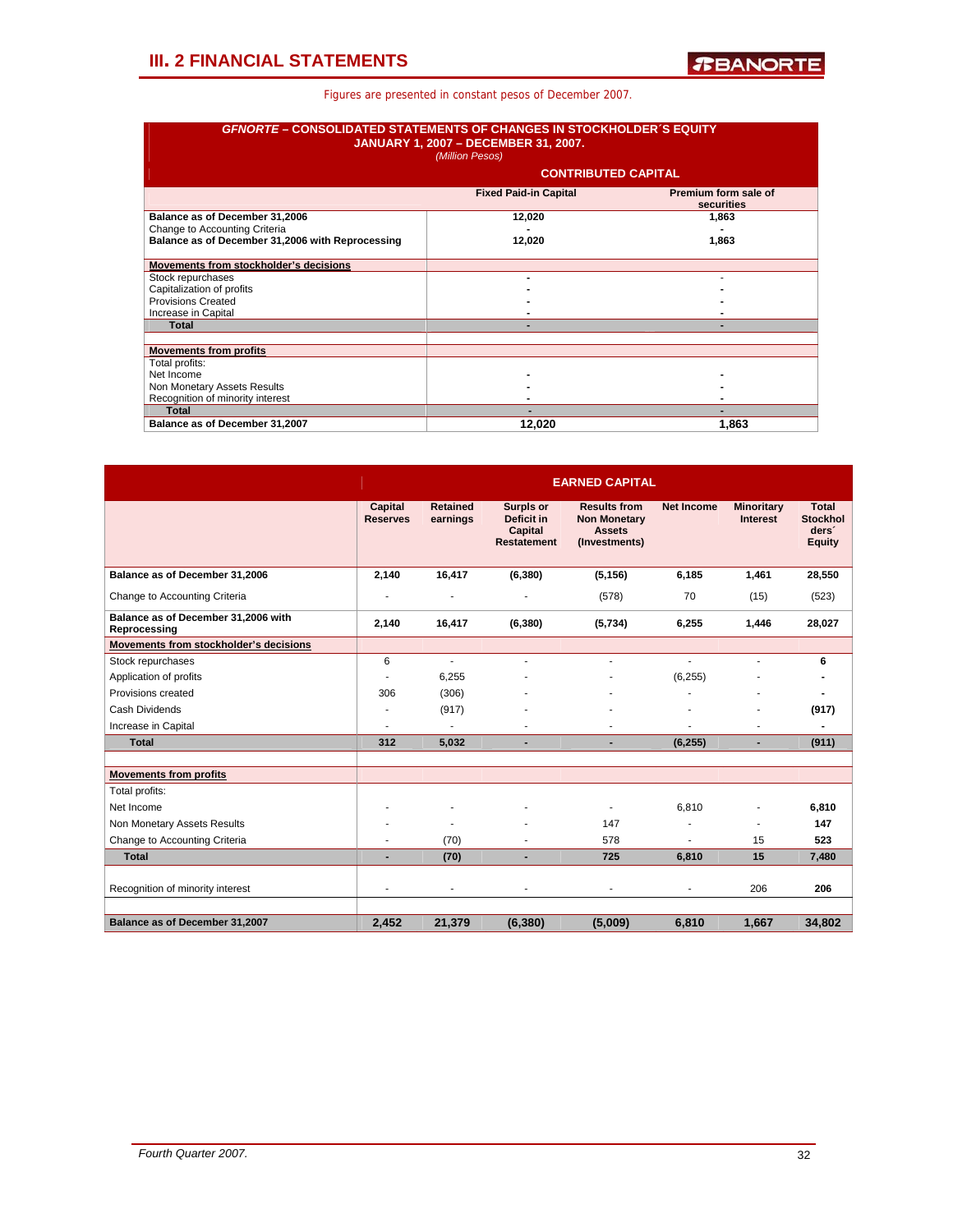| <b>GFNORTE – CONSOLIDATED STATEMENTS OF CHANGES IN STOCKHOLDER 'S EQUITY</b> | <b>JANUARY 1, 2007 - DECEMBER 31, 2007.</b><br>(Million Pesos) |                                    |
|------------------------------------------------------------------------------|----------------------------------------------------------------|------------------------------------|
|                                                                              | <b>CONTRIBUTED CAPITAL</b>                                     |                                    |
|                                                                              | <b>Fixed Paid-in Capital</b>                                   | Premium form sale of<br>securities |
| Balance as of December 31,2006                                               | 12,020                                                         | 1,863                              |
| Change to Accounting Criteria                                                |                                                                |                                    |
| Balance as of December 31,2006 with Reprocessing                             | 12,020                                                         | 1,863                              |
| Movements from stockholder's decisions                                       |                                                                |                                    |
| Stock repurchases                                                            |                                                                |                                    |
| Capitalization of profits                                                    |                                                                |                                    |
| Provisions Created                                                           |                                                                |                                    |
| Increase in Capital                                                          |                                                                |                                    |
| <b>Total</b>                                                                 |                                                                |                                    |
| <b>Movements from profits</b>                                                |                                                                |                                    |
| Total profits:                                                               |                                                                |                                    |
| Net Income                                                                   |                                                                |                                    |
| Non Monetary Assets Results                                                  |                                                                |                                    |
| Recognition of minority interest                                             |                                                                |                                    |
| <b>Total</b>                                                                 |                                                                |                                    |
| Balance as of December 31,2007                                               | 12,020                                                         | 1.863                              |

|                                                     |                            |                             |                                                          | <b>EARNED CAPITAL</b>                                                        |                   |                                      |                                                                       |
|-----------------------------------------------------|----------------------------|-----------------------------|----------------------------------------------------------|------------------------------------------------------------------------------|-------------------|--------------------------------------|-----------------------------------------------------------------------|
|                                                     | Capital<br><b>Reserves</b> | <b>Retained</b><br>earnings | Surpls or<br>Deficit in<br>Capital<br><b>Restatement</b> | <b>Results from</b><br><b>Non Monetary</b><br><b>Assets</b><br>(Investments) | <b>Net Income</b> | <b>Minoritary</b><br><b>Interest</b> | <b>Total</b><br><b>Stockhol</b><br>ders <sup>®</sup><br><b>Equity</b> |
| Balance as of December 31,2006                      | 2,140                      | 16,417                      | (6, 380)                                                 | (5, 156)                                                                     | 6,185             | 1,461                                | 28,550                                                                |
| Change to Accounting Criteria                       |                            |                             | -                                                        | (578)                                                                        | 70                | (15)                                 | (523)                                                                 |
| Balance as of December 31,2006 with<br>Reprocessing | 2,140                      | 16,417                      | (6, 380)                                                 | (5,734)                                                                      | 6,255             | 1,446                                | 28,027                                                                |
| Movements from stockholder's decisions              |                            |                             |                                                          |                                                                              |                   |                                      |                                                                       |
| Stock repurchases                                   | 6                          | ÷                           | ٠                                                        |                                                                              | ÷.                |                                      | 6                                                                     |
| Application of profits                              |                            | 6,255                       |                                                          |                                                                              | (6, 255)          |                                      |                                                                       |
| Provisions created                                  | 306                        | (306)                       |                                                          |                                                                              |                   |                                      |                                                                       |
| Cash Dividends                                      |                            | (917)                       |                                                          |                                                                              |                   |                                      | (917)                                                                 |
| Increase in Capital                                 |                            |                             |                                                          |                                                                              |                   |                                      |                                                                       |
| <b>Total</b>                                        | 312                        | 5,032                       |                                                          |                                                                              | (6, 255)          |                                      | (911)                                                                 |
| <b>Movements from profits</b>                       |                            |                             |                                                          |                                                                              |                   |                                      |                                                                       |
| Total profits:                                      |                            |                             |                                                          |                                                                              |                   |                                      |                                                                       |
| Net Income                                          |                            |                             |                                                          |                                                                              | 6.810             |                                      | 6,810                                                                 |
| Non Monetary Assets Results                         |                            |                             |                                                          | 147                                                                          |                   |                                      | 147                                                                   |
| Change to Accounting Criteria                       |                            | (70)                        |                                                          | 578                                                                          | ä,                | 15                                   | 523                                                                   |
| <b>Total</b>                                        | $\blacksquare$             | (70)                        |                                                          | 725                                                                          | 6,810             | 15                                   | 7,480                                                                 |
| Recognition of minority interest                    | ٠                          |                             | ٠                                                        |                                                                              | ٠                 | 206                                  | 206                                                                   |
| Balance as of December 31,2007                      | 2,452                      | 21,379                      | (6, 380)                                                 | (5,009)                                                                      | 6,810             | 1,667                                | 34,802                                                                |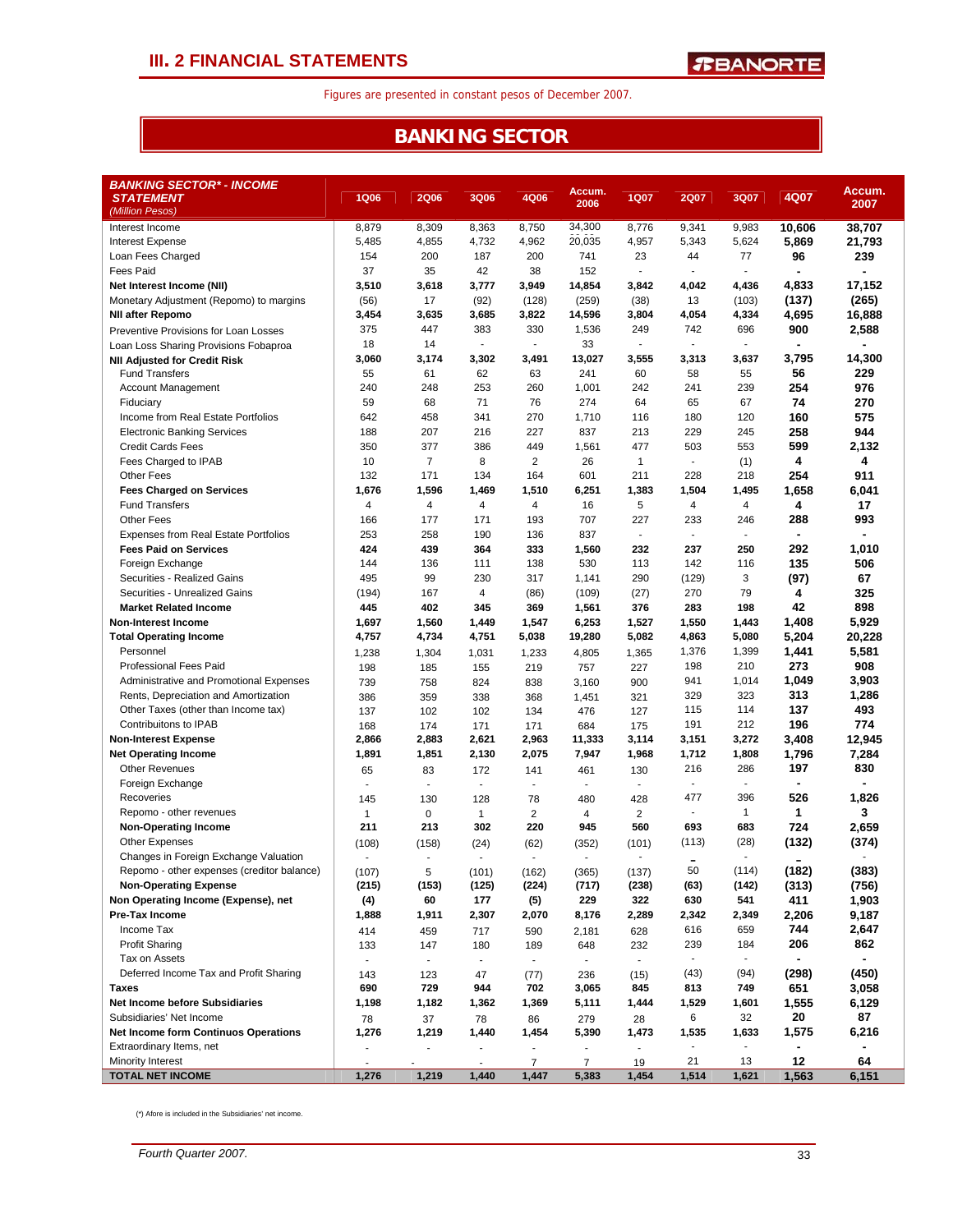## **III. 2 FINANCIAL STATEMENTS**

Figures are presented in constant pesos of December 2007.

## **BANKING SECTOR**

| BANKING SECTOR* - INCOME                        |                          |                          |                       |                |                          |                         |                          |                          |                |                |
|-------------------------------------------------|--------------------------|--------------------------|-----------------------|----------------|--------------------------|-------------------------|--------------------------|--------------------------|----------------|----------------|
| <b>STATEMENT</b>                                | <b>1Q06</b>              | <b>2Q06</b>              | <b>3Q06</b>           | 4Q06           | Accum.<br>2006           | <b>1Q07</b>             | 2Q07                     | 3Q07                     | 4Q07           | Accum.<br>2007 |
| (Million Pesos)                                 |                          |                          |                       |                |                          |                         |                          |                          |                |                |
| Interest Income                                 | 8,879                    | 8,309                    | 8,363                 | 8,750          | 34,300                   | 8,776                   | 9,341                    | 9,983                    | 10,606         | 38,707         |
| <b>Interest Expense</b>                         | 5,485                    | 4,855                    | 4,732                 | 4,962          | 20,035                   | 4,957                   | 5,343                    | 5,624                    | 5,869          | 21,793         |
| Loan Fees Charged                               | 154                      | 200                      | 187                   | 200            | 741                      | 23                      | 44                       | 77                       | 96             | 239            |
| Fees Paid                                       | 37                       | 35                       | 42                    | 38             | 152                      | ۰                       | $\blacksquare$           |                          | $\blacksquare$ | $\blacksquare$ |
| Net Interest Income (NII)                       | 3,510                    | 3,618                    | 3,777                 | 3,949          | 14,854                   | 3,842                   | 4,042                    | 4,436                    | 4,833          | 17,152         |
| Monetary Adjustment (Repomo) to margins         | (56)                     | 17                       | (92)                  | (128)          | (259)                    | (38)                    | 13                       | (103)                    | (137)          | (265)          |
| <b>NII after Repomo</b>                         | 3,454                    | 3,635                    | 3,685                 | 3,822          | 14,596                   | 3,804                   | 4,054                    | 4,334                    | 4,695          | 16,888         |
| Preventive Provisions for Loan Losses           | 375                      | 447                      | 383                   | 330            | 1,536                    | 249                     | 742                      | 696                      | 900            | 2,588          |
| Loan Loss Sharing Provisions Fobaproa           | 18                       | 14                       | ÷.                    | $\mathbf{r}$   | 33                       | ÷                       | $\mathbf{r}$             | ÷,                       | $\blacksquare$ | $\blacksquare$ |
| <b>NII Adjusted for Credit Risk</b>             | 3,060                    | 3,174                    | 3,302                 | 3,491          | 13,027                   | 3,555                   | 3,313                    | 3,637                    | 3,795          | 14,300         |
| <b>Fund Transfers</b>                           | 55                       | 61                       | 62                    | 63             | 241                      | 60                      | 58                       | 55                       | 56             | 229            |
| Account Management                              | 240                      | 248                      | 253                   | 260            | 1,001                    | 242                     | 241                      | 239                      | 254            | 976            |
| Fiduciary                                       | 59                       | 68                       | 71                    | 76             | 274                      | 64                      | 65                       | 67                       | 74             | 270            |
| Income from Real Estate Portfolios              | 642                      | 458                      | 341                   | 270            | 1,710                    | 116                     | 180                      | 120                      | 160            | 575            |
| <b>Electronic Banking Services</b>              | 188                      | 207                      | 216                   | 227            | 837                      | 213                     | 229                      | 245                      | 258            | 944            |
| <b>Credit Cards Fees</b>                        | 350                      | 377                      | 386                   | 449            | 1,561                    | 477                     | 503                      | 553                      | 599            | 2,132          |
| Fees Charged to IPAB                            | 10                       | $\overline{7}$           | 8                     | $\overline{2}$ | 26                       | $\mathbf{1}$            | $\overline{\phantom{a}}$ | (1)                      | 4              | 4              |
| <b>Other Fees</b>                               | 132                      | 171                      | 134                   | 164            | 601                      | 211                     | 228                      | 218                      | 254            | 911            |
| <b>Fees Charged on Services</b>                 | 1,676                    | 1,596                    | 1,469                 | 1,510          | 6,251                    | 1,383                   | 1,504                    | 1,495                    | 1,658          | 6,041          |
| <b>Fund Transfers</b>                           | 4                        | 4<br>177                 | $\overline{4}$<br>171 | 4              | 16<br>707                | 5                       | $\overline{4}$<br>233    | 4                        | 4              | 17<br>993      |
| <b>Other Fees</b>                               | 166<br>253               |                          |                       | 193            | 837                      | 227<br>÷                | $\overline{\phantom{a}}$ | 246<br>$\sim$            | 288<br>٠       |                |
| <b>Expenses from Real Estate Portfolios</b>     |                          | 258                      | 190                   | 136            |                          |                         |                          |                          |                |                |
| <b>Fees Paid on Services</b>                    | 424<br>144               | 439                      | 364                   | 333            | 1,560                    | 232                     | 237                      | 250                      | 292<br>135     | 1,010<br>506   |
| Foreign Exchange<br>Securities - Realized Gains | 495                      | 136<br>99                | 111<br>230            | 138            | 530                      | 113                     | 142                      | 116                      |                |                |
| Securities - Unrealized Gains                   |                          | 167                      | $\overline{4}$        | 317            | 1,141                    | 290                     | (129)<br>270             | 3<br>79                  | (97)<br>4      | 67<br>325      |
| <b>Market Related Income</b>                    | (194)<br>445             | 402                      | 345                   | (86)<br>369    | (109)<br>1,561           | (27)<br>376             | 283                      | 198                      | 42             | 898            |
| <b>Non-Interest Income</b>                      | 1,697                    | 1,560                    | 1,449                 | 1,547          | 6,253                    | 1,527                   | 1,550                    | 1,443                    | 1,408          | 5,929          |
| <b>Total Operating Income</b>                   | 4,757                    | 4,734                    | 4,751                 | 5,038          | 19,280                   | 5,082                   | 4,863                    | 5,080                    | 5,204          | 20,228         |
| Personnel                                       |                          |                          |                       |                | 4,805                    |                         | 1,376                    | 1,399                    | 1,441          | 5,581          |
| <b>Professional Fees Paid</b>                   | 1,238<br>198             | 1,304<br>185             | 1,031<br>155          | 1,233<br>219   | 757                      | 1,365<br>227            | 198                      | 210                      | 273            | 908            |
| Administrative and Promotional Expenses         | 739                      | 758                      | 824                   | 838            | 3,160                    | 900                     | 941                      | 1,014                    | 1,049          | 3,903          |
| Rents, Depreciation and Amortization            | 386                      | 359                      | 338                   | 368            | 1,451                    | 321                     | 329                      | 323                      | 313            | 1,286          |
| Other Taxes (other than Income tax)             | 137                      | 102                      | 102                   | 134            | 476                      | 127                     | 115                      | 114                      | 137            | 493            |
| Contribuitons to IPAB                           | 168                      | 174                      | 171                   | 171            | 684                      | 175                     | 191                      | 212                      | 196            | 774            |
| <b>Non-Interest Expense</b>                     | 2,866                    | 2,883                    | 2,621                 | 2,963          | 11,333                   | 3,114                   | 3,151                    | 3,272                    | 3,408          | 12,945         |
| <b>Net Operating Income</b>                     | 1,891                    | 1,851                    | 2,130                 | 2,075          | 7,947                    | 1,968                   | 1,712                    | 1,808                    | 1,796          | 7,284          |
| <b>Other Revenues</b>                           | 65                       | 83                       | 172                   | 141            | 461                      | 130                     | 216                      | 286                      | 197            | 830            |
| Foreign Exchange                                | $\blacksquare$           | ٠                        | $\sim$                | $\blacksquare$ | $\overline{\phantom{a}}$ | ٠                       | $\overline{\phantom{a}}$ | $\overline{\phantom{a}}$ | ä,             |                |
| Recoveries                                      | 145                      | 130                      | 128                   | 78             | 480                      | 428                     | 477                      | 396                      | 526            | 1,826          |
| Repomo - other revenues                         | $\mathbf{1}$             | $\mathbf 0$              | $\mathbf 1$           | $\overline{a}$ | 4                        | $\overline{\mathbf{c}}$ | $\blacksquare$           | $\mathbf{1}$             | 1              | 3              |
| <b>Non-Operating Income</b>                     | 211                      | 213                      | 302                   | 220            | 945                      | 560                     | 693                      | 683                      | 724            | 2,659          |
| <b>Other Expenses</b>                           | (108)                    | (158)                    | (24)                  | (62)           | (352)                    | (101)                   | (113)                    | (28)                     | (132)          | (374)          |
| Changes in Foreign Exchange Valuation           | $\overline{\phantom{a}}$ | ÷,                       |                       | $\overline{a}$ | $\overline{\phantom{a}}$ |                         |                          | $\sim$                   |                |                |
| Repomo - other expenses (creditor balance)      | (107)                    | 5                        | (101)                 | (162)          | (365)                    | (137)                   | 50                       | (114)                    | (182)          | (383)          |
| <b>Non-Operating Expense</b>                    | (215)                    | (153)                    | (125)                 | (224)          | (717)                    | (238)                   | (63)                     | (142)                    | (313)          | (756)          |
| Non Operating Income (Expense), net             | (4)                      | 60                       | 177                   | (5)            | 229                      | 322                     | 630                      | 541                      | 411            | 1,903          |
| Pre-Tax Income                                  | 1,888                    | 1,911                    | 2,307                 | 2,070          | 8,176                    | 2,289                   | 2,342                    | 2,349                    | 2,206          | 9,187          |
| Income Tax                                      | 414                      | 459                      | 717                   | 590            | 2,181                    | 628                     | 616                      | 659                      | 744            | 2,647          |
| <b>Profit Sharing</b>                           | 133                      | 147                      | 180                   | 189            | 648                      | 232                     | 239                      | 184                      | 206            | 862            |
| Tax on Assets                                   |                          | $\overline{\phantom{a}}$ | $\blacksquare$        | $\blacksquare$ | $\blacksquare$           | $\blacksquare$          | $\blacksquare$           | $\overline{\phantom{a}}$ |                |                |
| Deferred Income Tax and Profit Sharing          | 143                      | 123                      | 47                    | (77)           | 236                      | (15)                    | (43)                     | (94)                     | (298)          | (450)          |
| <b>Taxes</b>                                    | 690                      | 729                      | 944                   | 702            | 3,065                    | 845                     | 813                      | 749                      | 651            | 3,058          |
| <b>Net Income before Subsidiaries</b>           | 1,198                    | 1,182                    | 1,362                 | 1,369          | 5,111                    | 1,444                   | 1,529                    | 1,601                    | 1,555          | 6,129          |
| Subsidiaries' Net Income                        | 78                       | 37                       | 78                    | 86             | 279                      | 28                      | 6                        | 32                       | 20             | 87             |
| <b>Net Income form Continuos Operations</b>     | 1,276                    | 1,219                    | 1,440                 | 1,454          | 5,390                    | 1,473                   | 1,535                    | 1,633                    | 1,575          | 6,216          |
| Extraordinary Items, net                        |                          |                          |                       |                | $\sim$                   |                         |                          |                          |                |                |
| Minority Interest                               | $\sim$                   |                          | ÷.                    | $\overline{7}$ | $\overline{7}$           | 19                      | 21                       | 13                       | 12             | 64             |
| <b>TOTAL NET INCOME</b>                         | 1,276                    | 1,219                    | 1,440                 | 1,447          | 5,383                    | 1,454                   | 1,514                    | 1,621                    | 1,563          | 6,151          |

(\*) Afore is included in the Subsidiaries' net income.

*Fourth Quarter 2007.* 33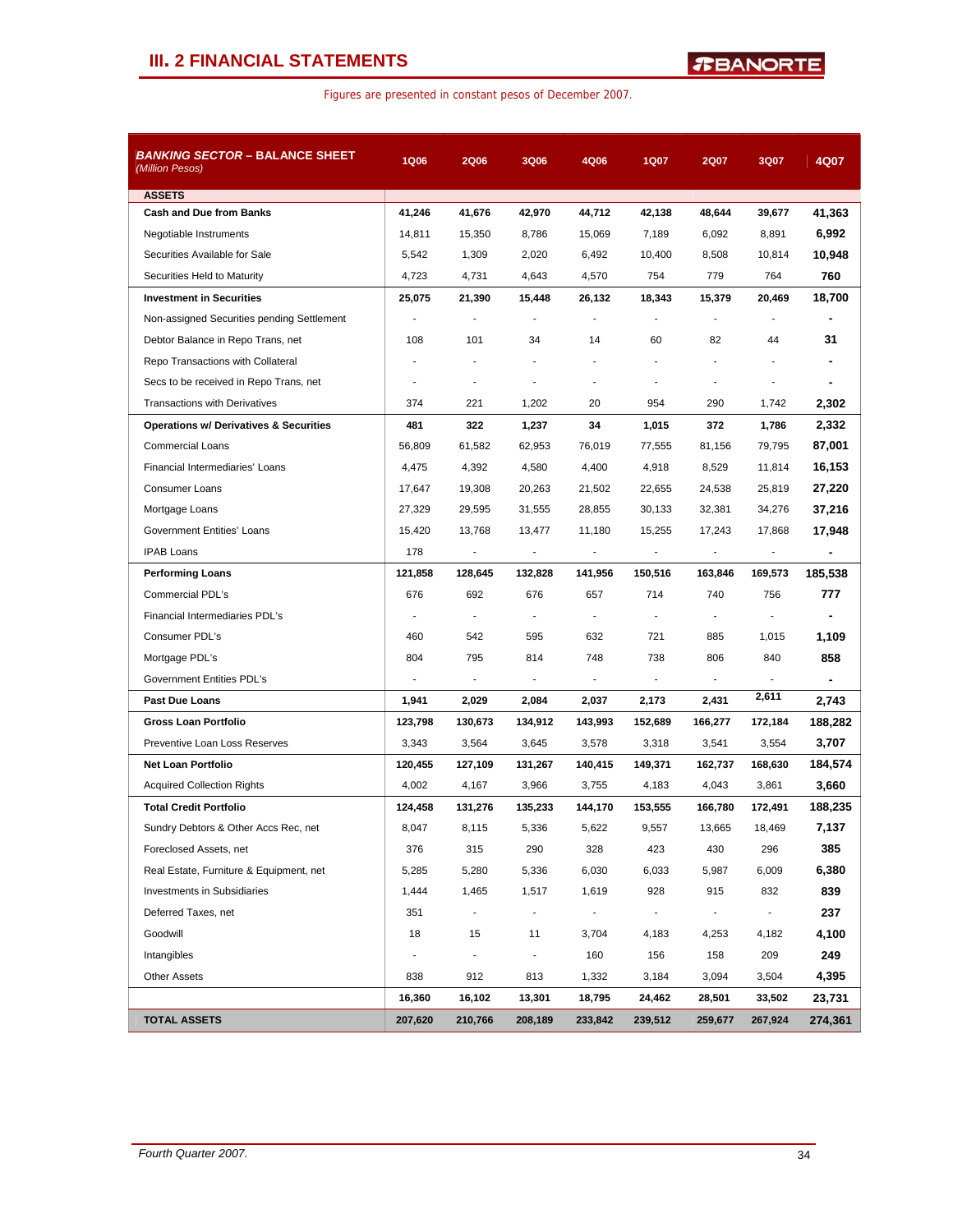## **III. 2 FINANCIAL STATEMENTS**

|  |  | Figures are presented in constant pesos of December 2007. |  |  |  |
|--|--|-----------------------------------------------------------|--|--|--|
|--|--|-----------------------------------------------------------|--|--|--|

| <i>BANKING SECTOR –</i> BALANCE SHEET<br>(Million Pesos) | <b>1Q06</b>    | <b>2Q06</b>              | 3Q06                     | 4Q06           | 1Q07           | 2Q07                     | 3Q07           | 4Q07    |
|----------------------------------------------------------|----------------|--------------------------|--------------------------|----------------|----------------|--------------------------|----------------|---------|
| <b>ASSETS</b>                                            |                |                          |                          |                |                |                          |                |         |
| <b>Cash and Due from Banks</b>                           | 41,246         | 41,676                   | 42,970                   | 44,712         | 42,138         | 48,644                   | 39,677         | 41,363  |
| Negotiable Instruments                                   | 14,811         | 15,350                   | 8,786                    | 15,069         | 7,189          | 6,092                    | 8,891          | 6,992   |
| Securities Available for Sale                            | 5,542          | 1,309                    | 2,020                    | 6,492          | 10,400         | 8,508                    | 10,814         | 10,948  |
| Securities Held to Maturity                              | 4,723          | 4,731                    | 4,643                    | 4,570          | 754            | 779                      | 764            | 760     |
| <b>Investment in Securities</b>                          | 25,075         | 21,390                   | 15,448                   | 26,132         | 18,343         | 15,379                   | 20.469         | 18,700  |
| Non-assigned Securities pending Settlement               |                | ÷,                       |                          |                |                |                          |                |         |
| Debtor Balance in Repo Trans, net                        | 108            | 101                      | 34                       | 14             | 60             | 82                       | 44             | 31      |
| Repo Transactions with Collateral                        | $\overline{a}$ | ÷,                       | $\blacksquare$           |                |                |                          |                |         |
| Secs to be received in Repo Trans, net                   |                | ÷,                       | $\overline{a}$           |                |                |                          |                | ۰       |
| <b>Transactions with Derivatives</b>                     | 374            | 221                      | 1,202                    | 20             | 954            | 290                      | 1,742          | 2,302   |
| <b>Operations w/ Derivatives &amp; Securities</b>        | 481            | 322                      | 1,237                    | 34             | 1,015          | 372                      | 1,786          | 2,332   |
| <b>Commercial Loans</b>                                  | 56,809         | 61,582                   | 62,953                   | 76,019         | 77,555         | 81,156                   | 79,795         | 87,001  |
| Financial Intermediaries' Loans                          | 4,475          | 4,392                    | 4,580                    | 4,400          | 4,918          | 8,529                    | 11,814         | 16,153  |
| <b>Consumer Loans</b>                                    | 17,647         | 19,308                   | 20,263                   | 21,502         | 22,655         | 24,538                   | 25,819         | 27,220  |
| Mortgage Loans                                           | 27,329         | 29,595                   | 31,555                   | 28,855         | 30,133         | 32,381                   | 34,276         | 37,216  |
| Government Entities' Loans                               | 15,420         | 13,768                   | 13,477                   | 11,180         | 15,255         | 17,243                   | 17,868         | 17,948  |
| <b>IPAB Loans</b>                                        | 178            | ÷,                       | $\overline{a}$           | $\overline{a}$ | $\blacksquare$ | $\overline{\phantom{a}}$ | $\blacksquare$ | ÷       |
| <b>Performing Loans</b>                                  | 121,858        | 128,645                  | 132,828                  | 141,956        | 150,516        | 163,846                  | 169,573        | 185,538 |
| Commercial PDL's                                         | 676            | 692                      | 676                      | 657            | 714            | 740                      | 756            | 777     |
| Financial Intermediaries PDL's                           | ÷              | $\blacksquare$           | $\blacksquare$           | $\blacksquare$ |                |                          |                | ٠       |
| Consumer PDL's                                           | 460            | 542                      | 595                      | 632            | 721            | 885                      | 1,015          | 1,109   |
| Mortgage PDL's                                           | 804            | 795                      | 814                      | 748            | 738            | 806                      | 840            | 858     |
| Government Entities PDL's                                | ÷,             | $\overline{\phantom{a}}$ | $\overline{\phantom{a}}$ | $\blacksquare$ | ÷,             |                          |                | ٠       |
| <b>Past Due Loans</b>                                    | 1,941          | 2,029                    | 2,084                    | 2,037          | 2,173          | 2,431                    | 2,611          | 2,743   |
| <b>Gross Loan Portfolio</b>                              | 123,798        | 130,673                  | 134,912                  | 143,993        | 152,689        | 166,277                  | 172,184        | 188,282 |
| Preventive Loan Loss Reserves                            | 3,343          | 3,564                    | 3,645                    | 3,578          | 3,318          | 3,541                    | 3,554          | 3,707   |
| <b>Net Loan Portfolio</b>                                | 120,455        | 127,109                  | 131,267                  | 140,415        | 149,371        | 162,737                  | 168,630        | 184,574 |
| <b>Acquired Collection Rights</b>                        | 4,002          | 4,167                    | 3,966                    | 3,755          | 4,183          | 4,043                    | 3,861          | 3,660   |
| <b>Total Credit Portfolio</b>                            | 124,458        | 131,276                  | 135,233                  | 144,170        | 153,555        | 166,780                  | 172,491        | 188,235 |
| Sundry Debtors & Other Accs Rec, net                     | 8,047          | 8,115                    | 5,336                    | 5,622          | 9,557          | 13,665                   | 18,469         | 7,137   |
| Foreclosed Assets, net                                   | 376            | 315                      | 290                      | 328            | 423            | 430                      | 296            | 385     |
| Real Estate, Furniture & Equipment, net                  | 5,285          | 5,280                    | 5,336                    | 6,030          | 6,033          | 5,987                    | 6,009          | 6,380   |
| Investments in Subsidiaries                              | 1,444          | 1,465                    | 1,517                    | 1,619          | 928            | 915                      | 832            | 839     |
| Deferred Taxes, net                                      | 351            | $\overline{\phantom{0}}$ | $\blacksquare$           | $\blacksquare$ | $\blacksquare$ | $\overline{\phantom{a}}$ | $\blacksquare$ | 237     |
| Goodwill                                                 | 18             | 15                       | 11                       | 3,704          | 4,183          | 4,253                    | 4,182          | 4,100   |
| Intangibles                                              | $\blacksquare$ | ÷,                       | $\blacksquare$           | 160            | 156            | 158                      | 209            | 249     |
| <b>Other Assets</b>                                      | 838            | 912                      | 813                      | 1,332          | 3,184          | 3,094                    | 3,504          | 4,395   |
|                                                          | 16,360         | 16,102                   | 13,301                   | 18,795         | 24,462         | 28,501                   | 33,502         | 23,731  |
| <b>TOTAL ASSETS</b>                                      | 207,620        | 210,766                  | 208,189                  | 233,842        | 239,512        | 259,677                  | 267,924        | 274,361 |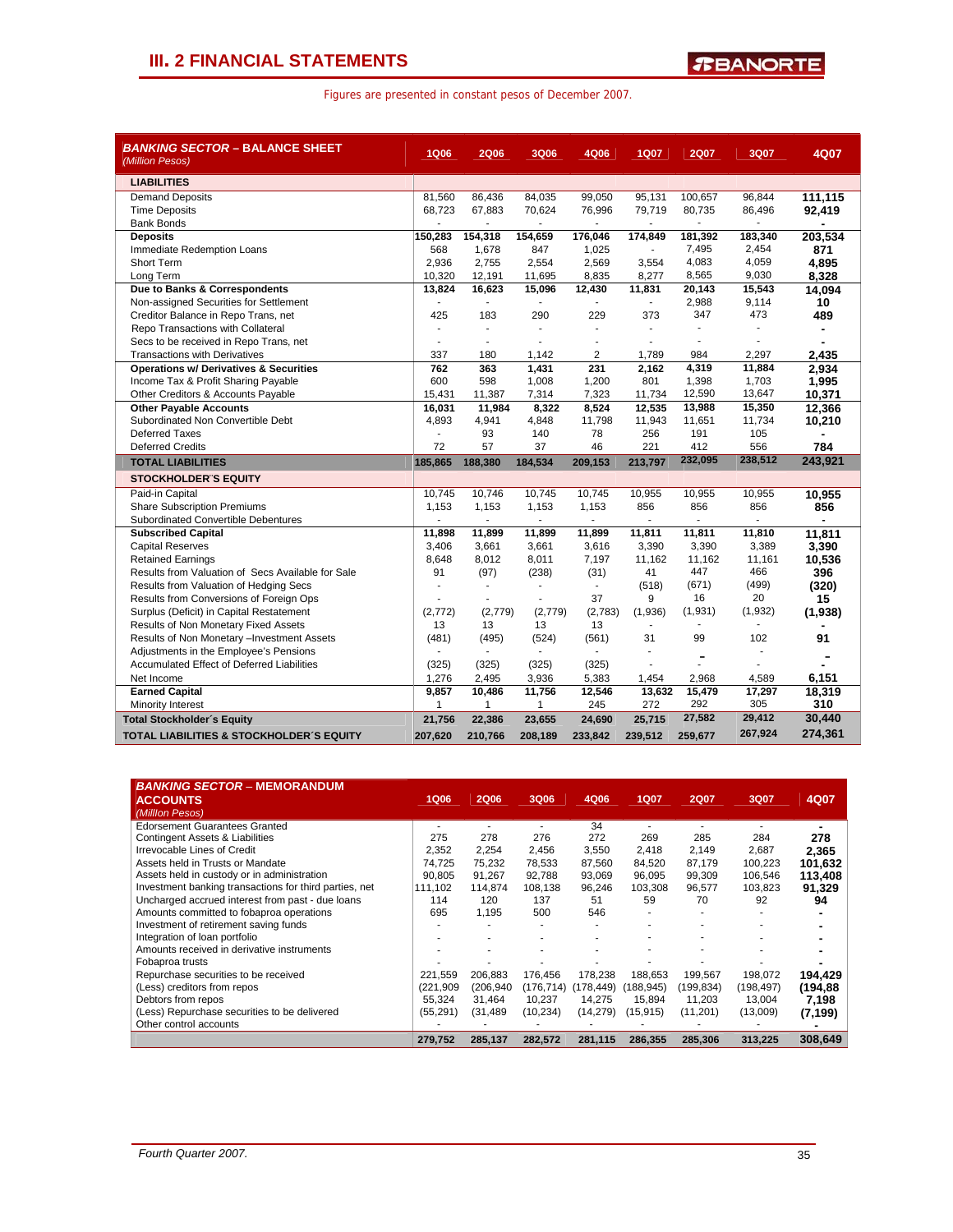| <b>BANKING SECTOR – BALANCE SHEET</b><br>(Million Pesos)                                  | <b>1Q06</b>    | <b>2Q06</b>    | <b>3Q06</b>              | 4Q06           | <b>1Q07</b>    | <b>2Q07</b>    | 3Q07            | 4Q07           |
|-------------------------------------------------------------------------------------------|----------------|----------------|--------------------------|----------------|----------------|----------------|-----------------|----------------|
| <b>LIABILITIES</b>                                                                        |                |                |                          |                |                |                |                 |                |
| <b>Demand Deposits</b>                                                                    | 81,560         | 86,436         | 84,035                   | 99,050         | 95, 131        | 100,657        | 96,844          | 111,115        |
| <b>Time Deposits</b>                                                                      | 68,723         | 67,883         | 70,624                   | 76,996         | 79,719         | 80,735         | 86,496          | 92,419         |
| <b>Bank Bonds</b>                                                                         |                |                |                          | L.             |                |                | $\overline{a}$  |                |
| <b>Deposits</b>                                                                           | 150,283        | 154,318        | 154,659                  | 176,046        | 174.849        | 181,392        | 183,340         | 203,534        |
| Immediate Redemption Loans                                                                | 568            | 1,678          | 847                      | 1,025          |                | 7,495          | 2,454           | 871            |
| <b>Short Term</b>                                                                         | 2,936          | 2,755          | 2,554                    | 2,569          | 3,554          | 4,083          | 4,059           | 4,895          |
| Long Term                                                                                 | 10,320         | 12,191         | 11,695                   | 8,835          | 8,277          | 8,565          | 9,030           | 8,328          |
| Due to Banks & Correspondents                                                             | 13,824         | 16,623         | 15,096                   | 12,430         | 11,831         | 20,143         | 15,543          | 14,094         |
| Non-assigned Securities for Settlement                                                    |                | ä,             | ٠                        |                |                | 2,988          | 9,114           | 10             |
| Creditor Balance in Repo Trans, net                                                       | 425            | 183            | 290                      | 229            | 373            | 347            | 473             | 489            |
| Repo Transactions with Collateral                                                         |                | $\blacksquare$ | $\blacksquare$           | ä,             | ÷              | $\blacksquare$ | $\overline{a}$  |                |
| Secs to be received in Repo Trans, net                                                    | $\blacksquare$ | $\blacksquare$ | $\blacksquare$           |                |                |                |                 |                |
| <b>Transactions with Derivatives</b><br><b>Operations w/ Derivatives &amp; Securities</b> | 337<br>762     | 180<br>363     | 1,142                    | 2<br>231       | 1,789<br>2,162 | 984<br>4,319   | 2,297<br>11,884 | 2,435          |
|                                                                                           | 600            | 598            | 1,431<br>1,008           | 1,200          | 801            | 1,398          | 1,703           | 2.934<br>1,995 |
| Income Tax & Profit Sharing Payable                                                       | 15,431         | 11,387         | 7,314                    | 7,323          | 11,734         | 12,590         | 13,647          | 10,371         |
| Other Creditors & Accounts Payable<br><b>Other Payable Accounts</b>                       | 16,031         | 11,984         | 8,322                    | 8,524          | 12,535         | 13,988         | 15,350          | 12,366         |
| Subordinated Non Convertible Debt                                                         | 4,893          | 4,941          | 4,848                    | 11,798         | 11,943         | 11,651         | 11,734          | 10,210         |
| <b>Deferred Taxes</b>                                                                     |                | 93             | 140                      | 78             | 256            | 191            | 105             |                |
| <b>Deferred Credits</b>                                                                   | 72             | 57             | 37                       | 46             | 221            | 412            | 556             | 784            |
| <b>TOTAL LIABILITIES</b>                                                                  | 185,865        | 188,380        | 184,534                  | 209,153        | 213.797        | 232,095        | 238,512         | 243,921        |
| <b>STOCKHOLDER S EQUITY</b>                                                               |                |                |                          |                |                |                |                 |                |
| Paid-in Capital                                                                           | 10.745         | 10,746         | 10,745                   | 10.745         | 10,955         | 10,955         | 10,955          | 10,955         |
| <b>Share Subscription Premiums</b>                                                        | 1,153          | 1,153          | 1,153                    | 1,153          | 856            | 856            | 856             | 856            |
| Subordinated Convertible Debentures                                                       |                | ÷              | $\overline{\phantom{a}}$ | $\blacksquare$ |                | $\blacksquare$ | $\blacksquare$  |                |
| <b>Subscribed Capital</b>                                                                 | 11,898         | 11,899         | 11,899                   | 11,899         | 11,811         | 11,811         | 11,810          | 11.811         |
| <b>Capital Reserves</b>                                                                   | 3,406          | 3,661          | 3,661                    | 3,616          | 3,390          | 3,390          | 3,389           | 3,390          |
| <b>Retained Earnings</b>                                                                  | 8,648          | 8,012          | 8,011                    | 7,197          | 11,162         | 11,162         | 11,161          | 10,536         |
| Results from Valuation of Secs Available for Sale                                         | 91             | (97)           | (238)                    | (31)           | 41             | 447            | 466             | 396            |
| Results from Valuation of Hedging Secs                                                    |                | $\blacksquare$ | $\blacksquare$           | $\mathbf{r}$   | (518)          | (671)          | (499)           | (320)          |
| Results from Conversions of Foreign Ops                                                   |                |                |                          | 37             | 9              | 16             | 20              | 15             |
| Surplus (Deficit) in Capital Restatement                                                  | (2, 772)       | (2,779)        | (2,779)                  | (2,783)        | (1,936)        | (1,931)        | (1,932)         | (1,938)        |
| Results of Non Monetary Fixed Assets                                                      | 13             | 13             | 13                       | 13             |                |                |                 |                |
| Results of Non Monetary -Investment Assets                                                | (481)          | (495)          | (524)                    | (561)          | 31             | 99             | 102             | 91             |
| Adjustments in the Employee's Pensions                                                    |                |                |                          |                |                |                |                 |                |
| <b>Accumulated Effect of Deferred Liabilities</b>                                         | (325)          | (325)          | (325)                    | (325)          |                | ۰              |                 |                |
| Net Income                                                                                | 1,276          | 2,495          | 3,936                    | 5,383          | 1,454          | 2,968          | 4,589           | 6,151          |
| <b>Earned Capital</b>                                                                     | 9,857          | 10,486         | 11,756                   | 12,546         | 13,632         | 15,479         | 17.297          | 18,319         |
| Minority Interest                                                                         | $\mathbf{1}$   | 1              | 1                        | 245            | 272            | 292            | 305             | 310            |
| <b>Total Stockholder's Equity</b>                                                         | 21,756         | 22,386         | 23,655                   | 24,690         | 25,715         | 27,582         | 29,412          | 30,440         |
| <b>TOTAL LIABILITIES &amp; STOCKHOLDER'S EQUITY</b>                                       | 207,620        | 210,766        | 208,189                  | 233,842        | 239,512        | 259,677        | 267,924         | 274,361        |

| <b>BANKING SECTOR - MEMORANDUM</b><br><b>ACCOUNTS</b><br>(Milllon Pesos) | <b>1Q06</b> | <b>2Q06</b> | 3Q06       | 4Q06       | <b>1Q07</b> | <b>2Q07</b> | 3Q07      | 4Q07     |
|--------------------------------------------------------------------------|-------------|-------------|------------|------------|-------------|-------------|-----------|----------|
| <b>Edorsement Guarantees Granted</b>                                     |             |             |            | 34         | ٠           |             |           |          |
| <b>Contingent Assets &amp; Liabilities</b>                               | 275         | 278         | 276        | 272        | 269         | 285         | 284       | 278      |
| Irrevocable Lines of Credit                                              | 2.352       | 2,254       | 2,456      | 3,550      | 2.418       | 2,149       | 2,687     | 2,365    |
| Assets held in Trusts or Mandate                                         | 74.725      | 75,232      | 78,533     | 87,560     | 84,520      | 87,179      | 100,223   | 101,632  |
| Assets held in custody or in administration                              | 90.805      | 91,267      | 92,788     | 93,069     | 96,095      | 99,309      | 106,546   | 113,408  |
| Investment banking transactions for third parties, net                   | 111.102     | 114.874     | 108,138    | 96,246     | 103.308     | 96,577      | 103,823   | 91,329   |
| Uncharged accrued interest from past - due loans                         | 114         | 120         | 137        | 51         | 59          | 70          | 92        | 94       |
| Amounts committed to fobaproa operations                                 | 695         | 1.195       | 500        | 546        |             |             |           |          |
| Investment of retirement saving funds                                    |             |             |            |            |             |             |           |          |
| Integration of loan portfolio                                            |             |             |            |            |             |             |           |          |
| Amounts received in derivative instruments                               |             |             |            |            |             |             |           |          |
| Fobaproa trusts                                                          |             |             |            |            |             |             |           |          |
| Repurchase securities to be received                                     | 221,559     | 206.883     | 176.456    | 178,238    | 188.653     | 199,567     | 198,072   | 194,429  |
| (Less) creditors from repos                                              | (221, 909)  | (206,940    | (176, 714) | (178, 449) | (188, 945)  | (199,834)   | (198,497) | (194,88  |
| Debtors from repos                                                       | 55.324      | 31.464      | 10,237     | 14.275     | 15.894      | 11,203      | 13,004    | 7,198    |
| (Less) Repurchase securities to be delivered                             | (55, 291)   | (31,489     | (10, 234)  | (14, 279)  | (15, 915)   | (11,201)    | (13,009)  | (7, 199) |
| Other control accounts                                                   |             |             |            |            |             |             |           |          |
|                                                                          | 279,752     | 285,137     | 282,572    | 281,115    | 286,355     | 285,306     | 313.225   | 308.649  |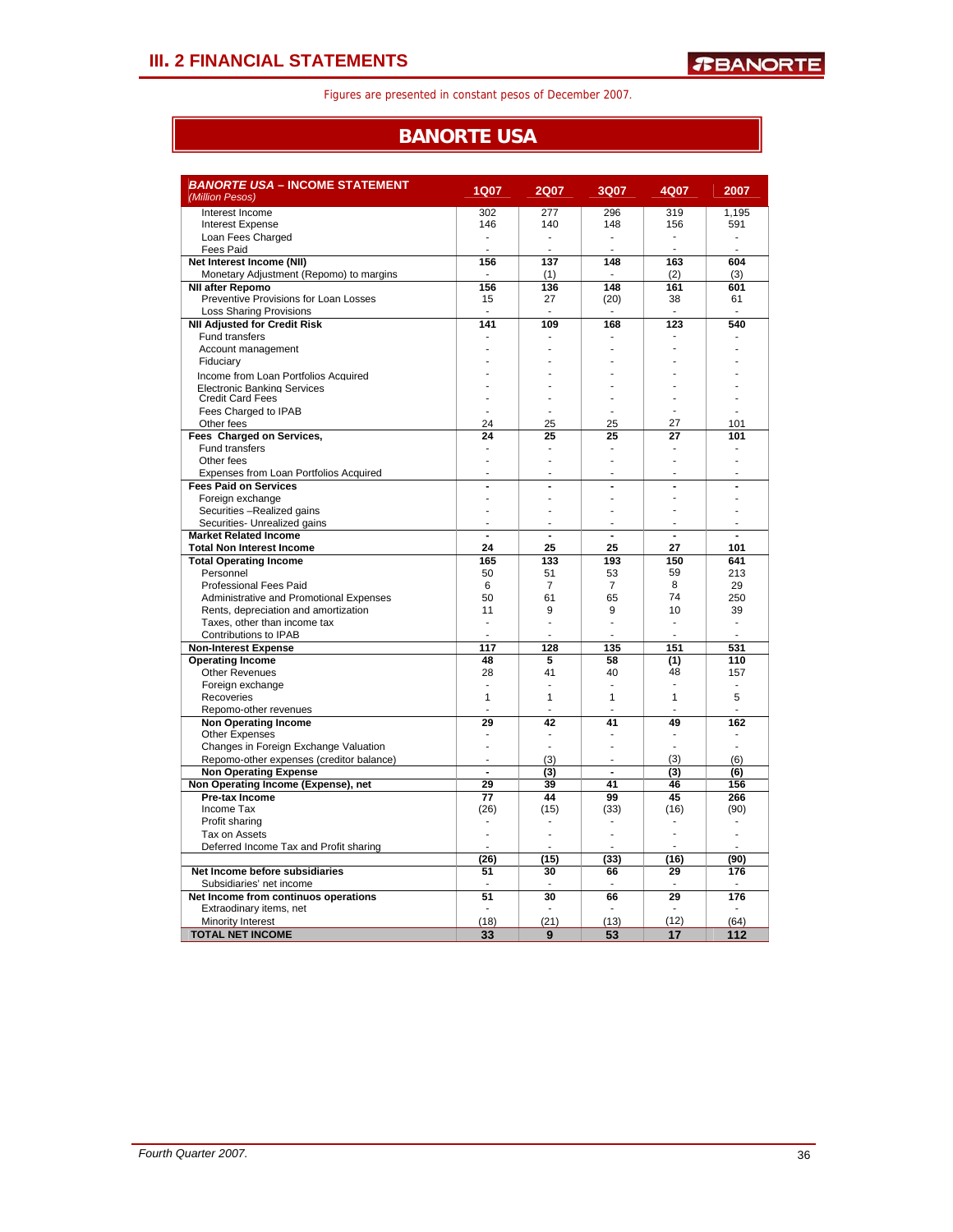## **BANORTE USA**

| <i>BANORTE USA –</i> INCOME STATEMENT<br>(Million Pesos)      | <b>1Q07</b>    | <b>2Q07</b>    | 3Q07           | 4Q07           | 2007           |
|---------------------------------------------------------------|----------------|----------------|----------------|----------------|----------------|
| Interest Income                                               | 302            | 277            | 296            | 319            | 1,195          |
| <b>Interest Expense</b>                                       | 146            | 140            | 148            | 156            | 591            |
| Loan Fees Charged                                             | ÷              | ÷.             | ÷.             | ä,             | ä,             |
| Fees Paid                                                     | ÷              | ÷.             |                | $\overline{a}$ |                |
| Net Interest Income (NII)                                     | 156            | 137            | 148            | 163            | 604            |
| Monetary Adjustment (Repomo) to margins                       | ÷.             | (1)            | ÷              | (2)            | (3)            |
| <b>NII after Repomo</b>                                       | 156            | 136            | 148            | 161            | 601            |
| Preventive Provisions for Loan Losses                         | 15             | 27             | (20)           | 38             | 61             |
| <b>Loss Sharing Provisions</b>                                |                |                |                |                |                |
| <b>NII Adjusted for Credit Risk</b>                           | 141            | 109            | 168            | 123            | 540            |
| Fund transfers                                                |                |                |                |                |                |
| Account management                                            |                |                |                |                |                |
| Fiduciary                                                     |                |                |                |                |                |
| Income from Loan Portfolios Acquired                          |                |                |                |                |                |
| <b>Electronic Banking Services</b><br><b>Credit Card Fees</b> |                |                |                |                |                |
| Fees Charged to IPAB                                          |                |                |                |                |                |
| Other fees                                                    | 24             | 25             | 25             | 27             | 101            |
| Fees Charged on Services,                                     | 24             | 25             | 25             | 27             | 101            |
| <b>Fund transfers</b>                                         | $\overline{a}$ | ÷              |                | ä,             |                |
| Other fees                                                    | ÷,             |                |                |                |                |
| Expenses from Loan Portfolios Acquired                        |                |                |                |                |                |
| <b>Fees Paid on Services</b>                                  | $\overline{a}$ | $\overline{a}$ | $\blacksquare$ | $\blacksquare$ | ÷,             |
| Foreign exchange                                              | J.             | ä,             |                |                |                |
| Securities -Realized gains                                    | ÷,             | ä,             | $\overline{a}$ | ä,             | ÷.             |
| Securities- Unrealized gains                                  | ÷              | ä,             |                |                |                |
| <b>Market Related Income</b>                                  | $\blacksquare$ | $\blacksquare$ | $\blacksquare$ | $\blacksquare$ | $\blacksquare$ |
| <b>Total Non Interest Income</b>                              | 24             | 25             | 25             | 27             | 101            |
| <b>Total Operating Income</b>                                 | 165            | 133            | 193            | 150            | 641            |
| Personnel                                                     | 50             | 51             | 53             | 59             | 213            |
| <b>Professional Fees Paid</b>                                 | 6              | $\overline{7}$ | $\overline{7}$ | 8              | 29             |
| Administrative and Promotional Expenses                       | 50             | 61             | 65             | 74             | 250            |
| Rents, depreciation and amortization                          | 11             | 9              | 9              | 10             | 39             |
| Taxes, other than income tax                                  | L.             | L.             | L.             | $\overline{a}$ | $\overline{a}$ |
| Contributions to IPAB                                         | ÷,             |                |                |                |                |
| <b>Non-Interest Expense</b>                                   | 117            | 128            | 135            | 151            | 531            |
| <b>Operating Income</b><br><b>Other Revenues</b>              | 48<br>28       | 5<br>41        | 58<br>40       | (1)<br>48      | 110<br>157     |
| Foreign exchange                                              | ٠              |                |                | ÷              | ٠              |
| Recoveries                                                    | 1              | $\mathbf{1}$   | $\mathbf{1}$   | $\mathbf{1}$   | 5              |
| Repomo-other revenues                                         |                |                |                |                |                |
| Non Operating Income                                          | 29             | 42             | 41             | 49             | 162            |
| Other Expenses                                                | ä,             |                |                | $\overline{a}$ |                |
| Changes in Foreign Exchange Valuation                         | ä,             | ÷.             | ÷.             |                | ÷.             |
| Repomo-other expenses (creditor balance)                      | L.             | (3)            |                | (3)            | (6)            |
| <b>Non Operating Expense</b>                                  | $\overline{a}$ | (3)            | $\overline{a}$ | (3)            | (6)            |
| Non Operating Income (Expense), net                           | 29             | 39             | 41             | 46             | 156            |
| Pre-tax Income                                                | 77             | 44             | 99             | 45             | 266            |
| Income Tax                                                    | (26)           | (15)           | (33)           | (16)           | (90)           |
| Profit sharing                                                |                |                |                |                |                |
| Tax on Assets                                                 |                |                |                |                | L,             |
| Deferred Income Tax and Profit sharing                        |                |                |                |                |                |
|                                                               | (26)           | (15)           | (33)           | (16)           | (90)           |
| Net Income before subsidiaries                                | 51             | 30             | 66             | 29             | 176            |
| Subsidiaries' net income                                      |                |                |                |                |                |
| Net Income from continuos operations                          | 51             | 30             | 66             | 29             | 176            |
| Extraodinary items, net                                       |                |                |                |                |                |
| Minority Interest                                             | (18)           | (21)           | (13)           | (12)           | (64)           |
| <b>TOTAL NET INCOME</b>                                       | 33             | 9              | 53             | 17             | 112            |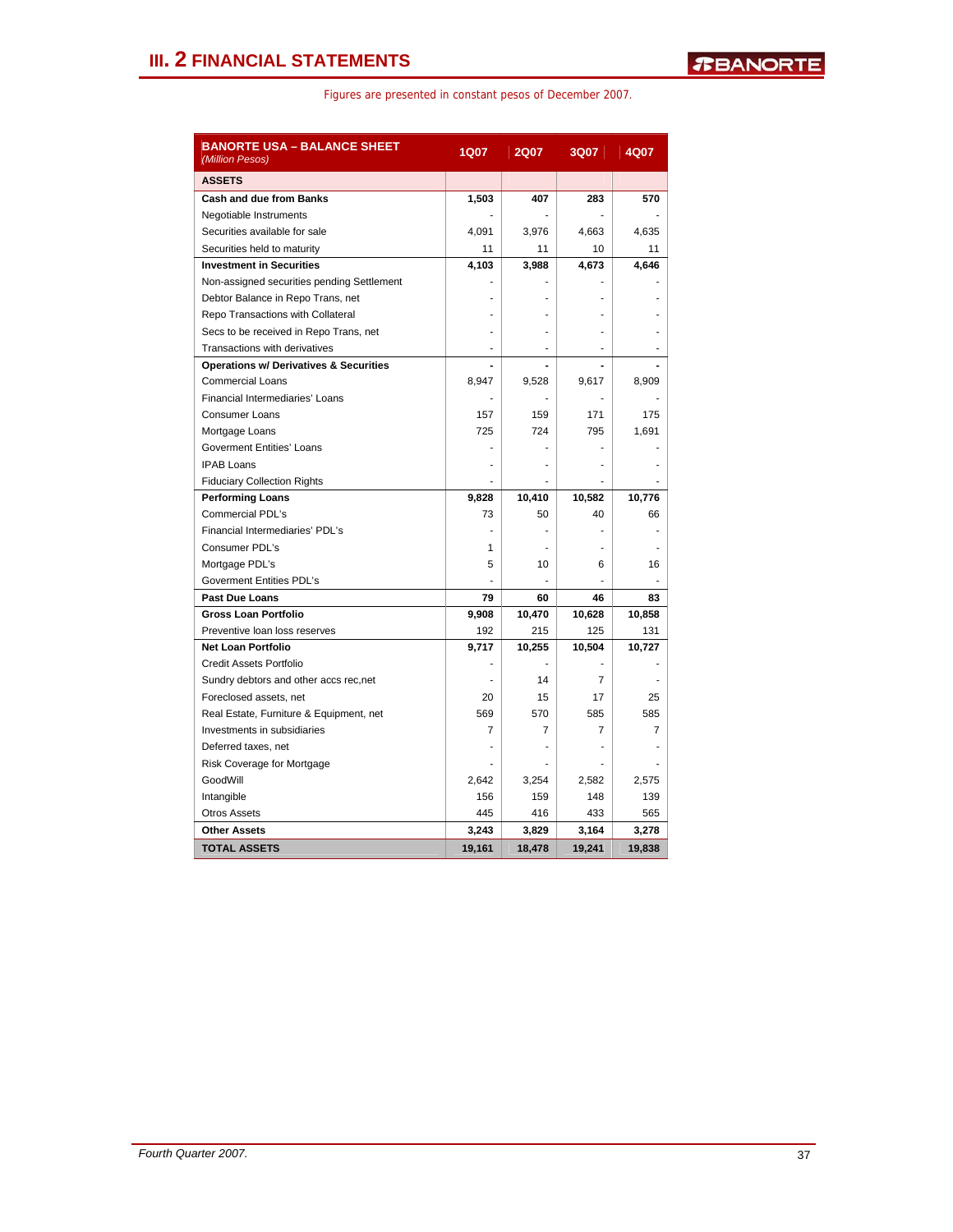| <b>BANORTE USA – BALANCE SHEET</b><br>(Million Pesos) | 1Q07           | <b>2Q07</b>    | <b>3Q07</b> | 4Q07   |
|-------------------------------------------------------|----------------|----------------|-------------|--------|
| <b>ASSETS</b>                                         |                |                |             |        |
| <b>Cash and due from Banks</b>                        | 1,503          | 407            | 283         | 570    |
| Negotiable Instruments                                |                |                |             |        |
| Securities available for sale                         | 4,091          | 3,976          | 4,663       | 4,635  |
| Securities held to maturity                           | 11             | 11             | 10          | 11     |
| <b>Investment in Securities</b>                       | 4,103          | 3,988          | 4,673       | 4,646  |
| Non-assigned securities pending Settlement            |                |                |             |        |
| Debtor Balance in Repo Trans, net                     |                |                |             |        |
| Repo Transactions with Collateral                     |                |                |             |        |
| Secs to be received in Repo Trans, net                |                |                |             |        |
| Transactions with derivatives                         |                | $\overline{a}$ |             |        |
| <b>Operations w/ Derivatives &amp; Securities</b>     |                |                |             |        |
| <b>Commercial Loans</b>                               | 8,947          | 9,528          | 9.617       | 8,909  |
| Financial Intermediaries' Loans                       |                |                |             |        |
| <b>Consumer Loans</b>                                 | 157            | 159            | 171         | 175    |
| Mortgage Loans                                        | 725            | 724            | 795         | 1,691  |
| <b>Goverment Entities' Loans</b>                      |                |                |             |        |
| <b>IPAB Loans</b>                                     |                |                |             |        |
| <b>Fiduciary Collection Rights</b>                    |                |                |             |        |
| <b>Performing Loans</b>                               | 9,828          | 10,410         | 10,582      | 10,776 |
| Commercial PDL's                                      | 73             | 50             | 40          | 66     |
| Financial Intermediaries' PDL's                       |                |                |             |        |
| Consumer PDL's                                        | 1              |                |             |        |
| Mortgage PDL's                                        | 5              | 10             | 6           | 16     |
| <b>Goverment Entities PDL's</b>                       |                |                |             |        |
| <b>Past Due Loans</b>                                 | 79             | 60             | 46          | 83     |
| <b>Gross Loan Portfolio</b>                           | 9,908          | 10,470         | 10,628      | 10,858 |
| Preventive loan loss reserves                         | 192            | 215            | 125         | 131    |
| <b>Net Loan Portfolio</b>                             | 9,717          | 10,255         | 10,504      | 10,727 |
| <b>Credit Assets Portfolio</b>                        |                |                |             |        |
| Sundry debtors and other accs rec,net                 |                | 14             | 7           |        |
| Foreclosed assets, net                                | 20             | 15             | 17          | 25     |
| Real Estate, Furniture & Equipment, net               | 569            | 570            | 585         | 585    |
| Investments in subsidiaries                           | $\overline{7}$ | $\overline{7}$ | 7           | 7      |
| Deferred taxes, net                                   |                |                |             |        |
| Risk Coverage for Mortgage                            |                |                |             |        |
| GoodWill                                              | 2,642          | 3,254          | 2,582       | 2,575  |
| Intangible                                            | 156            | 159            | 148         | 139    |
| <b>Otros Assets</b>                                   | 445            | 416            | 433         | 565    |
| <b>Other Assets</b>                                   | 3,243          | 3,829          | 3,164       | 3,278  |
| <b>TOTAL ASSETS</b>                                   | 19,161         | 18,478         | 19,241      | 19,838 |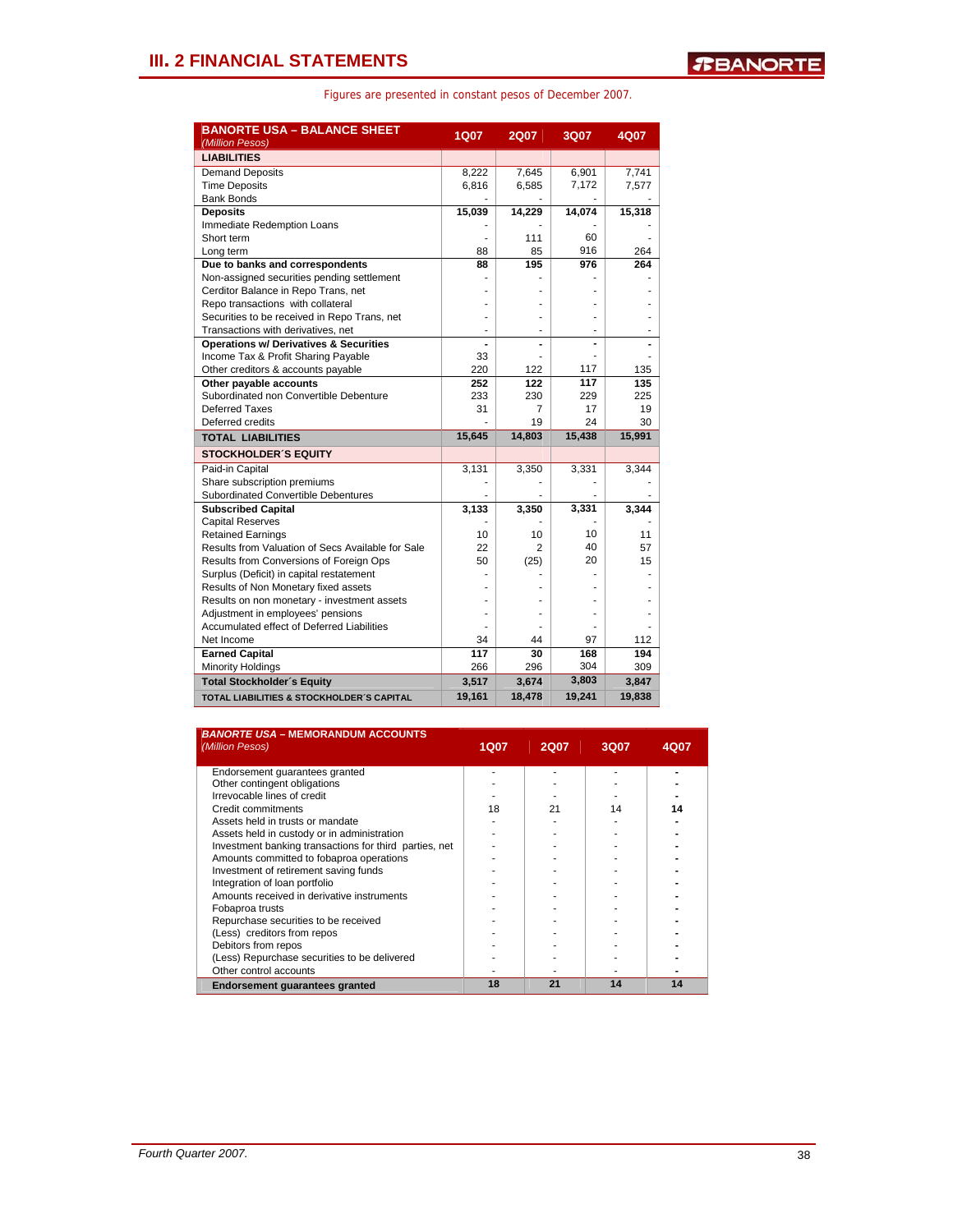| <b>BANORTE USA - BALANCE SHEET</b><br>(Million Pesos) | <b>1Q07</b>     | <b>2Q07</b>     | 3Q07       | 4Q07            |
|-------------------------------------------------------|-----------------|-----------------|------------|-----------------|
| <b>LIABILITIES</b>                                    |                 |                 |            |                 |
| <b>Demand Deposits</b>                                | 8,222           | 7,645           | 6,901      | 7,741           |
| <b>Time Deposits</b>                                  | 6,816           | 6,585           | 7,172      | 7,577           |
| <b>Bank Bonds</b>                                     |                 |                 |            |                 |
| <b>Deposits</b>                                       | 15,039          | 14,229          | 14,074     | 15,318          |
| Immediate Redemption Loans                            |                 |                 |            |                 |
| Short term                                            |                 | 111             | 60         |                 |
| Long term                                             | 88              | 85              | 916        | 264             |
| Due to banks and correspondents                       | 88              | 195             | 976        | 264             |
| Non-assigned securities pending settlement            |                 |                 |            |                 |
| Cerditor Balance in Repo Trans, net                   |                 |                 |            |                 |
| Repo transactions with collateral                     |                 |                 |            |                 |
| Securities to be received in Repo Trans, net          |                 |                 |            |                 |
| Transactions with derivatives, net                    |                 |                 |            |                 |
| <b>Operations w/ Derivatives &amp; Securities</b>     |                 | $\overline{a}$  | ÷          |                 |
| Income Tax & Profit Sharing Payable                   | 33              |                 |            |                 |
| Other creditors & accounts payable                    | 220             | 122             | 117        | 135             |
| Other payable accounts                                | 252             | 122             | 117        | 135             |
| Subordinated non Convertible Debenture                | 233             | 230             | 229        | 225             |
| Deferred Taxes                                        | 31              | $\overline{7}$  | 17         | 19              |
| Deferred credits                                      |                 | 19              | 24         | 30              |
| <b>TOTAL LIABILITIES</b>                              | 15,645          | 14,803          | 15,438     | 15,991          |
| <b>STOCKHOLDER'S EQUITY</b>                           |                 |                 |            |                 |
| Paid-in Capital                                       | 3,131           | 3,350           | 3,331      | 3,344           |
| Share subscription premiums                           |                 |                 |            |                 |
| Subordinated Convertible Debentures                   |                 |                 |            |                 |
| <b>Subscribed Capital</b>                             | 3,133           | 3,350           | 3,331      | 3,344           |
| <b>Capital Reserves</b>                               |                 |                 |            |                 |
| <b>Retained Earnings</b>                              | 10              | 10              | 10         | 11              |
| Results from Valuation of Secs Available for Sale     | 22              | $\overline{c}$  | 40         | 57              |
| Results from Conversions of Foreign Ops               | 50              | (25)            | 20         | 15              |
| Surplus (Deficit) in capital restatement              |                 |                 |            |                 |
| Results of Non Monetary fixed assets                  |                 |                 |            |                 |
| Results on non monetary - investment assets           |                 |                 |            |                 |
| Adjustment in employees' pensions                     |                 |                 |            |                 |
| Accumulated effect of Deferred Liabilities            |                 |                 |            |                 |
| Net Income                                            | 34              | 44              | 97         | 112             |
| <b>Earned Capital</b>                                 | 117<br>266      | 30              | 168<br>304 | 194<br>309      |
| <b>Minority Holdings</b>                              |                 | 296             | 3,803      |                 |
| <b>Total Stockholder's Equity</b>                     | 3,517<br>19,161 | 3,674<br>18,478 | 19,241     | 3,847<br>19,838 |
| <b>TOTAL LIABILITIES &amp; STOCKHOLDER'S CAPITAL</b>  |                 |                 |            |                 |

| <b>BANORTE USA - MEMORANDUM ACCOUNTS</b><br>(Million Pesos) | 1Q07 | <b>2Q07</b> | 3Q07 | 4Q07 |
|-------------------------------------------------------------|------|-------------|------|------|
| Endorsement quarantees granted                              |      |             |      |      |
| Other contingent obligations                                |      |             |      |      |
| Irrevocable lines of credit                                 |      |             |      |      |
| Credit commitments                                          | 18   | 21          | 14   | 14   |
| Assets held in trusts or mandate                            |      |             |      |      |
| Assets held in custody or in administration                 |      |             |      |      |
| Investment banking transactions for third parties, net      |      |             |      |      |
| Amounts committed to fobaproa operations                    |      |             |      |      |
| Investment of retirement saving funds                       |      |             |      |      |
| Integration of loan portfolio                               |      |             |      |      |
| Amounts received in derivative instruments                  |      |             |      |      |
| Fobaproa trusts                                             |      |             |      |      |
| Repurchase securities to be received                        |      |             |      |      |
| (Less) creditors from repos                                 |      |             |      |      |
| Debitors from repos                                         |      |             |      |      |
| (Less) Repurchase securities to be delivered                |      |             |      |      |
| Other control accounts                                      |      |             |      |      |
| Endorsement quarantees granted                              | 18   | 21          | 14   | 14   |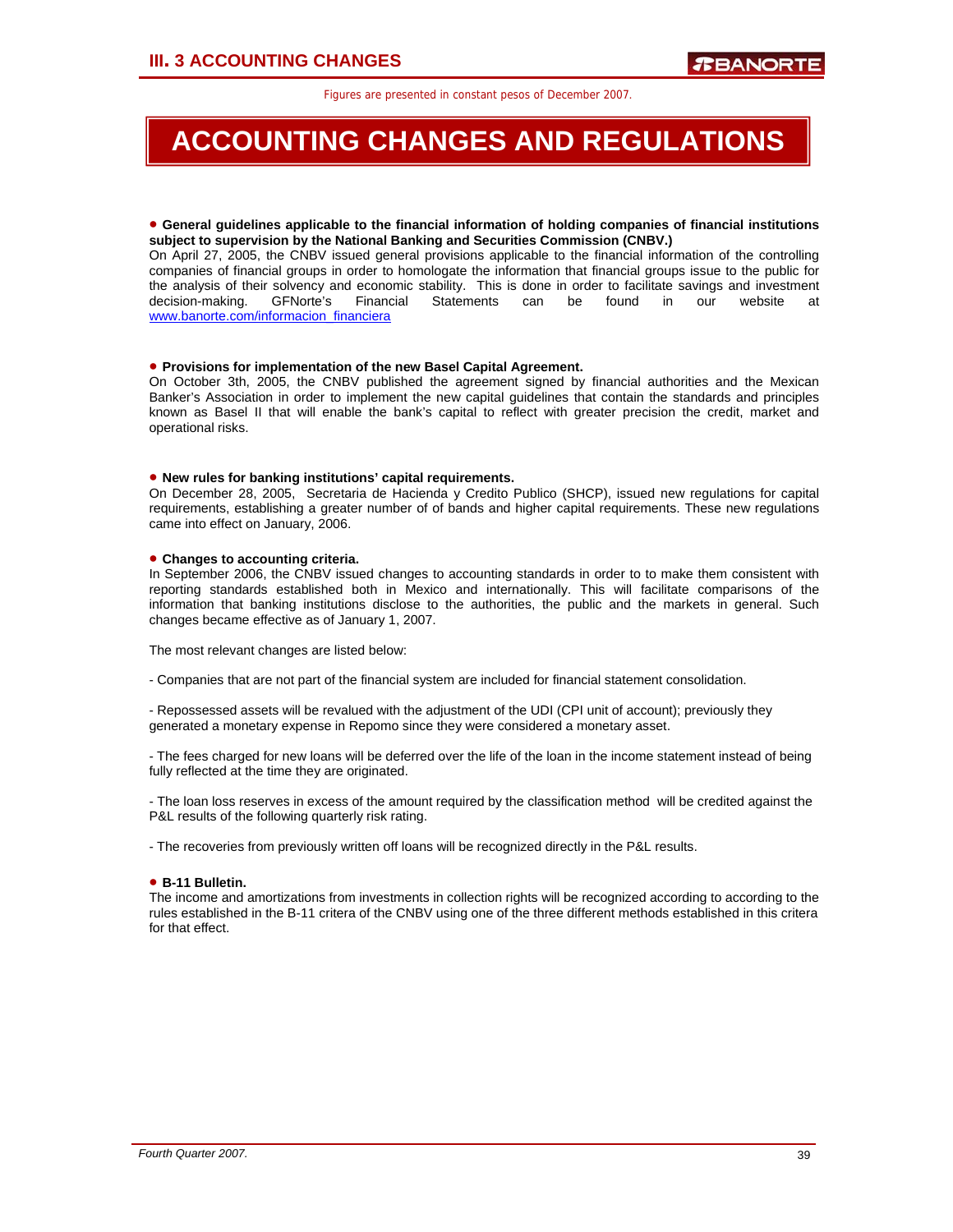## **ACCOUNTING CHANGES AND REGULATIONS**

### • **General guidelines applicable to the financial information of holding companies of financial institutions subject to supervision by the National Banking and Securities Commission (CNBV.)**

On April 27, 2005, the CNBV issued general provisions applicable to the financial information of the controlling companies of financial groups in order to homologate the information that financial groups issue to the public for the analysis of their solvency and economic stability. This is done in order to facilitate savings and investment<br>decision-making. GFNorte's Financial Statements can be found in our website at decision-making. GFNorte's Financial Statements can be found in our website at www.banorte.com/informacion\_financiera

## • **Provisions for implementation of the new Basel Capital Agreement.**

On October 3th, 2005, the CNBV published the agreement signed by financial authorities and the Mexican Banker's Association in order to implement the new capital guidelines that contain the standards and principles known as Basel II that will enable the bank's capital to reflect with greater precision the credit, market and operational risks.

### • **New rules for banking institutions' capital requirements.**

On December 28, 2005, Secretaria de Hacienda y Credito Publico (SHCP), issued new regulations for capital requirements, establishing a greater number of of bands and higher capital requirements. These new regulations came into effect on January, 2006.

## • **Changes to accounting criteria.**

In September 2006, the CNBV issued changes to accounting standards in order to to make them consistent with reporting standards established both in Mexico and internationally. This will facilitate comparisons of the information that banking institutions disclose to the authorities, the public and the markets in general. Such changes became effective as of January 1, 2007.

The most relevant changes are listed below:

- Companies that are not part of the financial system are included for financial statement consolidation.

- Repossessed assets will be revalued with the adjustment of the UDI (CPI unit of account); previously they generated a monetary expense in Repomo since they were considered a monetary asset.

- The fees charged for new loans will be deferred over the life of the loan in the income statement instead of being fully reflected at the time they are originated.

- The loan loss reserves in excess of the amount required by the classification method will be credited against the P&L results of the following quarterly risk rating.

- The recoveries from previously written off loans will be recognized directly in the P&L results.

## • **B-11 Bulletin.**

The income and amortizations from investments in collection rights will be recognized according to according to the rules established in the B-11 critera of the CNBV using one of the three different methods established in this critera for that effect.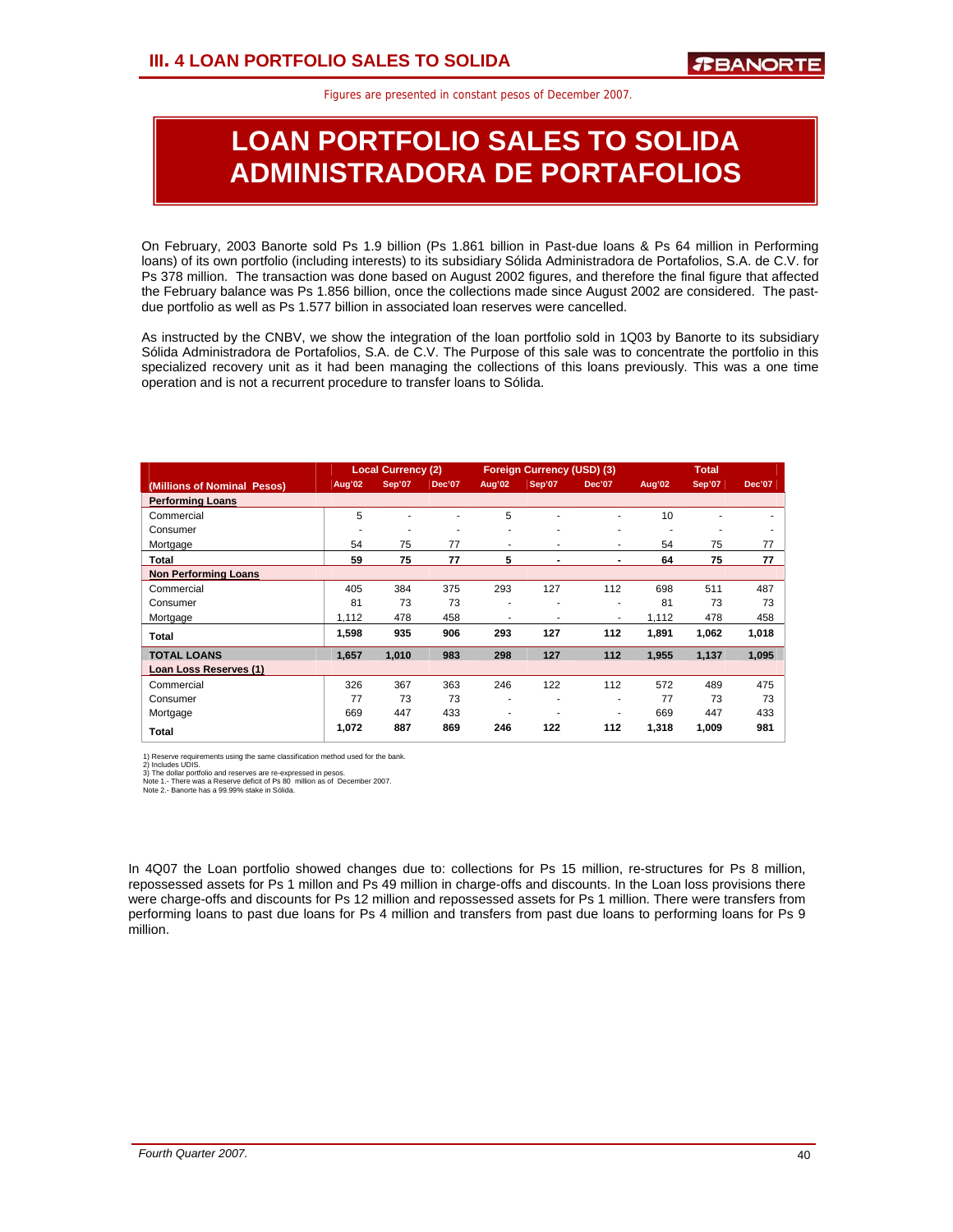## **LOAN PORTFOLIO SALES TO SOLIDA ADMINISTRADORA DE PORTAFOLIOS**

On February, 2003 Banorte sold Ps 1.9 billion (Ps 1.861 billion in Past-due loans & Ps 64 million in Performing loans) of its own portfolio (including interests) to its subsidiary Sólida Administradora de Portafolios, S.A. de C.V. for Ps 378 million. The transaction was done based on August 2002 figures, and therefore the final figure that affected the February balance was Ps 1.856 billion, once the collections made since August 2002 are considered. The pastdue portfolio as well as Ps 1.577 billion in associated loan reserves were cancelled.

As instructed by the CNBV, we show the integration of the loan portfolio sold in 1Q03 by Banorte to its subsidiary Sólida Administradora de Portafolios, S.A. de C.V. The Purpose of this sale was to concentrate the portfolio in this specialized recovery unit as it had been managing the collections of this loans previously. This was a one time operation and is not a recurrent procedure to transfer loans to Sólida.

|                             |        | <b>Local Currency (2)</b> |               |        | Foreign Currency (USD) (3) |               |        | <b>Total</b>  |               |
|-----------------------------|--------|---------------------------|---------------|--------|----------------------------|---------------|--------|---------------|---------------|
| (Millions of Nominal Pesos) | Aug'02 | Sep'07                    | <b>Dec'07</b> | Aug'02 | Sep'07                     | <b>Dec'07</b> | Aug'02 | <b>Sep'07</b> | <b>Dec'07</b> |
| <b>Performing Loans</b>     |        |                           |               |        |                            |               |        |               |               |
| Commercial                  | 5      |                           |               | 5      | ٠                          | ٠             | 10     |               |               |
| Consumer                    |        |                           |               | ۰      | ۰                          | ٠             | ۰      | ۰             | ٠             |
| Mortgage                    | 54     | 75                        | 77            | ۰      | ٠                          | ٠             | 54     | 75            | 77            |
| Total                       | 59     | 75                        | 77            | 5      | ٠                          | ٠             | 64     | 75            | 77            |
| <b>Non Performing Loans</b> |        |                           |               |        |                            |               |        |               |               |
| Commercial                  | 405    | 384                       | 375           | 293    | 127                        | 112           | 698    | 511           | 487           |
| Consumer                    | 81     | 73                        | 73            |        | ۰                          | ۰             | 81     | 73            | 73            |
| Mortgage                    | 1,112  | 478                       | 458           | ۰      | ٠                          | ٠             | 1,112  | 478           | 458           |
| Total                       | 1,598  | 935                       | 906           | 293    | 127                        | 112           | 1,891  | 1,062         | 1,018         |
| <b>TOTAL LOANS</b>          | 1.657  | 1.010                     | 983           | 298    | 127                        | 112           | 1.955  | 1,137         | 1,095         |
| Loan Loss Reserves (1)      |        |                           |               |        |                            |               |        |               |               |
| Commercial                  | 326    | 367                       | 363           | 246    | 122                        | 112           | 572    | 489           | 475           |
| Consumer                    | 77     | 73                        | 73            | ۰      | ۰                          | ٠             | 77     | 73            | 73            |
| Mortgage                    | 669    | 447                       | 433           |        |                            | ٠             | 669    | 447           | 433           |
| Total                       | 1,072  | 887                       | 869           | 246    | 122                        | 112           | 1,318  | 1,009         | 981           |

1) Reserve requirements using the same classification method used for the bank.<br>2) Includes UDIS.<br>3) The dollar portfolio and reserves are re-expressed in pesos.<br>Note 1. - There was a Reserve deficit of Ps 80 million as of

In 4Q07 the Loan portfolio showed changes due to: collections for Ps 15 million, re-structures for Ps 8 million, repossessed assets for Ps 1 millon and Ps 49 million in charge-offs and discounts. In the Loan loss provisions there were charge-offs and discounts for Ps 12 million and repossessed assets for Ps 1 million. There were transfers from performing loans to past due loans for Ps 4 million and transfers from past due loans to performing loans for Ps 9 million.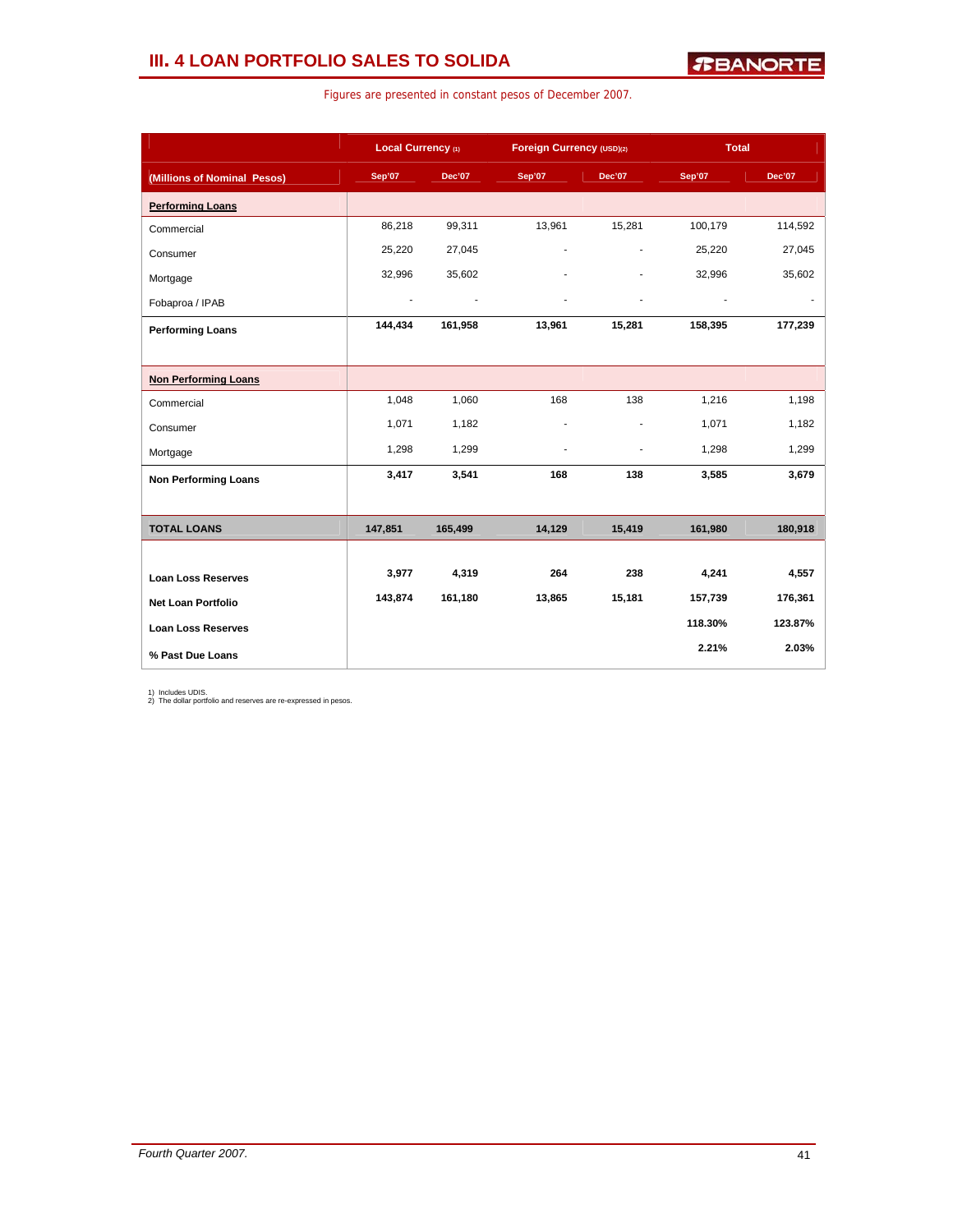## **III. 4 LOAN PORTFOLIO SALES TO SOLIDA**

|                             | Local Currency (1) |         |        | Foreign Currency (USD)(2) |         | <b>Total</b> |
|-----------------------------|--------------------|---------|--------|---------------------------|---------|--------------|
| (Millions of Nominal Pesos) | Sep'07             | Dec'07  | Sep'07 | Dec'07                    | Sep'07  | Dec'07       |
| <b>Performing Loans</b>     |                    |         |        |                           |         |              |
| Commercial                  | 86,218             | 99,311  | 13,961 | 15,281                    | 100,179 | 114,592      |
| Consumer                    | 25,220             | 27,045  |        | $\overline{a}$            | 25,220  | 27,045       |
| Mortgage                    | 32,996             | 35,602  |        |                           | 32,996  | 35,602       |
| Fobaproa / IPAB             |                    |         |        |                           |         |              |
| <b>Performing Loans</b>     | 144,434            | 161,958 | 13,961 | 15,281                    | 158,395 | 177,239      |
|                             |                    |         |        |                           |         |              |
| <b>Non Performing Loans</b> |                    |         |        |                           |         |              |
| Commercial                  | 1,048              | 1,060   | 168    | 138                       | 1,216   | 1,198        |
| Consumer                    | 1,071              | 1,182   |        |                           | 1,071   | 1,182        |
| Mortgage                    | 1,298              | 1,299   | ٠      | ä,                        | 1,298   | 1,299        |
| <b>Non Performing Loans</b> | 3,417              | 3,541   | 168    | 138                       | 3,585   | 3,679        |
|                             |                    |         |        |                           |         |              |
| <b>TOTAL LOANS</b>          | 147,851            | 165,499 | 14,129 | 15,419                    | 161,980 | 180,918      |
|                             |                    |         |        |                           |         |              |
| <b>Loan Loss Reserves</b>   | 3,977              | 4,319   | 264    | 238                       | 4,241   | 4,557        |
| <b>Net Loan Portfolio</b>   | 143,874            | 161,180 | 13,865 | 15,181                    | 157,739 | 176,361      |
| <b>Loan Loss Reserves</b>   |                    |         |        |                           | 118.30% | 123.87%      |
| % Past Due Loans            |                    |         |        |                           | 2.21%   | 2.03%        |

Figures are presented in constant pesos of December 2007.

1) Includes UDIS. 2) The dollar portfolio and reserves are re-expressed in pesos.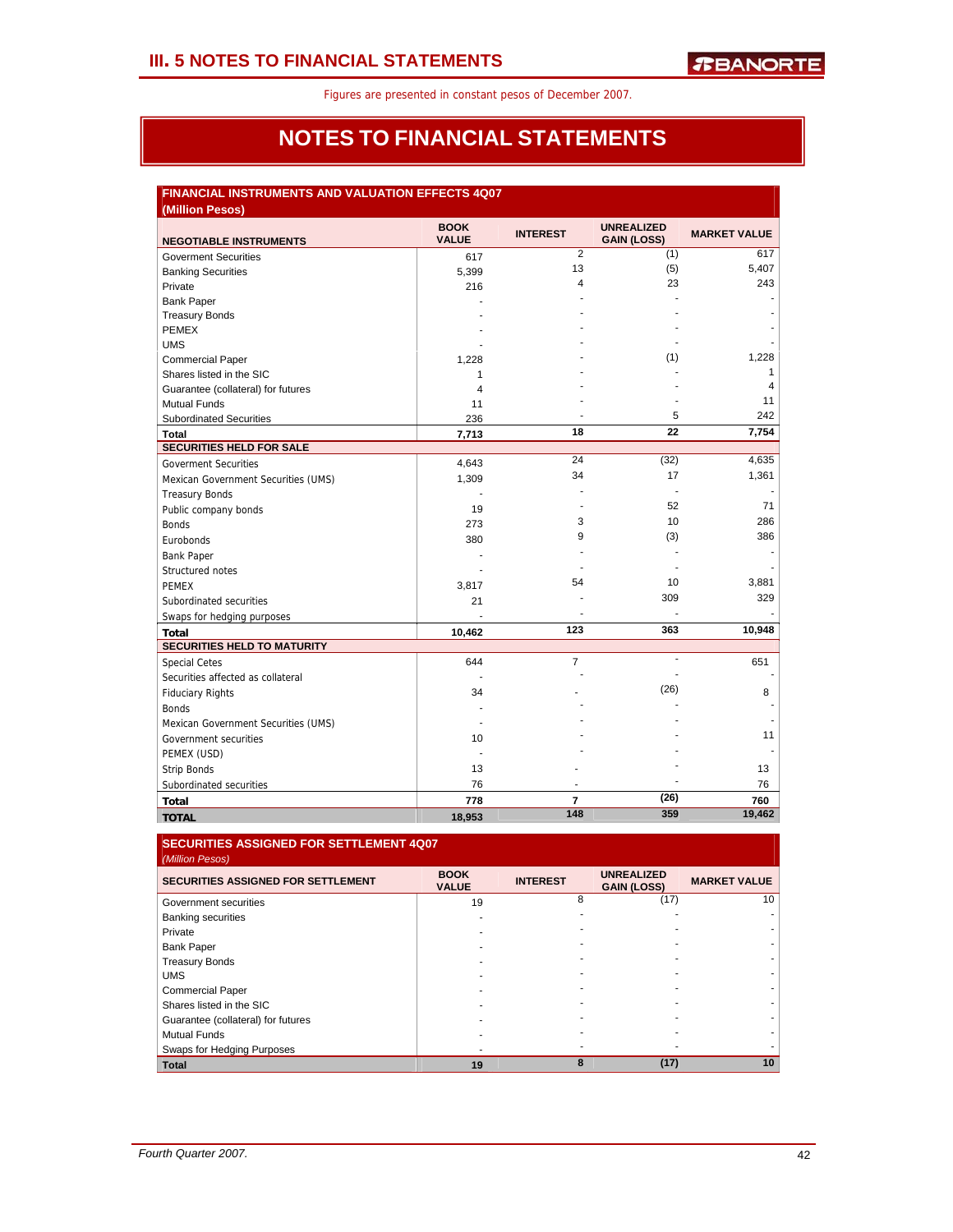## **NOTES TO FINANCIAL STATEMENTS**

## **FINANCIAL INSTRUMENTS AND VALUATION EFFECTS 4Q07**

| (Million Pesos)                     |                             |                 |                                         |                     |
|-------------------------------------|-----------------------------|-----------------|-----------------------------------------|---------------------|
| <b>NEGOTIABLE INSTRUMENTS</b>       | <b>BOOK</b><br><b>VALUE</b> | <b>INTEREST</b> | <b>UNREALIZED</b><br><b>GAIN (LOSS)</b> | <b>MARKET VALUE</b> |
| <b>Goverment Securities</b>         | 617                         | $\overline{2}$  | (1)                                     | 617                 |
| <b>Banking Securities</b>           | 5,399                       | 13              | (5)                                     | 5,407               |
| Private                             | 216                         | 4               | 23                                      | 243                 |
| <b>Bank Paper</b>                   |                             |                 |                                         |                     |
| <b>Treasury Bonds</b>               |                             |                 |                                         |                     |
| <b>PEMEX</b>                        |                             |                 |                                         |                     |
| <b>UMS</b>                          |                             |                 |                                         |                     |
| <b>Commercial Paper</b>             | 1,228                       |                 | (1)                                     | 1,228               |
| Shares listed in the SIC            | 1                           |                 |                                         | $\mathbf{1}$        |
| Guarantee (collateral) for futures  | 4                           |                 |                                         | 4                   |
| <b>Mutual Funds</b>                 | 11                          |                 |                                         | 11                  |
| <b>Subordinated Securities</b>      | 236                         |                 | 5                                       | 242                 |
| Total                               | 7,713                       | 18              | 22                                      | 7,754               |
| <b>SECURITIES HELD FOR SALE</b>     |                             |                 |                                         |                     |
| <b>Goverment Securities</b>         | 4,643                       | 24              | (32)                                    | 4,635               |
| Mexican Government Securities (UMS) | 1,309                       | 34              | 17                                      | 1,361               |
| <b>Treasury Bonds</b>               |                             |                 | ä,                                      |                     |
| Public company bonds                | 19                          |                 | 52                                      | 71                  |
| <b>Bonds</b>                        | 273                         | 3               | 10                                      | 286                 |
| Eurobonds                           | 380                         | 9               | (3)                                     | 386                 |
| <b>Bank Paper</b>                   |                             |                 |                                         |                     |
| Structured notes                    |                             |                 |                                         |                     |
| <b>PEMEX</b>                        | 3,817                       | 54              | 10                                      | 3,881               |
| Subordinated securities             | 21                          |                 | 309                                     | 329                 |
| Swaps for hedging purposes          |                             |                 |                                         |                     |
| <b>Total</b>                        | 10,462                      | 123             | 363                                     | 10,948              |
| <b>SECURITIES HELD TO MATURITY</b>  |                             |                 |                                         |                     |
| <b>Special Cetes</b>                | 644                         | $\overline{7}$  |                                         | 651                 |
| Securities affected as collateral   |                             |                 |                                         |                     |
| <b>Fiduciary Rights</b>             | 34                          |                 | (26)                                    | 8                   |
| <b>Bonds</b>                        |                             |                 |                                         |                     |
| Mexican Government Securities (UMS) |                             |                 |                                         |                     |
| Government securities               | 10                          |                 |                                         | 11                  |
| PEMEX (USD)                         |                             |                 |                                         |                     |
| <b>Strip Bonds</b>                  | 13                          |                 |                                         | 13                  |
| Subordinated securities             | 76                          | ٠               |                                         | 76                  |
| <b>Total</b>                        | 778                         | $\overline{7}$  | (26)                                    | 760                 |
| <b>TOTAL</b>                        | 18,953                      | 148             | 359                                     | 19,462              |

## **SECURITIES ASSIGNED FOR SETTLEMENT 4Q07**

| <b>BOOK</b><br><b>VALUE</b> | <b>INTEREST</b> | <b>UNREALIZED</b><br><b>GAIN (LOSS)</b> | <b>MARKET VALUE</b> |
|-----------------------------|-----------------|-----------------------------------------|---------------------|
| 19                          | 8               | (17)                                    | 10                  |
|                             |                 |                                         |                     |
|                             |                 |                                         |                     |
|                             |                 |                                         |                     |
|                             |                 |                                         |                     |
|                             |                 |                                         |                     |
|                             |                 |                                         |                     |
|                             |                 |                                         |                     |
|                             |                 |                                         |                     |
|                             |                 |                                         |                     |
|                             |                 |                                         |                     |
| 19                          |                 | (17)                                    | 10                  |
|                             |                 |                                         |                     |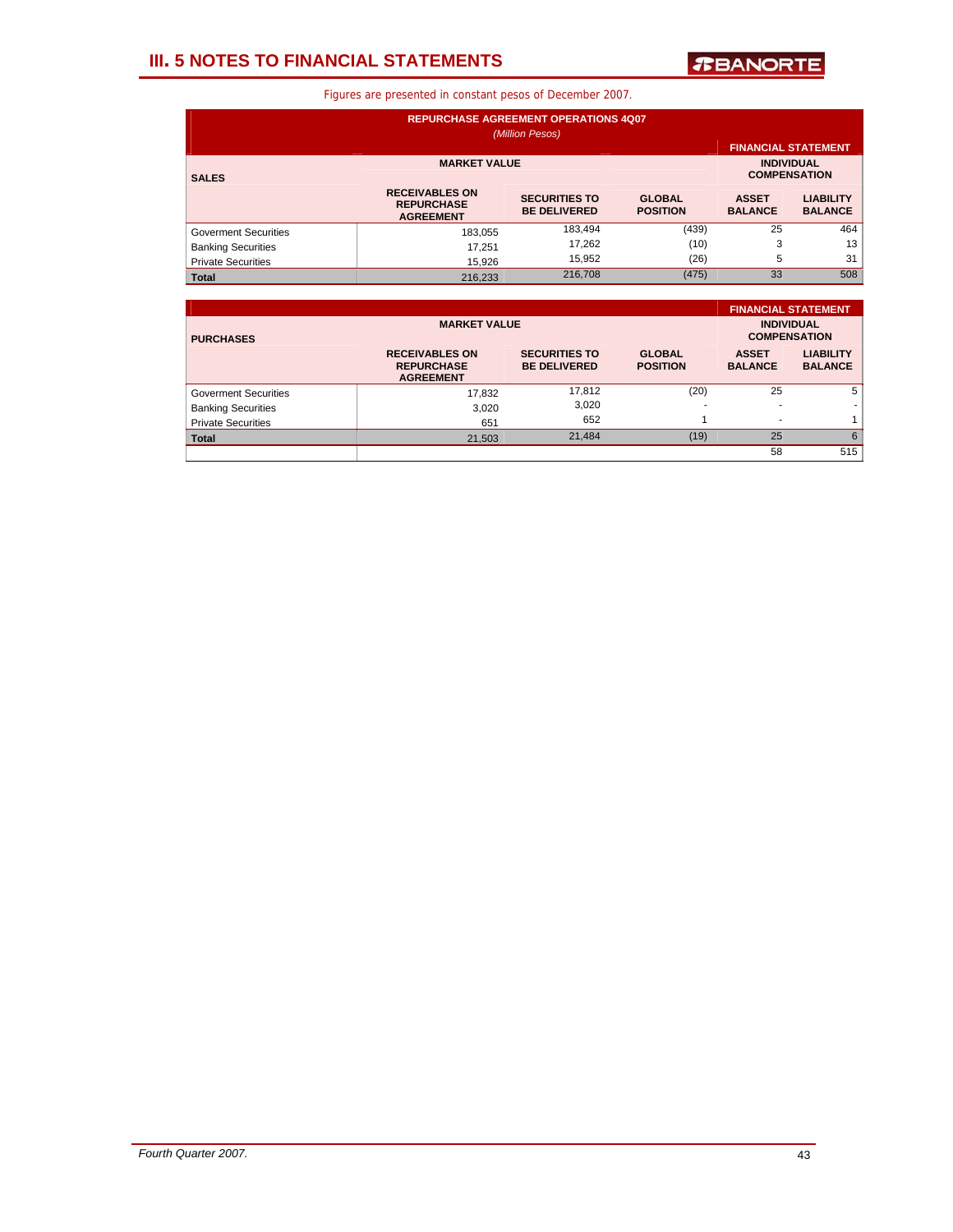## **III. 5 NOTES TO FINANCIAL STATEMENTS**

*T***BANORTE** 

| <b>REPURCHASE AGREEMENT OPERATIONS 4Q07</b><br>(Million Pesos) |                                                                |                                             |                                  |                                          |                                    |  |  |  |  |  |
|----------------------------------------------------------------|----------------------------------------------------------------|---------------------------------------------|----------------------------------|------------------------------------------|------------------------------------|--|--|--|--|--|
| <b>FINANCIAL STATEMENT</b>                                     |                                                                |                                             |                                  |                                          |                                    |  |  |  |  |  |
| <b>SALES</b>                                                   | <b>MARKET VALUE</b>                                            |                                             |                                  | <b>INDIVIDUAL</b><br><b>COMPENSATION</b> |                                    |  |  |  |  |  |
|                                                                | <b>RECEIVABLES ON</b><br><b>REPURCHASE</b><br><b>AGREEMENT</b> | <b>SECURITIES TO</b><br><b>BE DELIVERED</b> | <b>GLOBAL</b><br><b>POSITION</b> | <b>ASSET</b><br><b>BALANCE</b>           | <b>LIABILITY</b><br><b>BALANCE</b> |  |  |  |  |  |
| <b>Goverment Securities</b>                                    | 183.055                                                        | 183,494                                     | (439)                            | 25                                       | 464                                |  |  |  |  |  |
| <b>Banking Securities</b>                                      | 17.251                                                         | 17,262                                      | (10)                             | 3                                        | 13                                 |  |  |  |  |  |
| <b>Private Securities</b>                                      | 15,926                                                         | 15,952                                      | (26)                             | 5                                        | 31                                 |  |  |  |  |  |
| <b>Total</b>                                                   | 216.233                                                        | 216,708                                     | (475)                            | 33                                       | 508                                |  |  |  |  |  |

|                             |                                                                |                                             |                                  |                                | <b>FINANCIAL STATEMENT</b>               |
|-----------------------------|----------------------------------------------------------------|---------------------------------------------|----------------------------------|--------------------------------|------------------------------------------|
| <b>PURCHASES</b>            | <b>MARKET VALUE</b>                                            |                                             |                                  |                                | <b>INDIVIDUAL</b><br><b>COMPENSATION</b> |
|                             | <b>RECEIVABLES ON</b><br><b>REPURCHASE</b><br><b>AGREEMENT</b> | <b>SECURITIES TO</b><br><b>BE DELIVERED</b> | <b>GLOBAL</b><br><b>POSITION</b> | <b>ASSET</b><br><b>BALANCE</b> | <b>LIABILITY</b><br><b>BALANCE</b>       |
| <b>Goverment Securities</b> | 17,832                                                         | 17,812                                      | (20)                             | 25                             | 5                                        |
| <b>Banking Securities</b>   | 3.020                                                          | 3,020                                       | <b>.</b>                         |                                |                                          |
| <b>Private Securities</b>   | 651                                                            | 652                                         |                                  |                                |                                          |
| <b>Total</b>                | 21,503                                                         | 21,484                                      | (19)                             | 25                             | 6                                        |
|                             |                                                                |                                             |                                  | 58                             | 515                                      |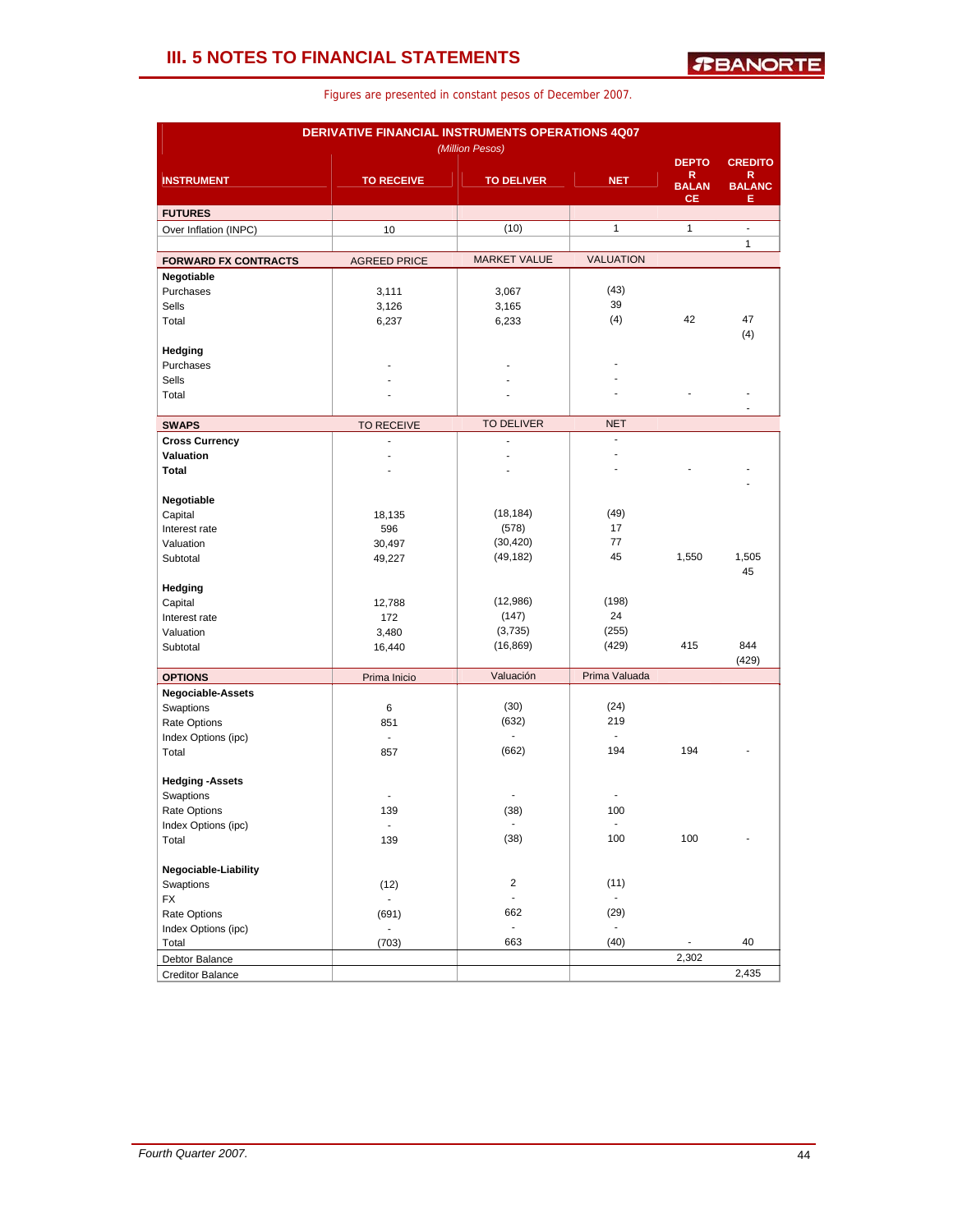| DERIVATIVE FINANCIAL INSTRUMENTS OPERATIONS 4Q07 |                     |                     |                          |                          |                     |  |  |  |  |
|--------------------------------------------------|---------------------|---------------------|--------------------------|--------------------------|---------------------|--|--|--|--|
|                                                  |                     | (Million Pesos)     |                          |                          |                     |  |  |  |  |
| <b>INSTRUMENT</b>                                | <b>TO RECEIVE</b>   |                     | <b>NET</b>               | <b>DEPTO</b><br>R        | <b>CREDITO</b><br>R |  |  |  |  |
|                                                  |                     | <b>TO DELIVER</b>   |                          | <b>BALAN</b><br>CЕ       | <b>BALANC</b><br>Е  |  |  |  |  |
| <b>FUTURES</b>                                   |                     |                     |                          |                          |                     |  |  |  |  |
| Over Inflation (INPC)                            | 10                  | (10)                | $\mathbf{1}$             | $\mathbf{1}$             | L.                  |  |  |  |  |
| <b>FORWARD FX CONTRACTS</b>                      | <b>AGREED PRICE</b> | <b>MARKET VALUE</b> | <b>VALUATION</b>         |                          | $\mathbf{1}$        |  |  |  |  |
| Negotiable                                       |                     |                     |                          |                          |                     |  |  |  |  |
| Purchases                                        | 3,111               | 3,067               | (43)                     |                          |                     |  |  |  |  |
| <b>Sells</b>                                     | 3,126               | 3,165               | 39                       |                          |                     |  |  |  |  |
| Total                                            | 6,237               | 6,233               | (4)                      | 42                       | 47                  |  |  |  |  |
|                                                  |                     |                     |                          |                          | (4)                 |  |  |  |  |
| Hedging                                          |                     |                     |                          |                          |                     |  |  |  |  |
| Purchases                                        |                     |                     |                          |                          |                     |  |  |  |  |
| Sells                                            |                     |                     |                          |                          |                     |  |  |  |  |
| Total                                            |                     |                     |                          |                          |                     |  |  |  |  |
| <b>SWAPS</b>                                     | <b>TO RECEIVE</b>   | <b>TO DELIVER</b>   | <b>NET</b>               |                          |                     |  |  |  |  |
| <b>Cross Currency</b>                            |                     | ä,                  | $\overline{\phantom{a}}$ |                          |                     |  |  |  |  |
| Valuation                                        |                     |                     | ÷.                       |                          |                     |  |  |  |  |
| <b>Total</b>                                     |                     |                     | J.                       |                          |                     |  |  |  |  |
|                                                  |                     |                     |                          |                          |                     |  |  |  |  |
| Negotiable                                       |                     |                     |                          |                          |                     |  |  |  |  |
| Capital                                          | 18,135              | (18, 184)           | (49)                     |                          |                     |  |  |  |  |
| Interest rate                                    | 596                 | (578)               | 17                       |                          |                     |  |  |  |  |
| Valuation                                        | 30,497              | (30, 420)           | 77                       |                          |                     |  |  |  |  |
| Subtotal                                         | 49,227              | (49, 182)           | 45                       | 1,550                    | 1,505<br>45         |  |  |  |  |
| Hedging                                          |                     |                     |                          |                          |                     |  |  |  |  |
| Capital                                          | 12,788              | (12,986)            | (198)                    |                          |                     |  |  |  |  |
| Interest rate                                    | 172                 | (147)               | 24                       |                          |                     |  |  |  |  |
| Valuation                                        | 3,480               | (3,735)             | (255)                    |                          |                     |  |  |  |  |
| Subtotal                                         | 16,440              | (16, 869)           | (429)                    | 415                      | 844                 |  |  |  |  |
|                                                  |                     |                     |                          |                          | (429)               |  |  |  |  |
| <b>OPTIONS</b>                                   | Prima Inicio        | Valuación           | Prima Valuada            |                          |                     |  |  |  |  |
| Negociable-Assets                                |                     | (30)                | (24)                     |                          |                     |  |  |  |  |
| Swaptions<br>Rate Options                        | 6<br>851            | (632)               | 219                      |                          |                     |  |  |  |  |
| Index Options (ipc)                              | $\overline{a}$      |                     | $\blacksquare$           |                          |                     |  |  |  |  |
| Total                                            | 857                 | (662)               | 194                      | 194                      |                     |  |  |  |  |
|                                                  |                     |                     |                          |                          |                     |  |  |  |  |
| <b>Hedging -Assets</b>                           |                     |                     |                          |                          |                     |  |  |  |  |
| Swaptions                                        |                     |                     |                          |                          |                     |  |  |  |  |
| Rate Options                                     | 139                 | (38)                | 100                      |                          |                     |  |  |  |  |
| Index Options (ipc)                              | $\blacksquare$      |                     | $\overline{\phantom{a}}$ |                          |                     |  |  |  |  |
| Total                                            | 139                 | (38)                | 100                      | 100                      |                     |  |  |  |  |
| Negociable-Liability                             |                     |                     |                          |                          |                     |  |  |  |  |
| Swaptions                                        | (12)                | $\overline{2}$      | (11)                     |                          |                     |  |  |  |  |
| <b>FX</b>                                        |                     | ä,                  | $\mathbf{r}$             |                          |                     |  |  |  |  |
| Rate Options                                     | (691)               | 662                 | (29)                     |                          |                     |  |  |  |  |
| Index Options (ipc)                              | $\blacksquare$      | $\Box$              | $\blacksquare$           |                          |                     |  |  |  |  |
| Total                                            | (703)               | 663                 | (40)                     | $\overline{\phantom{a}}$ | 40                  |  |  |  |  |
| Debtor Balance                                   |                     |                     |                          | 2,302                    |                     |  |  |  |  |
| <b>Creditor Balance</b>                          |                     |                     |                          |                          | 2,435               |  |  |  |  |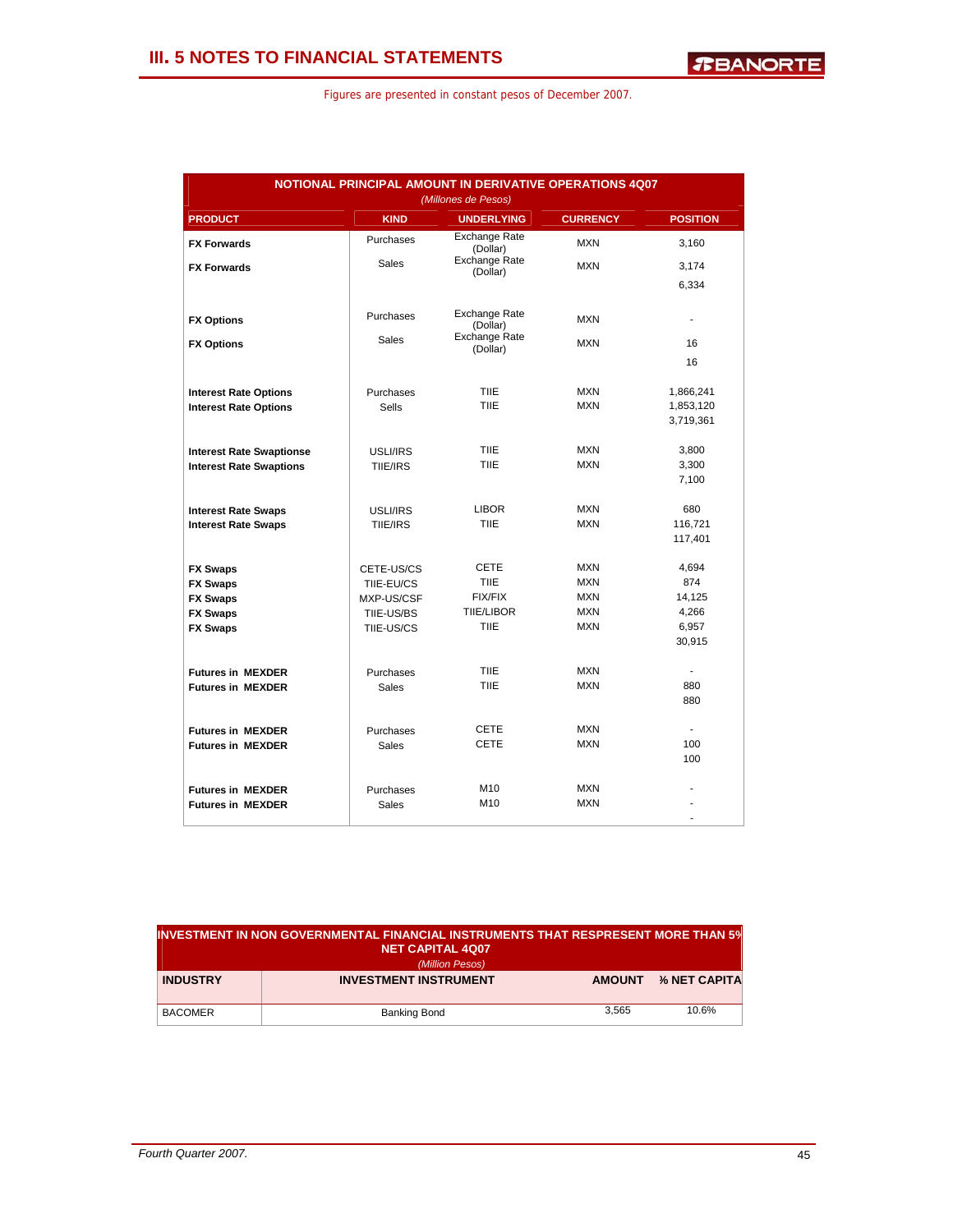| NOTIONAL PRINCIPAL AMOUNT IN DERIVATIVE OPERATIONS 4Q07<br>(Millones de Pesos) |              |                                  |                 |                 |  |  |  |  |
|--------------------------------------------------------------------------------|--------------|----------------------------------|-----------------|-----------------|--|--|--|--|
| <b>PRODUCT</b>                                                                 | <b>KIND</b>  | <b>UNDERLYING</b>                | <b>CURRENCY</b> | <b>POSITION</b> |  |  |  |  |
| <b>FX Forwards</b>                                                             | Purchases    | Exchange Rate<br>(Dollar)        | <b>MXN</b>      | 3,160           |  |  |  |  |
| <b>FX Forwards</b>                                                             | <b>Sales</b> | <b>Exchange Rate</b><br>(Dollar) | <b>MXN</b>      | 3,174           |  |  |  |  |
|                                                                                |              |                                  |                 | 6,334           |  |  |  |  |
| <b>FX Options</b>                                                              | Purchases    | <b>Exchange Rate</b><br>(Dollar) | <b>MXN</b>      |                 |  |  |  |  |
| <b>FX Options</b>                                                              | <b>Sales</b> | <b>Exchange Rate</b><br>(Dollar) | <b>MXN</b>      | 16              |  |  |  |  |
|                                                                                |              |                                  |                 | 16              |  |  |  |  |
| <b>Interest Rate Options</b>                                                   | Purchases    | <b>TIIE</b>                      | <b>MXN</b>      | 1,866,241       |  |  |  |  |
| <b>Interest Rate Options</b>                                                   | <b>Sells</b> | <b>TIIF</b>                      | <b>MXN</b>      | 1,853,120       |  |  |  |  |
|                                                                                |              |                                  |                 | 3,719,361       |  |  |  |  |
| <b>Interest Rate Swaptionse</b>                                                | USLI/IRS     | <b>TIIE</b>                      | <b>MXN</b>      | 3,800           |  |  |  |  |
| <b>Interest Rate Swaptions</b>                                                 | TIIE/IRS     | TIIE                             | <b>MXN</b>      | 3,300<br>7,100  |  |  |  |  |
|                                                                                |              |                                  |                 |                 |  |  |  |  |
| <b>Interest Rate Swaps</b>                                                     | USLI/IRS     | <b>LIBOR</b>                     | <b>MXN</b>      | 680             |  |  |  |  |
| <b>Interest Rate Swaps</b>                                                     | TIIE/IRS     | <b>TIIE</b>                      | <b>MXN</b>      | 116,721         |  |  |  |  |
|                                                                                |              |                                  |                 | 117,401         |  |  |  |  |
| <b>FX Swaps</b>                                                                | CETE-US/CS   | <b>CETE</b>                      | <b>MXN</b>      | 4,694           |  |  |  |  |
| <b>FX Swaps</b>                                                                | TIIE-EU/CS   | <b>TIIE</b>                      | <b>MXN</b>      | 874             |  |  |  |  |
| <b>FX Swaps</b>                                                                | MXP-US/CSF   | <b>FIX/FIX</b>                   | <b>MXN</b>      | 14,125          |  |  |  |  |
| <b>FX Swaps</b>                                                                | TIIE-US/BS   | <b>TIIE/LIBOR</b>                | <b>MXN</b>      | 4,266           |  |  |  |  |
| <b>FX Swaps</b>                                                                | TIIE-US/CS   | <b>TIIE</b>                      | <b>MXN</b>      | 6,957           |  |  |  |  |
|                                                                                |              |                                  |                 | 30,915          |  |  |  |  |
| <b>Futures in MEXDER</b>                                                       | Purchases    | <b>TIIE</b>                      | <b>MXN</b>      |                 |  |  |  |  |
| <b>Futures in MEXDER</b>                                                       | <b>Sales</b> | <b>TIIF</b>                      | <b>MXN</b>      | 880             |  |  |  |  |
|                                                                                |              |                                  |                 | 880             |  |  |  |  |
| <b>Futures in MEXDER</b>                                                       | Purchases    | <b>CETE</b>                      | <b>MXN</b>      | ÷.              |  |  |  |  |
| <b>Futures in MEXDER</b>                                                       | Sales        | <b>CETE</b>                      | <b>MXN</b>      | 100             |  |  |  |  |
|                                                                                |              |                                  |                 | 100             |  |  |  |  |
| <b>Futures in MEXDER</b>                                                       | Purchases    | M10                              | <b>MXN</b>      |                 |  |  |  |  |
| <b>Futures in MEXDER</b>                                                       | Sales        | M10                              | <b>MXN</b>      |                 |  |  |  |  |
|                                                                                |              |                                  |                 | ٠               |  |  |  |  |

| INVESTMENT IN NON GOVERNMENTAL FINANCIAL INSTRUMENTS THAT RESPRESENT MORE THAN 5% $\,$<br><b>NET CAPITAL 4Q07</b> |                              |       |                      |  |  |  |
|-------------------------------------------------------------------------------------------------------------------|------------------------------|-------|----------------------|--|--|--|
|                                                                                                                   | (Million Pesos)              |       |                      |  |  |  |
| <b>INDUSTRY</b>                                                                                                   | <b>INVESTMENT INSTRUMENT</b> |       | AMOUNT % NET CAPITAL |  |  |  |
| <b>BACOMER</b>                                                                                                    | Banking Bond                 | 3.565 | 10.6%                |  |  |  |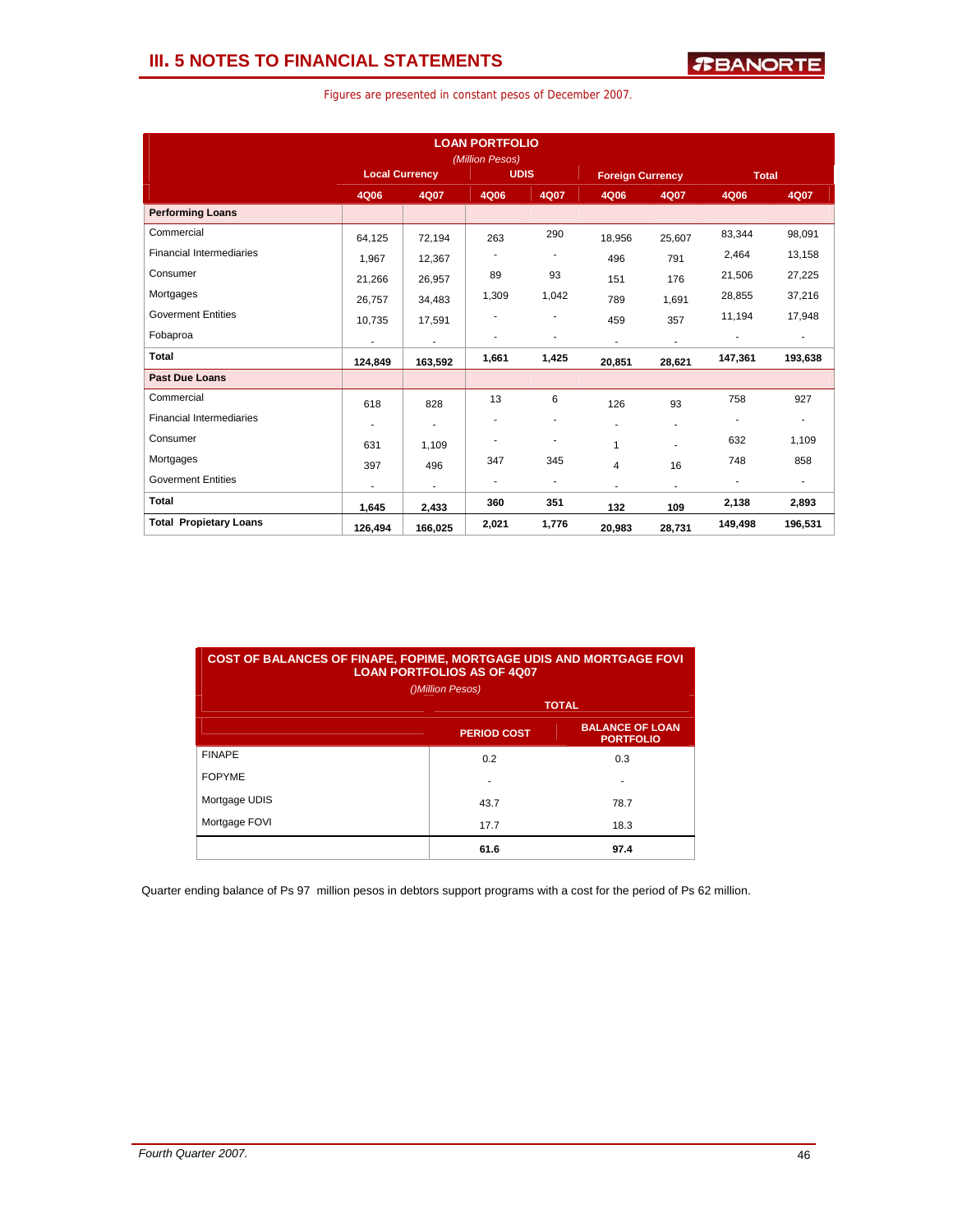| Figures are presented in constant pesos of December 2007. |  |  |  |  |  |  |  |
|-----------------------------------------------------------|--|--|--|--|--|--|--|
|-----------------------------------------------------------|--|--|--|--|--|--|--|

|                                 |                                      |                | <b>LOAN PORTFOLIO</b><br>(Million Pesos) |                          |                |                          |                          |                          |
|---------------------------------|--------------------------------------|----------------|------------------------------------------|--------------------------|----------------|--------------------------|--------------------------|--------------------------|
|                                 | <b>Local Currency</b><br><b>UDIS</b> |                | <b>Foreign Currency</b>                  |                          | <b>Total</b>   |                          |                          |                          |
|                                 | 4Q06                                 | 4Q07           | 4Q06                                     | 4Q07                     | 4Q06           | 4Q07                     | 4Q06                     | 4Q07                     |
| <b>Performing Loans</b>         |                                      |                |                                          |                          |                |                          |                          |                          |
| Commercial                      | 64,125                               | 72,194         | 263                                      | 290                      | 18,956         | 25,607                   | 83,344                   | 98,091                   |
| <b>Financial Intermediaries</b> | 1.967                                | 12,367         |                                          | $\overline{\phantom{a}}$ | 496            | 791                      | 2,464                    | 13,158                   |
| Consumer                        | 21,266                               | 26,957         | 89                                       | 93                       | 151            | 176                      | 21,506                   | 27,225                   |
| Mortgages                       | 26,757                               | 34,483         | 1,309                                    | 1,042                    | 789            | 1,691                    | 28,855                   | 37,216                   |
| <b>Goverment Entities</b>       | 10,735                               | 17,591         |                                          | $\overline{a}$           | 459            | 357                      | 11,194                   | 17,948                   |
| Fobaproa                        | $\blacksquare$                       | $\blacksquare$ |                                          | ٠                        | $\blacksquare$ | $\overline{\phantom{a}}$ |                          | $\overline{\phantom{a}}$ |
| Total                           | 124,849                              | 163,592        | 1,661                                    | 1,425                    | 20,851         | 28,621                   | 147,361                  | 193,638                  |
| <b>Past Due Loans</b>           |                                      |                |                                          |                          |                |                          |                          |                          |
| Commercial                      | 618                                  | 828            | 13                                       | 6                        | 126            | 93                       | 758                      | 927                      |
| <b>Financial Intermediaries</b> |                                      | ٠              |                                          | ٠                        | ٠              | ٠                        |                          | $\overline{\phantom{a}}$ |
| Consumer                        | 631                                  | 1.109          |                                          | ٠                        | 1              |                          | 632                      | 1,109                    |
| Mortgages                       | 397                                  | 496            | 347                                      | 345                      | 4              | 16                       | 748                      | 858                      |
| <b>Goverment Entities</b>       | ÷                                    | ٠              | $\overline{\phantom{a}}$                 | $\overline{\phantom{a}}$ |                | ٠                        | $\overline{\phantom{a}}$ | $\blacksquare$           |
| <b>Total</b>                    | 1,645                                | 2,433          | 360                                      | 351                      | 132            | 109                      | 2,138                    | 2,893                    |
| <b>Total Propietary Loans</b>   | 126,494                              | 166,025        | 2,021                                    | 1,776                    | 20,983         | 28,731                   | 149,498                  | 196,531                  |

| <b>COST OF BALANCES OF FINAPE, FOPIME, MORTGAGE UDIS AND MORTGAGE FOVI</b><br><b>LOAN PORTFOLIOS AS OF 4007</b><br>()Million Pesos) |                    |                                            |  |  |  |  |  |  |
|-------------------------------------------------------------------------------------------------------------------------------------|--------------------|--------------------------------------------|--|--|--|--|--|--|
|                                                                                                                                     | <b>TOTAL</b>       |                                            |  |  |  |  |  |  |
|                                                                                                                                     | <b>PERIOD COST</b> | <b>BALANCE OF LOAN</b><br><b>PORTFOLIO</b> |  |  |  |  |  |  |
| <b>FINAPE</b>                                                                                                                       | 0.2                | 0.3                                        |  |  |  |  |  |  |
| <b>FOPYME</b>                                                                                                                       | ۰                  | $\overline{\phantom{a}}$                   |  |  |  |  |  |  |
| Mortgage UDIS                                                                                                                       | 43.7               | 78.7                                       |  |  |  |  |  |  |
| Mortgage FOVI                                                                                                                       | 17.7               | 18.3                                       |  |  |  |  |  |  |
|                                                                                                                                     | 61.6               | 97.4                                       |  |  |  |  |  |  |

Quarter ending balance of Ps 97 million pesos in debtors support programs with a cost for the period of Ps 62 million.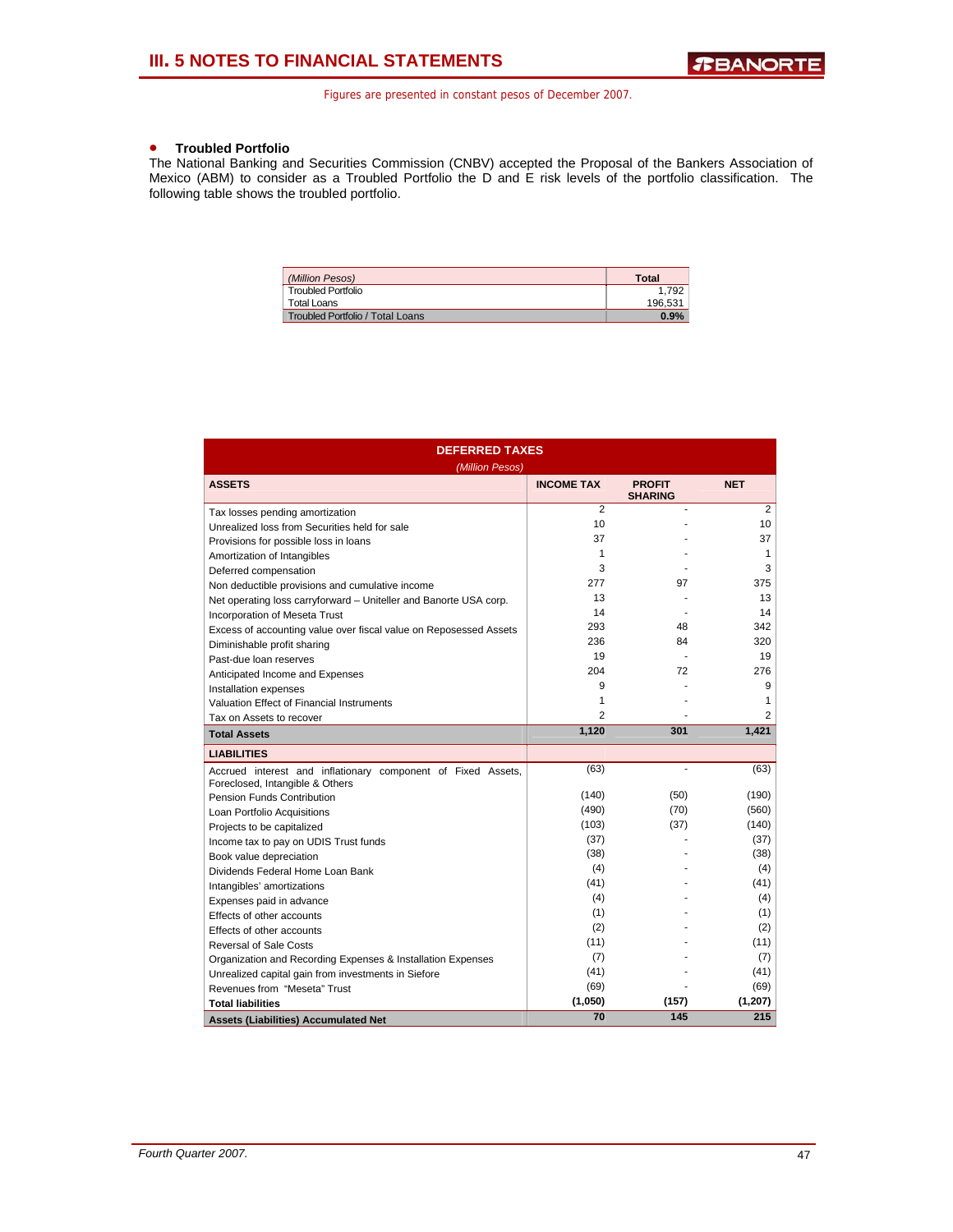## • **Troubled Portfolio**

The National Banking and Securities Commission (CNBV) accepted the Proposal of the Bankers Association of Mexico (ABM) to consider as a Troubled Portfolio the D and E risk levels of the portfolio classification. The following table shows the troubled portfolio.

| (Million Pesos)                  | <b>Total</b> |
|----------------------------------|--------------|
| <b>Troubled Portfolio</b>        | 1.792        |
| Total Loans                      | 196.531      |
| Troubled Portfolio / Total Loans | 0.9%         |

| <b>DEFERRED TAXES</b>                                                                           |                   |                                 |                |  |  |  |  |  |
|-------------------------------------------------------------------------------------------------|-------------------|---------------------------------|----------------|--|--|--|--|--|
| (Million Pesos)                                                                                 |                   |                                 |                |  |  |  |  |  |
| <b>ASSETS</b>                                                                                   | <b>INCOME TAX</b> | <b>PROFIT</b><br><b>SHARING</b> | <b>NET</b>     |  |  |  |  |  |
| Tax losses pending amortization                                                                 | $\overline{2}$    |                                 | $\overline{2}$ |  |  |  |  |  |
| Unrealized loss from Securities held for sale                                                   | 10                |                                 | 10             |  |  |  |  |  |
| Provisions for possible loss in loans                                                           | 37                |                                 | 37             |  |  |  |  |  |
| Amortization of Intangibles                                                                     | 1                 |                                 | 1              |  |  |  |  |  |
| Deferred compensation                                                                           | 3                 |                                 | 3              |  |  |  |  |  |
| Non deductible provisions and cumulative income                                                 | 277               | 97                              | 375            |  |  |  |  |  |
| Net operating loss carryforward - Uniteller and Banorte USA corp.                               | 13                |                                 | 13             |  |  |  |  |  |
| <b>Incorporation of Meseta Trust</b>                                                            | 14                |                                 | 14             |  |  |  |  |  |
| Excess of accounting value over fiscal value on Reposessed Assets                               | 293               | 48                              | 342            |  |  |  |  |  |
| Diminishable profit sharing                                                                     | 236               | 84                              | 320            |  |  |  |  |  |
| Past-due loan reserves                                                                          | 19                |                                 | 19             |  |  |  |  |  |
| Anticipated Income and Expenses                                                                 | 204               | 72                              | 276            |  |  |  |  |  |
| Installation expenses                                                                           | 9                 |                                 | 9              |  |  |  |  |  |
| Valuation Effect of Financial Instruments                                                       | 1                 |                                 | 1              |  |  |  |  |  |
| Tax on Assets to recover                                                                        | $\overline{2}$    |                                 | 2              |  |  |  |  |  |
| <b>Total Assets</b>                                                                             | 1,120             | 301                             | 1,421          |  |  |  |  |  |
| <b>LIABILITIES</b>                                                                              |                   |                                 |                |  |  |  |  |  |
| Accrued interest and inflationary component of Fixed Assets,<br>Foreclosed, Intangible & Others | (63)              |                                 | (63)           |  |  |  |  |  |
| <b>Pension Funds Contribution</b>                                                               | (140)             | (50)                            | (190)          |  |  |  |  |  |
| Loan Portfolio Acquisitions                                                                     | (490)             | (70)                            | (560)          |  |  |  |  |  |
| Projects to be capitalized                                                                      | (103)             | (37)                            | (140)          |  |  |  |  |  |
| Income tax to pay on UDIS Trust funds                                                           | (37)              |                                 | (37)           |  |  |  |  |  |
| Book value depreciation                                                                         | (38)              |                                 | (38)           |  |  |  |  |  |
| Dividends Federal Home Loan Bank                                                                | (4)               |                                 | (4)            |  |  |  |  |  |
| Intangibles' amortizations                                                                      | (41)              |                                 | (41)           |  |  |  |  |  |
| Expenses paid in advance                                                                        | (4)               |                                 | (4)            |  |  |  |  |  |
| Effects of other accounts                                                                       | (1)               |                                 | (1)            |  |  |  |  |  |
| Effects of other accounts                                                                       | (2)               |                                 | (2)            |  |  |  |  |  |
| <b>Reversal of Sale Costs</b>                                                                   | (11)              |                                 | (11)           |  |  |  |  |  |
| Organization and Recording Expenses & Installation Expenses                                     | (7)               |                                 | (7)            |  |  |  |  |  |
| Unrealized capital gain from investments in Siefore                                             | (41)              |                                 | (41)           |  |  |  |  |  |
| Revenues from "Meseta" Trust                                                                    | (69)              |                                 | (69)           |  |  |  |  |  |
| <b>Total liabilities</b>                                                                        | (1,050)           | (157)                           | (1, 207)       |  |  |  |  |  |
| <b>Assets (Liabilities) Accumulated Net</b>                                                     | 70                | 145                             | 215            |  |  |  |  |  |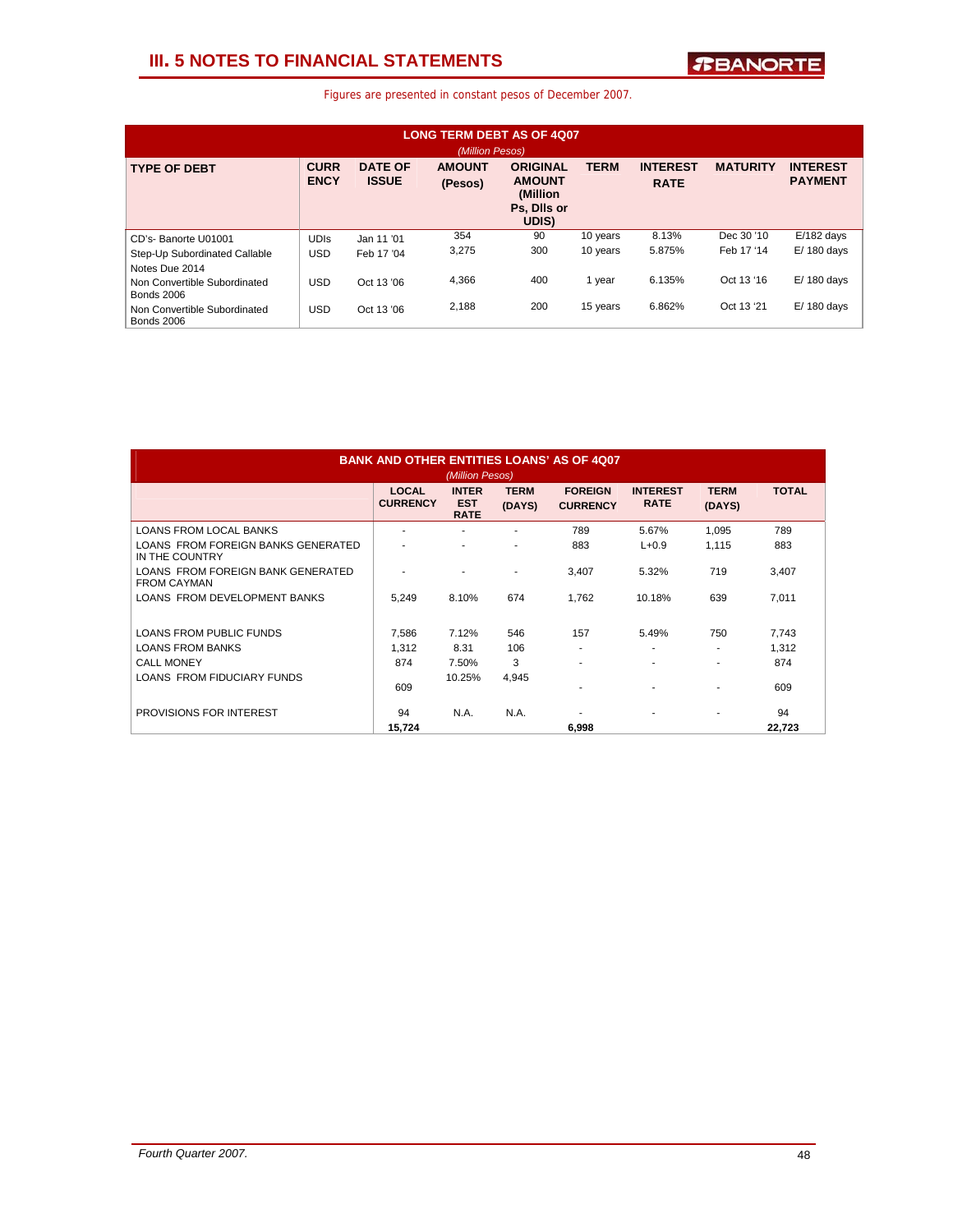## **III. 5 NOTES TO FINANCIAL STATEMENTS**

| <b>LONG TERM DEBT AS OF 4007</b><br>(Million Pesos) |                            |                                |                          |                                                                      |             |                                |                 |                                   |  |
|-----------------------------------------------------|----------------------------|--------------------------------|--------------------------|----------------------------------------------------------------------|-------------|--------------------------------|-----------------|-----------------------------------|--|
| <b>TYPE OF DEBT</b>                                 | <b>CURR</b><br><b>ENCY</b> | <b>DATE OF</b><br><b>ISSUE</b> | <b>AMOUNT</b><br>(Pesos) | <b>ORIGINAL</b><br><b>AMOUNT</b><br>(Million<br>Ps, Dils or<br>UDIS) | <b>TERM</b> | <b>INTEREST</b><br><b>RATE</b> | <b>MATURITY</b> | <b>INTEREST</b><br><b>PAYMENT</b> |  |
| CD's-Banorte U01001                                 | <b>UDIS</b>                | Jan 11 '01                     | 354                      | 90                                                                   | 10 years    | 8.13%                          | Dec 30 '10      | $E/182$ days                      |  |
| Step-Up Subordinated Callable                       | <b>USD</b>                 | Feb 17 '04                     | 3,275                    | 300                                                                  | 10 years    | 5.875%                         | Feb 17 '14      | $E/180$ davs                      |  |
| Notes Due 2014                                      |                            |                                |                          |                                                                      |             |                                |                 |                                   |  |
| Non Convertible Subordinated<br><b>Bonds 2006</b>   | <b>USD</b>                 | Oct 13 '06                     | 4,366                    | 400                                                                  | 1 year      | 6.135%                         | Oct 13 '16      | $E/180$ days                      |  |
| Non Convertible Subordinated<br><b>Bonds 2006</b>   | <b>USD</b>                 | Oct 13 '06                     | 2.188                    | 200                                                                  | 15 years    | 6.862%                         | Oct 13 '21      | $E/180$ days                      |  |

| <b>BANK AND OTHER ENTITIES LOANS' AS OF 4007</b><br>(Million Pesos) |                                 |                                           |                       |                                   |                                |                       |              |  |
|---------------------------------------------------------------------|---------------------------------|-------------------------------------------|-----------------------|-----------------------------------|--------------------------------|-----------------------|--------------|--|
|                                                                     | <b>LOCAL</b><br><b>CURRENCY</b> | <b>INTER</b><br><b>EST</b><br><b>RATE</b> | <b>TERM</b><br>(DAYS) | <b>FOREIGN</b><br><b>CURRENCY</b> | <b>INTEREST</b><br><b>RATE</b> | <b>TERM</b><br>(DAYS) | <b>TOTAL</b> |  |
| <b>LOANS FROM LOCAL BANKS</b>                                       | ۰                               |                                           | ٠                     | 789                               | 5.67%                          | 1,095                 | 789          |  |
| LOANS FROM FOREIGN BANKS GENERATED<br>IN THE COUNTRY                |                                 |                                           | ۰                     | 883                               | $L + 0.9$                      | 1.115                 | 883          |  |
| LOANS FROM FOREIGN BANK GENERATED<br><b>FROM CAYMAN</b>             |                                 |                                           |                       | 3.407                             | 5.32%                          | 719                   | 3,407        |  |
| LOANS FROM DEVELOPMENT BANKS                                        | 5,249                           | 8.10%                                     | 674                   | 1.762                             | 10.18%                         | 639                   | 7,011        |  |
| LOANS FROM PUBLIC FUNDS                                             | 7,586                           | 7.12%                                     | 546                   | 157                               | 5.49%                          | 750                   | 7,743        |  |
| <b>LOANS FROM BANKS</b>                                             | 1.312                           | 8.31                                      | 106                   |                                   | ٠                              | ٠                     | 1.312        |  |
| <b>CALL MONEY</b>                                                   | 874                             | 7.50%                                     | 3                     |                                   | ٠                              | ٠                     | 874          |  |
| LOANS FROM FIDUCIARY FUNDS                                          | 609                             | 10.25%                                    | 4,945                 |                                   | ٠                              | ۰                     | 609          |  |
| PROVISIONS FOR INTEREST                                             | 94                              | N.A.                                      | <b>N.A.</b>           |                                   | ۰                              | ۰                     | 94           |  |
|                                                                     | 15.724                          |                                           |                       | 6,998                             |                                |                       | 22,723       |  |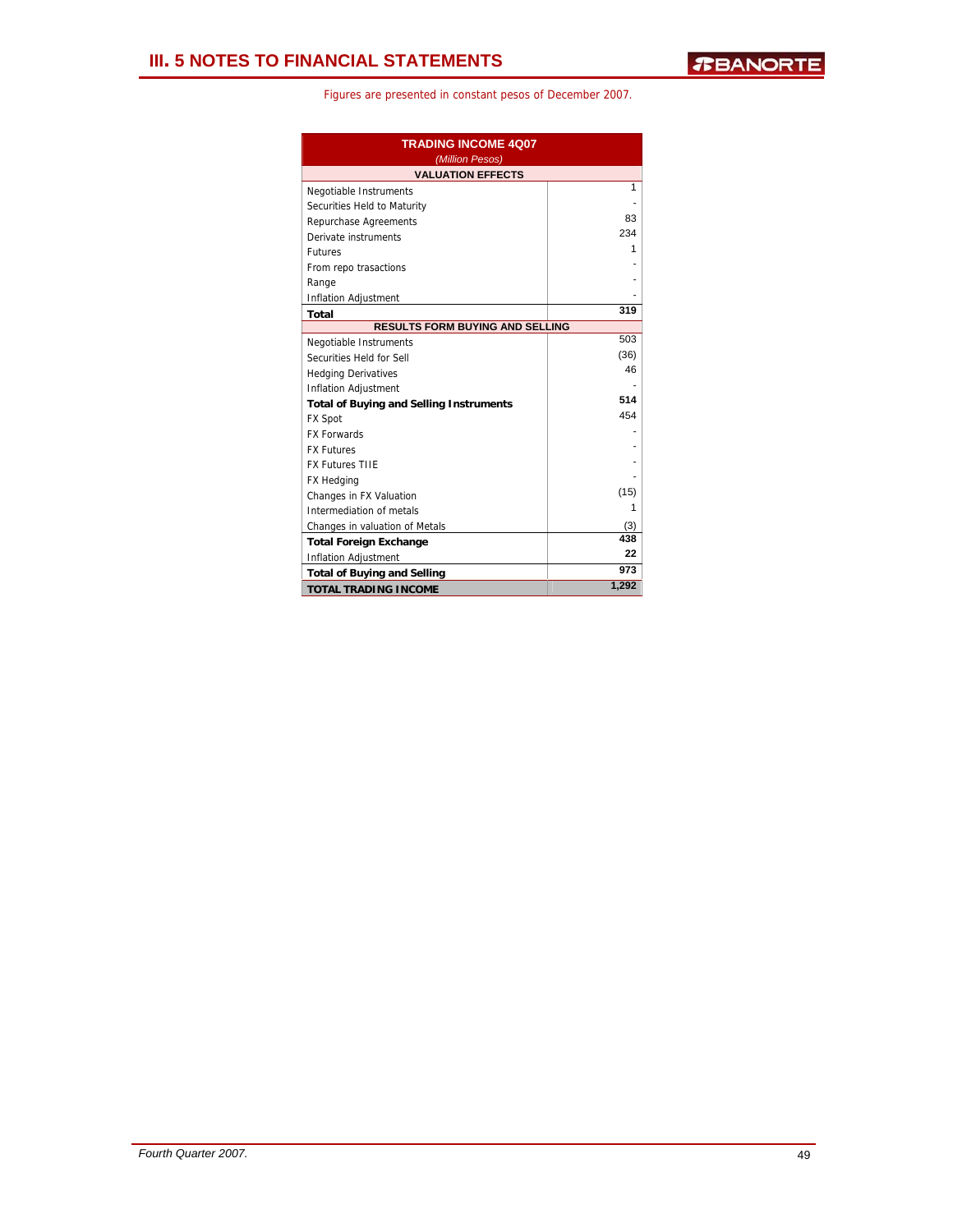| <b>TRADING INCOME 4Q07</b><br>(Million Pesos)  |       |  |  |  |  |
|------------------------------------------------|-------|--|--|--|--|
| <b>VALUATION EFFECTS</b>                       |       |  |  |  |  |
| Negotiable Instruments                         | 1     |  |  |  |  |
| Securities Held to Maturity                    |       |  |  |  |  |
| Repurchase Agreements                          | 83    |  |  |  |  |
| Derivate instruments                           | 234   |  |  |  |  |
| <b>Futures</b>                                 | 1     |  |  |  |  |
| From repo trasactions                          |       |  |  |  |  |
| Range                                          |       |  |  |  |  |
| Inflation Adjustment                           |       |  |  |  |  |
| <b>Total</b>                                   | 319   |  |  |  |  |
| <b>RESULTS FORM BUYING AND SELLING</b>         |       |  |  |  |  |
| Negotiable Instruments                         | 503   |  |  |  |  |
| Securities Held for Sell                       | (36)  |  |  |  |  |
| <b>Hedging Derivatives</b>                     | 46    |  |  |  |  |
| <b>Inflation Adjustment</b>                    |       |  |  |  |  |
| <b>Total of Buying and Selling Instruments</b> | 514   |  |  |  |  |
| <b>FX Spot</b>                                 | 454   |  |  |  |  |
| <b>FX Forwards</b>                             |       |  |  |  |  |
| <b>FX Futures</b>                              |       |  |  |  |  |
| <b>FX Futures TIIE</b>                         |       |  |  |  |  |
| <b>FX Hedging</b>                              |       |  |  |  |  |
| Changes in FX Valuation                        | (15)  |  |  |  |  |
| Intermediation of metals                       | 1     |  |  |  |  |
| Changes in valuation of Metals                 | (3)   |  |  |  |  |
| <b>Total Foreign Exchange</b>                  | 438   |  |  |  |  |
| <b>Inflation Adjustment</b>                    | 22    |  |  |  |  |
| <b>Total of Buying and Selling</b>             | 973   |  |  |  |  |
| <b>TOTAL TRADING INCOME</b>                    | 1,292 |  |  |  |  |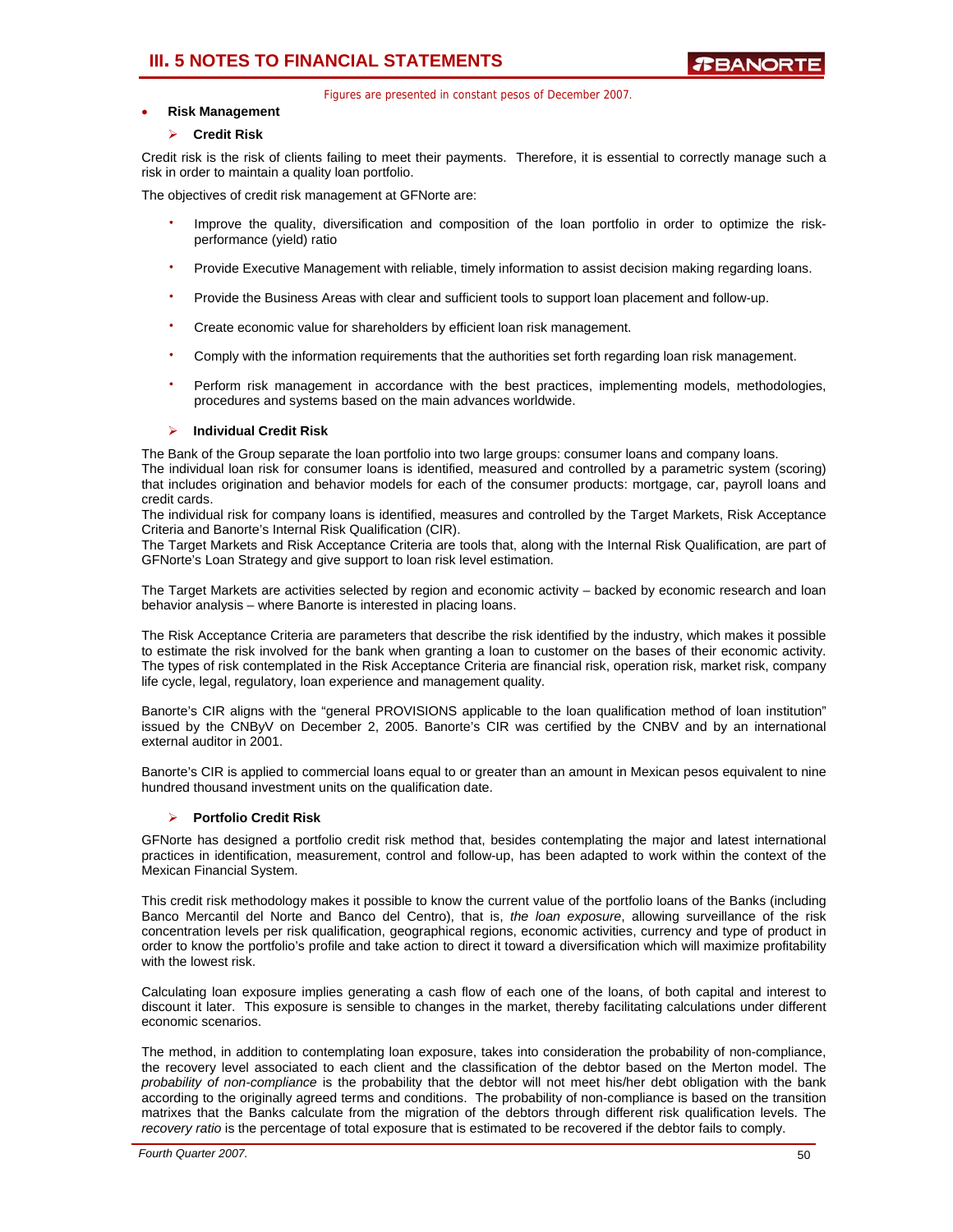## **III. 5 NOTES TO FINANCIAL STATEMENTS**

Figures are presented in constant pesos of December 2007.

## • **Risk Management**

## ¾ **Credit Risk**

Credit risk is the risk of clients failing to meet their payments. Therefore, it is essential to correctly manage such a risk in order to maintain a quality loan portfolio.

The objectives of credit risk management at GFNorte are:

- Improve the quality, diversification and composition of the loan portfolio in order to optimize the riskperformance (yield) ratio
- Provide Executive Management with reliable, timely information to assist decision making regarding loans.
- Provide the Business Areas with clear and sufficient tools to support loan placement and follow-up.
- Create economic value for shareholders by efficient loan risk management.
- Comply with the information requirements that the authorities set forth regarding loan risk management.
- Perform risk management in accordance with the best practices, implementing models, methodologies, procedures and systems based on the main advances worldwide.

## ¾ **Individual Credit Risk**

The Bank of the Group separate the loan portfolio into two large groups: consumer loans and company loans.

The individual loan risk for consumer loans is identified, measured and controlled by a parametric system (scoring) that includes origination and behavior models for each of the consumer products: mortgage, car, payroll loans and credit cards.

The individual risk for company loans is identified, measures and controlled by the Target Markets, Risk Acceptance Criteria and Banorte's Internal Risk Qualification (CIR).

The Target Markets and Risk Acceptance Criteria are tools that, along with the Internal Risk Qualification, are part of GFNorte's Loan Strategy and give support to loan risk level estimation.

The Target Markets are activities selected by region and economic activity – backed by economic research and loan behavior analysis – where Banorte is interested in placing loans.

The Risk Acceptance Criteria are parameters that describe the risk identified by the industry, which makes it possible to estimate the risk involved for the bank when granting a loan to customer on the bases of their economic activity. The types of risk contemplated in the Risk Acceptance Criteria are financial risk, operation risk, market risk, company life cycle, legal, regulatory, loan experience and management quality.

Banorte's CIR aligns with the "general PROVISIONS applicable to the loan qualification method of loan institution" issued by the CNByV on December 2, 2005. Banorte's CIR was certified by the CNBV and by an international external auditor in 2001.

Banorte's CIR is applied to commercial loans equal to or greater than an amount in Mexican pesos equivalent to nine hundred thousand investment units on the qualification date.

## ¾ **Portfolio Credit Risk**

GFNorte has designed a portfolio credit risk method that, besides contemplating the major and latest international practices in identification, measurement, control and follow-up, has been adapted to work within the context of the Mexican Financial System.

This credit risk methodology makes it possible to know the current value of the portfolio loans of the Banks (including Banco Mercantil del Norte and Banco del Centro), that is, *the loan exposure*, allowing surveillance of the risk concentration levels per risk qualification, geographical regions, economic activities, currency and type of product in order to know the portfolio's profile and take action to direct it toward a diversification which will maximize profitability with the lowest risk.

Calculating loan exposure implies generating a cash flow of each one of the loans, of both capital and interest to discount it later. This exposure is sensible to changes in the market, thereby facilitating calculations under different economic scenarios.

The method, in addition to contemplating loan exposure, takes into consideration the probability of non-compliance, the recovery level associated to each client and the classification of the debtor based on the Merton model. The *probability of non-compliance* is the probability that the debtor will not meet his/her debt obligation with the bank according to the originally agreed terms and conditions. The probability of non-compliance is based on the transition matrixes that the Banks calculate from the migration of the debtors through different risk qualification levels. The *recovery ratio* is the percentage of total exposure that is estimated to be recovered if the debtor fails to comply.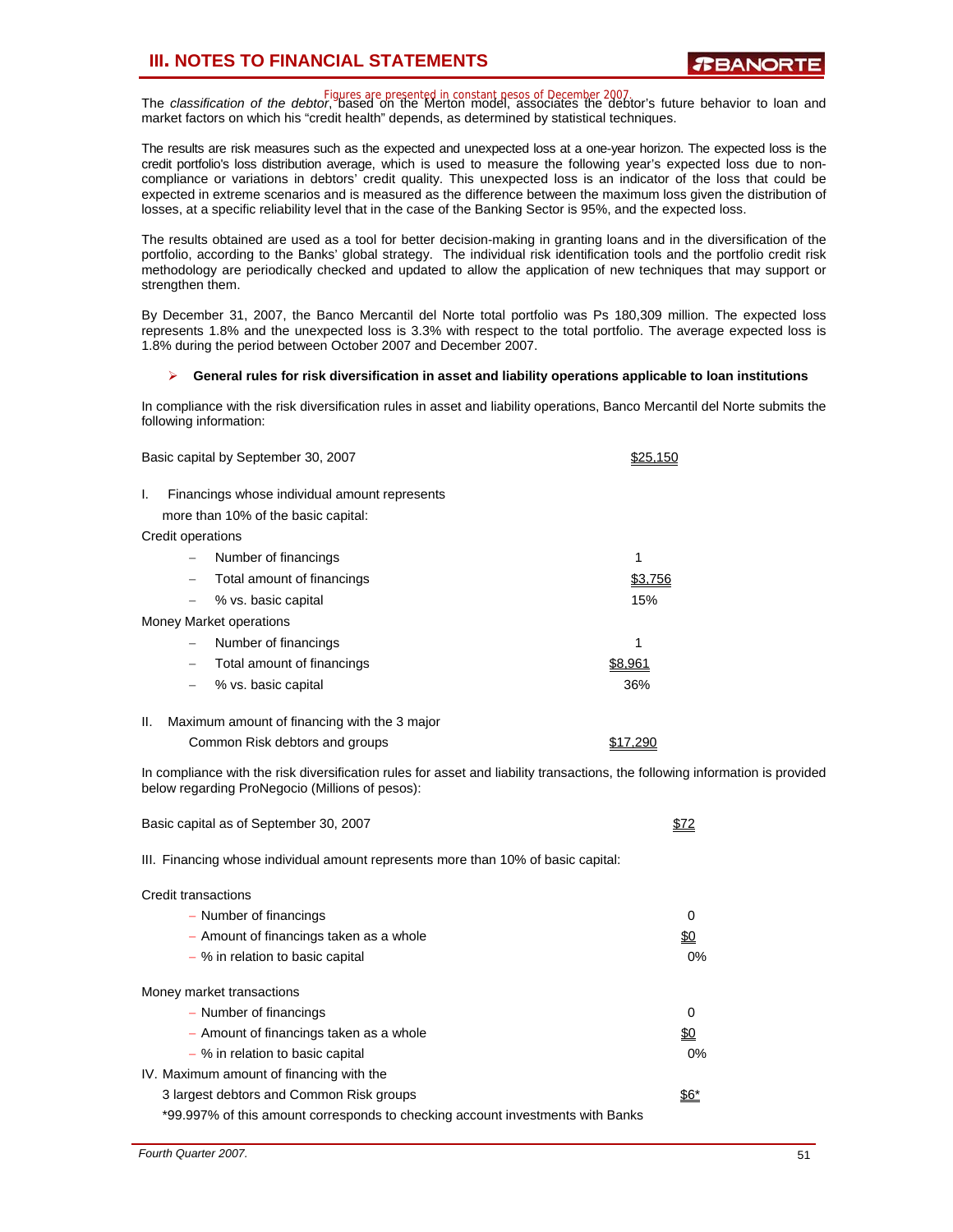## **III. NOTES TO FINANCIAL STATEMENTS**

Figures are presented in constant pesos of December 2007.<br>The *classification of the debtor*, based on the Merton model, associates the debtor's future behavior to loan and market factors on which his "credit health" depends, as determined by statistical techniques.

The results are risk measures such as the expected and unexpected loss at a one-year horizon. The expected loss is the credit portfolio's loss distribution average, which is used to measure the following year's expected loss due to noncompliance or variations in debtors' credit quality. This unexpected loss is an indicator of the loss that could be expected in extreme scenarios and is measured as the difference between the maximum loss given the distribution of losses, at a specific reliability level that in the case of the Banking Sector is 95%, and the expected loss.

The results obtained are used as a tool for better decision-making in granting loans and in the diversification of the portfolio, according to the Banks' global strategy. The individual risk identification tools and the portfolio credit risk methodology are periodically checked and updated to allow the application of new techniques that may support or strengthen them.

By December 31, 2007, the Banco Mercantil del Norte total portfolio was Ps 180,309 million. The expected loss represents 1.8% and the unexpected loss is 3.3% with respect to the total portfolio. The average expected loss is 1.8% during the period between October 2007 and December 2007.

### ¾ **General rules for risk diversification in asset and liability operations applicable to loan institutions**

In compliance with the risk diversification rules in asset and liability operations, Banco Mercantil del Norte submits the following information:

| Basic capital by September 30, 2007                 |         |
|-----------------------------------------------------|---------|
| I.<br>Financings whose individual amount represents |         |
| more than 10% of the basic capital:                 |         |
| Credit operations                                   |         |
| Number of financings                                | 1       |
| Total amount of financings                          |         |
| % vs. basic capital<br>$\overline{\phantom{0}}$     | 15%     |
| Money Market operations                             |         |
| Number of financings                                | 1       |
| Total amount of financings<br>$\qquad \qquad -$     | \$8.961 |
| % vs. basic capital                                 | 36%     |
|                                                     |         |

II. Maximum amount of financing with the 3 major

| Common Risk debtors and groups | \$17,290 |
|--------------------------------|----------|
|--------------------------------|----------|

In compliance with the risk diversification rules for asset and liability transactions, the following information is provided below regarding ProNegocio (Millions of pesos):

| Basic capital as of September 30, 2007                                            |            |  |  |  |  |  |  |
|-----------------------------------------------------------------------------------|------------|--|--|--|--|--|--|
| III. Financing whose individual amount represents more than 10% of basic capital: |            |  |  |  |  |  |  |
| Credit transactions                                                               |            |  |  |  |  |  |  |
| - Number of financings                                                            | 0          |  |  |  |  |  |  |
| - Amount of financings taken as a whole                                           | <u>\$0</u> |  |  |  |  |  |  |
| - % in relation to basic capital                                                  | $0\%$      |  |  |  |  |  |  |
| Money market transactions                                                         |            |  |  |  |  |  |  |
| - Number of financings                                                            | 0          |  |  |  |  |  |  |
| - Amount of financings taken as a whole                                           | <u>\$0</u> |  |  |  |  |  |  |
| - % in relation to basic capital                                                  | $0\%$      |  |  |  |  |  |  |
| IV. Maximum amount of financing with the                                          |            |  |  |  |  |  |  |
| 3 largest debtors and Common Risk groups                                          | 56*        |  |  |  |  |  |  |
| *99.997% of this amount corresponds to checking account investments with Banks    |            |  |  |  |  |  |  |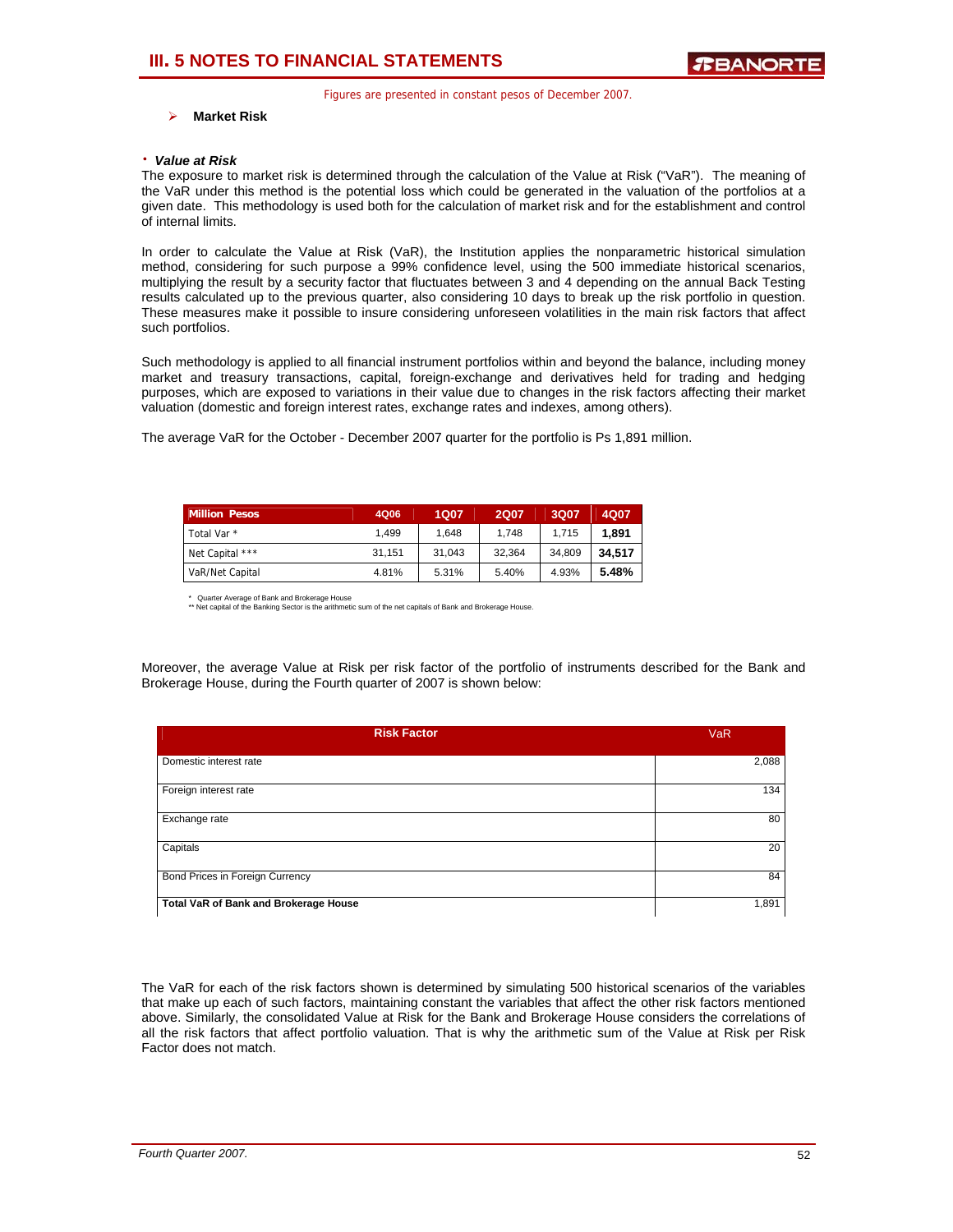### ¾ **Market Risk**

#### ⋅ *Value at Risk*

The exposure to market risk is determined through the calculation of the Value at Risk ("VaR"). The meaning of the VaR under this method is the potential loss which could be generated in the valuation of the portfolios at a given date. This methodology is used both for the calculation of market risk and for the establishment and control of internal limits.

In order to calculate the Value at Risk (VaR), the Institution applies the nonparametric historical simulation method, considering for such purpose a 99% confidence level, using the 500 immediate historical scenarios, multiplying the result by a security factor that fluctuates between 3 and 4 depending on the annual Back Testing results calculated up to the previous quarter, also considering 10 days to break up the risk portfolio in question. These measures make it possible to insure considering unforeseen volatilities in the main risk factors that affect such portfolios.

Such methodology is applied to all financial instrument portfolios within and beyond the balance, including money market and treasury transactions, capital, foreign-exchange and derivatives held for trading and hedging purposes, which are exposed to variations in their value due to changes in the risk factors affecting their market valuation (domestic and foreign interest rates, exchange rates and indexes, among others).

The average VaR for the October - December 2007 quarter for the portfolio is Ps 1,891 million.

| <b>Million Pesos</b> | 4Q06   | 1Q07   | <b>2Q07</b> | 3Q07   | 4Q07   |
|----------------------|--------|--------|-------------|--------|--------|
| Total Var *          | 1.499  | 1.648  | 1.748       | 1.715  | 1.891  |
| Net Capital ***      | 31.151 | 31.043 | 32.364      | 34.809 | 34.517 |
| VaR/Net Capital      | 4.81%  | 5.31%  | 5.40%       | 4.93%  | 5.48%  |

\* Quarter Average of Bank and Brokerage House \*\* Net capital of the Banking Sector is the arithmetic sum of the net capitals of Bank and Brokerage House.

Moreover, the average Value at Risk per risk factor of the portfolio of instruments described for the Bank and Brokerage House, during the Fourth quarter of 2007 is shown below:

| <b>Risk Factor</b>                    | <b>VaR</b> |
|---------------------------------------|------------|
| Domestic interest rate                | 2,088      |
| Foreign interest rate                 | 134        |
| Exchange rate                         | 80         |
| Capitals                              | 20         |
| Bond Prices in Foreign Currency       | 84         |
| Total VaR of Bank and Brokerage House | 1,891      |

The VaR for each of the risk factors shown is determined by simulating 500 historical scenarios of the variables that make up each of such factors, maintaining constant the variables that affect the other risk factors mentioned above. Similarly, the consolidated Value at Risk for the Bank and Brokerage House considers the correlations of all the risk factors that affect portfolio valuation. That is why the arithmetic sum of the Value at Risk per Risk Factor does not match.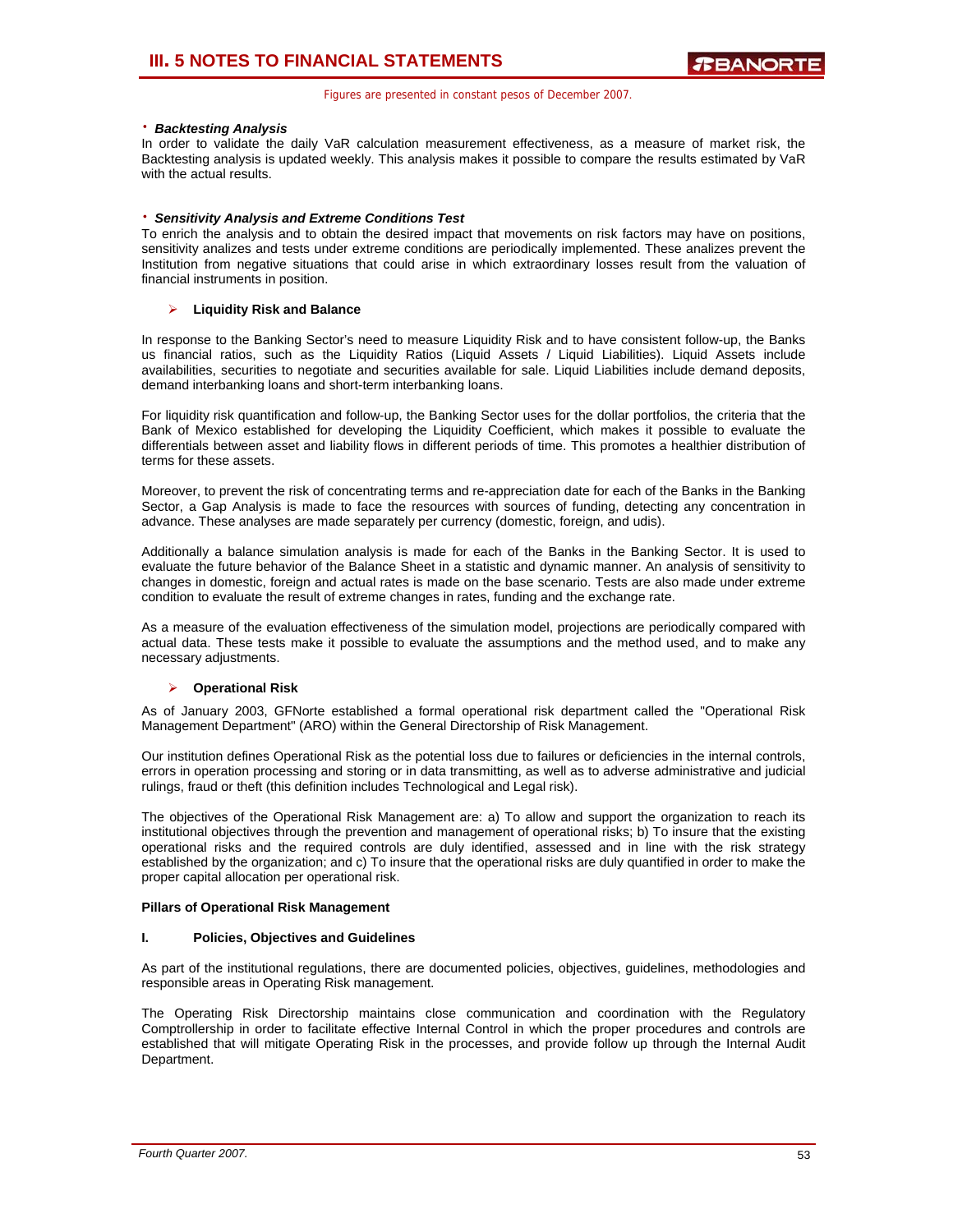## ⋅ *Backtesting Analysis*

In order to validate the daily VaR calculation measurement effectiveness, as a measure of market risk, the Backtesting analysis is updated weekly. This analysis makes it possible to compare the results estimated by VaR with the actual results.

## ⋅ *Sensitivity Analysis and Extreme Conditions Test*

To enrich the analysis and to obtain the desired impact that movements on risk factors may have on positions, sensitivity analizes and tests under extreme conditions are periodically implemented. These analizes prevent the Institution from negative situations that could arise in which extraordinary losses result from the valuation of financial instruments in position.

## ¾ **Liquidity Risk and Balance**

In response to the Banking Sector's need to measure Liquidity Risk and to have consistent follow-up, the Banks us financial ratios, such as the Liquidity Ratios (Liquid Assets / Liquid Liabilities). Liquid Assets include availabilities, securities to negotiate and securities available for sale. Liquid Liabilities include demand deposits, demand interbanking loans and short-term interbanking loans.

For liquidity risk quantification and follow-up, the Banking Sector uses for the dollar portfolios, the criteria that the Bank of Mexico established for developing the Liquidity Coefficient, which makes it possible to evaluate the differentials between asset and liability flows in different periods of time. This promotes a healthier distribution of terms for these assets.

Moreover, to prevent the risk of concentrating terms and re-appreciation date for each of the Banks in the Banking Sector, a Gap Analysis is made to face the resources with sources of funding, detecting any concentration in advance. These analyses are made separately per currency (domestic, foreign, and udis).

Additionally a balance simulation analysis is made for each of the Banks in the Banking Sector. It is used to evaluate the future behavior of the Balance Sheet in a statistic and dynamic manner. An analysis of sensitivity to changes in domestic, foreign and actual rates is made on the base scenario. Tests are also made under extreme condition to evaluate the result of extreme changes in rates, funding and the exchange rate.

As a measure of the evaluation effectiveness of the simulation model, projections are periodically compared with actual data. These tests make it possible to evaluate the assumptions and the method used, and to make any necessary adjustments.

## ¾ **Operational Risk**

As of January 2003, GFNorte established a formal operational risk department called the "Operational Risk Management Department" (ARO) within the General Directorship of Risk Management.

Our institution defines Operational Risk as the potential loss due to failures or deficiencies in the internal controls, errors in operation processing and storing or in data transmitting, as well as to adverse administrative and judicial rulings, fraud or theft (this definition includes Technological and Legal risk).

The objectives of the Operational Risk Management are: a) To allow and support the organization to reach its institutional objectives through the prevention and management of operational risks; b) To insure that the existing operational risks and the required controls are duly identified, assessed and in line with the risk strategy established by the organization; and c) To insure that the operational risks are duly quantified in order to make the proper capital allocation per operational risk.

## **Pillars of Operational Risk Management**

## **I. Policies, Objectives and Guidelines**

As part of the institutional regulations, there are documented policies, objectives, guidelines, methodologies and responsible areas in Operating Risk management.

The Operating Risk Directorship maintains close communication and coordination with the Regulatory Comptrollership in order to facilitate effective Internal Control in which the proper procedures and controls are established that will mitigate Operating Risk in the processes, and provide follow up through the Internal Audit Department.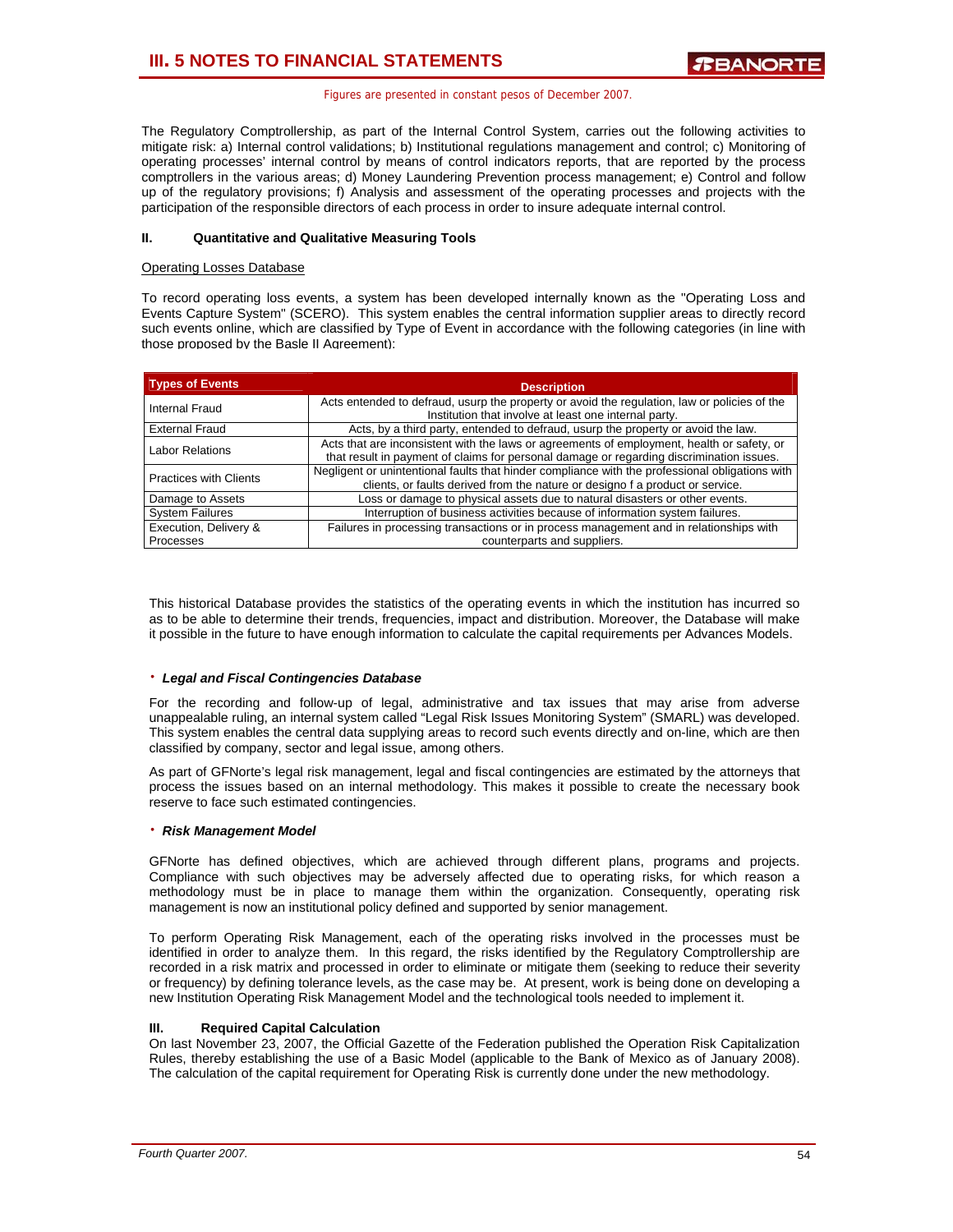The Regulatory Comptrollership, as part of the Internal Control System, carries out the following activities to mitigate risk: a) Internal control validations; b) Institutional regulations management and control; c) Monitoring of operating processes' internal control by means of control indicators reports, that are reported by the process comptrollers in the various areas; d) Money Laundering Prevention process management; e) Control and follow up of the regulatory provisions; f) Analysis and assessment of the operating processes and projects with the participation of the responsible directors of each process in order to insure adequate internal control.

## **II. Quantitative and Qualitative Measuring Tools**

## Operating Losses Database

To record operating loss events, a system has been developed internally known as the "Operating Loss and Events Capture System" (SCERO). This system enables the central information supplier areas to directly record such events online, which are classified by Type of Event in accordance with the following categories (in line with those proposed by the Basle II Agreement):

| <b>Types of Events</b>             | <b>Description</b>                                                                                                                                                                     |
|------------------------------------|----------------------------------------------------------------------------------------------------------------------------------------------------------------------------------------|
| Internal Fraud                     | Acts entended to defraud, usurp the property or avoid the regulation, law or policies of the<br>Institution that involve at least one internal party.                                  |
| <b>External Fraud</b>              | Acts, by a third party, entended to defraud, usurp the property or avoid the law.                                                                                                      |
| <b>Labor Relations</b>             | Acts that are inconsistent with the laws or agreements of employment, health or safety, or<br>that result in payment of claims for personal damage or regarding discrimination issues. |
| <b>Practices with Clients</b>      | Negligent or unintentional faults that hinder compliance with the professional obligations with<br>clients, or faults derived from the nature or designo f a product or service.       |
| Damage to Assets                   | Loss or damage to physical assets due to natural disasters or other events.                                                                                                            |
| <b>System Failures</b>             | Interruption of business activities because of information system failures.                                                                                                            |
| Execution, Delivery &<br>Processes | Failures in processing transactions or in process management and in relationships with<br>counterparts and suppliers.                                                                  |

This historical Database provides the statistics of the operating events in which the institution has incurred so as to be able to determine their trends, frequencies, impact and distribution. Moreover, the Database will make it possible in the future to have enough information to calculate the capital requirements per Advances Models.

## ⋅ *Legal and Fiscal Contingencies Database*

For the recording and follow-up of legal, administrative and tax issues that may arise from adverse unappealable ruling, an internal system called "Legal Risk Issues Monitoring System" (SMARL) was developed. This system enables the central data supplying areas to record such events directly and on-line, which are then classified by company, sector and legal issue, among others.

As part of GFNorte's legal risk management, legal and fiscal contingencies are estimated by the attorneys that process the issues based on an internal methodology. This makes it possible to create the necessary book reserve to face such estimated contingencies.

## ⋅ *Risk Management Model*

GFNorte has defined objectives, which are achieved through different plans, programs and projects. Compliance with such objectives may be adversely affected due to operating risks, for which reason a methodology must be in place to manage them within the organization. Consequently, operating risk management is now an institutional policy defined and supported by senior management.

To perform Operating Risk Management, each of the operating risks involved in the processes must be identified in order to analyze them. In this regard, the risks identified by the Regulatory Comptrollership are recorded in a risk matrix and processed in order to eliminate or mitigate them (seeking to reduce their severity or frequency) by defining tolerance levels, as the case may be. At present, work is being done on developing a new Institution Operating Risk Management Model and the technological tools needed to implement it.

## **III. Required Capital Calculation**

On last November 23, 2007, the Official Gazette of the Federation published the Operation Risk Capitalization Rules, thereby establishing the use of a Basic Model (applicable to the Bank of Mexico as of January 2008). The calculation of the capital requirement for Operating Risk is currently done under the new methodology.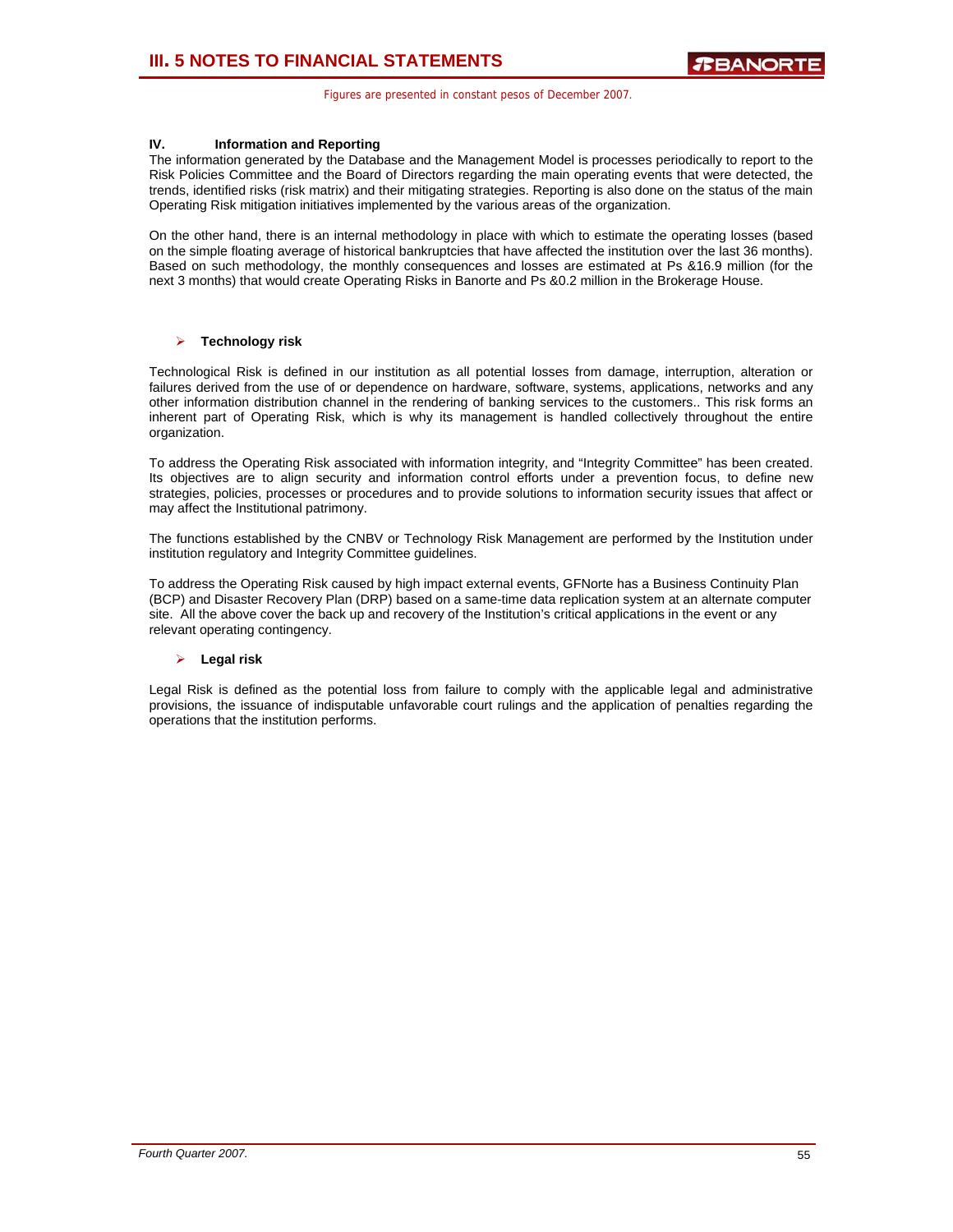## **IV. Information and Reporting**

The information generated by the Database and the Management Model is processes periodically to report to the Risk Policies Committee and the Board of Directors regarding the main operating events that were detected, the trends, identified risks (risk matrix) and their mitigating strategies. Reporting is also done on the status of the main Operating Risk mitigation initiatives implemented by the various areas of the organization.

On the other hand, there is an internal methodology in place with which to estimate the operating losses (based on the simple floating average of historical bankruptcies that have affected the institution over the last 36 months). Based on such methodology, the monthly consequences and losses are estimated at Ps &16.9 million (for the next 3 months) that would create Operating Risks in Banorte and Ps &0.2 million in the Brokerage House.

## ¾ **Technology risk**

Technological Risk is defined in our institution as all potential losses from damage, interruption, alteration or failures derived from the use of or dependence on hardware, software, systems, applications, networks and any other information distribution channel in the rendering of banking services to the customers.. This risk forms an inherent part of Operating Risk, which is why its management is handled collectively throughout the entire organization.

To address the Operating Risk associated with information integrity, and "Integrity Committee" has been created. Its objectives are to align security and information control efforts under a prevention focus, to define new strategies, policies, processes or procedures and to provide solutions to information security issues that affect or may affect the Institutional patrimony.

The functions established by the CNBV or Technology Risk Management are performed by the Institution under institution regulatory and Integrity Committee guidelines.

To address the Operating Risk caused by high impact external events, GFNorte has a Business Continuity Plan (BCP) and Disaster Recovery Plan (DRP) based on a same-time data replication system at an alternate computer site. All the above cover the back up and recovery of the Institution's critical applications in the event or any relevant operating contingency.

## ¾ **Legal risk**

Legal Risk is defined as the potential loss from failure to comply with the applicable legal and administrative provisions, the issuance of indisputable unfavorable court rulings and the application of penalties regarding the operations that the institution performs.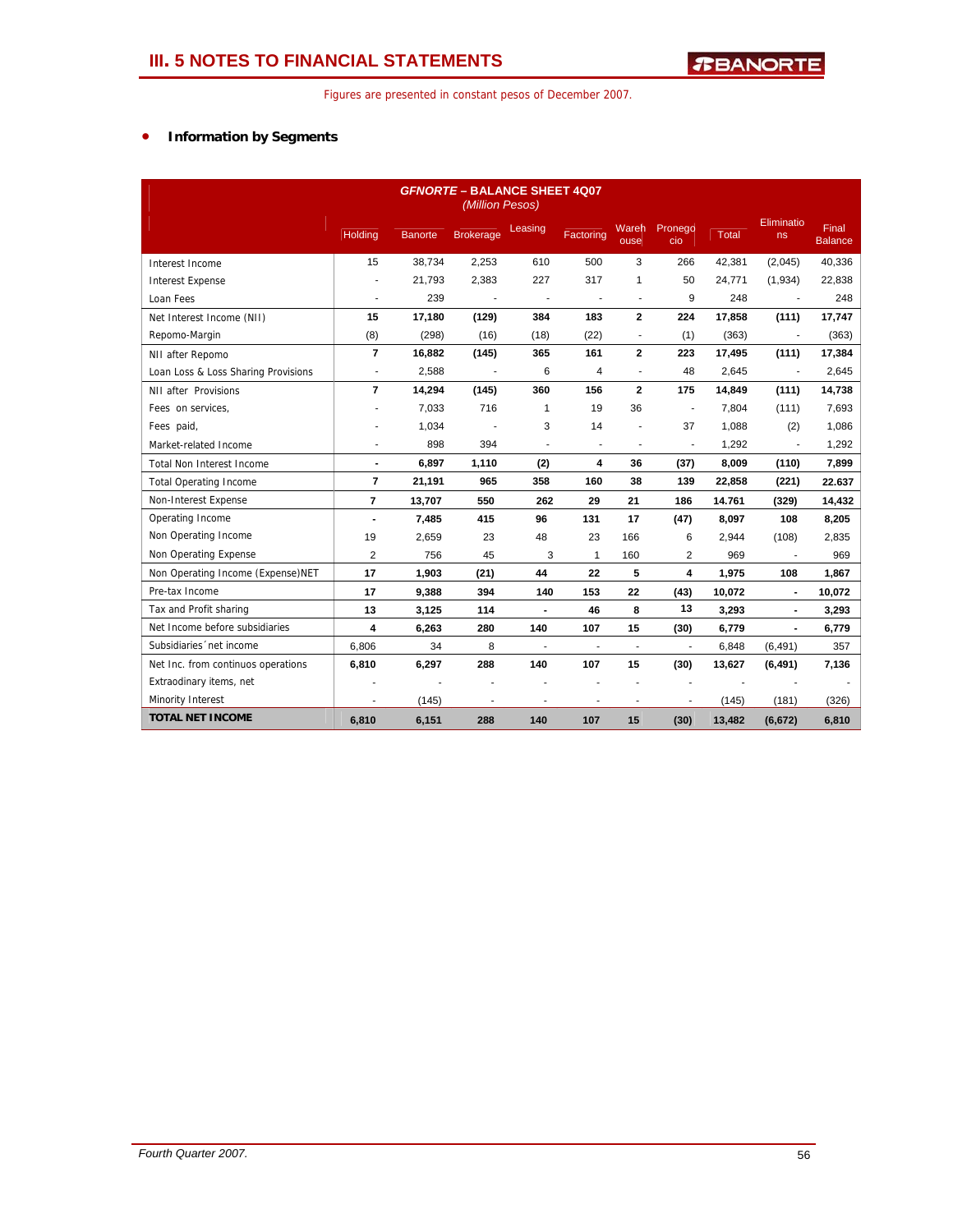## • **Information by Segments**

| <b>GFNORTE - BALANCE SHEET 4007</b><br>(Million Pesos) |                          |         |                  |                |                |                          |                |        |                  |                                |
|--------------------------------------------------------|--------------------------|---------|------------------|----------------|----------------|--------------------------|----------------|--------|------------------|--------------------------------|
|                                                        | Holding                  | Banorte | <b>Brokerage</b> | Leasing        | Factoring      | Wareh<br>ouse            | Pronego<br>cio | Total  | Eliminatio<br>ns | <b>Final</b><br><b>Balance</b> |
| Interest Income                                        | 15                       | 38,734  | 2,253            | 610            | 500            | 3                        | 266            | 42,381 | (2,045)          | 40,336                         |
| <b>Interest Expense</b>                                |                          | 21,793  | 2,383            | 227            | 317            | $\mathbf{1}$             | 50             | 24,771 | (1,934)          | 22,838                         |
| Loan Fees                                              | ٠                        | 239     | $\blacksquare$   | ÷,             | ÷,             |                          | 9              | 248    | $\blacksquare$   | 248                            |
| Net Interest Income (NII)                              | 15                       | 17,180  | (129)            | 384            | 183            | $\overline{2}$           | 224            | 17,858 | (111)            | 17,747                         |
| Repomo-Margin                                          | (8)                      | (298)   | (16)             | (18)           | (22)           | ٠                        | (1)            | (363)  | $\overline{a}$   | (363)                          |
| NII after Repomo                                       | $\overline{7}$           | 16,882  | (145)            | 365            | 161            | $\overline{2}$           | 223            | 17,495 | (111)            | 17,384                         |
| Loan Loss & Loss Sharing Provisions                    | $\overline{\phantom{a}}$ | 2,588   | $\blacksquare$   | 6              | 4              |                          | 48             | 2,645  | $\overline{a}$   | 2,645                          |
| NII after Provisions                                   | $\overline{7}$           | 14,294  | (145)            | 360            | 156            | $\overline{2}$           | 175            | 14,849 | (111)            | 14,738                         |
| Fees on services,                                      |                          | 7,033   | 716              | $\mathbf{1}$   | 19             | 36                       | $\blacksquare$ | 7,804  | (111)            | 7,693                          |
| Fees paid,                                             |                          | 1,034   |                  | 3              | 14             |                          | 37             | 1.088  | (2)              | 1,086                          |
| Market-related Income                                  |                          | 898     | 394              |                | $\blacksquare$ |                          |                | 1,292  |                  | 1,292                          |
| <b>Total Non Interest Income</b>                       | $\blacksquare$           | 6,897   | 1,110            | (2)            | 4              | 36                       | (37)           | 8,009  | (110)            | 7,899                          |
| <b>Total Operating Income</b>                          | $\overline{7}$           | 21,191  | 965              | 358            | 160            | 38                       | 139            | 22,858 | (221)            | 22.637                         |
| Non-Interest Expense                                   | $\overline{7}$           | 13,707  | 550              | 262            | 29             | 21                       | 186            | 14.761 | (329)            | 14,432                         |
| Operating Income                                       |                          | 7,485   | 415              | 96             | 131            | 17                       | (47)           | 8,097  | 108              | 8,205                          |
| Non Operating Income                                   | 19                       | 2,659   | 23               | 48             | 23             | 166                      | 6              | 2,944  | (108)            | 2,835                          |
| Non Operating Expense                                  | $\overline{2}$           | 756     | 45               | 3              | $\mathbf{1}$   | 160                      | 2              | 969    |                  | 969                            |
| Non Operating Income (Expense)NET                      | 17                       | 1,903   | (21)             | 44             | 22             | 5                        | 4              | 1,975  | 108              | 1,867                          |
| Pre-tax Income                                         | 17                       | 9,388   | 394              | 140            | 153            | 22                       | (43)           | 10,072 | $\blacksquare$   | 10,072                         |
| Tax and Profit sharing                                 | 13                       | 3.125   | 114              | $\blacksquare$ | 46             | 8                        | 13             | 3,293  | $\blacksquare$   | 3,293                          |
| Net Income before subsidiaries                         | 4                        | 6,263   | 280              | 140            | 107            | 15                       | (30)           | 6,779  |                  | 6,779                          |
| Subsidiaries 'net income                               | 6,806                    | 34      | 8                | ÷              | ÷,             | $\overline{\phantom{a}}$ | $\overline{a}$ | 6,848  | (6, 491)         | 357                            |
| Net Inc. from continuos operations                     | 6,810                    | 6,297   | 288              | 140            | 107            | 15                       | (30)           | 13,627 | (6, 491)         | 7,136                          |
| Extraodinary items, net                                |                          | ÷.      |                  |                |                |                          | ÷.             |        |                  |                                |
| Minority Interest                                      | $\overline{a}$           | (145)   | $\overline{a}$   | ÷              | $\blacksquare$ | $\overline{\phantom{a}}$ | ٠              | (145)  | (181)            | (326)                          |
| <b>TOTAL NET INCOME</b>                                | 6.810                    | 6,151   | 288              | 140            | 107            | 15                       | (30)           | 13,482 | (6, 672)         | 6,810                          |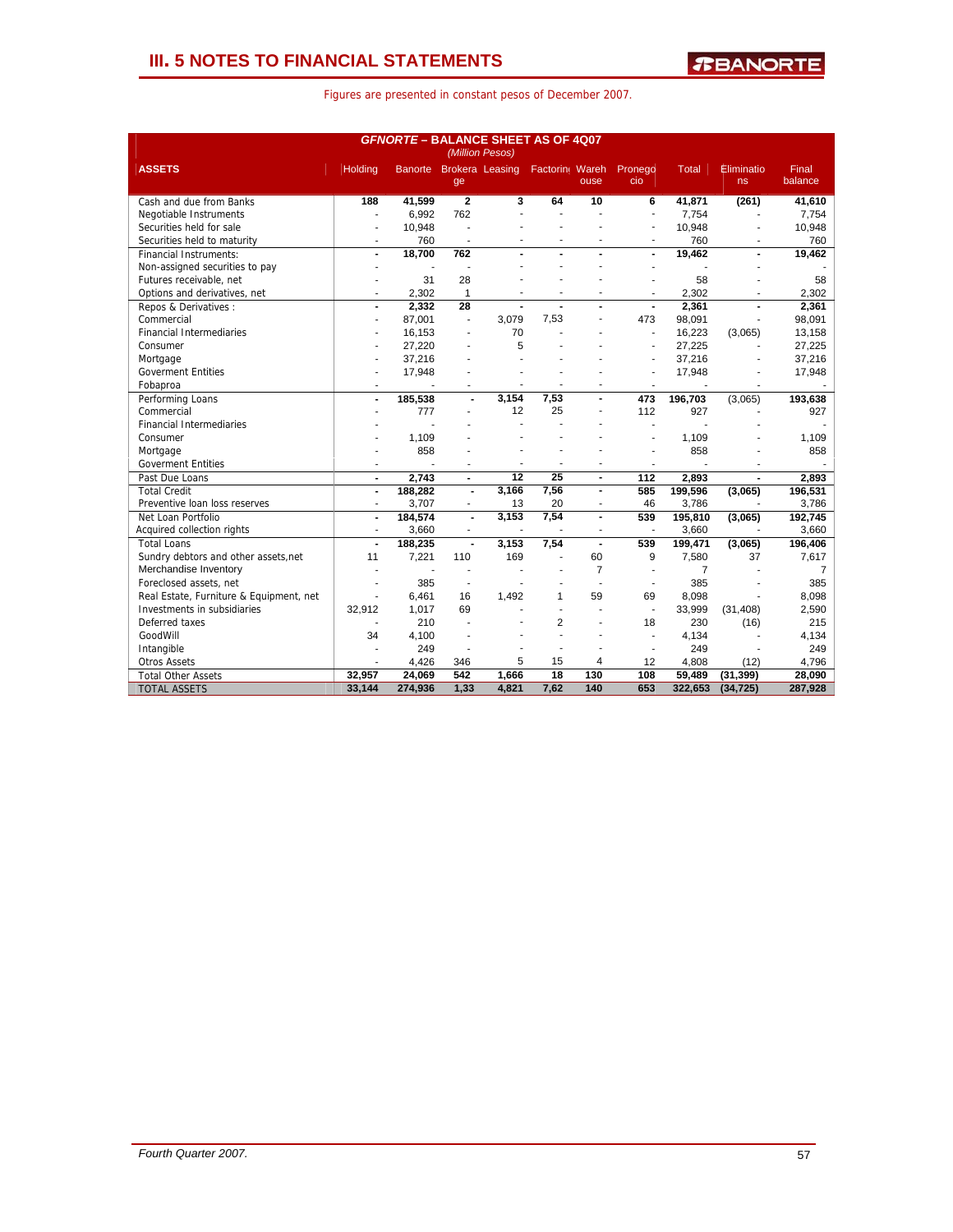## **III. 5 NOTES TO FINANCIAL STATEMENTS**

| Figures are presented in constant pesos of December 2007. |  |  |
|-----------------------------------------------------------|--|--|
|-----------------------------------------------------------|--|--|

| <b>GFNORTE - BALANCE SHEET AS OF 4007</b><br>(Million Pesos) |                |                          |                               |                |                |                          |                |                |                  |                  |
|--------------------------------------------------------------|----------------|--------------------------|-------------------------------|----------------|----------------|--------------------------|----------------|----------------|------------------|------------------|
| <b>ASSETS</b>                                                | Holding        |                          | Banorte Brokera Leasing<br>ge |                | Factorin Wareh | ouse                     | Pronego<br>cio | <b>Total</b>   | Eliminatio<br>ns | Final<br>balance |
| Cash and due from Banks                                      | 188            | 41,599                   | $\overline{2}$                | 3              | 64             | 10                       | 6              | 41.871         | (261)            | 41,610           |
| Negotiable Instruments                                       | ÷              | 6.992                    | 762                           |                |                |                          | ä,             | 7.754          |                  | 7,754            |
| Securities held for sale                                     |                | 10,948                   |                               |                |                |                          |                | 10.948         |                  | 10,948           |
| Securities held to maturity                                  | $\overline{a}$ | 760                      | $\blacksquare$                |                |                |                          |                | 760            |                  | 760              |
| <b>Financial Instruments:</b>                                | $\blacksquare$ | 18.700                   | 762                           |                |                |                          | $\blacksquare$ | 19.462         | $\blacksquare$   | 19,462           |
| Non-assigned securities to pay                               |                | $\overline{\phantom{a}}$ |                               |                |                |                          | ÷              |                |                  |                  |
| Futures receivable, net                                      |                | 31                       | 28                            |                |                |                          |                | 58             |                  | 58               |
| Options and derivatives, net                                 |                | 2.302                    | $\mathbf{1}$                  |                | ٠              | ٠                        |                | 2,302          |                  | 2,302            |
| Repos & Derivatives:                                         | $\blacksquare$ | 2.332                    | 28                            | $\blacksquare$ | ÷.             | $\blacksquare$           | $\blacksquare$ | 2,361          | $\blacksquare$   | 2.361            |
| Commercial                                                   | ٠              | 87.001                   | $\blacksquare$                | 3.079          | 7,53           |                          | 473            | 98.091         |                  | 98.091           |
| <b>Financial Intermediaries</b>                              |                | 16,153                   |                               | 70             |                |                          | $\mathbf{r}$   | 16,223         | (3,065)          | 13,158           |
| Consumer                                                     |                | 27,220                   |                               | 5              |                |                          |                | 27,225         |                  | 27,225           |
| Mortgage                                                     |                | 37.216                   |                               |                |                |                          | J.             | 37.216         |                  | 37,216           |
| <b>Goverment Entities</b>                                    |                | 17,948                   |                               |                |                |                          |                | 17,948         |                  | 17,948           |
| Fobaproa                                                     | ٠              |                          | ÷                             |                |                |                          | ٠              |                |                  |                  |
| Performing Loans                                             | $\overline{a}$ | 185,538                  | $\blacksquare$                | 3,154          | 7,53           | $\overline{a}$           | 473            | 196.703        | (3,065)          | 193,638          |
| Commercial                                                   |                | 777                      | ÷.                            | 12             | 25             | ٠                        | 112            | 927            |                  | 927              |
| <b>Financial Intermediaries</b>                              |                |                          |                               |                |                |                          |                |                |                  |                  |
| Consumer                                                     |                | 1,109                    |                               |                |                |                          |                | 1,109          |                  | 1,109            |
| Mortgage                                                     |                | 858                      |                               |                |                |                          |                | 858            |                  | 858              |
| <b>Goverment Entities</b>                                    |                |                          |                               |                |                |                          |                |                |                  |                  |
| Past Due Loans                                               | $\blacksquare$ | 2.743                    | $\blacksquare$                | 12             | 25             | $\blacksquare$           | 112            | 2.893          |                  | 2.893            |
| <b>Total Credit</b>                                          | $\blacksquare$ | 188,282                  | $\overline{a}$                | 3,166          | 7,56           | $\blacksquare$           | 585            | 199,596        | (3,065)          | 196,531          |
| Preventive loan loss reserves                                | $\blacksquare$ | 3,707                    | $\blacksquare$                | 13             | 20             | $\overline{\phantom{a}}$ | 46             | 3,786          |                  | 3,786            |
| Net Loan Portfolio                                           | $\overline{a}$ | 184,574                  | $\blacksquare$                | 3,153          | 7,54           | ÷.                       | 539            | 195,810        | (3,065)          | 192,745          |
| Acquired collection rights                                   | ä,             | 3,660                    | $\blacksquare$                |                |                |                          |                | 3,660          |                  | 3,660            |
| <b>Total Loans</b>                                           | $\blacksquare$ | 188,235                  | $\blacksquare$                | 3,153          | 7,54           | $\blacksquare$           | 539            | 199,471        | (3,065)          | 196,406          |
| Sundry debtors and other assets, net                         | 11             | 7,221                    | 110                           | 169            |                | 60                       | 9              | 7,580          | 37               | 7,617            |
| Merchandise Inventory                                        |                | ÷                        |                               |                |                | $\overline{7}$           | ÷              | $\overline{7}$ |                  | $\overline{7}$   |
| Foreclosed assets, net                                       |                | 385                      | $\overline{a}$                |                |                | Ĭ.                       | $\blacksquare$ | 385            |                  | 385              |
| Real Estate, Furniture & Equipment, net                      | ä,             | 6,461                    | 16                            | 1,492          | $\mathbf{1}$   | 59                       | 69             | 8,098          |                  | 8,098            |
| Investments in subsidiaries                                  | 32,912         | 1,017                    | 69                            |                |                |                          | $\sim$         | 33,999         | (31, 408)        | 2,590            |
| Deferred taxes                                               |                | 210                      |                               |                | $\overline{2}$ |                          | 18             | 230            | (16)             | 215              |
| GoodWill                                                     | 34             | 4.100                    |                               |                |                |                          | ä,             | 4,134          |                  | 4,134            |
| Intangible                                                   | ä,             | 249                      |                               |                |                |                          | $\overline{a}$ | 249            |                  | 249              |
| <b>Otros Assets</b>                                          | ÷              | 4,426                    | 346                           | 5              | 15             | 4                        | 12             | 4,808          | (12)             | 4,796            |
| <b>Total Other Assets</b>                                    | 32,957         | 24,069                   | 542                           | 1,666          | 18             | 130                      | 108            | 59,489         | (31, 399)        | 28,090           |
| <b>TOTAL ASSETS</b>                                          | 33,144         | 274,936                  | 1,33                          | 4,821          | 7,62           | 140                      | 653            | 322,653        | (34, 725)        | 287,928          |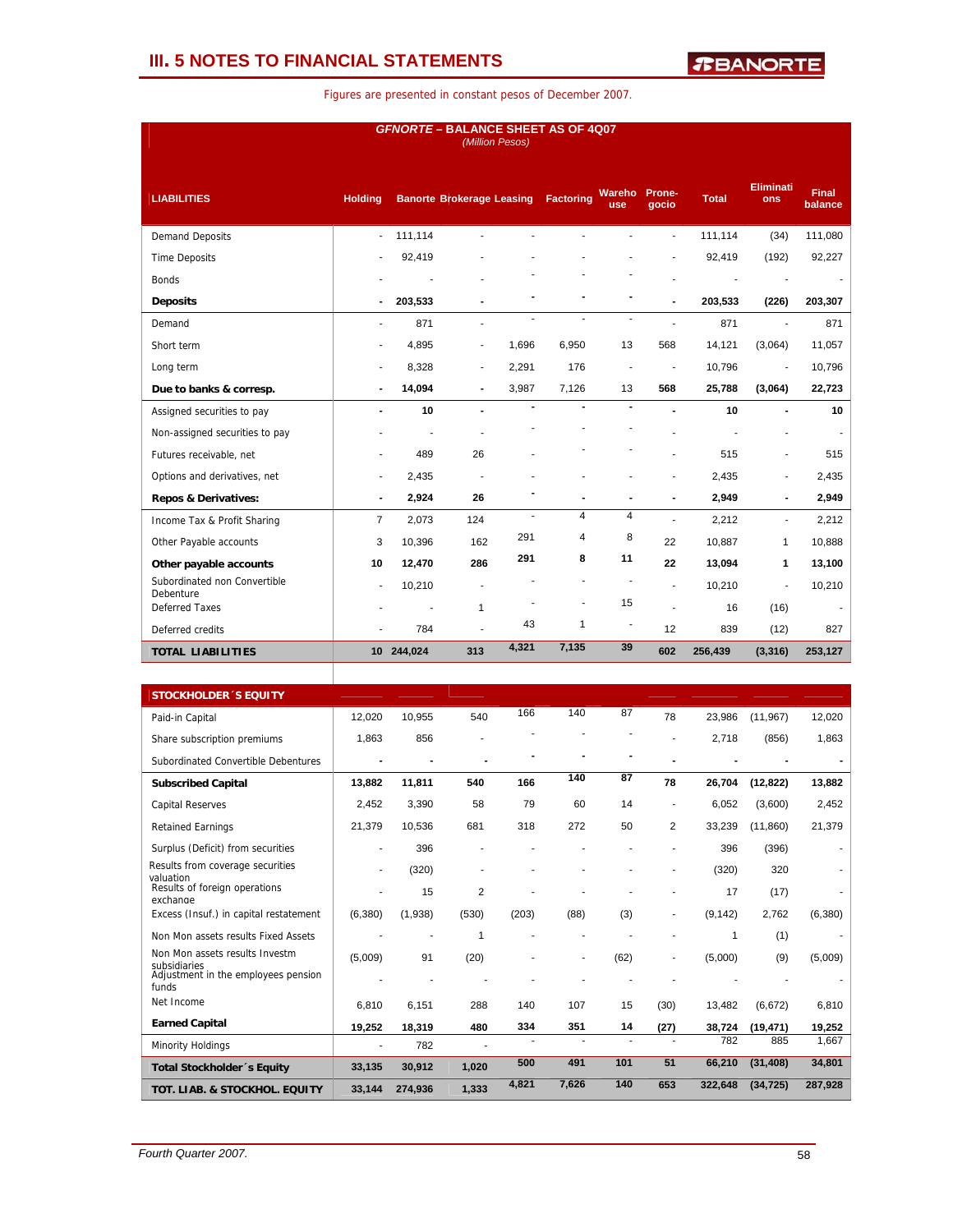## **III. 5 NOTES TO FINANCIAL STATEMENTS**

| <b>GFNORTE - BALANCE SHEET AS OF 4Q07</b><br>(Million Pesos) |                |            |                                  |                          |                  |                          |                          |              |                          |                         |
|--------------------------------------------------------------|----------------|------------|----------------------------------|--------------------------|------------------|--------------------------|--------------------------|--------------|--------------------------|-------------------------|
| <b>LIABILITIES</b>                                           | <b>Holding</b> |            | <b>Banorte Brokerage Leasing</b> |                          | <b>Factoring</b> | Wareho<br>use            | Prone-<br>gocio          | <b>Total</b> | <b>Eliminati</b><br>ons  | <b>Final</b><br>balance |
| <b>Demand Deposits</b>                                       | ÷.             | 111,114    |                                  |                          |                  |                          | ä,                       | 111,114      | (34)                     | 111,080                 |
| <b>Time Deposits</b>                                         |                | 92,419     |                                  |                          |                  |                          |                          | 92,419       | (192)                    | 92,227                  |
| <b>Bonds</b>                                                 |                |            |                                  |                          |                  |                          |                          |              |                          |                         |
| <b>Deposits</b>                                              |                | 203,533    |                                  |                          |                  |                          |                          | 203,533      | (226)                    | 203,307                 |
| Demand                                                       |                | 871        | ä,                               | $\overline{\phantom{a}}$ | $\overline{a}$   | $\overline{\phantom{a}}$ |                          | 871          | ä,                       | 871                     |
| Short term                                                   |                | 4,895      | ٠                                | 1,696                    | 6,950            | 13                       | 568                      | 14,121       | (3,064)                  | 11,057                  |
| Long term                                                    | ٠              | 8,328      | ٠                                | 2,291                    | 176              | $\blacksquare$           | $\overline{\phantom{a}}$ | 10,796       | $\overline{\phantom{a}}$ | 10,796                  |
| Due to banks & corresp.                                      | $\blacksquare$ | 14,094     | $\blacksquare$                   | 3,987                    | 7,126            | 13                       | 568                      | 25,788       | (3,064)                  | 22,723                  |
| Assigned securities to pay                                   |                | 10         | $\overline{\phantom{0}}$         | $\blacksquare$           | $\blacksquare$   | $\blacksquare$           |                          | 10           | $\blacksquare$           | 10                      |
| Non-assigned securities to pay                               |                |            |                                  |                          |                  |                          |                          |              |                          | $\blacksquare$          |
| Futures receivable, net                                      |                | 489        | 26                               |                          |                  | ٠                        |                          | 515          |                          | 515                     |
| Options and derivatives, net                                 |                | 2,435      |                                  |                          |                  |                          |                          | 2,435        | ٠                        | 2,435                   |
| <b>Repos &amp; Derivatives:</b>                              | $\blacksquare$ | 2,924      | 26                               |                          |                  |                          | $\blacksquare$           | 2,949        | $\blacksquare$           | 2,949                   |
| Income Tax & Profit Sharing                                  | $\overline{7}$ | 2,073      | 124                              | ä,                       | $\overline{4}$   | $\overline{\mathbf{4}}$  |                          | 2,212        | $\overline{\phantom{0}}$ | 2,212                   |
| Other Payable accounts                                       | 3              | 10,396     | 162                              | 291                      | 4                | 8                        | 22                       | 10,887       | $\mathbf{1}$             | 10,888                  |
| Other payable accounts                                       | 10             | 12.470     | 286                              | 291                      | 8                | 11                       | 22                       | 13,094       | 1                        | 13,100                  |
| Subordinated non Convertible<br><b>Debenture</b>             | ٠              | 10,210     | ä,                               |                          |                  |                          | $\overline{a}$           | 10,210       | ÷.                       | 10,210                  |
| <b>Deferred Taxes</b>                                        |                |            | $\mathbf{1}$                     |                          | ä,               | 15                       |                          | 16           | (16)                     |                         |
| Deferred credits                                             |                | 784        |                                  | 43                       | 1                | $\overline{a}$           | 12                       | 839          | (12)                     | 827                     |
| <b>TOTAL LIABILITIES</b>                                     |                | 10 244,024 | 313                              | 4,321                    | 7,135            | 39                       | 602                      | 256,439      | (3, 316)                 | 253,127                 |
|                                                              |                |            |                                  |                          |                  |                          |                          |              |                          |                         |

| <b>STOCKHOLDER 'S EQUITY</b>                                 |         |         |                |       |       |      |                |          |           |         |
|--------------------------------------------------------------|---------|---------|----------------|-------|-------|------|----------------|----------|-----------|---------|
| Paid-in Capital                                              | 12.020  | 10.955  | 540            | 166   | 140   | 87   | 78             | 23,986   | (11.967)  | 12,020  |
| Share subscription premiums                                  | 1,863   | 856     |                |       |       |      |                | 2,718    | (856)     | 1,863   |
| Subordinated Convertible Debentures                          |         |         |                |       |       |      |                |          |           |         |
| <b>Subscribed Capital</b>                                    | 13.882  | 11.811  | 540            | 166   | 140   | 87   | 78             | 26,704   | (12, 822) | 13,882  |
| <b>Capital Reserves</b>                                      | 2,452   | 3,390   | 58             | 79    | 60    | 14   |                | 6,052    | (3,600)   | 2,452   |
| <b>Retained Earnings</b>                                     | 21,379  | 10,536  | 681            | 318   | 272   | 50   | $\overline{2}$ | 33,239   | (11, 860) | 21,379  |
| Surplus (Deficit) from securities                            |         | 396     |                |       |       |      |                | 396      | (396)     |         |
| Results from coverage securities<br>valuation                |         | (320)   |                |       |       |      |                | (320)    | 320       |         |
| Results of foreign operations<br>exchange                    |         | 15      | $\overline{2}$ |       |       |      |                | 17       | (17)      |         |
| Excess (Insuf.) in capital restatement                       | (6,380) | (1,938) | (530)          | (203) | (88)  | (3)  |                | (9, 142) | 2,762     | (6,380) |
| Non Mon assets results Fixed Assets                          |         |         | 1              |       |       |      |                |          | (1)       |         |
| Non Mon assets results Investm                               | (5,009) | 91      | (20)           |       | ٠     | (62) |                | (5,000)  | (9)       | (5,009) |
| subsidiaries<br>Adjustment in the employees pension<br>funds |         |         |                |       |       |      |                |          |           |         |
| Net Income                                                   | 6.810   | 6.151   | 288            | 140   | 107   | 15   | (30)           | 13,482   | (6,672)   | 6,810   |
| <b>Earned Capital</b>                                        | 19,252  | 18,319  | 480            | 334   | 351   | 14   | (27)           | 38,724   | (19, 471) | 19,252  |
| Minority Holdings                                            |         | 782     |                |       |       |      |                | 782      | 885       | 1,667   |
| <b>Total Stockholder</b> 's Equity                           | 33,135  | 30,912  | 1,020          | 500   | 491   | 101  | 51             | 66.210   | (31, 408) | 34,801  |
| TOT. LIAB. & STOCKHOL. EQUITY                                | 33,144  | 274.936 | 1,333          | 4,821 | 7,626 | 140  | 653            | 322.648  | (34, 725) | 287,928 |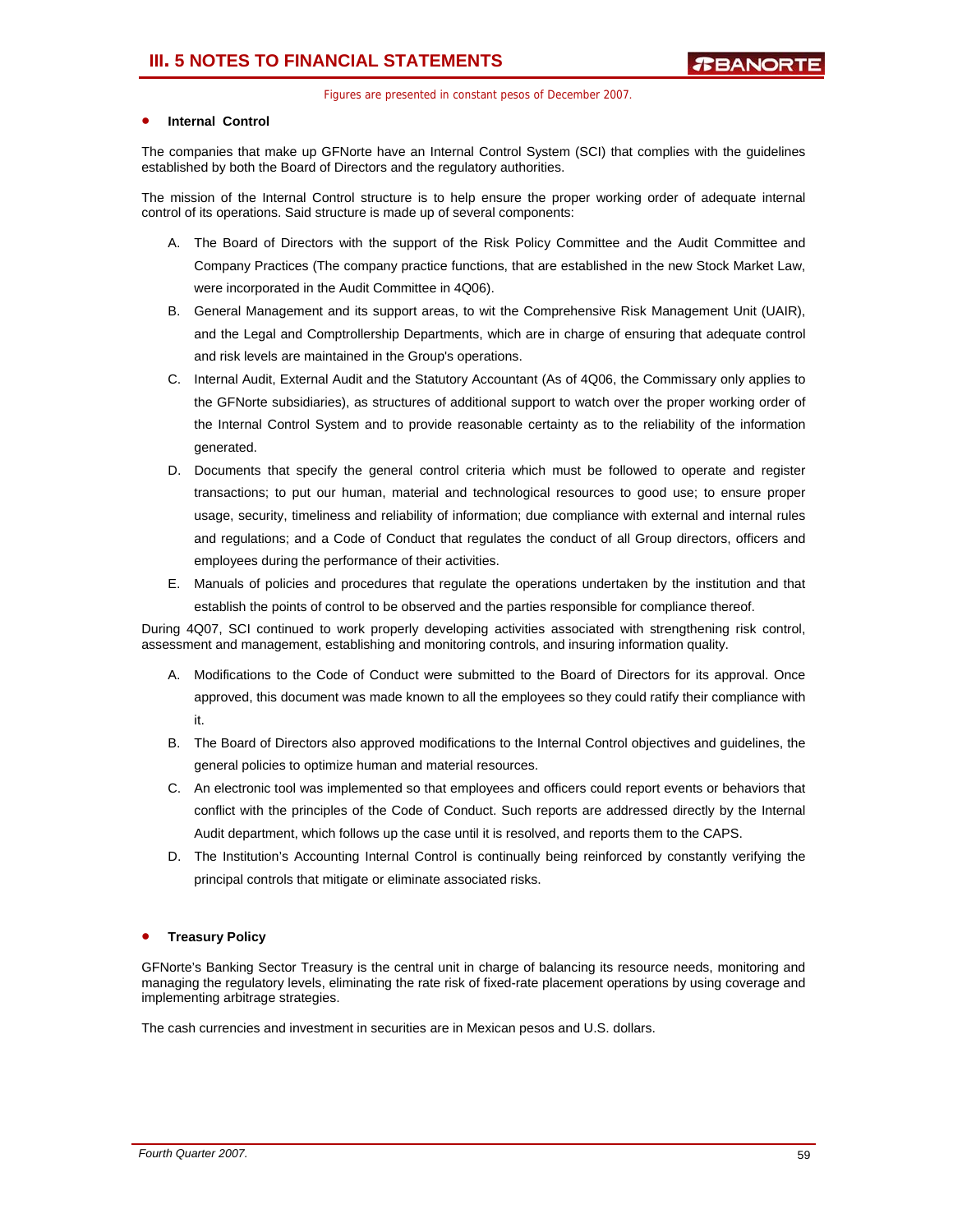## • **Internal Control**

The companies that make up GFNorte have an Internal Control System (SCI) that complies with the guidelines established by both the Board of Directors and the regulatory authorities.

The mission of the Internal Control structure is to help ensure the proper working order of adequate internal control of its operations. Said structure is made up of several components:

- A. The Board of Directors with the support of the Risk Policy Committee and the Audit Committee and Company Practices (The company practice functions, that are established in the new Stock Market Law, were incorporated in the Audit Committee in 4Q06).
- B. General Management and its support areas, to wit the Comprehensive Risk Management Unit (UAIR), and the Legal and Comptrollership Departments, which are in charge of ensuring that adequate control and risk levels are maintained in the Group's operations.
- C. Internal Audit, External Audit and the Statutory Accountant (As of 4Q06, the Commissary only applies to the GFNorte subsidiaries), as structures of additional support to watch over the proper working order of the Internal Control System and to provide reasonable certainty as to the reliability of the information generated.
- D. Documents that specify the general control criteria which must be followed to operate and register transactions; to put our human, material and technological resources to good use; to ensure proper usage, security, timeliness and reliability of information; due compliance with external and internal rules and regulations; and a Code of Conduct that regulates the conduct of all Group directors, officers and employees during the performance of their activities.
- E. Manuals of policies and procedures that regulate the operations undertaken by the institution and that establish the points of control to be observed and the parties responsible for compliance thereof.

During 4Q07, SCI continued to work properly developing activities associated with strengthening risk control, assessment and management, establishing and monitoring controls, and insuring information quality.

- A. Modifications to the Code of Conduct were submitted to the Board of Directors for its approval. Once approved, this document was made known to all the employees so they could ratify their compliance with it.
- B. The Board of Directors also approved modifications to the Internal Control objectives and guidelines, the general policies to optimize human and material resources.
- C. An electronic tool was implemented so that employees and officers could report events or behaviors that conflict with the principles of the Code of Conduct. Such reports are addressed directly by the Internal Audit department, which follows up the case until it is resolved, and reports them to the CAPS.
- D. The Institution's Accounting Internal Control is continually being reinforced by constantly verifying the principal controls that mitigate or eliminate associated risks.

## • **Treasury Policy**

GFNorte's Banking Sector Treasury is the central unit in charge of balancing its resource needs, monitoring and managing the regulatory levels, eliminating the rate risk of fixed-rate placement operations by using coverage and implementing arbitrage strategies.

The cash currencies and investment in securities are in Mexican pesos and U.S. dollars.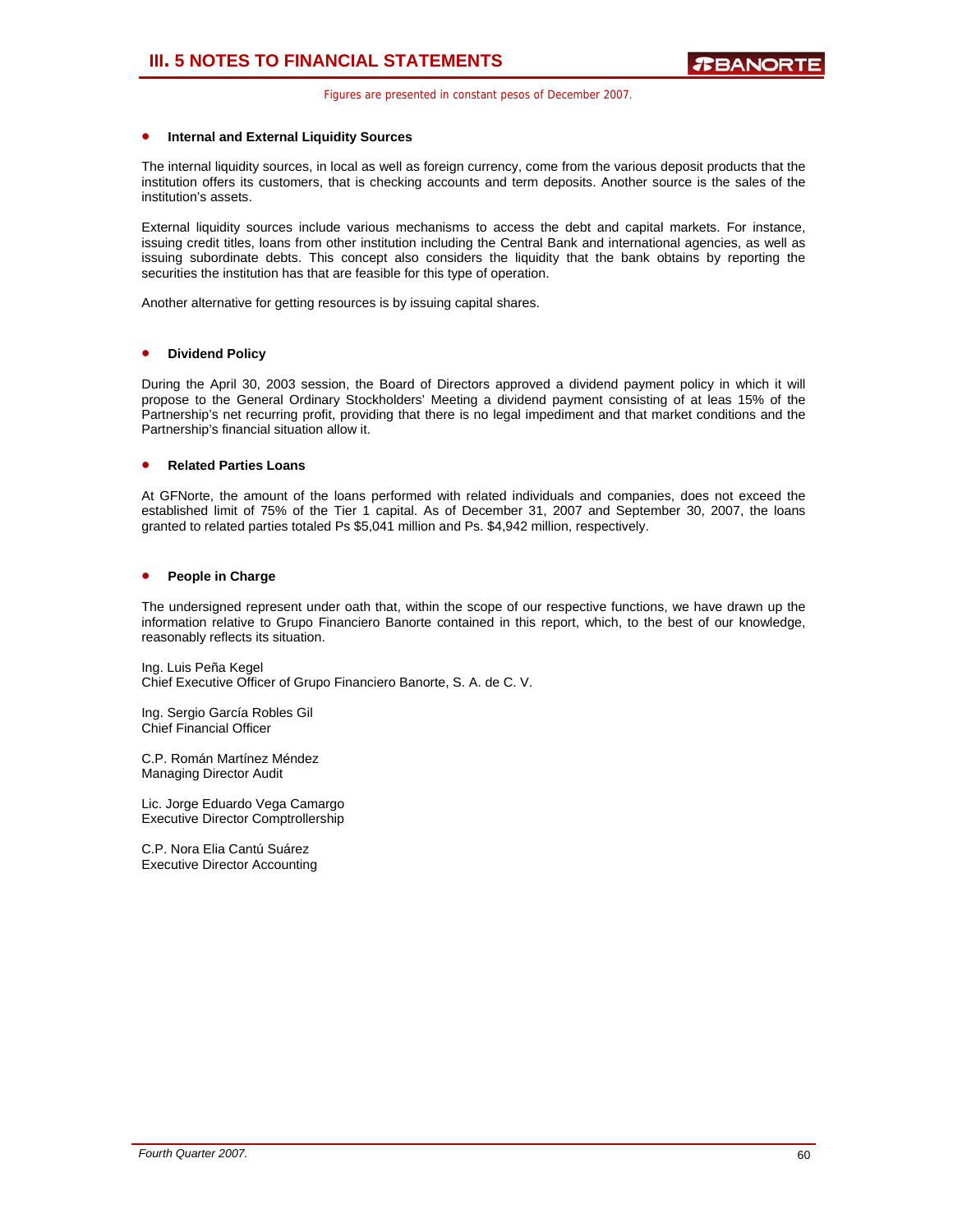### • **Internal and External Liquidity Sources**

The internal liquidity sources, in local as well as foreign currency, come from the various deposit products that the institution offers its customers, that is checking accounts and term deposits. Another source is the sales of the institution's assets.

External liquidity sources include various mechanisms to access the debt and capital markets. For instance, issuing credit titles, loans from other institution including the Central Bank and international agencies, as well as issuing subordinate debts. This concept also considers the liquidity that the bank obtains by reporting the securities the institution has that are feasible for this type of operation.

Another alternative for getting resources is by issuing capital shares.

### • **Dividend Policy**

During the April 30, 2003 session, the Board of Directors approved a dividend payment policy in which it will propose to the General Ordinary Stockholders' Meeting a dividend payment consisting of at leas 15% of the Partnership's net recurring profit, providing that there is no legal impediment and that market conditions and the Partnership's financial situation allow it.

## • **Related Parties Loans**

At GFNorte, the amount of the loans performed with related individuals and companies, does not exceed the established limit of 75% of the Tier 1 capital. As of December 31, 2007 and September 30, 2007, the loans granted to related parties totaled Ps \$5,041 million and Ps. \$4,942 million, respectively.

## • **People in Charge**

The undersigned represent under oath that, within the scope of our respective functions, we have drawn up the information relative to Grupo Financiero Banorte contained in this report, which, to the best of our knowledge, reasonably reflects its situation.

Ing. Luis Peña Kegel Chief Executive Officer of Grupo Financiero Banorte, S. A. de C. V.

Ing. Sergio García Robles Gil Chief Financial Officer

C.P. Román Martínez Méndez Managing Director Audit

Lic. Jorge Eduardo Vega Camargo Executive Director Comptrollership

C.P. Nora Elia Cantú Suárez Executive Director Accounting